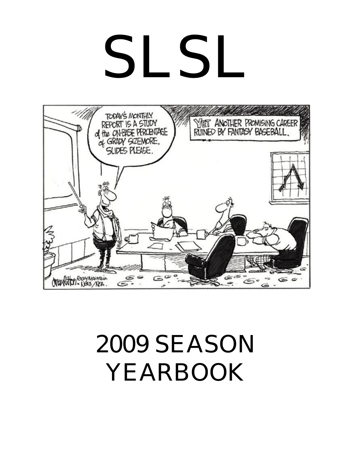# SLSL



# 2009 SEASON YEARBOOK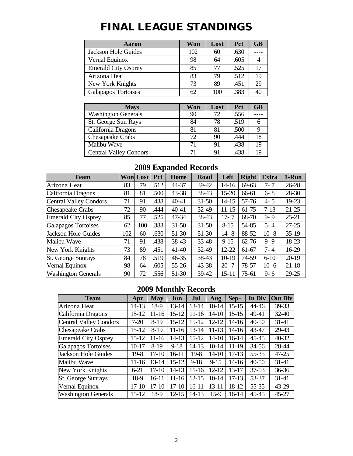# **FINAL LEAGUE STANDINGS**

| Aaron                      | Won | Lost | Pct  | <b>GB</b> |
|----------------------------|-----|------|------|-----------|
| Jackson Hole Guides        | 102 | 60   | .630 |           |
| Vernal Equinox             | 98  | 64   | .605 |           |
| <b>Emerald City Osprey</b> | 85  | 77   | .525 | 17        |
| Arizona Heat               | 83  | 79   | .512 | 19        |
| New York Knights           | 73  | 89   | .451 | 29        |
| Galapagos Tortoises        | 62  | 100  | .383 |           |

| <b>Mays</b>                   | Won | Lost | <b>Pct</b> | <b>GB</b> |
|-------------------------------|-----|------|------------|-----------|
| <b>Washington Generals</b>    | 90  | 72   | .556       |           |
| St. George Sun Rays           | 84  | 78   | .519       |           |
| California Dragons            | 81  | 81   | .500       |           |
| Chesapeake Crabs              | 72. | 90   | .444       | 18        |
| Malibu Wave                   | 71  | 91   | .438       | 19        |
| <b>Central Valley Condors</b> | 71  | 91   | .438       |           |

## **2009 Expanded Records**

| <b>Team</b>                |     | <b>Won Lost</b> | Pct  | Home      | <b>Road</b> | Left      | <b>Right</b> | <b>Extra</b> | 1-Run     |
|----------------------------|-----|-----------------|------|-----------|-------------|-----------|--------------|--------------|-----------|
| Arizona Heat               | 83  | 79              | .512 | 44-37     | 39-42       | 14-16     | $69 - 63$    | $7 - 7$      | $26 - 28$ |
| California Dragons         | 81  | 81              | .500 | $43 - 38$ | 38-43       | $15 - 20$ | 66-61        | $6 - 8$      | 28-30     |
| Central Valley Condors     | 71  | 91              | .438 | $40 - 41$ | $31 - 50$   | 14-15     | 57-76        | $4 - 5$      | $19 - 23$ |
| <b>Chesapeake Crabs</b>    | 72  | 90              | .444 | $40 - 41$ | 32-49       | $11 - 15$ | 61-75        | $7-13$       | $21 - 25$ |
| <b>Emerald City Osprey</b> | 85  | 77              | .525 | 47-34     | 38-43       | $17 - 7$  | 68-70        | $9 - 9$      | $25 - 21$ |
| Galapagos Tortoises        | 62  | 100             | .383 | $31 - 50$ | $31 - 50$   | $8 - 15$  | 54-85        | $5 - 4$      | $27 - 25$ |
| Jackson Hole Guides        | 102 | 60              | .630 | 51-30     | 51-30       | $14 - 8$  | 88-52        | $10-8$       | $35-19$   |
| Malibu Wave                | 71  | 91              | .438 | 38-43     | 33-48       | $9 - 15$  | $62 - 76$    | $9 - 9$      | 18-23     |
| New York Knights           | 73  | 89              | .451 | $41 - 40$ | 32-49       | 12-22     | 61-67        | $7 - 4$      | 16-29     |
| <b>St. George Sunrays</b>  | 84  | 78              | .519 | $46 - 35$ | 38-43       | $10-19$   | 74-59        | $6 - 10$     | $20-19$   |
| Vernal Equinox             | 98  | 64              | .605 | $55 - 26$ | 43-38       | $20 - 7$  | 78-57        | $10-6$       | $21 - 18$ |
| <b>Washington Generals</b> | 90  | 72              | .556 | 51-30     | 39-42       | 15-11     | 75-61        | $9 - 6$      | $29 - 25$ |

## **2009 Monthly Records**

| <b>Team</b>                   | Apr       | <b>May</b> | Jun       | Jul       | <b>Aug</b> | Sep+      | In Div    | <b>Out Div</b> |
|-------------------------------|-----------|------------|-----------|-----------|------------|-----------|-----------|----------------|
| Arizona Heat                  | $14 - 13$ | 18-9       | $13 - 14$ | $13 - 14$ | $10-14$    | $15 - 15$ | 44-46     | 39-33          |
| California Dragons            | $15 - 12$ | $11 - 16$  | $15 - 12$ | $11 - 16$ | $14 - 10$  | $15 - 15$ | 49-41     | $32 - 40$      |
| <b>Central Valley Condors</b> | $7-20$    | $8-19$     | $15 - 12$ | $15 - 12$ | $12 - 12$  | $14 - 16$ | $40 - 50$ | $31 - 41$      |
| <b>Chesapeake Crabs</b>       | $15 - 12$ | $8-19$     | $11 - 16$ | $13 - 14$ | $11 - 13$  | 14-16     | 43-47     | 29-43          |
| <b>Emerald City Osprey</b>    | $15 - 12$ | 11-16      | 14-13     | $15 - 12$ | $14 - 10$  | $16 - 14$ | $45 - 45$ | $40 - 32$      |
| <b>Galapagos Tortoises</b>    | $10 - 17$ | $8-19$     | $9 - 18$  | 14-13     | $10-14$    | 11-19     | $34 - 56$ | 28-44          |
| <b>Jackson Hole Guides</b>    | $19-8$    | $17 - 10$  | $16 - 11$ | $19-8$    | $14 - 10$  | $17-13$   | 55-35     | $47 - 25$      |
| Malibu Wave                   | $11 - 16$ | $13 - 14$  | $15 - 12$ | $9 - 18$  | $9 - 15$   | $14 - 16$ | $40 - 50$ | $31 - 41$      |
| New York Knights              | $6 - 21$  | $17-10$    | 14-13     | $11 - 16$ | $12 - 12$  | $13 - 17$ | $37 - 53$ | $36 - 36$      |
| <b>St. George Sunrays</b>     | 18-9      | 16-11      | $11 - 16$ | $12 - 15$ | $10 - 14$  | $17-13$   | 53-37     | 31-41          |
| Vernal Equinox                | $17-10$   | $17-10$    | 17-10     | $16-11$   | $13 - 11$  | 18-12     | $55 - 35$ | 43-29          |
| <b>Washington Generals</b>    | $15 - 12$ | 18-9       | $12 - 15$ | $14 - 13$ | $15-9$     | $16-14$   | 45-45     | $45 - 27$      |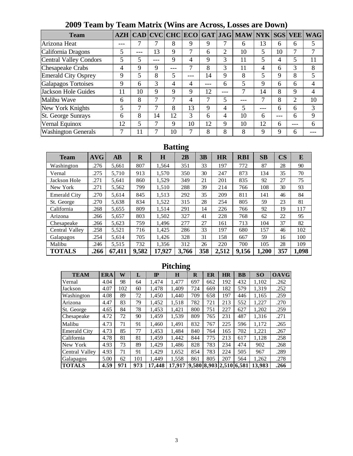| <b>Team</b>                |    |    |    |     |     |    |     | AZH   CAD   CVC   CHC   ECO   GAT   JAG   MAW   NYK |     | <b>SGS</b> | <b>VEE</b> | <b>WAG</b> |
|----------------------------|----|----|----|-----|-----|----|-----|-----------------------------------------------------|-----|------------|------------|------------|
| Arizona Heat               |    |    |    | 8   | 9   | 9  |     | 6                                                   | 13  | 6          | 6          | 5          |
| California Dragons         | 5  |    | 13 | 9   | 7   | 6  | C   | 10                                                  | 5   | 10         |            |            |
| Central Valley Condors     | 5  | 5  |    | 9   | 4   | 9  | 3   | 11                                                  | 5   | 4          |            | 11         |
| <b>Chesapeake Crabs</b>    | 4  | 9  | 9  | --- | 7   | 8  | 3   | 11                                                  | 4   | 6          | 3          | 8          |
| <b>Emerald City Osprey</b> | 9  | 5  | 8  | 5   | --- | 14 | 9   | 8                                                   | 5   | 9          | 8          | 5          |
| <b>Galapagos Tortoises</b> | 9  | 6  | 3  | 4   | 4   |    | 6   | 5                                                   | 9   | 6          | 6          | 4          |
| Jackson Hole Guides        | 11 | 10 | 9  | 9   | 9   | 12 | --- | 7                                                   | 14  | 8          | 9          | 4          |
| Malibu Wave                | 6  | 8  | ┑  | 7   | 4   | 7  | 5   | ---                                                 |     | 8          | 2          | 10         |
| New York Knights           | 5  | ┑  |    | 8   | 13  | 9  | 4   | 5                                                   | --- | 6          | 6          | 3          |
| St. George Sunrays         | 6  | 8  | 14 | 12  | 3   | 6  | 4   | 10                                                  | 6   | ---        | 6          | 9          |
| Vernal Equinox             | 12 | 5  |    | 9   | 10  | 12 | 9   | 10                                                  | 12  | 6          | ---        | 6          |
| <b>Washington Generals</b> |    | 11 |    | 10  | 7   | 8  | 8   | 8                                                   | 9   | 9          | 6          |            |

# **2009 Team by Team Matrix (Wins are Across, Losses are Down)**

# **Batting**

| <b>Team</b>         | <b>AVG</b> | <b>AB</b> | $\bf R$ | $\bf H$ | 2B    | 3B  | <b>HR</b> | <b>RBI</b> | SB    | $\overline{\text{CS}}$ | E     |
|---------------------|------------|-----------|---------|---------|-------|-----|-----------|------------|-------|------------------------|-------|
| Washington          | .276       | 5.661     | 807     | 1.564   | 351   | 33  | 197       | 772        | 87    | 28                     | 90    |
| Vernal              | .275       | 5,710     | 913     | 1,570   | 350   | 30  | 247       | 873        | 134   | 35                     | 70    |
| Jackson Hole        | .271       | 5,641     | 860     | 1,529   | 349   | 21  | 201       | 835        | 92    | 27                     | 75    |
| New York            | .271       | 5,562     | 799     | 1,510   | 288   | 39  | 214       | 766        | 108   | 30                     | 93    |
| <b>Emerald City</b> | .270       | 5,614     | 845     | 1,513   | 292   | 35  | 209       | 811        | 141   | 46                     | 84    |
| St. George          | .270       | 5.638     | 834     | 1,522   | 315   | 28  | 254       | 805        | 59    | 23                     | 81    |
| California          | .268       | 5,655     | 809     | 1,514   | 291   | 14  | 226       | 766        | 92    | 19                     | 117   |
| Arizona             | .266       | 5,657     | 803     | 1,502   | 327   | 41  | 228       | 768        | 62    | 22                     | 95    |
| Chesapeake          | .266       | 5,623     | 759     | 1,496   | 277   | 27  | 161       | 713        | 104   | 37                     | 82    |
| Central Valley      | .258       | 5,521     | 716     | 1.425   | 286   | 33  | 197       | 680        | 157   | 46                     | 102   |
| Galapagos           | .254       | 5.614     | 705     | 1.426   | 328   | 31  | 158       | 667        | 59    | 16                     | 100   |
| Malibu              | .246       | 5,515     | 732     | 1.356   | 312   | 26  | 220       | 700        | 105   | 28                     | 109   |
| <b>TOTALS</b>       | .266       | 67,411    | 9,582   | 17,927  | 3,766 | 358 | 2,512     | 9,156      | 1,200 | 357                    | 1,098 |

## **Pitching**

| <b>TEAM</b>         | <b>ERA</b> | W   | L   | $\mathbf{I}$ | H      | $\bf R$ | ER                      | <b>HR</b> | BB  | SO     | <b>OAVG</b> |
|---------------------|------------|-----|-----|--------------|--------|---------|-------------------------|-----------|-----|--------|-------------|
| Vernal              | 4.04       | 98  | 64  | 1.474        | 1.477  | 697     | 662                     | 192       | 432 | 1.102  | .262        |
| Jackson             | 4.07       | 102 | 60  | 1.478        | 1.409  | 724     | 669                     | 182       | 579 | 1,319  | .252        |
| Washington          | 4.08       | 89  | 72  | 1.450        | 1.440  | 709     | 658                     | 197       | 446 | 1.165  | .259        |
| Arizona             | 4.47       | 83  | 79  | 1,452        | 1,518  | 782     | 721                     | 213       | 552 | 1,227  | .270        |
| St. George          | 4.65       | 84  | 78  | 1,453        | 1.421  | 800     | 751                     | 227       | 627 | 1,202  | .259        |
| Chesapeake          | 4.72       | 72  | 90  | 1,459        | 1,539  | 809     | 765                     | 231       | 487 | 1,316  | .271        |
| Malibu              | 4.73       | 71  | 91  | 1.460        | 1.491  | 832     | 767                     | 225       | 596 | 1.172  | .265        |
| <b>Emerald City</b> | 4.73       | 85  | 77  | 1,453        | 1.484  | 840     | 764                     | 165       | 702 | 1,221  | .267        |
| California          | 4.78       | 81  | 81  | 1.459        | 1.442  | 844     | 775                     | 213       | 617 | 1.128  | .258        |
| New York            | 4.93       | 73  | 89  | 1,429        | 1,486  | 828     | 783                     | 234       | 474 | 902    | .268        |
| Central Valley      | 4.93       | 71  | 91  | 1.429        | 1.652  | 854     | 783                     | 224       | 505 | 967    | .289        |
| Galapagos           | 5.00       | 62  | 101 | 1.449        | 1,558  | 861     | 805                     | 207       | 564 | 1,262  | .278        |
| <b>TOTALS</b>       | 4.59       | 971 | 973 | 17.448       | 17,917 |         | 9,580 8,903 2,510 6,581 |           |     | 13.983 | .266        |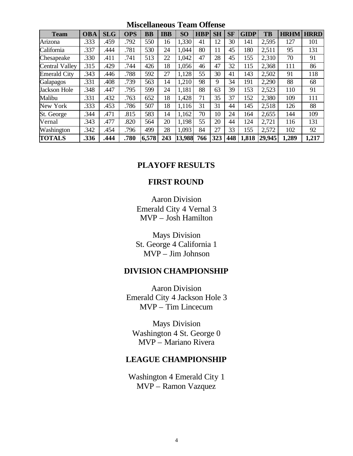**Team OBA SLG OPS BB IBB SO HBP SH SF GIDP TB HRHM HRRD** Arizona 1.333 .459 .792 550 16 1,330 41 12 30 141 2,595 127 101 California | .337 | .444 | .781 | 530 | 24 | 1,044 | 80 | 11 | 45 | 180 | 2,511 | 95 | 131 Chesapeake .330 .411 .741 513 22 1,042 47 28 45 155 2,310 70 91 Central Valley .315 .429 .744 426 18 1,056 46 47 32 115 2,368 111 86 Emerald City 343 .446 .788 592 27 1,128 55 30 41 143 2,502 91 118 Galapagos | .331 | .408 | .739 | 563 | 14 | 1,210 | 98 | 9 | 34 | 191 | 2,290 | 88 | 68 Jackson Hole .348 .447 .795 599 24 1,181 88 63 39 153 2,523 110 91 Malibu .331 .432 .763 652 18 1,428 71 35 37 152 2,380 109 111 New York | .333 | .453 | .786 | 507 | 18 | 1,116 | 31 | 31 | 44 | 145 | 2,518 | 126 | 88 St. George ... 344 .471 .815 | 583 | 14 | 1,162 | 70 | 10 | 24 | 164 | 2,655 | 144 | 109 Vernal .343 .477 .820 564 20 1,198 55 20 44 124 2,721 116 131 Washington .342 .454 .796 499 28 1,093 84 27 33 155 2,572 102 92 **TOTALS .336 .444 .780 6,578 243 13,988 766 323 448 1,818 29,945 1,289 1,217**

**Miscellaneous Team Offense**

### **PLAYOFF RESULTS**

### **FIRST ROUND**

Aaron Division Emerald City 4 Vernal 3 MVP – Josh Hamilton

Mays Division St. George 4 California 1 MVP – Jim Johnson

### **DIVISION CHAMPIONSHIP**

Aaron Division Emerald City 4 Jackson Hole 3 MVP – Tim Lincecum

Mays Division Washington 4 St. George 0 MVP – Mariano Rivera

### **LEAGUE CHAMPIONSHIP**

Washington 4 Emerald City 1 MVP – Ramon Vazquez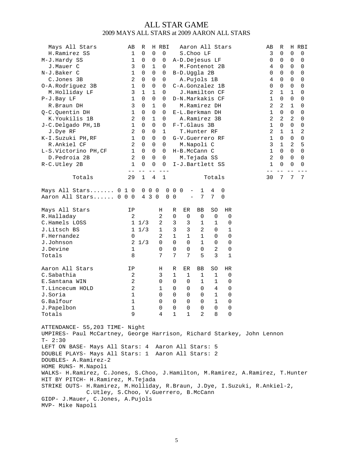### ALL STAR GAME 2009 MAYS ALL STARS at 2009 AARON ALL STARS

| Mays All Stars<br>H.Ramirez SS<br>M-J.Hardy SS<br>J.Mauer C<br>N-J.Baker C<br>C.Jones 3B<br>O-A.Rodriguez 3B<br>M.Holliday LF<br>P-J.Bay LF<br>R.Braun DH<br>Q-C.Quentin DH<br>K.Youkilis 1B<br>J-C.Delgado PH, 1B<br>J.Dye RF<br>K-I.Suzuki PH, RF<br>R.Ankiel CF<br>L-S.Victorino PH, CF<br>D.Pedroia 2B<br>R-C.Utley 2B                                                                                                                                                                                                                                                            | AВ<br>$\mathbf{1}$<br>1<br>3<br>1<br>2<br>1<br>3<br>$\mathbf{1}$<br>3<br>$\mathbf{1}$<br>2<br>$\mathbf{1}$<br>2<br>1<br>2<br>1<br>2<br>1 | R<br>0<br>0<br>0<br>0<br>0<br>0<br>1<br>0<br>0<br>0<br>0<br>0<br>0<br>0<br>0<br>0<br>0<br>0 | 0<br>0<br>1<br>0<br>0<br>0<br>1<br>0<br>1<br>0<br>$\mathbf 1$<br>0<br>0<br>0<br>0<br>0<br>0<br>0 | H RBI<br>$\mathbf 0$<br>0<br>0<br>0<br>0<br>0<br>0<br>0<br>0<br>0<br>0<br>0<br>1<br>0<br>0<br>0<br>0<br>0 | Aaron All Stars                                                                                   | S.Choo LF<br>A-D.Dejesus LF<br>M.Fontenot 2B<br>B-D.Uggla 2B<br>A. Pujols 1B<br>C-A.Gonzalez 1B<br>J.Hamilton CF<br>D-N.Markakis CF<br>M.Ramirez DH<br>E-L.Berkman DH<br>A.Ramirez 3B<br>F-T.Glaus 3B<br>T.Hunter RF<br>G-V.Guerrero RF<br>M.Napoli C<br>H-B.McCann C<br>M.Tejada SS<br>I-J.Bartlett SS |                                                                                                                              |                                                                                                                                                                                    |                                                                                  |  | AВ<br>3<br>0<br>4<br>0<br>4<br>0<br>2<br>1<br>2<br>$\mathbf 1$<br>2<br>1<br>2<br>$\mathbf 1$<br>3<br>1<br>2<br>1 | R<br>0<br>0<br>0<br>0<br>0<br>0<br>1<br>0<br>2<br>$\mathbf 0$<br>2<br>$\mathbf 0$<br>1<br>0<br>1<br>$\Omega$<br>$\Omega$<br>0 | $\mathbf 0$<br>0<br>0<br>0<br>0<br>0<br>1<br>0<br>1<br>0<br>2<br>0<br>1<br>0<br>2<br>0<br>0<br>0 | H RBI<br>0<br>0<br>0<br>0<br>0<br>0<br>0<br>0<br>0<br>0<br>0<br>0<br>2<br>0<br>5<br>0<br>0<br>0 |
|---------------------------------------------------------------------------------------------------------------------------------------------------------------------------------------------------------------------------------------------------------------------------------------------------------------------------------------------------------------------------------------------------------------------------------------------------------------------------------------------------------------------------------------------------------------------------------------|------------------------------------------------------------------------------------------------------------------------------------------|---------------------------------------------------------------------------------------------|--------------------------------------------------------------------------------------------------|-----------------------------------------------------------------------------------------------------------|---------------------------------------------------------------------------------------------------|---------------------------------------------------------------------------------------------------------------------------------------------------------------------------------------------------------------------------------------------------------------------------------------------------------|------------------------------------------------------------------------------------------------------------------------------|------------------------------------------------------------------------------------------------------------------------------------------------------------------------------------|----------------------------------------------------------------------------------|--|------------------------------------------------------------------------------------------------------------------|-------------------------------------------------------------------------------------------------------------------------------|--------------------------------------------------------------------------------------------------|-------------------------------------------------------------------------------------------------|
| Totals                                                                                                                                                                                                                                                                                                                                                                                                                                                                                                                                                                                | 29                                                                                                                                       | $\mathbf{1}$                                                                                | 4                                                                                                | $\mathbf{1}$                                                                                              |                                                                                                   |                                                                                                                                                                                                                                                                                                         |                                                                                                                              | Totals                                                                                                                                                                             |                                                                                  |  | 30                                                                                                               | 7                                                                                                                             | 7                                                                                                | 7                                                                                               |
| Mays All Stars 0 1 0<br>Aaron All Stars 0 0 0                                                                                                                                                                                                                                                                                                                                                                                                                                                                                                                                         |                                                                                                                                          |                                                                                             | $0\quad 0\quad 0$<br>4 3 0                                                                       | 0<br>0                                                                                                    | $0\quad 0$<br>$\mathbf 0$                                                                         | $\qquad \qquad -$<br>$\qquad \qquad -$                                                                                                                                                                                                                                                                  | 1<br>7                                                                                                                       | 4<br>7                                                                                                                                                                             | 0<br>$\mathbf 0$                                                                 |  |                                                                                                                  |                                                                                                                               |                                                                                                  |                                                                                                 |
| Mays All Stars<br>R.Halladay<br>C.Hamels LOSS<br>J.Litsch BS<br>F.Hernandez<br>J.Johnson<br>J.Devine<br>Totals<br>Aaron All Stars<br>C.Sabathia<br>E.Santana WIN<br>T.Lincecum HOLD<br>J.Soria<br>G.Balfour<br>J.Papelbon<br>Totals                                                                                                                                                                                                                                                                                                                                                   | IP<br>2<br>0<br>$\mathbf{1}$<br>8<br>ΙP<br>2<br>$\sqrt{2}$<br>$\sqrt{2}$<br>$\mathbf 1$<br>$\mathbf 1$<br>1<br>9                         | $1 \t1/3$<br>$1 \t1/3$<br>$2 \t1/3$                                                         |                                                                                                  | Η<br>2<br>2<br>1<br>2<br>0<br>0<br>7<br>Η<br>3<br>0<br>$\mathbf 1$<br>0<br>$\overline{0}$                 | R<br>0<br>3<br>3<br>$\mathbf{1}$<br>$\Omega$<br>0<br>7<br>R<br>1<br>0<br>0<br>0<br>$\overline{0}$ | ER<br>0<br>3<br>3<br>$\mathbf{1}$<br>$\Omega$<br>0<br>7<br>ER<br>1<br>0<br>0<br>0<br>$\overline{0}$                                                                                                                                                                                                     | BB<br>0<br>$\mathbf{1}$<br>2<br>$\mathbf{1}$<br>$\mathbf 1$<br>0<br>5<br>BB<br>1<br>$\mathbf{1}$<br>0<br>0<br>$\overline{0}$ | SO<br>0<br>1<br>0<br>0<br>0<br>2<br>3<br>SO<br>$\mathbf{1}$<br>$\mathbf{1}$<br>4<br>$\mathbf{1}$<br>$\mathbf{1}$<br>$\begin{matrix} 0 & 0 & 0 & 0 & 0 \end{matrix}$<br>4 1 1 2 8 0 | HR<br>0<br>0<br>1<br>0<br>0<br>0<br>1<br>HR<br>0<br>0<br>0<br>0<br>$\Omega$<br>0 |  |                                                                                                                  |                                                                                                                               |                                                                                                  |                                                                                                 |
| ATTENDANCE- 55,203 TIME- Night<br>UMPIRES- Paul McCartney, George Harrison, Richard Starkey, John Lennon<br>$T - 2:30$<br>LEFT ON BASE- Mays All Stars: 4 Aaron All Stars: 5<br>DOUBLE PLAYS- Mays All Stars: 1 Aaron All Stars: 2<br>DOUBLES- A.Ramirez-2<br>HOME RUNS- M.Napoli<br>WALKS- H.Ramirez, C.Jones, S.Choo, J.Hamilton, M.Ramirez, A.Ramirez, T.Hunter<br>HIT BY PITCH- H.Ramirez, M.Tejada<br>STRIKE OUTS- H.Ramirez, M.Holliday, R.Braun, J.Dye, I.Suzuki, R.Ankiel-2,<br>C.Utley, S.Choo, V.Guerrero, B.McCann<br>GIDP- J.Mauer, C.Jones, A.Pujols<br>MVP- Mike Napoli |                                                                                                                                          |                                                                                             |                                                                                                  |                                                                                                           |                                                                                                   |                                                                                                                                                                                                                                                                                                         |                                                                                                                              |                                                                                                                                                                                    |                                                                                  |  |                                                                                                                  |                                                                                                                               |                                                                                                  |                                                                                                 |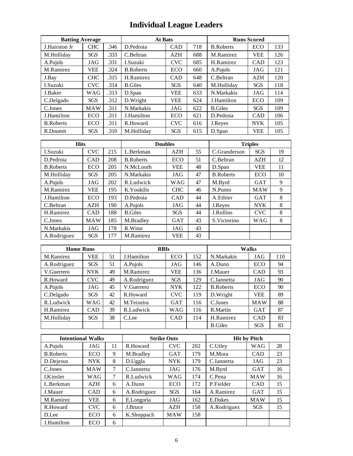# **Individual League Leaders**

| <b>Batting Average</b> |            |      | <b>At Bats</b>   |            |     |                  | <b>Runs Scored</b> |     |
|------------------------|------------|------|------------------|------------|-----|------------------|--------------------|-----|
| J.Hairston Jr.         | <b>CHC</b> | .346 | D.Pedroia        | <b>CAD</b> | 718 | <b>B.Roberts</b> | ECO                | 133 |
| M.Holliday             | <b>SGS</b> | .333 | C.Beltran        | <b>AZH</b> | 688 | M.Ramirez        | <b>VEE</b>         | 126 |
| A.Pujols               | JAG        | .331 | I.Suzuki         | <b>CVC</b> | 685 | H.Ramirez        | <b>CAD</b>         | 123 |
| M.Ramirez              | VEE        | .324 | <b>B.Roberts</b> | ECO        | 660 | A.Pujols         | JAG                | 121 |
| J.Bay                  | <b>CHC</b> | .315 | H.Ramirez        | <b>CAD</b> | 648 | C.Beltran        | AZH                | 120 |
| I.Suzuki               | <b>CVC</b> | .314 | <b>B.Giles</b>   | <b>SGS</b> | 640 | M.Hollidav       | <b>SGS</b>         | 118 |
| J.Baker                | WAG        | .313 | D.Span           | <b>VEE</b> | 633 | N.Markakis       | JAG                | 114 |
| C.Delgado              | <b>SGS</b> | .312 | D.Wright         | <b>VEE</b> | 624 | J.Hamilton       | <b>ECO</b>         | 109 |
| C.Jones                | <b>MAW</b> | .311 | N.Markakis       | JAG        | 622 | <b>B.Giles</b>   | <b>SGS</b>         | 109 |
| J.Hamilton             | <b>ECO</b> | .311 | J.Hamilton       | <b>ECO</b> | 621 | D.Pedroia        | <b>CAD</b>         | 106 |
| <b>B.Roberts</b>       | <b>ECO</b> | .311 | R.Howard         | <b>CVC</b> | 616 | J.Reyes          | <b>NYK</b>         | 105 |
| R.Doumit               | <b>SGS</b> | .310 | M.Hollidav       | <b>SGS</b> | 615 | D.Span           | <b>VEE</b>         | 105 |

| <b>Hits</b>      |            |     | <b>Doubles</b>   |            |    |                  | <b>Triples</b> |    |
|------------------|------------|-----|------------------|------------|----|------------------|----------------|----|
| I.Suzuki         | <b>CVC</b> | 215 | L.Berkman        | <b>AZH</b> | 55 | C.Granderson     | <b>SGS</b>     | 19 |
| D.Pedroia        | <b>CAD</b> | 208 | <b>B.Roberts</b> | <b>ECO</b> | 51 | C.Beltran        | <b>AZH</b>     | 12 |
| <b>B.Roberts</b> | <b>ECO</b> | 205 | N.McLouth        | <b>VEE</b> | 48 | D.Span           | <b>VEE</b>     | 11 |
| M.Holliday       | <b>SGS</b> | 205 | N.Markakis       | JAG        | 47 | <b>B.Roberts</b> | <b>ECO</b>     | 10 |
| A.Pujols         | JAG        | 202 | R.Ludwick        | WAG        | 47 | M.Byrd           | <b>GAT</b>     | 9  |
| M.Ramirez        | <b>VEE</b> | 195 | K.Youkilis       | <b>CHC</b> | 46 | N.Punto          | <b>MAW</b>     | 9  |
| J.Hamilton       | ECO        | 193 | D.Pedroia        | <b>CAD</b> | 44 | A.Ethier         | <b>GAT</b>     | 8  |
| C.Beltran        | AZH        | 190 | A.Pujols         | JAG        | 44 | J.Reves          | <b>NYK</b>     | 8  |
| H.Ramirez        | <b>CAD</b> | 188 | <b>B.Giles</b>   | <b>SGS</b> | 44 | J.Rollins        | <b>CVC</b>     | 8  |
| C.Jones          | <b>MAW</b> | 185 | M.Bradley        | <b>GAT</b> | 43 | S. Victorino     | WAG            | 8  |
| N.Markakis       | JAG        | 178 | R.Winn           | JAG        | 43 |                  |                |    |
| A.Rodriguez      | <b>SGS</b> | 177 | M.Ramirez        | <b>VEE</b> | 43 |                  |                |    |

| <b>Home Runs</b> |            |    | <b>RBIs</b> |            |     | <b>Walks</b>     |            |     |
|------------------|------------|----|-------------|------------|-----|------------------|------------|-----|
| M.Ramirez        | <b>VEE</b> | 51 | J.Hamilton  | <b>ECO</b> | 152 | N.Markakis       | JAG        | 110 |
| A.Rodriguez      | <b>SGS</b> | 51 | A.Pujols    | JAG        | 146 | A.Dunn           | <b>ECO</b> | 94  |
| V.Guerrero       | NYK.       | 49 | M.Ramirez   | <b>VEE</b> | 136 | J.Mauer          | <b>CAD</b> | 93  |
| R.Howard         | CVC        | 49 | A.Rodriguez | <b>SGS</b> | 129 | C.Iannetta       | JAG        | 90  |
| A.Pujols         | JAG        | 45 | V.Guerrero  | <b>NYK</b> | 122 | <b>B.Roberts</b> | <b>ECO</b> | 90  |
| C.Delgado        | <b>SGS</b> | 42 | R.Howard    | <b>CVC</b> | 119 | D.Wright         | VEE.       | 89  |
| R.Ludwick        | WAG        | 42 | M.Teixeira  | <b>GAT</b> | 116 | C.Jones          | <b>MAW</b> | 88  |
| H.Ramirez        | CAD        | 39 | R.Ludwick   | <b>WAG</b> | 116 | R.Martin         | <b>GAT</b> | 87  |
| M.Holliday       | SGS        | 38 | C.Lee       | <b>CAD</b> | 114 | H.Ramirez        | <b>CAD</b> | 83  |
|                  |            |    |             |            |     | <b>B.Giles</b>   | <b>SGS</b> | 83  |

| <b>Intentional Walks</b> |            |    |             | <b>Strike Outs</b> |     | <b>Hit by Pitch</b> |            |    |  |
|--------------------------|------------|----|-------------|--------------------|-----|---------------------|------------|----|--|
| A.Pujols                 | JAG        | 11 | R.Howard    | <b>CVC</b>         | 202 | C.Utley             | WAG        | 28 |  |
| <b>B.Roberts</b>         | ECO        | 9  | M.Bradley   | <b>GAT</b>         | 179 | M.Mora              | <b>CAD</b> | 23 |  |
| D.Dejesus                | <b>NYK</b> | 8  | D.Uggla     | <b>NYK</b>         | 179 | C.Iannetta          | JAG        | 23 |  |
| C.Jones                  | <b>MAW</b> | 7  | C.Iannetta  | JAG                | 176 | M.Byrd              | <b>GAT</b> | 16 |  |
| <b>I.Kinsler</b>         | <b>WAG</b> | 7  | R.Ludwick   | WAG                | 174 | C.Pena              | <b>MAW</b> | 16 |  |
| L.Berkman                | <b>AZH</b> | 6  | A.Dunn      | <b>ECO</b>         | 172 | P.Fielder           | CAD        | 15 |  |
| J.Mauer                  | <b>CAD</b> | 6  | A.Rodriguez | <b>SGS</b>         | 164 | A.Ramirez           | <b>GAT</b> | 15 |  |
| M.Ramirez                | <b>VEE</b> | 6  | E.Longoria  | JAG                | 162 | E.Dukes             | <b>MAW</b> | 15 |  |
| R.Howard                 | <b>CVC</b> | 6  | J.Bruce     | <b>AZH</b>         | 158 | A.Rodriguez         | <b>SGS</b> | 15 |  |
| D.Lee                    | <b>ECO</b> | 6  | K.Shoppach  | <b>MAW</b>         | 158 |                     |            |    |  |
| J.Hamilton               | <b>ECO</b> | 6  |             |                    |     |                     |            |    |  |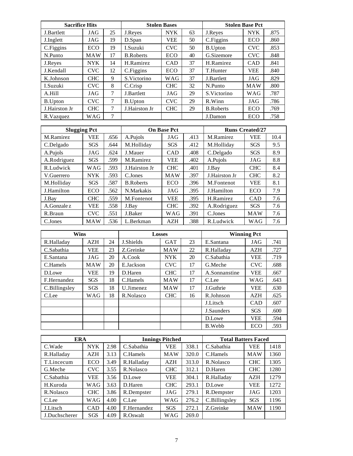| <b>Sacrifice Hits</b> |            |        | <b>Stolen Bases</b> |            |    | <b>Stolen Base Pct</b> |            |      |
|-----------------------|------------|--------|---------------------|------------|----|------------------------|------------|------|
| J.Bartlett            | JAG        | 25     | J.Reyes             | <b>NYK</b> | 63 | J.Reyes                | <b>NYK</b> | .875 |
| J.Inglett             | JAG        | 19     | D.Span              | VEE        | 50 | C.Figgins              | ECO        | .860 |
| C.Figgins             | ECO        | 19     | I.Suzuki            | <b>CVC</b> | 50 | <b>B.Upton</b>         | <b>CVC</b> | .853 |
| N.Punto               | <b>MAW</b> | 17     | <b>B.Roberts</b>    | <b>ECO</b> | 40 | G.Sizemore             | <b>CVC</b> | .848 |
| J.Reyes               | NYK.       | 14     | H.Ramirez           | <b>CAD</b> | 37 | H.Ramirez              | <b>CAD</b> | .841 |
| J.Kendall             | <b>CVC</b> | 12     | C.Figgins           | ECO        | 37 | T.Hunter               | <b>VEE</b> | .840 |
| K.Johnson             | <b>CHC</b> | 9      | S.Victorino         | WAG        | 37 | J.Bartlett             | JAG        | .829 |
| <b>I.Suzuki</b>       | <b>CVC</b> | 8      | C.Crisp             | <b>CHC</b> | 32 | N.Punto                | <b>MAW</b> | .800 |
| A.Hill                | JAG        | $\tau$ | J.Bartlett          | JAG        | 29 | S.Victorino            | <b>WAG</b> | .787 |
| B.Upton               | <b>CVC</b> | $\tau$ | <b>B.Upton</b>      | <b>CVC</b> | 29 | R.Winn                 | JAG        | .786 |
| J.Hairston Jr         | <b>CHC</b> | 7      | J.Hairston Jr       | <b>CHC</b> | 29 | <b>B.Roberts</b>       | ECO        | .769 |
| R.Vazquez             | WAG        | $\tau$ |                     |            |    | J.Damon                | ECO        | .758 |

| <b>Slugging Pct</b> |            |      |                  | <b>On Base Pct</b> |      | <b>Runs Created/27</b> |            |      |
|---------------------|------------|------|------------------|--------------------|------|------------------------|------------|------|
| M.Ramirez           | <b>VEE</b> | .656 | A.Pujols         | JAG                | .413 | M.Ramirez              | <b>VEE</b> | 10.4 |
| C.Delgado           | SGS        | .644 | M.Holliday       | <b>SGS</b>         | .412 | M.Holliday             | <b>SGS</b> | 9.5  |
| A.Pujols            | JAG        | .624 | J.Mauer          | <b>CAD</b>         | .408 | C.Delgado              | <b>SGS</b> | 8.9  |
| A.Rodriguez         | <b>SGS</b> | .599 | M.Ramirez        | <b>VEE</b>         | .402 | A.Pujols               | JAG        | 8.8  |
| R.Ludwick           | WAG        | .593 | J.Hairston Jr    | <b>CHC</b>         | .401 | J.Bay                  | <b>CHC</b> | 8.4  |
| V.Guerrero          | <b>NYK</b> | .593 | C.Jones          | <b>MAW</b>         | .397 | J.Hairston Jr.         | <b>CHC</b> | 8.2  |
| M.Holliday          | SGS        | .587 | <b>B.Roberts</b> | <b>ECO</b>         | .396 | M.Fontenot             | <b>VEE</b> | 8.1  |
| J.Hamilton          | ECO        | .562 | N.Markakis       | JAG                | .395 | J.Hamilton             | ECO        | 7.9  |
| J.Bay               | <b>CHC</b> | .559 | M.Fontenot       | <b>VEE</b>         | .395 | H.Ramirez              | <b>CAD</b> | 7.6  |
| A.Gonzale z         | VEE        | .558 | J.Bay            | <b>CHC</b>         | .392 | A.Rodriguez            | <b>SGS</b> | 7.6  |
| R.Braun             | <b>CVC</b> | .551 | J.Baker          | <b>WAG</b>         | .391 | C.Jones                | <b>MAW</b> | 7.6  |
| C.Jones             | <b>MAW</b> | .536 | L.Berkman        | AZH                | .388 | R.Ludwick              | WAG        | 7.6  |

| <b>Wins</b>   |            |    | <b>Losses</b> |            |    | <b>Winning Pct</b> |            |      |
|---------------|------------|----|---------------|------------|----|--------------------|------------|------|
| R.Halladay    | <b>AZH</b> | 24 | J.Shields     | <b>GAT</b> | 23 | E.Santana          | JAG        | .741 |
| C.Sabathia    | <b>VEE</b> | 23 | Z.Greinke     | <b>MAW</b> | 22 | R.Halladav         | <b>AZH</b> | .727 |
| E.Santana     | JAG        | 20 | A.Cook        | <b>NYK</b> | 20 | C.Sabathia         | VEE        | .719 |
| C.Hamels      | <b>MAW</b> | 20 | E.Jackson     | CVC        | 17 | G.Meche            | <b>CVC</b> | .688 |
| D.Lowe        | <b>VEE</b> | 19 | D.Haren       | <b>CHC</b> | 17 | A.Sonnanstine      | <b>VEE</b> | .667 |
| F.Hernandez   | <b>SGS</b> | 18 | C.Hamels      | <b>MAW</b> | 17 | C.Lee              | <b>WAG</b> | .643 |
| C.Billingsley | SGS        | 18 | U.Jimenez     | <b>MAW</b> | 17 | J.Guthrie          | <b>VEE</b> | .630 |
| C.Lee         | WAG        | 18 | R.Nolasco     | <b>CHC</b> | 16 | R.Johnson          | AZH        | .625 |
|               |            |    |               |            |    | J.Litsch           | <b>CAD</b> | .607 |
|               |            |    |               |            |    | J.Saunders         | <b>SGS</b> | .600 |
|               |            |    |               |            |    | D.Lowe             | <b>VEE</b> | .594 |
|               |            |    |               |            |    | B.Webb             | <b>ECO</b> | .593 |

| <b>ERA</b>    |            |      | <b>Innings Pitched</b> |            |       | <b>Total Batters Faced</b> |            |      |
|---------------|------------|------|------------------------|------------|-------|----------------------------|------------|------|
| C.Wade        | <b>NYK</b> | 2.98 | C.Sabathia             | <b>VEE</b> | 338.1 | C.Sabathia                 | <b>VEE</b> | 1418 |
| R.Halladay    | AZH        | 3.13 | C.Hamels               | <b>MAW</b> | 320.0 | C.Hamels                   | <b>MAW</b> | 1360 |
| T.Lincecum    | <b>ECO</b> | 3.49 | R.Halladay             | <b>AZH</b> | 313.0 | R.Nolasco                  | <b>CHC</b> | 1305 |
| G.Meche       | CVC        | 3.55 | R.Nolasco              | <b>CHC</b> | 312.1 | D.Haren                    | <b>CHC</b> | 1280 |
| C.Sabathia    | VEE        | 3.56 | D.Lowe                 | VEE        | 304.1 | R.Halladay                 | AZH        | 1279 |
| H.Kuroda      | WAG        | 3.63 | D.Haren                | <b>CHC</b> | 293.1 | D.Lowe                     | VEE        | 1272 |
| R.Nolasco     | <b>CHC</b> | 3.86 | R.Dempster             | JAG        | 279.1 | R.Dempster                 | JAG        | 1203 |
| C.Lee         | <b>WAG</b> | 4.00 | C.Lee                  | <b>WAG</b> | 276.2 | C.Billingsley              | <b>SGS</b> | 1196 |
| J.Litsch      | CAD        | 4.00 | F.Hernandez            | <b>SGS</b> | 272.1 | Z.Greinke                  | <b>MAW</b> | 1190 |
| J.Duchscherer | SGS        | 4.09 | R.Oswalt               | WAG        | 269.0 |                            |            |      |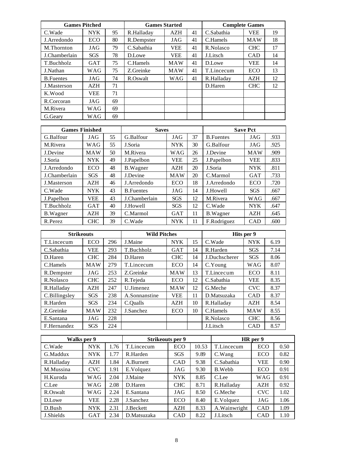|                   | <b>Games Pitched</b> |    | <b>Games Started</b> |            |    | <b>Complete Games</b> |            |    |
|-------------------|----------------------|----|----------------------|------------|----|-----------------------|------------|----|
| C.Wade            | <b>NYK</b>           | 95 | R.Halladay           | <b>AZH</b> | 41 | C.Sabathia            | <b>VEE</b> | 19 |
| J. Arredondo      | ECO                  | 80 | R.Dempster           | JAG        | 41 | C.Hamels              | <b>MAW</b> | 18 |
| M.Thornton        | JAG                  | 79 | C.Sabathia           | <b>VEE</b> | 41 | R.Nolasco             | <b>CHC</b> | 17 |
| J.Chamberlain     | <b>SGS</b>           | 78 | D.Lowe               | <b>VEE</b> | 41 | J.Litsch              | CAD        | 14 |
| T.Buchholz        | <b>GAT</b>           | 75 | C.Hamels             | <b>MAW</b> | 41 | D.Lowe                | VEE        | 14 |
| J.Nathan          | WAG                  | 75 | Z.Greinke            | <b>MAW</b> | 41 | T.Lincecum            | ECO        | 13 |
| <b>B.</b> Fuentes | JAG                  | 74 | R.Oswalt             | WAG        | 41 | R.Halladav            | AZH        | 12 |
| J.Masterson       | <b>AZH</b>           | 71 |                      |            |    | D.Haren               | <b>CHC</b> | 12 |
| K.Wood            | <b>VEE</b>           | 71 |                      |            |    |                       |            |    |
| R.Corcoran        | JAG                  | 69 |                      |            |    |                       |            |    |
| M.Rivera          | WAG                  | 69 |                      |            |    |                       |            |    |
| G.Geary           | WAG                  | 69 |                      |            |    |                       |            |    |

| <b>Games Finished</b> |            |    | <b>Saves</b>     |            |    |                  | <b>Save Pct</b> |      |
|-----------------------|------------|----|------------------|------------|----|------------------|-----------------|------|
| G.Balfour             | JAG        | 55 | G.Balfour        | JAG        | 37 | <b>B.Fuentes</b> | JAG             | .933 |
| M.Rivera              | WAG        | 55 | J.Soria          | <b>NYK</b> | 30 | G.Balfour        | JAG             | .925 |
| J.Devine              | <b>MAW</b> | 50 | M.Rivera         | <b>WAG</b> | 26 | J.Devine         | <b>MAW</b>      | .909 |
| J.Soria               | <b>NYK</b> | 49 | J.Papelbon       | <b>VEE</b> | 25 | J.Papelbon       | <b>VEE</b>      | .833 |
| J.Arredondo           | <b>ECO</b> | 48 | <b>B.Wagner</b>  | <b>AZH</b> | 20 | J.Soria          | <b>NYK</b>      | .811 |
| J.Chamberlain         | <b>SGS</b> | 48 | J.Devine         | <b>MAW</b> | 20 | C.Marmol         | <b>GAT</b>      | .733 |
| J.Masterson           | <b>AZH</b> | 46 | J.Arredondo      | <b>ECO</b> | 18 | J.Arredondo      | <b>ECO</b>      | .720 |
| C.Wade                | <b>NYK</b> | 43 | <b>B.Fuentes</b> | JAG        | 14 | J.Howell         | <b>SGS</b>      | .667 |
| J.Papelbon            | <b>VEE</b> | 43 | J.Chamberlain    | <b>SGS</b> | 12 | M.Rivera         | <b>WAG</b>      | .667 |
| T.Buchholz            | <b>GAT</b> | 40 | J.Howell         | <b>SGS</b> | 12 | C.Wade           | <b>NYK</b>      | .647 |
| <b>B.Wagner</b>       | <b>AZH</b> | 39 | C.Marmol         | <b>GAT</b> | 11 | <b>B.Wagner</b>  | <b>AZH</b>      | .645 |
| R.Perez               | <b>CHC</b> | 39 | C.Wade           | <b>NYK</b> | 11 | F.Rodriguez      | <b>CAD</b>      | .600 |

| <b>Strikeouts</b> |            |     | <b>Wild Pitches</b> |            |    | Hits per 9    |            |      |
|-------------------|------------|-----|---------------------|------------|----|---------------|------------|------|
| T.Lincecum        | <b>ECO</b> | 296 | J.Maine             | <b>NYK</b> | 15 | C.Wade        | <b>NYK</b> | 6.19 |
| C.Sabathia        | <b>VEE</b> | 293 | T.Buchholz          | <b>GAT</b> | 14 | R.Harden      | <b>SGS</b> | 7.14 |
| D.Haren           | <b>CHC</b> | 284 | D.Haren             | <b>CHC</b> | 14 | J.Duchscherer | <b>SGS</b> | 8.06 |
| C.Hamels          | <b>MAW</b> | 279 | T.Lincecum          | <b>ECO</b> | 14 | C.Young       | WAG        | 8.07 |
| R.Dempster        | JAG        | 253 | Z.Greinke           | <b>MAW</b> | 13 | T.Lincecum    | <b>ECO</b> | 8.11 |
| R.Nolasco         | <b>CHC</b> | 252 | R.Tejeda            | <b>ECO</b> | 12 | C.Sabathia    | <b>VEE</b> | 8.35 |
| R.Halladav        | AZH        | 247 | U.Jimenez           | <b>MAW</b> | 12 | G.Meche       | <b>CVC</b> | 8.37 |
| C.Billingsley     | <b>SGS</b> | 238 | A.Sonnanstine       | <b>VEE</b> | 11 | D.Matsuzaka   | <b>CAD</b> | 8.37 |
| R.Harden          | <b>SGS</b> | 234 | C.Qualls            | AZH        | 10 | R.Halladay    | <b>AZH</b> | 8.54 |
| Z.Greinke         | <b>MAW</b> | 232 | J.Sanchez           | <b>ECO</b> | 10 | C.Hamels      | <b>MAW</b> | 8.55 |
| E.Santana         | JAG        | 228 |                     |            |    | R.Nolasco     | <b>CHC</b> | 8.56 |
| F.Hernandez       | <b>SGS</b> | 224 |                     |            |    | J.Litsch      | <b>CAD</b> | 8.57 |

| Walks per 9 |            |      | <b>Strikeouts per 9</b> |            |       | HR per 9        |            |      |
|-------------|------------|------|-------------------------|------------|-------|-----------------|------------|------|
| C.Wade      | <b>NYK</b> | 1.76 | T.Lincecum              | <b>ECO</b> | 10.53 | T.Lincecum      | <b>ECO</b> | 0.50 |
| G.Maddux    | <b>NYK</b> | 1.77 | R.Harden                | <b>SGS</b> | 9.89  | C.Wang          | <b>ECO</b> | 0.82 |
| R.Halladay  | AZH        | 1.84 | A.Burnett               | <b>CAD</b> | 9.38  | C.Sabathia      | <b>VEE</b> | 0.90 |
| M.Mussina   | <b>CVC</b> | 1.91 | E.Volquez               | JAG        | 9.30  | B.Webb          | <b>ECO</b> | 0.91 |
| H.Kuroda    | WAG        | 2.04 | J.Maine                 | <b>NYK</b> | 8.85  | C.Lee           | WAG        | 0.91 |
| C.Lee       | WAG        | 2.08 | D.Haren                 | <b>CHC</b> | 8.71  | R.Halladav      | AZH        | 0.92 |
| R.Oswalt    | WAG        | 2.24 | E.Santana               | JAG        | 8.50  | G.Meche         | <b>CVC</b> | 1.02 |
| D.Lowe      | <b>VEE</b> | 2.28 | J.Sanchez               | <b>ECO</b> | 8.40  | E.Volquez       | JAG        | 1.06 |
| D.Bush      | <b>NYK</b> | 2.31 | J.Beckett               | <b>AZH</b> | 8.33  | A. Wainwright   | CAD        | 1.09 |
| J.Shields   | <b>GAT</b> | 2.34 | D.Matsuzaka             | <b>CAD</b> | 8.22  | <b>J.Litsch</b> | <b>CAD</b> | 1.10 |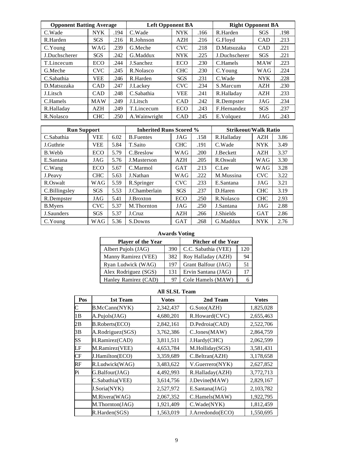| <b>Opponent Batting Average</b> |            |      | <b>Left Opponent BA</b> |            |      | <b>Right Opponent BA</b> |            |      |
|---------------------------------|------------|------|-------------------------|------------|------|--------------------------|------------|------|
| C.Wade                          | <b>NYK</b> | .194 | C.Wade                  | <b>NYK</b> | .166 | R.Harden                 | <b>SGS</b> | .198 |
| R.Harden                        | <b>SGS</b> | .216 | R.Johnson               | <b>AZH</b> | .216 | G.Floyd                  | <b>CAD</b> | .213 |
| C.Young                         | WAG        | .239 | G.Meche                 | <b>CVC</b> | .218 | D.Matsuzaka              | <b>CAD</b> | .221 |
| J.Duchscherer                   | <b>SGS</b> | .242 | G.Maddux                | <b>NYK</b> | .225 | J.Duchscherer            | <b>SGS</b> | .221 |
| T.Lincecum                      | ECO        | .244 | J.Sanchez               | <b>ECO</b> | .230 | C.Hamels                 | <b>MAW</b> | .223 |
| G.Meche                         | <b>CVC</b> | .245 | R.Nolasco               | <b>CHC</b> | .230 | C.Young                  | <b>WAG</b> | .224 |
| C.Sabathia                      | <b>VEE</b> | .246 | R.Harden                | <b>SGS</b> | .231 | C.Wade                   | <b>NYK</b> | .228 |
| D.Matsuzaka                     | <b>CAD</b> | .247 | J.Lackey                | <b>CVC</b> | .234 | S.Marcum                 | <b>AZH</b> | .230 |
| J.Litsch                        | <b>CAD</b> | .248 | C.Sabathia              | <b>VEE</b> | .241 | R.Halladay               | AZH        | .233 |
| C.Hamels                        | <b>MAW</b> | .249 | J.Litsch                | <b>CAD</b> | .242 | R.Dempster               | JAG        | .234 |
| R.Halladay                      | <b>AZH</b> | .249 | T.Lincecum              | <b>ECO</b> | .243 | F.Hernandez              | <b>SGS</b> | .237 |
| R.Nolasco                       | <b>CHC</b> | .250 | A. Wainwright           | <b>CAD</b> | .245 | E.Volquez                | JAG        | .243 |

| <b>Run Support</b> |            |      | <b>Inherited Runs Scored %</b> |            |      | <b>Strikeout/Walk Ratio</b> |            |      |
|--------------------|------------|------|--------------------------------|------------|------|-----------------------------|------------|------|
| C.Sabathia         | <b>VEE</b> | 6.02 | <b>B.</b> Fuentes              | JAG        | .158 | R.Halladay                  | <b>AZH</b> | 3.86 |
| J.Guthrie          | <b>VEE</b> | 5.84 | T.Saito                        | <b>CHC</b> | .191 | C.Wade                      | <b>NYK</b> | 3.49 |
| B. Webb            | ECO        | 5.79 | C.Breslow                      | WAG        | .200 | J.Beckett                   | <b>AZH</b> | 3.37 |
| E.Santana          | JAG        | 5.76 | J.Masterson                    | AZH        | .205 | R.Oswalt                    | <b>WAG</b> | 3.30 |
| C.Wang             | <b>ECO</b> | 5.67 | C.Marmol                       | <b>GAT</b> | .213 | C.Lee                       | <b>WAG</b> | 3.28 |
| J.Peavy            | <b>CHC</b> | 5.63 | J.Nathan                       | <b>WAG</b> | .222 | M.Mussina                   | <b>CVC</b> | 3.22 |
| R.Oswalt           | WAG        | 5.59 | R.Springer                     | <b>CVC</b> | .233 | E.Santana                   | JAG        | 3.21 |
| C.Billingsley      | <b>SGS</b> | 5.53 | J.Chamberlain                  | <b>SGS</b> | .237 | D.Haren                     | <b>CHC</b> | 3.19 |
| R.Dempster         | JAG        | 5.41 | J.Broxton                      | <b>ECO</b> | .250 | R.Nolasco                   | <b>CHC</b> | 2.93 |
| <b>B.Myers</b>     | <b>CVC</b> | 5.37 | M.Thornton                     | JAG        | .250 | J.Santana                   | JAG        | 2.88 |
| J.Saunders         | <b>SGS</b> | 5.37 | J.Cruz                         | <b>AZH</b> | .266 | J.Shields                   | <b>GAT</b> | 2.86 |
| C.Young            | <b>WAG</b> | 5.36 | S.Downs                        | <b>GAT</b> | .268 | G.Maddux                    | <b>NYK</b> | 2.76 |

### **Awards Voting**

| Player of the Year   | <b>Pitcher of the Year</b> |                     |     |
|----------------------|----------------------------|---------------------|-----|
| Albert Pujols (JAG)  | 390                        | C.C. Sabathia (VEE) | 120 |
| Manny Ramirez (VEE)  | 382                        | Roy Halladay (AZH)  | 94  |
| Ryan Ludwick (WAG)   | 197                        | Grant Balfour (JAG) |     |
| Alex Rodriguez (SGS) | 131                        | Ervin Santana (JAG) |     |
| Hanley Ramirez (CAD) | 97                         | Cole Hamels (MAW)   |     |

### **All SLSL Team**

| Pos       | 1st Team                | Votes     | 2nd Team             | Votes     |
|-----------|-------------------------|-----------|----------------------|-----------|
| C         | B.McCann(NYK)           | 2,342,437 | G.Soto(AZH)          | 1,825,028 |
| 1B        | A.Pujols(JAG)           | 4,680,201 | R.Howard(CVC)        | 2,655,463 |
| 2B        | <b>B.Roberts(ECO)</b>   | 2,842,161 | D.Pedroia(CAD)       | 2,522,706 |
| 3B        | A.Rodriguez(SGS)        | 3,762,386 | C.Jones(MAW)         | 2,864,759 |
| <b>SS</b> | H.Ramirez(CAD)          | 3,811,511 | J.Hardy(CHC)         | 2,062,599 |
| LF        | M.Ramirez(VEE)          | 4,653,784 | M.Holliday(SGS)      | 3,581,431 |
| CF        | <b>J.Hamilton</b> (ECO) | 3,359,689 | $C.$ Beltran $(AZH)$ | 3,178,658 |
| RF        | R.Ludwick(WAG)          | 3,483,622 | V.Guerrero(NYK)      | 2,627,852 |
| Pi        | G.Balfour(JAG)          | 4,492,993 | R.Halladay(AZH)      | 3,772,713 |
|           | C.Sabathia(VEE)         | 3,614,756 | J.Devine(MAW)        | 2,829,167 |
|           | J.Soria(NYK)            | 2,527,972 | E.Santana(JAG)       | 2,103,782 |
|           | M.Rivera(WAG)           | 2,067,352 | C.Hamels(MAW)        | 1,922,795 |
|           | M.Thornton(JAG)         | 1,921,409 | C.Wade(NYK)          | 1,812,459 |
|           | R.Harden(SGS)           | 1,563,019 | J.Arredondo(ECO)     | 1.550.695 |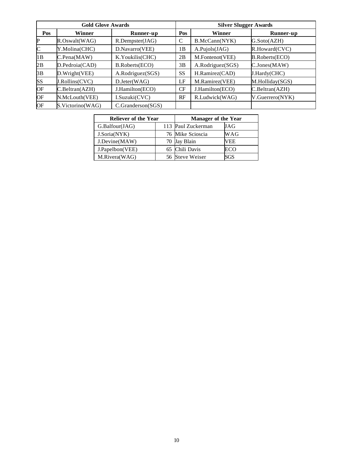|              | <b>Gold Glove Awards</b> |                   |           | <b>Silver Slugger Awards</b> |                       |
|--------------|--------------------------|-------------------|-----------|------------------------------|-----------------------|
| Pos          | Winner                   | Runner-up         | Pos       | <b>Winner</b>                | Runner-up             |
| P            | R.Oswalt(WAG)            | R.Dempster(JAG)   | C         | B.McCann(NYK)                | G.Soto(AZH)           |
| $\mathsf{C}$ | Y.Molina(CHC)            | D.Navarro(VEE)    | 1B        | A.Pujols(JAG)                | $R$ . Howard $(CVC)$  |
| 1B           | $C.$ Pena $(MAW)$        | K.Youkilis(CHC)   | 2B        | M.Fontenot(VEE)              | <b>B.Roberts(ECO)</b> |
| 2B           | D.Pedroia(CAD)           | B.Roberts(ECO)    | 3B        | A.Rodriguez(SGS)             | C.Jones(MAW)          |
| 3B           | D.Wright(VEE)            | A.Rodriguez(SGS)  | <b>SS</b> | H.Ramirez(CAD)               | J.Hardy(CHC)          |
| <b>SS</b>    | J.Rollins(CVC)           | $D.$ Jeter(WAG)   | LF        | M.Ramirez(VEE)               | M.Holliday(SGS)       |
| OF           | $C.$ Beltran $(AZH)$     | J.Hamilton(ECO)   | CF        | J.Hamilton(ECO)              | C.Beltran(AZH)        |
| <b>OF</b>    | N.McLouth(VEE)           | I.Suzuki(CVC)     | RF        | R.Ludwick(WAG)               | V.Guerrero(NYK)       |
| OF           | S.Victorino(WAG)         | C.Granderson(SGS) |           |                              |                       |

| <b>Reliever of the Year</b> | <b>Manager of the Year</b> |            |  |  |  |
|-----------------------------|----------------------------|------------|--|--|--|
| G.Balfour(JAG)              | 113 Paul Zuckerman         | JAG        |  |  |  |
| J.Soria(NYK)                | 76 Mike Scioscia           | WAG        |  |  |  |
| J.Devine(MAW)               | 70 Jay Blain               | VEE        |  |  |  |
| J.Papelbon(VEE)             | 65 Chili Davis             | ECO        |  |  |  |
| M.Rivera(WAG)               | 56 Steve Weiser            | <b>SGS</b> |  |  |  |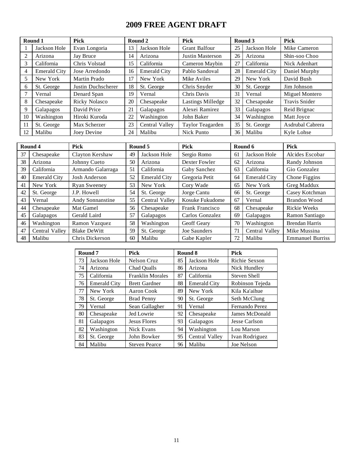### **2009 FREE AGENT DRAFT**

|                | Round 1             | <b>Pick</b>          |    | Round 2             | Pick                     |    | Round 3             | <b>Pick</b>          |
|----------------|---------------------|----------------------|----|---------------------|--------------------------|----|---------------------|----------------------|
|                | Jackson Hole        | Evan Longoria        | 13 | Jackson Hole        | <b>Grant Balfour</b>     | 25 | Jackson Hole        | Mike Cameron         |
| $\overline{c}$ | Arizona             | Jay Bruce            | 14 | Arizona             | Justin Masterson         | 26 | Arizona             | Shin-soo Choo        |
| 3              | California          | Chris Volstad        | 15 | California          | Cameron Maybin           | 27 | California          | Nick Adenhart        |
| 4              | <b>Emerald City</b> | Jose Arredondo       | 16 | <b>Emerald City</b> | Pablo Sandoval           | 28 | <b>Emerald City</b> | Daniel Murphy        |
| 5              | New York            | Martin Prado         | 17 | New York            | Mike Aviles              | 29 | New York            | David Bush           |
| 6              | St. George          | Justin Duchscherer   | 18 | St. George          | Chris Snyder             | 30 | St. George          | Jim Johnson          |
|                | Vernal              | Denard Span          | 19 | Vernal              | Chris Davis              | 31 | Vernal              | Miguel Montero       |
| 8              | Chesapeake          | <b>Ricky Nolasco</b> | 20 | Chesapeake          | <b>Lastings Milledge</b> | 32 | Chesapeake          | <b>Travis Snider</b> |
| 9              | Galapagos           | David Price          | 21 | Galapagos           | Alexei Ramirez           | 33 | Galapagos           | Reid Brignac         |
| 10             | Washington          | Hiroki Kuroda        | 22 | Washington          | John Baker               | 34 | Washington          | Matt Joyce           |
| 11             | St. George          | Max Scherzer         | 23 | Central Valley      | Taylor Teagarden         | 35 | St. George          | Asdrubal Cabrera     |
| 12             | Malibu              | Joev Devine          | 24 | Malibu              | Nick Punto               | 36 | Malibu              | Kyle Lohse           |

|    | Round 4             | <b>Pick</b>         |    | Round 5             | <b>Pick</b>     |              | Round 6             | Pick                    |
|----|---------------------|---------------------|----|---------------------|-----------------|--------------|---------------------|-------------------------|
| 37 | Chesapeake          | Clayton Kershaw     | 49 | Jackson Hole        | Sergio Romo     | 61           | Jackson Hole        | Alcides Escobar         |
| 38 | Arizona             | Johnny Cueto        | 50 | Arizona             | Dexter Fowler   | 62           | Arizona             | Randy Johnson           |
| 39 | California          | Armando Galarraga   | 51 | California          | Gaby Sanchez    | 63           | California          | Gio Gonzalez            |
| 40 | <b>Emerald City</b> | Josh Anderson       | 52 | <b>Emerald City</b> | Gregoria Petit  | 64           | <b>Emerald City</b> | Chone Figgins           |
| 41 | New York            | <b>Ryan Sweeney</b> | 53 | New York            | Cory Wade       | 65           | New York            | Greg Maddux             |
| 42 | St. George          | J.P. Howell         | 54 | St. George          | Jorge Cantu     | 66           | St. George          | Casey Kotchman          |
| 43 | Vernal              | Andy Sonnanstine    | 55 | Central Valley      | Kosuke Fukudome | 67<br>Vernal |                     | Brandon Wood            |
| 44 | Chesapeake          | Mat Gamel           | 56 | Chesapeake          | Frank Francisco | 68           | Chesapeake          | Rickie Weeks            |
| 45 | Galapagos           | Gerald Laird        | 57 | Galapagos           | Carlos Gonzalez | 69           | Galapagos           | Ramon Santiago          |
| 46 | Washington          | Ramon Vazquez       | 58 | Washington          | Geoff Geary     | 70           | Washington          | <b>Brendan Harris</b>   |
| 47 | Central Valley      | <b>Blake DeWitt</b> | 59 | St. George          | Joe Saunders    | 71           | Central Valley      | Mike Mussina            |
| 48 | Malibu              | Chris Dickerson     | 60 | Malibu              | Gabe Kapler     | 72           | Malibu              | <b>Emmanuel Burriss</b> |

|    | Round 7             | <b>Pick</b>             |    | Round 8             | <b>Pick</b>     |
|----|---------------------|-------------------------|----|---------------------|-----------------|
| 73 | Jackson Hole        | Nelson Cruz             | 85 | Jackson Hole        | Richie Sexson   |
| 74 | Arizona             | Chad Oualls             | 86 | Arizona             | Nick Hundley    |
| 75 | California          | <b>Franklin Morales</b> | 87 | California          | Steven Shell    |
| 76 | <b>Emerald City</b> | <b>Brett Gardner</b>    | 88 | <b>Emerald City</b> | Robinson Tejeda |
| 77 | New York            | Aaron Cook              | 89 | New York            | Kila Ka'aihue   |
| 78 | St. George          | <b>Brad Penny</b>       | 90 | St. George          | Seth McClung    |
| 79 | Vernal              | Sean Gallagher          | 91 | Vernal              | Fernando Perez  |
| 80 | Chesapeake          | Jed Lowrie              | 92 | Chesapeake          | James McDonald  |
| 81 | Galapagos           | <b>Jesus Flores</b>     | 93 | Galapagos           | Jesse Carlson   |
| 82 | Washington          | Nick Evans              | 94 | Washington          | Lou Marson      |
| 83 | St. George          | John Bowker             | 95 | Central Valley      | Ivan Rodriguez  |
| 84 | Malibu              | <b>Steven Pearce</b>    | 96 | Malibu              | Joe Nelson      |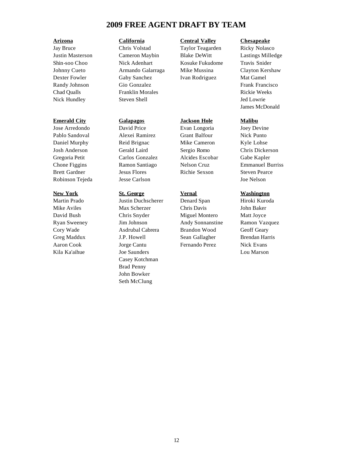### **2009 FREE AGENT DRAFT BY TEAM**

### **Emerald City Galapagos Jackson Hole Malibu**

Jose Arredondo David Price Evan Longoria Joey Devine Pablo Sandoval Alexei Ramirez Grant Balfour Nick Punto Daniel Murphy Reid Brignac Mike Cameron Kyle Lohse Josh Anderson Gerald Laird Sergio Romo Chris Dickerson Gregoria Petit Carlos Gonzalez Alcides Escobar Gabe Kapler Brett Gardner Jesus Flores Richie Sexson Steven Pearce Robinson Tejeda Jesse Carlson Joe Nelson

Jay Bruce Chris Volstad Taylor Teagarden Ricky Nolasco Justin Masterson Cameron Maybin Blake DeWitt Lastings Milledge Shin-soo Choo Nick Adenhart Kosuke Fukudome Travis Snider Johnny Cueto Armando Galarraga Mike Mussina Clayton Kershaw Dexter Fowler Gaby Sanchez Ivan Rodriguez Mat Gamel Randy Johnson Gio Gonzalez Frank Francisco Chad Qualls Franklin Morales Rickie Weeks Nick Hundley Steven Shell Steven Shell Jed Lowrie

Mike Aviles Max Scherzer Chris Davis John Baker David Bush Chris Snyder Miguel Montero Matt Joyce Ryan Sweeney Jim Johnson Andy Sonnanstine Ramon Vazquez Cory Wade Asdrubal Cabrera Brandon Wood Geoff Geary Greg Maddux **J.P. Howell** Sean Gallagher Brendan Harris Aaron Cook Jorge Cantu Fernando Perez Nick Evans Kila Ka'aihue Joe Saunders Lou Marson Casey Kotchman Brad Penny John Bowker Seth McClung

### **Arizona California Central Valley Chesapeake**

James McDonald

Chone Figgins Ramon Santiago Nelson Cruz Emmanuel Burriss

### **New York St. George Vernal Washington**

Martin Prado Justin Duchscherer Denard Span Hiroki Kuroda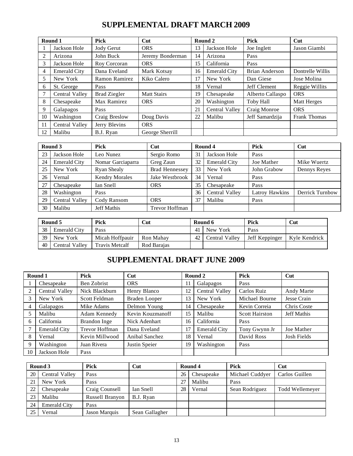### **SUPPLEMENTAL DRAFT MARCH 2009**

|    | Round 1             | Pick                | Cut                |    | Round 2             | <b>Pick</b>      | Cut                 |
|----|---------------------|---------------------|--------------------|----|---------------------|------------------|---------------------|
|    | Jackson Hole        | Jody Gerut          | <b>ORS</b>         | 13 | Jackson Hole        | Joe Inglett      | Jason Giambi        |
| 2  | Arizona             | John Buck           | Jeremy Bonderman   | 14 | Arizona             | Pass             |                     |
| 3  | Jackson Hole        | Roy Corcoran        | <b>ORS</b>         | 15 | California          | Pass             |                     |
| 4  | <b>Emerald City</b> | Dana Eveland        | Mark Kotsay        | 16 | <b>Emerald City</b> | Brian Anderson   | Dontrelle Willis    |
| 5  | New York            | Ramon Ramirez       | Kiko Calero        | 17 | New York            | Dan Giese        | Jose Molina         |
| 6  | St. George          | Pass                |                    | 18 | Vernal              | Jeff Clement     | Reggie Willits      |
|    | Central Valley      | <b>Brad Ziegler</b> | <b>Matt Stairs</b> | 19 | Chesapeake          | Alberto Callaspo | <b>ORS</b>          |
| 8  | Chesapeake          | Max Ramirez         | <b>ORS</b>         | 20 | Washington          | Toby Hall        | Matt Herges         |
| 9  | Galapagos           | Pass                |                    | 21 | Central Valley      | Craig Monroe     | <b>ORS</b>          |
| 10 | Washington          | Craig Breslow       | Doug Davis         | 22 | Malibu              | Jeff Samardzija  | <b>Frank Thomas</b> |
| 11 | Central Valley      | Jerry Blevins       | <b>ORS</b>         |    |                     |                  |                     |
| 12 | Malibu              | B.J. Ryan           | George Sherrill    |    |                     |                  |                     |

|    | Round 3             | <b>Pick</b>           | Cut                   |    | Round 4             | <b>Pick</b>    | <b>Cut</b>      |
|----|---------------------|-----------------------|-----------------------|----|---------------------|----------------|-----------------|
| 23 | Jackson Hole        | Leo Nunez             | Sergio Romo           | 31 | Jackson Hole        | Pass           |                 |
| 24 | <b>Emerald City</b> | Nomar Garciaparra     | Greg Zaun             | 32 | <b>Emerald City</b> | Joe Mather     | Mike Wuertz     |
| 25 | New York            | <b>Ryan Shealy</b>    | <b>Brad Hennessey</b> | 33 | New York            | John Grabow    | Dennys Reyes    |
| 26 | Vernal              | <b>Kendry Morales</b> | Jake Westbrook        | 34 | Vernal              | Pass           |                 |
| 27 | Chesapeake          | Ian Snell             | <b>ORS</b>            | 35 | Chesapeake          | Pass           |                 |
| 28 | Washington          | Pass                  |                       | 36 | Central Valley      | Latroy Hawkins | Derrick Turnbow |
| 29 | Central Valley      | Cody Ransom           | <b>ORS</b>            | 37 | Malibu              | Pass           |                 |
| 30 | Malibu              | Jeff Mathis           | <b>Trevor Hoffman</b> |    |                     |                |                 |

| Round 5 |                     | Pick                  | Cut         | Round 6 |                | Pick           | Cut             |
|---------|---------------------|-----------------------|-------------|---------|----------------|----------------|-----------------|
| 38      | <b>Emerald City</b> | Pass                  |             | 41      | New York       | Pass           |                 |
| 39      | New York            | Micah Hoffpauir       | Ron Mahav   | 42      | Central Valley | Jeff Keppinger | l Kvle Kendrick |
| 40      | Central Valley      | <b>Travis Metcalf</b> | Rod Barajas |         |                |                |                 |

# **SUPPLEMENTAL DRAFT JUNE 2009**

|                | Round 1             | <b>Pick</b>    | Cut              |    | Round 2             | <b>Pick</b>           | Cut                |
|----------------|---------------------|----------------|------------------|----|---------------------|-----------------------|--------------------|
|                | Chesapeake          | Ben Zobrist    | <b>ORS</b>       | 11 | Galapagos           | Pass                  |                    |
| $\overline{c}$ | Central Valley      | Nick Blackburn | Henry Blanco     | 12 | Central Valley      | Carlos Ruiz           | Andy Marte         |
| 3              | New York            | Scott Feldman  | Braden Looper    | 13 | New York            | Michael Bourne        | Jesse Crain        |
| $\overline{4}$ | Galapagos           | Mike Adams     | Delmon Young     | 14 | Chesapeake          | Kevin Correia         | Chris Coste        |
|                | Malibu              | Adam Kennedy   | Kevin Kouzmanoff | 15 | Malibu              | <b>Scott Hairston</b> | <b>Jeff Mathis</b> |
| 6              | California          | Brandon Inge   | Nick Adenhart    | 16 | California          | Pass                  |                    |
|                | <b>Emerald City</b> | Trevor Hoffman | Dana Eveland     | 17 | <b>Emerald City</b> | Tony Gwynn Jr         | Joe Mather         |
| 8              | Vernal              | Kevin Millwood | Anibal Sanchez   | 18 | Vernal              | David Ross            | Josh Fields        |
| 9              | Washington          | Juan Rivera    | Justin Speier    | 19 | Washington          | Pass                  |                    |
| 10             | Jackson Hole        | Pass           |                  |    |                     |                       |                    |

|    | Round 3             | <b>Pick</b>     | Cut              |    | Round 4    | Pick            | Cut             |
|----|---------------------|-----------------|------------------|----|------------|-----------------|-----------------|
| 20 | Central Valley      | Pass            |                  | 26 | Chesapeake | Michael Cuddyer | Carlos Guillen  |
| 21 | New York            | Pass            |                  | 27 | Malibu     | Pass            |                 |
| 22 | Chesapeake          | Craig Counsell  | <b>Ian Snell</b> | 28 | Vernal     | Sean Rodriguez  | Todd Wellemeyer |
| 23 | Malibu              | Russell Branyon | B.J. Ryan        |    |            |                 |                 |
| 24 | <b>Emerald City</b> | Pass            |                  |    |            |                 |                 |
| 25 | Vernal              | Jason Marquis   | Sean Gallagher   |    |            |                 |                 |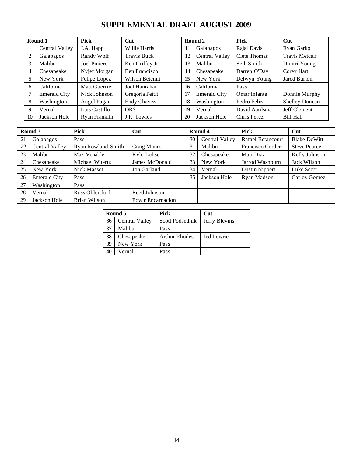### **SUPPLEMENTAL DRAFT AUGUST 2009**

|                | Round 1             | <b>Pick</b>   | Cut                  |    | Round 2             | <b>Pick</b>         | Cut                   |
|----------------|---------------------|---------------|----------------------|----|---------------------|---------------------|-----------------------|
|                | Central Valley      | J.A. Happ     | Willie Harris        | 11 | Galapagos           | Rajai Davis         | Ryan Garko            |
| 2              | Galapagos           | Randy Wolf    | <b>Travis Buck</b>   | 12 | Central Valley      | <b>Clete Thomas</b> | <b>Travis Metcalf</b> |
| 3              | Malibu              | Joel Piniero  | Ken Griffey Jr.      | 13 | Malibu              | Seth Smith          | Dmitri Young          |
| $\overline{4}$ | Chesapeake          | Nyjer Morgan  | <b>Ben Francisco</b> | 14 | Chesapeake          | Darren O'Day        | Corey Hart            |
|                | New York            | Felipe Lopez  | Wilson Betemit       | 15 | New York            | Delwyn Young        | <b>Jared Burton</b>   |
| -6             | California          | Matt Guerrier | Joel Hanrahan        | 16 | California          | Pass                |                       |
|                | <b>Emerald City</b> | Nick Johnson  | Gregoria Pettit      | 17 | <b>Emerald City</b> | Omar Infante        | Donnie Murphy         |
| 8              | Washington          | Angel Pagan   | <b>Endy Chavez</b>   | 18 | Washington          | Pedro Feliz         | Shelley Duncan        |
| 9              | Vernal              | Luis Castillo | <b>ORS</b>           | 19 | Vernal              | David Aardsma       | Jeff Clement          |
| 10             | Jackson Hole        | Ryan Franklin | J.R. Towles          | 20 | Jackson Hole        | Chris Perez         | <b>Bill Hall</b>      |

| Round 3 |                     | <b>Pick</b>        | Cut               |    | Round 4        | <b>Pick</b>       | Cut                 |
|---------|---------------------|--------------------|-------------------|----|----------------|-------------------|---------------------|
| 21      | Galapagos           | Pass               |                   | 30 | Central Valley | Rafael Betancourt | <b>Blake DeWitt</b> |
| 22      | Central Valley      | Ryan Rowland-Smith | Craig Munro       | 31 | Malibu         | Francisco Cordero | <b>Steve Pearce</b> |
| 23      | Malibu              | Max Venable        | Kyle Lohse        | 32 | Chesapeake     | Matt Diaz         | Kelly Johnson       |
| 24      | Chesapeake          | Michael Wuertz     | James McDonald    | 33 | New York       | Jarrod Washburn   | Jack Wilson         |
| 25      | New York            | <b>Nick Masset</b> | Jon Garland       | 34 | Vernal         | Dustin Nippert    | Luke Scott          |
| 26      | <b>Emerald City</b> | Pass               |                   | 35 | Jackson Hole   | Ryan Madson       | Carlos Gomez        |
| 27      | Washington          | Pass               |                   |    |                |                   |                     |
| 28      | Vernal              | Ross Ohlendorf     | Reed Johnson      |    |                |                   |                     |
| 29      | Jackson Hole        | Brian Wilson       | Edwin Encarnacion |    |                |                   |                     |

|    | Round 5        | <b>Pick</b>          | Cut           |
|----|----------------|----------------------|---------------|
| 36 | Central Valley | Scott Podsednik      | Jerry Blevins |
| 37 | Malibu         | Pass                 |               |
| 38 | Chesapeake     | <b>Arthur Rhodes</b> | Jed Lowrie    |
| 39 | New York       | Pass                 |               |
|    | Vernal         | Pass                 |               |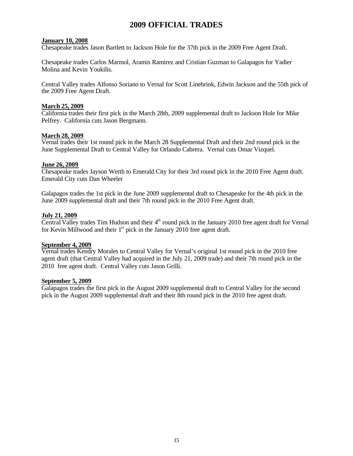### **2009 OFFICIAL TRADES**

### **January 10, 2008**

Chesapeake trades Jason Bartlett to Jackson Hole for the 37th pick in the 2009 Free Agent Draft.

Chesapeake trades Carlos Marmol, Aramis Ramirez and Cristian Guzman to Galapagos for Yadier Molina and Kevin Youkilis.

Central Valley trades Alfonso Soriano to Vernal for Scott Linebrink, Edwin Jackson and the 55th pick of the 2009 Free Agent Draft.

### **March 25, 2009**

California trades their first pick in the March 28th, 2009 supplemental draft to Jackson Hole for Mike Pelfrey. California cuts Jason Bergmann.

### **March 28, 2009**

Vernal trades their 1st round pick in the March 28 Supplemental Draft and their 2nd round pick in the June Supplemental Draft to Central Valley for Orlando Cabrera. Vernal cuts Omar Vizquel.

### **June 26, 2009**

Chesapeake trades Jayson Werth to Emerald City for their 3rd round pick in the 2010 Free Agent draft. Emerald City cuts Dan Wheeler

Galapagos trades the 1st pick in the June 2009 supplemental draft to Chesapeake for the 4th pick in the June 2009 supplemental draft and their 7th round pick in the 2010 Free Agent draft.

### **July 21, 2009**

Central Valley trades Tim Hudson and their  $4<sup>th</sup>$  round pick in the January 2010 free agent draft for Vernal for Kevin Millwood and their  $1<sup>st</sup>$  pick in the January 2010 free agent draft.

### **September 4, 2009**

Vernal trades Kendry Morales to Central Valley for Vernal's original 1st round pick in the 2010 free agent draft (that Central Valley had acquired in the July 21, 2009 trade) and their 7th round pick in the 2010 free agent draft. Central Valley cuts Jason Grilli.

### **September 5, 2009**

Galapagos trades the first pick in the August 2009 supplemental draft to Central Valley for the second pick in the August 2009 supplemental draft and their 8th round pick in the 2010 free agent draft.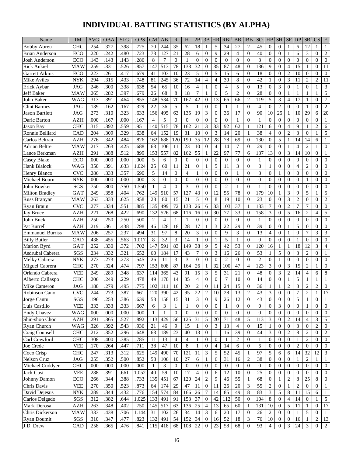# **INDIVIDUAL BATTING STATISTICS (BY ALPHA)**

| Name                             | TM                | <b>AVG</b>   | <b>OBA</b>        | <b>SLG</b>   | <b>OPS</b>   | <b>GM</b>      | AB             | $\mathbb{R}$   | H                | 2B                               | 3B                | <b>HR</b>        | <b>RBI</b>       | <b>BB</b>        | <b>IBB</b>        | <sub>SO</sub>    | HB               | <b>SH</b>            | <b>SF</b>        | <b>IDP</b>           | <b>SB</b>          | CS                 | E                |
|----------------------------------|-------------------|--------------|-------------------|--------------|--------------|----------------|----------------|----------------|------------------|----------------------------------|-------------------|------------------|------------------|------------------|-------------------|------------------|------------------|----------------------|------------------|----------------------|--------------------|--------------------|------------------|
| <b>Bobby Abreu</b>               | <b>CHC</b>        | .254         | .327              | .398         | .725         | 70             | 244            | 35             | 62               | 18                               | 1                 | 5                | 34               | 27               | $\overline{2}$    | 45               | $\mathbf{0}$     | $\overline{0}$       | 1                | 6                    | 12                 |                    | 1                |
| <b>Brian Anderson</b>            | ECO               | .220         | .242              | .480         | .723         | 73             | 127            | 21             | 28               | 6                                | $\overline{0}$    | 9                | 29               | 4                | $\overline{0}$    | 40               | $\mathbf{0}$     | $\overline{0}$       | 1                | 6                    | 3                  | $\overline{0}$     | $\overline{c}$   |
| Josh Anderson                    | ECO               | .143         | .143              | .143         | .286         | 8              | 7              | $\Omega$       | 1                | $\theta$                         | $\Omega$          | $\Omega$         | $\Omega$         | $\overline{0}$   | $\Omega$          | 3                | $\mathbf{0}$     | $\Omega$             | $\mathbf{0}$     | $\overline{0}$       | $\mathbf{0}$       | $\Omega$           | $\mathbf{0}$     |
| <b>Rick Ankiel</b>               | MAW               | .259         | .331              | .526         | .857         | 147            | 513            | 78             | 133              | 32                               | $\mathbf{0}$      | 35               | 87               | 48               | $\overline{0}$    | 136              | 9                | $\overline{0}$       | $\overline{4}$   | 15                   | 1                  | $\overline{0}$     | 11               |
| Garrett Atkins                   | ECO               | .223         | .261              | .417         | .679         | 41             | 103            | 10             | 23               | 5                                | $\overline{0}$    | 5                | 15               | 6                | $\overline{0}$    | 18               | $\boldsymbol{0}$ | $\overline{0}$       | $\overline{2}$   | 10                   | $\mathbf{0}$       | $\overline{0}$     | $\mathbf{0}$     |
| Mike Aviles                      | <b>NYK</b>        | .294         | .315              | .433         | .748         | 81             | 245            | 36             | 72               | 14                               | $\overline{4}$    | $\overline{4}$   | 30               | 8                | $\Omega$          | 42               | $\mathbf{1}$     | $\overline{0}$       | 3                | 11                   | $\overline{2}$     | $\overline{c}$     | 11               |
|                                  |                   |              |                   |              |              | 54             |                | 10             | 16               |                                  |                   | $\overline{0}$   |                  | 5                | $\Omega$          | 13               | $\mathbf{0}$     |                      | $\overline{0}$   |                      | $\mathbf{0}$       | $\mathbf{1}$       |                  |
| Erick Aybar<br><b>Jeff Baker</b> | <b>JAG</b><br>MAW | .246<br>.265 | .300<br>.282      | .338<br>.397 | .638<br>.679 | 26             | 65<br>68       | 8              | 18               | $\overline{4}$<br>$\overline{7}$ | 1<br>$\mathbf{1}$ | $\overline{0}$   | 4<br>5           | $\overline{c}$   | $\mathbf{0}$      | 28               | $\mathbf{0}$     | 3<br>$\theta$        | 1                | 1<br>$\mathbf{1}$    | 1                  | 1                  | 3<br>5           |
| John Baker                       | WAG               | .313         | .391              | .464         | .855         | 148            | 534            | 70             | 167              | 42                               | $\mathbf{0}$      | 13               | 66               | 66               | $\overline{c}$    | 119              | 5                | 3                    | $\overline{4}$   | 17                   | 1                  | $\theta$           | $\boldsymbol{7}$ |
|                                  |                   |              |                   |              |              | 22             | 36             | 5              | 5                |                                  | $\Omega$          | $\theta$         |                  |                  | $\Omega$          | $\overline{4}$   | $\Omega$         |                      |                  |                      |                    |                    |                  |
| <b>Clint Barmes</b>              | <b>JAG</b>        | .139<br>.273 | .162<br>.310      | .167         | .329         |                |                | 63             |                  | 19                               | 3                 | $\overline{0}$   | 1<br>36          | 1<br>17          | $\overline{0}$    | 90               | 10               | $\overline{2}$<br>25 | $\mathbf{0}$     | $\overline{0}$<br>10 | $\mathbf{1}$<br>29 | $\theta$<br>6      | $\sqrt{2}$<br>20 |
| <b>Jason Bartlett</b>            | <b>JAG</b>        |              |                   | .323         | .633         | 156            | 495            |                | 135              |                                  |                   |                  |                  |                  |                   |                  |                  |                      | 1                |                      |                    |                    |                  |
| Daric Barton                     | <b>AZH</b>        | .000         | .167              | .000         | .167         | $\overline{4}$ | 5              | $\Omega$       | $\overline{0}$   | $\theta$                         | $\Omega$          | $\overline{0}$   | $\overline{0}$   | $\mathbf{1}$     | $\mathbf{0}$      | $\mathbf{1}$     | $\mathbf{0}$     | $\Omega$             | $\mathbf{0}$     | $\overline{0}$       | $\mathbf{0}$       | $\overline{0}$     | 1                |
| Jason Bay                        | <b>CHC</b>        | .315         | .392              | .559         | .951         | 140            | 515            | 78             | 162              | 21                               | 3                 | 33               | 92               | 62               | 1                 | 121              | 6                | $\Omega$             | $\overline{4}$   | 9                    | 1                  | $\overline{2}$     | 6                |
| Ronnie Belliard                  | CAD               | .204         | .309              | .329         | .638         | 64             | 152            | 19             | 31               | 10                               | $\theta$          | 3                | 14               | 20               | 1                 | 38               | $\overline{4}$   | $\Omega$             | $\overline{2}$   | 3                    | $\mathbf{0}$       | $\mathbf{1}$       | 5                |
| Carlos Beltran                   | <b>AZH</b>        | .276         | $\overline{.}342$ | .484         | .826         | 162            | 688            | 120            | 190              | 35                               | 12                | 28               | 78               | 69               | $\mathbf{0}$      | 130              | $\mathbf{0}$     | 5                    | 1                | 14                   | 14                 | 6                  | 1                |
| Adrian Beltre                    | MAW               | .217         | .263              | .425         | .688         | 63             | 106            | 11             | 23               | 10                               | $\mathbf{0}$      | $\overline{4}$   | 14               | $\boldsymbol{7}$ | $\overline{0}$    | 29               | $\mathbf{0}$     | $\mathbf{0}$         | 1                | 4                    | $\overline{2}$     | 1                  | 0                |
| Lance Berkman                    | <b>AZH</b>        | .291         | .388              | .512         | .899         | 153            | 557            | 82             | 162              | 55                               | 1                 | 22               | 97               | 77               | 6                 | 137              | 13               | $\Omega$             | 3                | 14                   | 10                 | $\Omega$           | 1                |
| Casey Blake                      | ECO               | .000         | .000              | .000         | .000         | 5              | 6              | $\Omega$       | $\overline{0}$   | $\mathbf{0}$                     | $\mathbf{0}$      | $\mathbf{0}$     | $\mathbf{0}$     | $\overline{0}$   | $\overline{0}$    | 1                | $\boldsymbol{0}$ | $\overline{0}$       | $\mathbf{0}$     | $\overline{0}$       | $\mathbf{0}$       | $\theta$           | $\mathbf{0}$     |
| Hank Blalock                     | <b>WAG</b>        | .350         | .391              | .633         | 1.024        | 25             | 60             | 11             | 21               | $\theta$                         | 1                 | 5                | 11               | 3                | $\Omega$          | 8                | 1                | $\mathbf{0}$         | $\overline{0}$   | $\overline{4}$       | $\overline{2}$     | $\theta$           | $\mathbf{0}$     |
| Henry Blanco                     | <b>CVC</b>        | .286         | .333              | .357         | .690         | 5              | 14             | $\Omega$       | $\overline{4}$   |                                  | $\Omega$          | $\overline{0}$   | $\Omega$         | 1                | $\Omega$          | 3                | $\mathbf{0}$     | 1                    | $\mathbf{0}$     | $\overline{0}$       | $\overline{0}$     | $\theta$           | $\mathbf{0}$     |
| Michael Bourn                    | <b>NYK</b>        | .000         | .000              | .000         | .000         | 3              | $\Omega$       | $\Omega$       | $\Omega$         | $\Omega$                         | $\Omega$          | $\theta$         | $\Omega$         | $\theta$         | $\Omega$          | $\theta$         | $\mathbf{0}$     | $\Omega$             | $\theta$         | $\overline{0}$       | $\mathbf{1}$       | $\theta$           | $\mathbf{0}$     |
| John Bowker                      | SGS               | .750         | .800              | .750         | 1.550        | 1              | $\overline{4}$ | $\Omega$       | 3                | $\theta$                         | $\Omega$          | $\overline{0}$   | $\overline{2}$   | 1                | $\Omega$          | $\mathbf{1}$     | $\mathbf{0}$     | $\Omega$             | $\overline{0}$   | $\overline{0}$       | $\mathbf{0}$       | $\overline{0}$     | $\boldsymbol{0}$ |
| <b>Milton Bradley</b>            | GAT               | .249         | .358              | .404         | .762         | 149            | 510            | 57             | 127              | 43                               | $\Omega$          | 12               | 55               | 78               | $\overline{0}$    | 179              | 10               | $\mathbf{1}$         | 3                | 9                    | 5                  | 1                  | 5                |
| Russ Branyan                     | MAW               | .263         | .333              | .625         | .958         | 28             | 80             | 15             | 21               | 5                                | $\Omega$          | 8                | 19               | 10               | $\mathbf{0}$      | 23               | $\mathbf{0}$     | $\theta$             | 3                | $\overline{2}$       | $\mathbf{0}$       | $\theta$           | $\overline{c}$   |
| Ryan Braun                       | <b>CVC</b>        | .277         | .334              | .551         | .885         | 135            | 499            | 72             | 138              | 26                               | 6                 | 33               | 103              | 37               | 1                 | 133              | 7                | $\theta$             | $\mathbf{2}$     | 7                    | 7                  | $\theta$           | $\mathbf{0}$     |
| <b>Jay Bruce</b>                 | <b>AZH</b>        | .221         | .268              | .422         | .690         | 132            | 526            | 68             | 116              | 16                               | $\mathbf{0}$      | 30               | 77               | 33               | $\overline{0}$    | 158              | 3                | $\theta$             | 5                | 16                   | $\overline{2}$     | $\overline{4}$     | 5                |
| John Buck                        | <b>AZH</b>        | .250         | .250              | .250         | .500         | $\overline{c}$ | $\overline{4}$ | 1              | 1                | $\Omega$                         | $\mathbf{0}$      | $\theta$         | $\Omega$         | $\Omega$         | $\Omega$          | $\mathbf{1}$     | $\mathbf{0}$     | $\Omega$             | $\mathbf{0}$     | $\overline{0}$       | $\Omega$           | $\Omega$           | $\boldsymbol{0}$ |
| Pat Burrell                      | <b>AZH</b>        | .219         | .361              | .438         | .798         | 46             | 128            | 18             | 28               | 17                               | 1                 | 3                | 22               | 29               | $\overline{0}$    | 39               | $\boldsymbol{0}$ | $\theta$             | 1                | 5                    | $\overline{0}$     | $\theta$           | $\boldsymbol{0}$ |
| <b>Emmanuel Burriss</b>          | MAW               | .206         | .257              | .237         | .494         | 31             | 97             | 8              | 20               | 3                                | $\Omega$          | $\boldsymbol{0}$ | 9                | 3                | $\overline{0}$    | 13               | $\overline{4}$   | $\Omega$             | 1                | $\overline{0}$       | 7                  | 3                  | 3                |
| <b>Billy Butler</b>              | CAD               | .438         | .455              | .563         | 1.017        | 8              | 32             | 3              | 14               | 1                                | $\Omega$          | 1                | 5                | 1                | $\Omega$          | $\Omega$         | $\overline{0}$   | $\Omega$             | $\overline{0}$   | 1                    | $\overline{0}$     | $\theta$           | $\mathbf{0}$     |
| Marlon Byrd                      | GAT               | .252         | .330              | .372         | .702         | 147            | 591            | 83             | 149              | 38                               | 9                 | 5                | 42               | 53               | $\overline{0}$    | 120              | 16               | 1                    | 1                | 18                   | 12                 | 3                  | $\overline{4}$   |
| Asdrubal Cabrera                 | SGS               | .234         | .332              | .321         | .652         | 60             | 184            | 17             | 43               | $\overline{7}$                   | $\mathbf{0}$      | 3                | 16               | 26               | $\overline{0}$    | 53               | 1                | 5                    | $\overline{0}$   | 3                    | $\overline{2}$     | $\theta$           | 1                |
| Melky Cabrera                    | <b>NYK</b>        | .273         | .273              | .273         | .545         | 26             | 11             | 3              | 3                | $\Omega$                         | $\Omega$          | $\Omega$         | $\overline{2}$   | $\mathbf{0}$     | $\Omega$          | $\overline{2}$   | $\mathbf{0}$     | $\mathbf{1}$         | $\mathbf{0}$     | $\overline{0}$       | $\mathbf{0}$       | $\Omega$           | $\mathbf{0}$     |
| Miguel Cabrera                   | <b>CHC</b>        | .270         | 324               | .474         | .797         | 153            | 608            | 87             | 164              | 26                               | 1                 | 32               | 100              | 47               | $\overline{4}$    | 123              | 3                | $\Omega$             | 3                | 15                   | $\overline{2}$     | 1                  | $\mathbf{0}$     |
| Orlando Cabrera                  | <b>VEE</b>        | .249         | .289              | .348         | .637         | 114            | 365            | 43             | 91               | 15                               | 3                 | 5                | 31               | 21               | $\overline{0}$    | 48               | $\mathbf{0}$     | 3                    | $\overline{2}$   | 14                   | $\overline{4}$     | 6                  | 8                |
| Alberto Callaspo                 | <b>CHC</b>        | .206         | .249              | .229         | .478         | 49             | 170            | 14             | 35               | $\overline{4}$                   | $\Omega$          | $\overline{0}$   | $\overline{7}$   | 10               | $\overline{0}$    | 14               | $\mathbf{0}$     | $\theta$             | 1                | 5                    | 1                  | 1                  | $\mathbf{1}$     |
| Mike Cameron                     | <b>JAG</b>        | .180         | .279              | .495         | .775         | 102            | 111            | 16             | 20               | $\overline{2}$                   | $\Omega$          | 11               | 24               | 15               | $\mathbf{0}$      | 36               | 1                | $\mathbf{1}$         | $\mathbf{2}$     | 3                    | $\overline{2}$     | $\overline{c}$     | $\boldsymbol{0}$ |
| Robinson Cano                    | <b>CVC</b>        | .244         | .273              | .387         | .661         | 120            | 390            | 42             | 95               | $\overline{2}$<br>∠∠             | C<br>∸            | $\overline{10}$  | 28               | $\overline{13}$  | <sup>2</sup><br>∠ | 43               | $\overline{3}$   | $\boldsymbol{0}$     | $\Omega$<br>ν    | 7                    | $\mathcal{L}$<br>∠ | $\mathbf{1}$<br>Τ. | 17               |
| Jorge Cantu                      | SGS               | .196         | .253              | .386         | .639         | 53             | 158            | 15             | 31               | 3                                | $\mathbf{0}$      | 9                | 26               | 12               | $\overline{0}$    | 43               | $\boldsymbol{0}$ | $\theta$             | $\boldsymbol{0}$ | 5                    | 1                  | $\overline{0}$     | $\mathbf{1}$     |
| Luis Castillo                    | <b>VEE</b>        | .333         | .333              | .333         | .667         | 6              | 3              | $\mathbf{1}$   | 1                | $\mathbf{0}$                     | $\mathbf{0}$      | $\overline{0}$   | 1                | $\overline{0}$   | $\overline{0}$    | $\boldsymbol{0}$ | $\mathbf{0}$     | 3                    | $\mathbf{0}$     | $\mathbf{0}$         | 1                  | $\Omega$           | $\overline{0}$   |
| <b>Endy Chavez</b>               | <b>WAG</b>        | .000         | .000              | .000         | .000         | $\mathbf{1}$   | 1              | $\theta$       | $\mathbf{0}$     | $\mathbf{0}$                     | $\overline{0}$    | $\mathbf{0}$     | $\boldsymbol{0}$ | $\mathbf{0}$     | $\overline{0}$    | $\mathbf{0}$     | $\boldsymbol{0}$ | $\mathbf{0}$         | $\boldsymbol{0}$ | $\boldsymbol{0}$     | $\overline{0}$     | $\mathbf{0}$       | $\overline{0}$   |
| Shin-shoo Choo                   | <b>AZH</b>        | .291         | .365              | .527         | .892         | 113            | 429            | 56             | 125              | 31                               | 5                 | 20               | 71               | 48               | 5                 | 113              | 3                | $\mathbf{0}$         | $\overline{c}$   | 14                   | $\overline{4}$     | 3                  | 5                |
| Ryan Church                      | <b>WAG</b>        | .326         | .392              | .543         | .936         | $21\,$         | 46             | 9              | 15               | 1                                | $\mathbf{0}$      | 3                | 13               | $\overline{4}$   | $\mathbf{0}$      | 15               | 1                | $\mathbf{0}$         | $\boldsymbol{0}$ | 3                    | 0                  | $\overline{c}$     | $\overline{0}$   |
| Craig Counsell                   | CHC               | .212         | .352              | .296         | .648         | 63             | 189            | 23             | 40               | 13                               | $\mathbf{0}$      | 1                | 16               | 39               | $\mathbf{0}$      | 44               | 3                | $\mathbf{0}$         | $\boldsymbol{2}$ | 8                    | $\overline{c}$     | $\theta$           | 2                |
| Carl Crawford                    | CHC               | .308         | .400              | .385         | .785         | 11             | 13             | $\overline{4}$ | 4                | 1                                | $\mathbf{0}$      | $\overline{0}$   | 1                | $\sqrt{2}$       | $\mathbf{0}$      | 1                | $\mathbf{0}$     | $\mathbf{0}$         | $\mathbf{0}$     | 1                    | $\overline{c}$     | $\theta$           | $\mathbf{0}$     |
| Joe Crede                        | <b>VEE</b>        | .170         | .264              | .447         | .711         | 38             | 47             | 10             | $\,8\,$          | -1                               | $\boldsymbol{0}$  | $\overline{4}$   | 14               | 6                | $\overline{0}$    | 6                | $\mathbf{0}$     | $\mathbf{0}$         | $\mathbf{0}$     | $\overline{c}$       | $\overline{0}$     | $\theta$           | $\overline{0}$   |
| Coco Crisp                       | <b>CHC</b>        | .247         | .313              | .312         | .625         | 149            | 490            | 70             | 121              | 11                               | 3                 | 5                | 52               | 45               | 1                 | 97               | 5                | 6                    | 6                | 14                   | 32                 | 12                 | 3                |
| <b>Nelson Cruz</b>               | <b>JAG</b>        | .255         | .352              | .500         | .852         | 58             | 106            | 10             | 27               | 6                                | $\mathbf{1}$      | 6                | 31               | 16               | $\overline{c}$    | 38               | $\mathbf{0}$     | $\theta$             | $\mathbf{0}$     | 1                    | $\overline{c}$     | $\mathbf{1}$       | 1                |
| Michael Cuddyer                  | <b>CHC</b>        | .000         | .000              | .000         | .000         | $\mathbf{1}$   | $\mathfrak{Z}$ | $\overline{0}$ | $\boldsymbol{0}$ | $\mathbf{0}$                     | $\boldsymbol{0}$  | $\boldsymbol{0}$ | $\boldsymbol{0}$ | $\mathbf{0}$     | $\mathbf{0}$      | $\mathbf{0}$     | $\mathbf{0}$     | $\overline{0}$       | $\mathbf{0}$     | $\boldsymbol{0}$     | $\overline{0}$     | $\mathbf{0}$       | $\mathbf{0}$     |
| Jack Cust                        | <b>VEE</b>        | .288         | .391              | .661         | 1.052        | 40             | 59             | 10             | 17               | $\overline{4}$                   | $\boldsymbol{0}$  | 6                | 12               | 10               | $\mathbf{0}$      | 25               | $\mathbf{0}$     | $\overline{0}$       | $\boldsymbol{0}$ | $\overline{0}$       | $\overline{0}$     | $\mathbf{0}$       | $\mathbf{0}$     |
| Johnny Damon                     | ECO               | .266         | .344              | .388         | .733         | 135            | 451            | 67             | 120              | 24                               | $\sqrt{2}$        | 9                | 46               | 55               | $\mathbf{1}$      | 68               | $\mathbf{0}$     | 1                    | $\overline{c}$   | 8                    | 25                 | 8                  | $\mathbf{0}$     |
| Chris Davis                      | <b>VEE</b>        | .270         | .350              | .523         | .873         | 64             | 174            | 29             | 47               | 11                               | $\boldsymbol{0}$  | 11               | $26\,$           | 20               | 3                 | 55               | $\sqrt{2}$       | $\mathbf{0}$         | 1                | $\overline{c}$       | $\overline{0}$     | $\overline{0}$     | 1                |
| David Dejesus                    | <b>NYK</b>        | .289         | .344              | .432         | .776         | 154            | 574            | 84             | 166              | 26                               | 7                 | 14               | 85               | 49               | 8                 | 83               | 3                | 5                    | $\,8\,$          | 11                   | 15                 | 6                  | $\mathbf{1}$     |
| Carlos Delgado                   | SGS               | .312         | .382              | .644         | 1.025        | 133            | 491            | 91             | 153              | 37                               | $\boldsymbol{0}$  | 42               | 112              | 50               | $\overline{0}$    | 104              | 8                | $\overline{0}$       | 4                | 14                   | $\overline{0}$     | 1                  | 5                |
| Mark Derosa                      | <b>AZH</b>        | .263         | .348              | .402         | .750         | 145            | 517            | 63             | 136              | 25                               | $\overline{4}$    | 13               | 65               | 60               | 1                 | 131              | 10               | $\mathbf{0}$         | 5                | 11                   | 1                  | $\mathbf{0}$       | $17\,$           |
| Chris Dickerson                  | MAW               | .333         | .438              | .706         | 1.144        | 31             | 102            | 26             | 34               | 14                               | $\mathfrak{Z}$    | 6                | $20\,$           | 17               | $\mathbf{0}$      | $26\,$           | 2                | $\theta$             | $\mathbf{0}$     | $\mathbf{1}$         | 5                  | $\overline{0}$     | 1                |
| Ryan Doumit                      | SGS               | .310         | .347              | .477         | .823         | 132            | 491            | 54             | 152              | 34                               | $\bf{0}$          | 16               | 52               | 18               | 3                 | 76               | 10               | $\mathbf{0}$         | $\mathbf{0}$     | 16                   | 1                  | 2                  | 13               |
| J.D. Drew                        | CAD               | .258         | .365              | .476         | .841         | 115            | 418            | 68             | 108              | 22                               | $\mathbf{0}$      | 23               | 58               | 68               | $\overline{0}$    | 93               | $\overline{4}$   | $\mathbf{0}$         | 3                | 24                   | 3                  | $\mathbf{0}$       | $\overline{2}$   |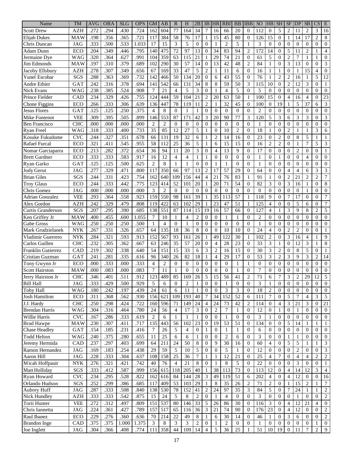| Name                   | <b>TM</b>  | <b>AVG</b> | <b>OBA</b> | <b>SLG</b> | <b>OPS</b> | <b>GM</b>        | AB             | $\mathbb{R}$   | H              | 2B              | 3B               | <b>HR</b>       | <b>RBI</b>       | <b>BB</b>      | <b>IBB</b>     | SO <sub>1</sub> | HB               | <b>SH</b>        | <b>SF</b>        | <b>DP</b>       | <b>SB</b>                | $\overline{\text{CS}}$ | E                |
|------------------------|------------|------------|------------|------------|------------|------------------|----------------|----------------|----------------|-----------------|------------------|-----------------|------------------|----------------|----------------|-----------------|------------------|------------------|------------------|-----------------|--------------------------|------------------------|------------------|
| <b>Scott Drew</b>      | <b>AZH</b> | .272       | .294       | .430       | .724       | 162              | 604            | 77             | 164            | 34              | $\overline{7}$   | 16              | 66               | 20             | $\mathbf{0}$   | 112             | $\boldsymbol{0}$ | 5                | $\overline{c}$   | 11              | $\overline{c}$           | 3                      | 16               |
| Elijah Dukes           | <b>MAW</b> | .198       | .356       | .365       | .721       | 117              | 384            | 58             | 76             | 17              | 1                | 15              | 45               | 80             | $\mathbf{0}$   | 126             | 15               | $\boldsymbol{0}$ | 1                | 14              | 17                       | $\overline{c}$         | 8                |
| Chris Duncan           | <b>JAG</b> | .333       | .500       | .533       | 1.033      | 17               | 15             | 3              | 5              | $\overline{0}$  | $\Omega$         | 1               | $\overline{2}$   | 5              | $\mathbf{1}$   | 3               | $\overline{0}$   | $\theta$         | $\theta$         | $\Omega$        | $\overline{0}$           | $\mathbf{0}$           | $\mathbf{0}$     |
| Adam Dunn              | ECO        | .204       | .349       | .446       | .795       | 140              | 475            | 72             | 97             | 13              | $\Omega$         | 34              | 83               | 94             | $\overline{2}$ | 172             | 14               | $\theta$         | 5                | 11              | $\overline{c}$           | 1                      | $\overline{4}$   |
| Jermaine Dye           | WAG        | 320        | .364       | .627       | .991       | 104              | 359            | 63             | 115            | 21              | 1                | $\overline{29}$ | 74               | 21             | $\Omega$       | 61              | 5                | $\overline{0}$   | $\overline{2}$   | 7               | $\mathbf{1}$             | 1                      | $\boldsymbol{0}$ |
| Jim Edmonds            | MAW        | .197       | .310       | .379       | .689       | 102              | 290            | 30             | 57             | 14              | $\theta$         | 13              | 42               | 48             | $\overline{2}$ | 84              | 1                | $\theta$         | 3                | 13              | $\overline{0}$           | $\mathbf{0}$           | 3                |
| Jacoby Ellsbury        | <b>AZH</b> | .278       | .307       | .349       | .656       | 67               | 169            | 33             | 47             | 5               | $\overline{2}$   | 1               | 11               | 6              | $\Omega$       | 16              | 1                | 1                | $\theta$         | $\mathbf{1}$    | 15                       | $\overline{4}$         | $\boldsymbol{0}$ |
| Yunel Escobar          | SGS        | .288       | .363       | .369       | .732       | 142              | 466            | 50             | 134            | 20              | $\overline{0}$   | 6               | 43               | 55             | $\mathbf{0}$   | 76              | 1                | $\overline{2}$   | $\overline{2}$   | 16              | 1                        | 5                      | 12               |
| <b>Andre Ethier</b>    | GAT        | .242       | .316       | .378       | .694       | 141              | 542            | 66             | 131            | 34              | 8                | 8               | 59               | 50             | 3              | 115             | 10               | $\overline{0}$   | $\overline{c}$   | 12              | 3                        | $\overline{0}$         | 1                |
| Nick Evans             | <b>WAG</b> | .238       | .385       | .524       | .908       | 7                | 21             | $\overline{4}$ | 5              | 3               | $\overline{0}$   | 1               | $\overline{4}$   | 5              | $\Omega$       | 5               | $\overline{0}$   | $\theta$         | $\theta$         | $\overline{0}$  | $\theta$                 | $\overline{0}$         | $\mathbf{0}$     |
| Prince Fielder         | CAD        | .234       | .329       | .426       | .755       | 124              | 444            | 59             | 104            | 21              | $\overline{2}$   | 20              | 63               | 50             | $\mathbf{1}$   | 100             | 15               | $\overline{0}$   | 4                | 16              | $\overline{4}$           | $\mathbf{0}$           | 23               |
| Chone Figgins          | ECO        | .266       | .333       | .306       | .639       | 136              | 447            | 78             | 119            | 11              | $\overline{c}$   | 1               | 32               | 45             | $\mathbf{0}$   | 100             | $\theta$         | 19               | 1                | 5               | 37                       | 6                      | 3                |
| <b>Jesus Flores</b>    | GAT        | .125       | .125       | .250       | .375       | $\overline{4}$   | 8              | $\Omega$       | 1              | 1               | $\overline{0}$   | $\overline{0}$  | $\overline{0}$   | $\overline{0}$ | $\mathbf{0}$   | $\overline{2}$  | $\theta$         | $\mathbf{0}$     | $\theta$         | $\mathbf{0}$    | $\overline{0}$           | $\mathbf{0}$           | $\mathbf{0}$     |
| Mike Fontenot          | <b>VEE</b> | .309       | .395       | .505       | .899       | 146              | 553            | 87             | 171            | 42              | 3                | 20              | 90               | 77             | 3              | 120             | 5                | 3                | 6                | 3               | 3                        | $\mathbf{0}$           | $\mathfrak 3$    |
| <b>Ben Francisco</b>   | <b>CHC</b> | .000       | .000       | .000       | .000       | $\overline{c}$   | $\overline{c}$ | $\Omega$       | $\mathbf{0}$   | $\overline{0}$  | $\overline{0}$   | $\mathbf{0}$    | $\overline{0}$   | $\overline{0}$ | $\mathbf{0}$   | 1               | $\boldsymbol{0}$ | $\mathbf{0}$     | $\overline{0}$   | $\mathbf{0}$    | $\theta$                 | $\boldsymbol{0}$       | $\mathbf{0}$     |
| <b>Ryan Freel</b>      | <b>WAG</b> | .318       | .333       | .400       | .733       | $\overline{35}$  | 85             | 12             | 27             | 5               | 1                | $\Omega$        | 10               | $\overline{c}$ | $\Omega$       | 18              | 1                | $\overline{0}$   | $\overline{2}$   | 1               | $\mathbf{1}$             | 3                      | 6                |
| Kosuke Fukudome        | <b>CVC</b> | .244       | .327       | .351       | .678       | 66               | 131            | 19             | 32             | 6               | 1                | $\overline{c}$  | 14               | 16             | $\overline{0}$ | 23              | $\boldsymbol{0}$ | $\overline{2}$   | $\theta$         | 8               | 5                        | 1                      | 1                |
| Rafael Furcal          | ECO        | 321        | .411       | .545       | .955       | 58               | 112            | 25             | 36             | 5               | $\mathbf{1}$     | 6               | 15               | 15             | $\overline{0}$ | 16              | $\overline{c}$   | $\overline{c}$   | $\theta$         | $\mathbf{1}$    | 7                        | 5                      | 3                |
| Nomar Garciaparra      | ECO        | .213       | .282       | .372       | .654       | 36               | 94             | 11             | 20             | 3               | $\overline{0}$   | $\overline{4}$  | 13               | 9              | $\mathbf{0}$   | 17              | $\theta$         | $\overline{0}$   | $\boldsymbol{0}$ | $\overline{2}$  | $\theta$                 | $\overline{0}$         | 1                |
| <b>Brett Gardner</b>   | ECO        | .333       | .333       | .583       | .917       | 16               | 12             | $\overline{4}$ | $\overline{4}$ | 1               | $\mathbf{1}$     | $\Omega$        | $\Omega$         | $\Omega$       | $\Omega$       | 1               | $\theta$         | 1                | $\theta$         | $\Omega$        | $\overline{4}$           | $\mathbf{0}$           | $\boldsymbol{0}$ |
| Ryan Garko             | GAT        | .125       | .125       | .500       | .625       | $\overline{2}$   | 8              | $\mathbf{1}$   | 1              | $\theta$        | $\overline{0}$   | 1               | $\mathbf{1}$     | $\theta$       | $\mathbf{0}$   | 1               | $\overline{0}$   | $\mathbf{0}$     | $\theta$         | $\Omega$        | $\theta$                 | $\boldsymbol{0}$       | $\boldsymbol{0}$ |
| <b>Jody Gerut</b>      | <b>JAG</b> | .277       | .329       | .471       | .800       | 117              | 350            | 66             | 97             | 13              | $\overline{2}$   | 17              | 57               | 29             | $\mathbf{0}$   | 64              | $\boldsymbol{0}$ | $\mathbf{0}$     | $\overline{4}$   | 4               | 6                        | 3                      | 3                |
| <b>Brian Giles</b>     | SGS        | .244       | .331       | .423       | .754       | 162              | 640            | 109            | 156            | 44              | $\overline{4}$   | 21              | 76               | 83             | $\mathbf{1}$   | 91              | $\mathbf{1}$     | $\overline{0}$   | $\overline{c}$   | 21              | $\overline{c}$           | $\overline{2}$         | 7                |
| <b>Troy Glaus</b>      | ECO        | .244       | .333       | .442       | .775       | 123              | 414            | 52             | 101            | 20              | 1                | 20              | 71               | 54             | $\mathbf{0}$   | 82              | 3                | $\mathbf{0}$     | 3                | 16              | 1                        | $\mathbf{0}$           | $\,$ 8 $\,$      |
| Chris Gomez            | <b>JAG</b> | .000       | .000       | .000       | .000       | 3                | $\overline{c}$ | $\Omega$       | $\mathbf{0}$   | $\theta$        | $\overline{0}$   | $\overline{0}$  | $\mathbf{0}$     | $\mathbf{0}$   | $\mathbf{0}$   | $\mathbf{0}$    | $\overline{0}$   | $\mathbf{0}$     | $\overline{0}$   | $\overline{0}$  | 1                        | $\mathbf{0}$           | $\mathbf{0}$     |
| <b>Adrian Gonzalez</b> | <b>VEE</b> | .293       | .364       | .558       | .923       | 159              | 550            | 98             | 161            | 39              | 1                | 35              | 113              | 57             | $\mathbf{1}$   | 118             | 9                | $\mathbf{0}$     | 7                | 17              | $\overline{0}$           | $\mathbf{0}$           | 7                |
| Alex Gordon            | <b>AZH</b> | .242       | .329       | .479       | .808       | 119              | 422            | 63             | 102            | 29              | 1                | 23              | 47               | 51             | 1              | 125             | 4                | $\mathbf{0}$     | $\overline{0}$   | 5               | 6                        | $\mathbf{0}$           | 7                |
| Curtis Granderson      | SGS        | .207       | .295       | .390       | .685       | 138              | 551            | 87             | 114            | 15              | 19               | 16              | 57               | 66             | $\mathbf{0}$   | 127             | $\overline{4}$   | 1                | 3                | 9               | 8                        | $\overline{c}$         | 5                |
| Ken Griffey Jr         | <b>MAW</b> | .400       | .455       | .600       | 1.055      | 7                | 10             | 1              | $\overline{4}$ | $\overline{2}$  | $\mathbf{0}$     | $\overline{0}$  | 1                | 1              | $\mathbf{0}$   | $\overline{c}$  | $\overline{0}$   | $\mathbf{0}$     | $\theta$         | $\mathbf{0}$    | $\overline{0}$           | $\boldsymbol{0}$       | $\boldsymbol{0}$ |
| Gabe Gross             | <b>WAG</b> | .250       | .250       | .250       | .500       | $\mathbf{1}$     | $\overline{4}$ | $\Omega$       | 1              | $\theta$        | $\Omega$         | $\overline{0}$  | $\theta$         | $\overline{0}$ | $\Omega$       | 1               | $\boldsymbol{0}$ | $\mathbf{0}$     | $\theta$         | $\Omega$        | $\overline{0}$           | $\mathbf{0}$           | $\boldsymbol{0}$ |
| Mark Grudzielanek      | <b>NYK</b> | .267       | .331       | .326       | .657       | 64               | 135            | 18             | 36             | 8               | $\Omega$         | $\Omega$        | 10               | 10             | $\Omega$       | 24              | $\overline{4}$   | $\mathbf{0}$     | $\overline{2}$   | $\overline{2}$  | $\overline{0}$           | $\overline{0}$         | 1                |
| Vladimir Guerrero      | <b>NYK</b> | .284       | 321        | .593       | .913       | 152              | 567            | 93             | 161            | 26              | 1                | 49              | 122              | 30             | 1              | 102             | $\overline{c}$   | $\overline{0}$   | 3                | 16              | 4                        | 1                      | 9                |
| Carlos Guillen         | <b>CHC</b> | .232       | .305       | .362       | .667       | 63               | 246            | 35             | 57             | 20              | $\theta$         | $\overline{4}$  | 28               | 23             | $\mathbf{0}$   | 33              | 3                | 1                | $\theta$         | 12              | 3                        | 1                      | 8                |
| Franklin Gutierrez     | CAD        | .219       | .302       | .338       | .640       | 54               | 151            | 15             | 33             | 6               | 3                | $\overline{2}$  | 16               | 15             | $\Omega$       | 30              | 3                | $\overline{c}$   | $\theta$         | 8               | 5                        | $\mathbf{0}$           | $\mathbf{1}$     |
| Cristian Guzman        | GAT        | .241       | .281       | .335       | .616       | 96               | 340            | 26             | 82             | 18              | 1                | $\overline{4}$  | 29               | 17             | $\mathbf{0}$   | 53              | 3                | $\overline{2}$   | 3                | 9               | 3                        | $\overline{c}$         | 14               |
| Tony Gwynn Jr          | ECO        | .000       | .333       | .000       | .333       | $\overline{4}$   | $\overline{2}$ | $\Omega$       | $\overline{0}$ | $\mathbf{0}$    | $\mathbf{0}$     | $\overline{0}$  | $\overline{0}$   | $\mathbf{1}$   | 1              | $\overline{0}$  | $\overline{0}$   | $\boldsymbol{0}$ | $\overline{0}$   | $\mathbf{0}$    | $\overline{0}$           | $\boldsymbol{0}$       | $\mathbf{0}$     |
| <b>Scott Hairston</b>  | <b>MAW</b> | .000       | .083       | .000       | .083       | 7                | 11             | $\mathbf{1}$   | $\overline{0}$ | $\overline{0}$  | $\overline{0}$   | $\overline{0}$  | $\overline{0}$   | $\mathbf{1}$   | $\mathbf{0}$   | 7               | $\boldsymbol{0}$ | $\boldsymbol{0}$ | $\boldsymbol{0}$ | 0               | $\boldsymbol{0}$         | $\boldsymbol{0}$       | $\boldsymbol{0}$ |
| Jerry Hairston Jr      | <b>CHC</b> | 346        | 401        | 511        | .912       | 123              | 489            | 85             | 169            | $\overline{26}$ | $\overline{5}$   | 15              | 56               | 41             | $\mathcal{D}$  | 71              | 6                | 7                | 3                | $\mathfrak{D}$  | 29                       | 12                     | 5                |
| <b>Bill Hall</b>       | JAG        | .333       | .429       | .500       | .929       | 5                | 6              | $\overline{0}$ | $\sqrt{2}$     | 1               | $\boldsymbol{0}$ | 0               |                  | $\mathbf{0}$   | $\overline{0}$ | 3               | $\mathbf{1}$     | 0                | $\boldsymbol{0}$ | 0               | $\boldsymbol{0}$         | $\boldsymbol{0}$       | $\mathbf{0}$     |
| <b>Toby Hall</b>       | <b>WAG</b> | .180       | .242       | .197       | .439       | 24               | 61             | 6              | 11             | 1               | $\overline{0}$   | $\overline{0}$  | 3                | 3              | 0              | $18\,$          | $\sqrt{2}$       | $\boldsymbol{0}$ | $\mathbf{0}$     | 0               | $\mathbf{0}$             | $\overline{0}$         | $\boldsymbol{0}$ |
| <b>Josh Hamilton</b>   | ECO        | .311       | .368       | .562       | .930       | 156              | 621            | 109            | 193            | 40              | $\tau$           | 34              | 152              | 52             | 6              | 111             | $\tau$           | $\boldsymbol{0}$ | $\mathfrak{S}$   | $\overline{7}$  | $\overline{4}$           | 3                      | $\mathfrak{S}$   |
| J.J. Hardy             | CHC        | .250       | .298       | .424       | .722       | 160              | 596            | 71             | 149            | $24\,$          | $\overline{4}$   | 24              | 73               | 42             | $\overline{c}$ | 114             | $\mathbf{0}$     | 4                | 3                | 21              | $\mathfrak{Z}$           | 0                      | 21               |
| <b>Brendan Harris</b>  | <b>WAG</b> | .304       | .316       | .464       | .780       | 24               | 56             | $\overline{4}$ | 17             | $\mathfrak{Z}$  | $\overline{0}$   | $\overline{2}$  | $\boldsymbol{7}$ | $\mathbf{1}$   | $\overline{0}$ | 12              | $\mathbf{0}$     | 1                | $\overline{0}$   | $\mathbf{1}$    | $\theta$                 | $\overline{0}$         | $\overline{0}$   |
| Willie Harris          | <b>CVC</b> | .167       | .286       | .333       | .619       | $\sqrt{2}$       | 6              | $\mathbf{1}$   | 1              | -1              | $\overline{0}$   | $\overline{0}$  | 1                | $\overline{0}$ | $\overline{0}$ | 3               | 1                | $\mathbf{0}$     | $\overline{0}$   | $\mathbf{0}$    | $\mathbf{0}$             | $\overline{0}$         | $\mathbf{0}$     |
| <b>Brad Hawpe</b>      | <b>MAW</b> | .230       | .307       | .411       | .717       | 135              | 443            | 56             | 102            | 23              | $\mathbf{0}$     | 19              | 53               | 51             | $\mathbf{0}$   | 134             | $\boldsymbol{0}$ | $\mathbf{0}$     | 5                | 14              | 1                        | 1                      | 1                |
| <b>Chase Headley</b>   | GAT        | .154       | .185       | .231       | .416       | $\boldsymbol{7}$ | 26             | 5              | $\overline{4}$ | $\overline{0}$  | $\mathbf{1}$     | $\mathbf{0}$    | $\mathbf{1}$     | $\mathbf{1}$   | $\mathbf{0}$   | 6               | $\boldsymbol{0}$ | $\mathbf{0}$     | $\mathbf{0}$     | $\mathbf{0}$    | $\mathbf{0}$             | $\overline{0}$         | $\boldsymbol{0}$ |
| <b>Todd Helton</b>     | <b>WAG</b> | .240       | .375       | .280       | .655       | 11               | 25             | 6              | 6              | -1              | $\overline{0}$   | $\mathbf{0}$    | $\overline{2}$   | 6              | $\overline{0}$ | 3               | $\mathbf{0}$     | $\overline{0}$   | $\mathbf{1}$     | $\mathbf{1}$    | $\boldsymbol{0}$         | $\overline{0}$         | $\mathbf{0}$     |
| Jeremy Hermida         | CAD        | .237       | .297       | .403       | .699       | 64               | 211            | 24             | 50             | 8               | $\mathbf{0}$     | 9               | 30               | 16             | $\mathbf{0}$   | 60              | 4                | $\overline{0}$   | 5                | 5               | $\mathbf{1}$             | 1                      | $\mathfrak{Z}$   |
| Ramon Hernandez        | $\rm JAG$  | .169       | .183       | .254       | .438       | 29               | 59             | 5              | 10             | 5               | $\mathbf{0}$     | $\mathbf{0}$    | 5                | $\mathbf{1}$   | $\overline{0}$ | 12              | $\boldsymbol{0}$ | $\overline{0}$   | $\theta$         | $\sqrt{2}$      | $\theta$                 | $\overline{0}$         | $\mathfrak{Z}$   |
| Aaron Hill             | <b>JAG</b> | .228       | .333       | .304       | .637       | 108              | 158            | 25             | 36             | $\overline{7}$  | $\mathbf{1}$     | $\mathbf{1}$    | 12               | 21             | $\overline{0}$ | 25              | $\overline{4}$   | 7                | $\overline{0}$   | $\overline{4}$  | $\overline{\mathcal{L}}$ | $\mathfrak{2}$         | $\overline{c}$   |
| Micah Hoffpauir        | <b>NYK</b> | .276       | .321       | .421       | .742       | 40               | 76             | $\overline{4}$ | 21             | 8               | $\overline{0}$   | 1               | $\,8\,$          | 5              | $\overline{0}$ | 22              | $\boldsymbol{0}$ | $\overline{0}$   | $\overline{0}$   | 3               | $\mathbf{0}$             | $\overline{0}$         | 1                |
| Matt Holliday          | SGS        | .333       | .412       | .587       | .999       | 156              | 615            | 118            | 205            | 40              | 1                | 38              | 113              | 73             | 0              | 113             | 12               | $\mathbf{0}$     | $\overline{4}$   | 14              | 12                       | 3                      | $\overline{4}$   |
| Ryan Howard            | <b>CVC</b> | .234       | .295       | .528       | .822       | 162              | 616            | 84             | 144            | $28\,$          | $\mathfrak{Z}$   | 49              | 119              | 51             | 6              | 202             | 4                | $\mathbf{0}$     | 4                | 12              | $\boldsymbol{0}$         | $\overline{0}$         | 16               |
| Orlando Hudson         | SGS        | .252       | .299       | .386       | .685       | 117              | 409            | 53             | 103            | 29              | 1                | 8               | 35               | 26             | 2              | 71              | 2                | 0                | 1                | 15              | 2                        | 1                      | 7                |
| Aubrey Huff            | JAG        | .287       | .333       | .508       | .840       | 138              | 530            | 78             | 152            | 41              | $\sqrt{2}$       | 24              | 97               | 35             | 3              | 84              | 5                | 0                | 7                | 24              | $\mathbf{1}$             | 1                      | $\boldsymbol{2}$ |
| Nick Hundley           | <b>AZH</b> | .333       | .333       | .542       | .875       | 15               | 24             | 5              | $8\,$          | $\sqrt{2}$      | $\mathbf{0}$     | 1               | $\overline{4}$   | $\mathbf{0}$   | $\overline{0}$ | 3               | $\mathbf{0}$     | $\mathbf{0}$     | $\theta$         | $\mathbf{1}$    | $\mathbf{0}$             | $\mathbf{0}$           | $\sqrt{2}$       |
| Torii Hunter           | <b>VEE</b> | .272       | .312       | .497       | .809       | 151              | 537            | 80             | 146            | 33              | 5                | 26              | 86               | 30             | $\overline{0}$ | 116             | 3                | 0                | $\overline{4}$   | 12              | 21                       | 4                      | $\mathbf{0}$     |
| Chris Iannetta         | <b>JAG</b> | .224       | .361       | .427       | .789       | 157              | 517            | 65             | 116            | 36              | 3                | 21              | 74               | 90             | $\mathbf{0}$   | 176             | 23               | $\overline{0}$   | $\overline{4}$   | $\overline{12}$ | $\mathbf{0}$             | $\Omega$               | 2                |
| Raul Ibanez            | ECO        | .229       | .276       | .360       | .636       | 70               | 214            | 22             | 49             | 8               | 1                | 6               | 30               | 14             | $\overline{0}$ | 46              | $\mathbf{1}$     | $\theta$         | 3                | 6               | $\boldsymbol{0}$         | $\overline{0}$         | $\overline{c}$   |
| <b>Brandon</b> Inge    | CAD        | .375       | .375       | 1.000      | 1.375      | 3                | 8              | $\mathfrak{Z}$ | 3              | 2               | $\mathbf{0}$     | 1               | $\overline{2}$   | $\overline{0}$ | $\overline{0}$ | 1               | $\boldsymbol{0}$ | $\mathbf{0}$     | $\mathbf{0}$     | $\overline{0}$  | $\overline{0}$           | 1                      | $\boldsymbol{0}$ |
| Joe Inglett            | JAG        | .304       | .366       | .408       | .774       | 111              | 358            | 44             | 109            | 14              | $\overline{4}$   | 5               | 36               | $25\,$         | 1              | 51              | 10               | 19               | $\boldsymbol{0}$ | 11              | $\boldsymbol{7}$         | $\boldsymbol{2}$       | 9                |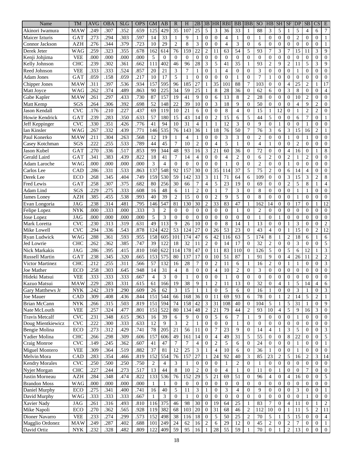| Name                           | <b>TM</b>                 | <b>AVG</b>   | <b>OBA</b>   | <b>SLG</b>   | <b>OPS</b>   | <b>GM</b>                | AB             | $\mathbf R$    | $H_{\rm}$      | 2B                          | 3B                             | HR                       | <b>RBI</b>     | <b>BB</b>        | <b>IBB</b>                       | <b>SO</b>      | HB                | <b>SH</b>           | <b>SF</b>           | DP               | <b>SB</b>                      | $\overline{\text{CS}}$ | E                                |
|--------------------------------|---------------------------|--------------|--------------|--------------|--------------|--------------------------|----------------|----------------|----------------|-----------------------------|--------------------------------|--------------------------|----------------|------------------|----------------------------------|----------------|-------------------|---------------------|---------------------|------------------|--------------------------------|------------------------|----------------------------------|
| Akinori Iwamura                | MAW                       | .249         | .307         | .352         | .659         | 125                      | 429            | 35             | 107            | 25                          | 5                              | 3                        | 36             | 33               | 1                                | 88             | 3                 | 5                   | 1                   | 5                | $\overline{4}$                 | 6                      | 7                                |
| <b>Maicer Izturis</b>          | GAT                       | .273         | .294         | .303         | .597         | 14                       | 33             | 1              | 9              | 1                           | $\mathbf{0}$                   | $\overline{0}$           | 4              | 1                | $\overline{0}$                   | 1              | $\boldsymbol{0}$  | $\boldsymbol{0}$    | $\theta$            | $\overline{c}$   | $\theta$                       | $\mathbf{0}$           | 1                                |
| Connor Jackson                 | <b>AZH</b>                | .276         | .344         | .379         | .723         | 10                       | 29             | $\overline{c}$ | 8              | 3                           | $\Omega$                       | $\Omega$                 | $\overline{4}$ | 3                | $\overline{0}$                   | 6              | $\overline{0}$    | $\mathbf{0}$        | $\theta$            | $\overline{0}$   | $\overline{0}$                 | $\mathbf{0}$           | $\mathbf{1}$                     |
| Derek Jeter                    | <b>WAG</b>                | .259         | .323         | .355         | .678         | 162                      | 614            | 76             | 159            | 22                          | $\overline{2}$                 | 11                       | 63             | 54               | 5                                | 93             | 7                 | 3                   | 7                   | 15               | 11                             | 3                      | 9                                |
| Kenji Johjima                  | <b>VEE</b>                | .000         | .000         | .000         | .000         | 5                        | $\theta$       | $\Omega$       | $\Omega$       | $\theta$                    | $\overline{0}$                 | $\overline{0}$           | $\overline{0}$ | $\theta$         | $\mathbf{0}$                     | $\overline{0}$ | $\overline{0}$    | $\overline{0}$      | $\theta$            | $\overline{0}$   | $\overline{0}$                 | $\overline{0}$         | $\overline{0}$                   |
| Kelly Johnson                  | <b>CHC</b>                | .239         | .302         | .361         | .662         | 111                      | 402            | 46             | 96             | 28                          | 3                              | 5                        | 41             | 35               | $\mathbf{1}$                     | 93             | $\overline{c}$    | 9                   | $\overline{2}$      | 11               | 5                              | 3                      | 9                                |
| Reed Johnson                   | <b>VEE</b>                | .333         | .333         | .524         | .857         | 20                       | 21             | 3              | $\overline{7}$ | 1                           | $\Omega$                       | 1                        | $\overline{4}$ | $\Omega$         | $\Omega$                         | 3              | $\theta$          | $\mathbf{0}$        | $\overline{0}$      | 1                | $\overline{0}$                 | $\overline{0}$         | $\boldsymbol{0}$                 |
| <b>Adam Jones</b>              | GAT                       | .059         | .158         | .059         | .217         | 10                       | 17             | 5              | $\mathbf{1}$   | $\theta$                    | $\Omega$                       | $\overline{0}$           | $\mathbf{0}$   | $\mathbf{1}$     | $\mathbf{0}$                     | 7              | 1                 | $\mathbf{0}$        | $\overline{0}$      | $\mathbf{0}$     | $\theta$                       | $\overline{0}$         | $\boldsymbol{0}$                 |
| Chipper Jones                  | MAW                       | .311         | .397         | .536         | .934         | 157                      | 595            | 96             | 185            | 27                          | $\mathbf{1}$                   | 35                       | 101            | 88               | $\overline{7}$                   | 103            | $\overline{0}$    | $\overline{0}$      | $\overline{4}$      | 25               | $\overline{c}$                 | $\mathbf{1}$           | 17                               |
| Matt Joyce                     | WAG                       | .262         | .374         | .489         | .863         | 90                       | 225            | 34             | 59             | 25                          | 1                              | 8                        | 28             | 36               | $\mathbf{0}$                     | 62             | 6                 | $\Omega$            | 3                   | 8                | $\theta$                       | $\mathbf{0}$           | $\overline{4}$                   |
| Gabe Kapler                    | MAW                       | .261         | .297         | .433         | .730         | 87                       | 157            | 19             | 41             | 9                           | $\mathbf{0}$                   | 6                        | 13             | 8                | $\overline{2}$                   | 28             | $\theta$          | $\overline{0}$      | $\overline{0}$      | 10               | $\overline{c}$                 | $\overline{0}$         | $\boldsymbol{0}$                 |
| Matt Kemp                      | SGS                       | .264         | .306         | .392         | .698         | 52                       | 148            | 22             | 39             | 10                          | $\mathbf{0}$                   | 3                        | 18             | 9                | $\mathbf{0}$                     | 50             | $\theta$          | $\overline{0}$      | $\overline{0}$      | 4                | 9                              | $\overline{2}$         | $\boldsymbol{0}$                 |
| Jason Kendall                  | <b>CVC</b>                | .176         | .210         | .227         | .437         | 69                       | 119            | 10             | 21             | 6                           | $\Omega$                       | $\overline{0}$           | 8              | $\overline{4}$   | $\mathbf{0}$                     | 15             | 1                 | 12                  | $\overline{0}$      | 1                | $\overline{c}$                 | $\overline{c}$         | $\boldsymbol{0}$                 |
| Howie Kendrick                 | GAT                       | .239         | .283         | .350         | .633         | 57                       | 180            | 15             | 43             | 14                          | $\Omega$                       | $\mathbf{2}$             | 15             | 6                | 5                                | 44             | 5                 | $\mathbf{0}$        | $\theta$            | 6                | 7                              | $\mathbf{0}$           | 1                                |
| Jeff Keppinger                 | <b>CVC</b>                | .330         | .351         | .426         | .776         | 41                       | 94             | 10             | 31             | 4                           | 1                              | 1                        | 12             | 3                | $\mathbf{0}$                     | 9              | $\theta$          | 1                   | $\overline{0}$      | $\mathbf{0}$     | 1                              | $\boldsymbol{0}$       | $\boldsymbol{0}$                 |
| Ian Kinsler                    | WAG                       | .267         | .332         | .439         | .771         | 146                      | 535            | 76             | 143            | 36                          | $\mathbf{1}$                   | 18                       | 76             | 50               | $\tau$                           | 76             | 3                 | 6                   | 3                   | 15               | 16                             | $\overline{2}$         | 1                                |
| Paul Konerko                   | MAW                       | .211         | .304         | .263         | .568         | 12                       | 19             | 1              | $\overline{4}$ | 1                           | $\mathbf{0}$                   | $\overline{0}$           | 3              | 3                | $\mathbf{0}$                     | $\overline{2}$ | $\overline{0}$    | $\mathbf{0}$        | 1                   | $\mathbf{0}$     | 1                              | $\mathbf{0}$           | $\theta$                         |
| Casey Kotchman                 | SGS                       | .222         | .255         | .533         | .789         | 44                       | 45             | 7              | 10             | $\overline{c}$              | $\theta$                       | $\overline{4}$           | 5              | $\mathbf{1}$     | $\Omega$                         | $\overline{4}$ | 1                 | $\overline{0}$      | $\theta$            | $\overline{2}$   | $\theta$                       | $\overline{0}$         | $\theta$                         |
| Jason Kubel                    | GAT                       | .270         | 336          | .517         | .853         | 99                       | 344            | 48             | 93             | 16                          | 3                              | 21                       | 60             | 36               | $\overline{0}$                   | 72             | $\theta$          | $\overline{0}$      | 4                   | 16               | $\theta$                       | $\mathbf{1}$           | 8                                |
| Gerald Laird                   | GAT                       | .341         | .383         | .439         | .822         | 18                       | 41             | $\overline{7}$ | 14             | $\overline{4}$              | $\theta$                       | $\Omega$                 | $\overline{4}$ | $\overline{2}$   | $\Omega$                         | 6              | $\overline{c}$    | $\mathbf{0}$        | $\overline{2}$      | 1                | $\overline{c}$                 | $\overline{0}$         | $\boldsymbol{0}$                 |
| Adam Laroche                   | <b>WAG</b>                | .000         | .000         | .000         | .000         | 3                        | $\overline{4}$ | $\Omega$       | $\overline{0}$ | $\theta$                    | $\Omega$                       | $\overline{0}$           | 1              | $\theta$         | $\mathbf{0}$                     | $\overline{2}$ | $\overline{0}$    | $\overline{0}$      | 1                   | $\mathbf{0}$     | $\theta$                       | $\mathbf{0}$           | $\boldsymbol{0}$                 |
| Carlos Lee                     | CAD                       | .286         | .331         | .533         | .863         | 137                      | 548            | 92             | 157            | 30                          | $\mathbf{0}$                   | 35                       | 114            | 37               | 5                                | 75             | $\overline{c}$    | $\overline{0}$      | 6                   | 14               | $\overline{4}$                 | $\mathbf{0}$           | $\boldsymbol{0}$                 |
| Derek Lee                      | ECO                       | .268         | .345         | .404         | .749         | 159                      | 530            | 59             | 142            | 33                          | 3                              | 11                       | 71             | 64               | 6                                | 109            | $\overline{0}$    | $\mathbf{0}$        | 3                   | 15               | 3                              | $\overline{2}$         | $\,$ 8 $\,$                      |
| Fred Lewis                     | GAT                       | .258         | .307         | .375         | .682         | 80                       | 256            | 30             | 66             | $\overline{7}$              | $\overline{4}$                 | 5                        | 23             | 19               | $\overline{0}$                   | 69             | $\overline{0}$    | $\mathbf{0}$        | $\overline{c}$      | 5                | 8                              | 1                      | 4                                |
| Adam Lind                      | SGS                       | .229         | .275         | .333         | .608         | 16                       | 48             | 6              | 11             | $\overline{2}$              | $\mathbf{0}$                   | 1                        | 7              | 3                | $\mathbf{0}$                     | 8              | $\overline{0}$    | $\overline{0}$      | $\overline{0}$      | 1                | 1                              | $\mathbf{0}$           | $\boldsymbol{0}$                 |
| James Loney                    | <b>AZH</b>                | .385         | .455         | .538         | .993         | 40                       | 39             | $\overline{2}$ | 15             | $\theta$                    | $\Omega$                       | $\overline{c}$           | 9              | 5                | $\mathbf{0}$                     | 8              | $\overline{0}$    | $\mathbf{0}$        | $\overline{0}$      | 1                | $\overline{0}$                 | $\boldsymbol{0}$       | $\mathbf 0$                      |
| Evan Longoria                  | <b>JAG</b>                | .238         | .314         | .481         | .795         | 146                      | 547            | 81             | 130            | 30                          | $\overline{2}$                 | 33                       | 83             | 47               | 1                                | 162            | 14                | $\mathbf{0}$        | $\theta$            | 17               | $\overline{0}$                 | 1                      | 12                               |
| Felipe Lopez                   | <b>NYK</b>                | .000         | .333         | .000         | .333         | 3                        | $\overline{2}$ | $\Omega$       | $\mathbf{0}$   | $\theta$                    | $\Omega$                       | $\mathbf{0}$             | $\mathbf{0}$   | 1                | $\mathbf{0}$                     | $\overline{2}$ | $\overline{0}$    | $\mathbf{0}$        | $\overline{0}$      | $\mathbf{0}$     | $\overline{0}$                 | $\boldsymbol{0}$       | $\boldsymbol{0}$                 |
| Jose Lopez                     | <b>JAG</b>                | .000         | .000         | .000         | .000         | 5                        | 3              | $\Omega$       | $\overline{0}$ | $\overline{0}$              | $\overline{0}$                 | $\overline{0}$           | $\mathbf{0}$   | $\theta$         | $\mathbf{0}$                     | 1              | $\overline{0}$    | 1                   | $\overline{0}$      | $\mathbf{0}$     | $\overline{0}$                 | $\boldsymbol{0}$       | $\boldsymbol{0}$                 |
| Mark Loretta                   | <b>CVC</b>                | .230         | .313         | .319         | .631         | 49                       | 113            | 9              | 26             | 10                          | $\overline{0}$                 | $\mathbf{0}$             | 8              | 14               | $\mathbf{1}$                     | 13             | $\overline{0}$    | $\mathbf{0}$        | 1                   | 3                | $\theta$                       | $\mathbf{0}$           | $\sqrt{2}$                       |
| Mike Lowell                    | <b>CVC</b>                | .294         | .336         | .543         | .878         | 124                      | 422            | 53             | 124            | 27                          | $\theta$                       | 26                       | 53             | 23               | $\Omega$                         | 43             | $\overline{4}$    | $\overline{0}$      | 1                   | $\overline{15}$  | $\theta$                       | $\overline{c}$         | 12                               |
| Ryan Ludwick                   | <b>WAG</b>                | .288         | .361         | .593         | .955         | 158                      | 605            | 101            | 174            | 47                          | 6                              | 42                       | 116            | 63               | 5                                | 174            | 8                 | $\mathbf{1}$        | $\overline{2}$      | 18               | 6                              | $\mathbf{1}$           | 6                                |
| Jed Lowrie                     | <b>CHC</b>                | .262         | .362         | .385         | .747         | 39                       | 122            | 18             | 32             | 11                          | $\overline{2}$                 | $\overline{0}$           | 14             | 17               | $\Omega$                         | 32             | $\overline{c}$    | $\mathbf{0}$        | $\theta$            | 3                | $\overline{0}$                 | $\mathbf{0}$           | $\sqrt{5}$                       |
| Nick Markakis                  | <b>JAG</b>                | .286         | .395         | .415         | .810         | 160                      | 622            | 114            | 178            | 47                          | $\theta$                       | 11                       | 83             | 110              | $\mathbf{0}$                     | 126            | 5                 | $\mathbf{0}$        | 5                   | 6                | 12                             | $\mathbf{1}$           | 3                                |
| <b>Russell Martin</b>          | GAT                       | .238         | .345         | .320         | .665         | 153                      | 575            | 80             | 137            | 17                          | $\overline{0}$                 | 10                       | 51             | 87               | 1                                | 91             | 9                 | $\overline{0}$      | $\overline{4}$      | 26               | 11                             | $\overline{c}$         | $\overline{\mathbf{c}}$          |
| Victor Martinez                | <b>CHC</b>                | .212         | .255         | .311         | .566         | 57                       | 132            | 16             | 28             | $\overline{7}$              | $\mathbf{0}$                   | $\overline{c}$           | 11             | 6                | 1                                | 16             | $\overline{c}$    | $\mathbf{0}$        |                     |                  | $\theta$                       | $\mathbf{0}$           | 3                                |
| Joe Mather                     | ECO                       | .258         | .303         | .645         | .948         | 14                       | 31             | $\overline{4}$ | 8              | $\boldsymbol{0}$            | $\overline{0}$                 | $\overline{\mathcal{L}}$ | 10             | $\overline{c}$   | $\mathbf{0}$                     | 3              | $\boldsymbol{0}$  | $\overline{0}$      | $\boldsymbol{0}$    | $\overline{0}$   | $\boldsymbol{0}$               | $\boldsymbol{0}$       | $\boldsymbol{0}$                 |
| Hideki Matsui                  | <b>VEE</b>                | 333          | 333          | 333          | .667         | $\overline{\mathcal{A}}$ | $\mathcal{R}$  | $\Omega$       |                | $\Omega$                    | $\Omega$                       | $\theta$                 |                | $\Omega$         | $\Omega$                         | $\Omega$       | $\Omega$          | $\Omega$            | $\Omega$            | $\Omega$         | $\Omega$                       | $\Omega$               | $\Omega$                         |
| Kazuo Matsui                   | <b>MAW</b>                | .229         | .283         | .331         | .615         | 61                       | 166            | 19             | 38             | 9                           | 1                              | $\overline{c}$           | 11             | 13               | $\overline{0}$                   | 32             | 0                 | 4                   | 1                   | 5                | 14                             | $\overline{4}$         | 6                                |
| Gary Matthews Jr               | <b>NYK</b>                | .242         | .319         | .290         | .609         | 26                       | 62             | 3              | 15             | 1                           | 1                              | $\mathbf{0}$             | 5              | 6                | 0                                | 16             | $\mathbf{1}$      | $\boldsymbol{0}$    | $\boldsymbol{0}$    | 3                | 1                              | $\boldsymbol{0}$       | 3                                |
| Joe Mauer                      | CAD                       | .309         | .408         | .436         | .844         | 151                      | 544            | 66             | 168            | 36                          | $\mathbf{0}$                   | 11                       | 69             | 93               | 6                                | 78             | $\mathbf{0}$      | 1                   | $\overline{c}$      | 14               | 5                              | $\overline{c}$         | 1                                |
| <b>Brian McCann</b>            | <b>NYK</b>                | .266         | .315         | .503         | .819         | 151                      | 594            | 74             | 158            | $42\,$                      | 3                              | 31                       | 108            | 40               | $\mathbf{0}$                     | 104            | $\sqrt{5}$        | $\mathbf{1}$        | 5                   | 31               | $\mathbf{1}$                   | $\boldsymbol{0}$       | 9                                |
| Nate McLouth                   | <b>VEE</b>                | .257         | .324         | .477         | .801         | 151                      | 522            | 80             | 134            | 48                          | $\overline{c}$                 | 21                       | 79             | 44               | 2                                | 93             | 10                | $\overline{4}$      | 5                   | 9                | 16                             | 3                      | $\overline{0}$                   |
| <b>Travis Metcalf</b>          | <b>CVC</b>                | .231         | .348         | .615         | .963         | 16                       | 39             | 6              | 9              | $\overline{0}$              | $\overline{0}$                 | 5                        | 6              | $\tau$           | $\mathbf{1}$                     | 9              | 0                 | $\overline{0}$      | $\overline{0}$      | 1                | $\mathbf{0}$                   | $\overline{0}$         | $\overline{0}$                   |
| Doug Mientkiewicz              | <b>CVC</b>                | .222         | .300         | .333         | .633         | 12                       | 9              | 3              | $\overline{2}$ | -1                          | $\theta$                       | $\mathbf{0}$             | $\theta$       | $\mathbf{1}$     | $\overline{0}$                   | $\theta$       | $\boldsymbol{0}$  | $\overline{0}$      | $\mathbf{0}$        | $\overline{0}$   | $\mathbf{0}$                   | $\mathbf{0}$           | $\overline{0}$                   |
| Bengie Molina                  | ECO                       | .273         | .312         | .429         | .741         | 78                       | 205            | 21             | 56             | 11                          | $\mathbf{0}$                   | $\tau$                   | 23             | 9                | $\overline{0}$                   | 14             | $\overline{4}$    | $\mathbf{1}$        | 3                   | 5                | $\mathbf{0}$                   | $\overline{0}$         | 3                                |
| Yadier Molina                  | <b>CHC</b>                | .266         | .298         | .309         | .606         | 157                      | 606            | 49             | 161            | 14                          | $\mathbf{0}$                   | $\overline{4}$           | 49             | 31               | 5                                | 55             | $\mathbf{0}$      | $\overline{0}$      | 8                   | $22\,$           | $\mathbf{0}$                   | $\overline{0}$         | 5                                |
| Craig Monroe                   | <b>CVC</b>                | .149         | .245         | .362         | .607         | 41                       | 47             | $\overline{7}$ | $\tau$         | $\overline{4}$              | $\overline{0}$                 | $\overline{c}$           | 5              | 6                | $\overline{0}$                   | 24             | $\mathbf{0}$      | $\overline{0}$      | $\theta$            | $\mathbf{1}$     | $\theta$                       | $\overline{0}$         | 1                                |
| Miguel Montero                 | <b>VEE</b>                | .309         | .364         | .519         | .882         | 37                       | 81             | 12             | 25             | $\boldsymbol{\mathfrak{Z}}$ | 1                              | $\overline{4}$           | 10             | 6                | $\mathbf{0}$                     | 36             | 1                 | $\mathbf{0}$        | $\mathbf{0}$        | $\mathbf{1}$     | $\theta$                       | $\overline{0}$         | $\overline{0}$                   |
| Melvin Mora                    | CAD                       | .283         | .354         | .466         | .819         | 152                      | 554            | 76             | 157            | 27                          | 1                              | 24                       | 92             | 40               | 3                                | 85             | 23                | $\overline{c}$      | 5                   | 16               | $\mathbf{2}$                   | 3                      | 14                               |
| <b>Kendry Morales</b>          | <b>CVC</b>                | .250         | .500         | .250         | .750         | 2                        | $\overline{4}$ | 3              | $\mathbf{1}$   | $\overline{0}$              | $\overline{0}$                 | $\overline{0}$           | 1              | 2                | $\overline{0}$                   | 1              | $\mathbf{0}$      | $\overline{0}$      | $\mathbf{0}$        | $\overline{0}$   | $\mathbf{0}$                   | $\overline{0}$         | $\overline{0}$                   |
| Nyjer Morgan                   | <b>CHC</b>                | .227         | .244         | .273         | .517         | 13                       | 44             | 8              | $10\,$         | 2                           | $\overline{0}$                 | $\mathbf{0}$             | 4              | $\mathbf{1}$     | $\mathbf{0}$                     | 11             | 0                 | 1                   | $\mathbf{0}$        | $\boldsymbol{0}$ | 7                              | $\overline{0}$         | $\boldsymbol{0}$                 |
| Justin Morneau                 | <b>AZH</b>                | .284         | .348         | .474         | .822         | 133                      | 536            | 76             | 152            | 29                          | 5                              | 21                       | 69             | 51               | $\overline{0}$                   | 96             | 4                 | $\mathbf{0}$        | 4                   | 16               | $\mathbf{0}$                   | $\boldsymbol{0}$       | 5                                |
| <b>Brandon Moss</b>            | <b>WAG</b>                | .000         | .000         | .000         | .000         | $\mathbf{1}$             | 1              | $\overline{0}$ | $\mathbf{0}$   | $\boldsymbol{0}$            | $\overline{0}$                 | $\mathbf{0}$             | $\overline{0}$ | $\mathbf{0}$     | $\overline{0}$                   | $\overline{0}$ | 0                 | $\mathbf{0}$        | $\boldsymbol{0}$    | $\boldsymbol{0}$ | $\mathbf{0}$                   | $\overline{0}$         | $\boldsymbol{0}$                 |
|                                | ECO                       | .275         | .341         |              | .741         | 16                       | 40             | 5              | 11             |                             |                                | $\mathbf{0}$             | 3              | $\overline{4}$   | $\overline{0}$                   | 9              | 0                 | $\mathbf{0}$        | $\overline{0}$      | 3                | $\mathbf{0}$                   | $\overline{0}$         |                                  |
| Daniel Murphy<br>David Murphy  | <b>WAG</b>                | .333         | .333         | .400<br>.333 | .667         | $\mathbf{1}$             | 3              | $\overline{0}$ | $\mathbf{1}$   | 3<br>$\mathbf{0}$           | 1<br>$\overline{0}$            | $\theta$                 | $\mathbf{0}$   | $\boldsymbol{0}$ | $\overline{0}$                   | $\overline{0}$ | 0                 | $\mathbf{0}$        | $\overline{0}$      | $\overline{0}$   | $\mathbf{1}$                   | $\overline{0}$         | $\overline{0}$                   |
| Xavier Nady                    | $\rm JAG$                 | .261         | .316         | .493         | .810         | 116                      | 375            | 46             | 98             | 30                          | $\overline{0}$                 | 19                       | 64             | 25               | 1                                | 83             | 7                 | $\mathbf{0}$        | $\overline{4}$      | 11               | $\mathbf{0}$                   | 1                      |                                  |
| Mike Napoli                    | ECO                       | .270         | .362         | .565         | .928         | 119                      | 382            | 68             | 103            | 20                          | $\overline{0}$                 | $\overline{31}$          | 68             | 46               | $\overline{2}$                   | 112            | 10                | $\theta$            | $\mathbf{1}$        | 11               | 5                              | $\overline{c}$         | $\overline{c}$<br>11             |
|                                | <b>VEE</b>                |              |              |              |              |                          |                |                |                |                             |                                |                          |                | 25               |                                  | $70\,$         |                   |                     |                     | 15               |                                | $\mathbf{0}$           |                                  |
| Dioner Navarro                 | MAW                       | .233<br>.249 | .274<br>.287 | .299<br>.402 | .573<br>.688 | 152<br>101               | 498<br>249     | 38<br>24       | 116<br>62      | 18<br>16                    | $\mathbf{0}$<br>$\overline{2}$ | 5<br>6                   | 50<br>29       | 12               | $\overline{c}$<br>$\overline{0}$ | 45             | 5<br>$\mathbf{2}$ | 1<br>$\overline{0}$ | 5<br>$\overline{2}$ | $\tau$           | $\mathbf{0}$<br>$\overline{0}$ | $\overline{0}$         | 4                                |
| Magglio Ordonez<br>David Ortiz | $\ensuremath{\text{NYK}}$ | .232         | .328         | .482         | .809         | 122                      | 409            | 59             | 95             | 16                          |                                | 28                       | 55             | 59               | 1                                | $70\,$         | $\boldsymbol{0}$  |                     |                     | 13               |                                |                        | $\mathbf{1}$<br>$\boldsymbol{0}$ |
|                                |                           |              |              |              |              |                          |                |                |                |                             | 1                              |                          |                |                  |                                  |                |                   | 1                   | $\overline{c}$      |                  | $\boldsymbol{0}$               | $\boldsymbol{0}$       |                                  |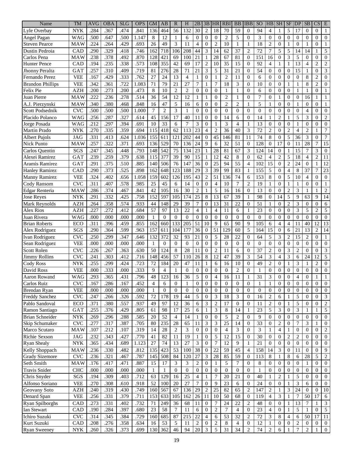| Name                         | <b>TM</b>  | <b>AVG</b>   | <b>OBA</b>        | <b>SLG</b> | <b>OPS</b>   | <b>GM</b>          | AB              | $\mathbb{R}$    | H                                   | 2B               | 3B                             | <b>HR</b>                | <b>RBI</b>             | <b>BB</b>       | <b>IBB</b>       | <b>SO</b>       | HB                                 | <b>SH</b>        | <b>SF</b>        | <b>DP</b>        | <b>SB</b>        | $\overline{\text{CS}}$ | E                          |
|------------------------------|------------|--------------|-------------------|------------|--------------|--------------------|-----------------|-----------------|-------------------------------------|------------------|--------------------------------|--------------------------|------------------------|-----------------|------------------|-----------------|------------------------------------|------------------|------------------|------------------|------------------|------------------------|----------------------------|
| Lyle Overbay                 | <b>NYK</b> | .284         | .367              | .474       | .841         | 136                | 464             | 56              | 132                                 | 30               | $\overline{c}$                 | 18                       | 70                     | 59              | $\mathbf{0}$     | 94              | $\overline{4}$                     | $\mathbf{1}$     | 5                | 17               | $\overline{0}$   | $\mathbf{0}$           | 1                          |
| Angel Pagan                  | <b>WAG</b> | .500         | .647              | .500       | 1.147        | 8                  | 12              | 1               | 6                                   | $\theta$         | $\overline{0}$                 | $\overline{0}$           | $\overline{2}$         | 5               | $\overline{0}$   | 3               | $\boldsymbol{0}$                   | $\theta$         | $\overline{0}$   | $\mathbf{0}$     | $\overline{0}$   | $\boldsymbol{0}$       | $\boldsymbol{0}$           |
| <b>Steven Pearce</b>         | MAW        | .224         | .264              | .429       | .693         | 26                 | 49              | 3               | 11                                  | $\overline{4}$   | $\overline{0}$                 | $\overline{c}$           | 10                     | $\mathbf{1}$    | $\mathbf{1}$     | 18              | $\overline{c}$                     | $\theta$         | 1                | $\Omega$         | 1                | $\mathbf{0}$           | 1                          |
| Dustin Pedroia               | CAD        | .290         | .329              | .418       | .746         | 162                | 718             | 106             | 208                                 | 44               | 3                              | 14                       | 62                     | 37              | $\overline{2}$   | 72              | 7                                  | 5                | 5                | 14               | 14               | 1                      | $\sqrt{5}$                 |
| Carlos Pena                  | <b>MAW</b> | .238         | .378              | .492       | .870         | 128                | 421             | 69              | 100                                 | 21               | $\mathbf{1}$                   | $\overline{28}$          | $\overline{67}$        | 81              | $\mathbf{0}$     | 151             | 16                                 | $\overline{0}$   | 3                | 5                | $\overline{0}$   | $\overline{0}$         | $\boldsymbol{0}$           |
| <b>Hunter Pence</b>          | CAD        | .194         | .235              | .338       | .573         | 108                | 355             | 42              | 69                                  | 17               | $\overline{2}$                 | 10                       | 35                     | 15              | $\mathbf{0}$     | 92              | $\overline{4}$                     | 1                | 1                | 13               | $\overline{4}$   | $\overline{c}$         | $\sqrt{2}$                 |
| Jhonny Peralta               | GAT        | .257         | .310              | .409       | .719         | 81                 | 276             | 28              | 71                                  | $\overline{21}$  | 3                              | 5                        | 31                     | 21              | $\Omega$         | 54              | $\theta$                           | $\overline{0}$   | $\theta$         | 15               | 1                | $\mathbf{0}$           | 3                          |
| Fernando Perez               | <b>VEE</b> | .167         | .429              | .333       | .762         | 27                 | 24              | 13              | $\overline{4}$                      | 1                | $\overline{0}$                 | 1                        | $\overline{2}$         | 11              | $\mathbf{0}$     | 6               | $\overline{0}$                     | $\theta$         | $\theta$         | $\mathbf{0}$     | $\,8\,$          | $\overline{c}$         | $\mathbf{0}$               |
| <b>Brandon Phillips</b>      | <b>VEE</b> | .342         | .361              | .722       | 1.083        | 71                 | 79              | 21              | 27                                  | $\overline{7}$   | $\mathbf{1}$                   | 7                        | 18                     | 3               | $\mathbf{0}$     | 10              | $\theta$                           | $\overline{0}$   | 1                | 1                | 8                | $\overline{c}$         | $\mathbf{0}$               |
| Felix Pie                    | <b>AZH</b> | .200         | .273              | .200       | .473         | $\,$ 8 $\,$        | 10              | $\overline{2}$  | $\overline{c}$                      | $\mathbf{0}$     | $\overline{0}$                 | $\overline{0}$           | 1                      | $\mathbf{1}$    | $\Omega$         | 6               | $\overline{0}$                     | $\overline{0}$   | $\theta$         | 1                | $\mathbf{1}$     | $\overline{0}$         | 1                          |
| Juan Pierre                  | MAW        | .222         | .236              | .278       | .514         | 36                 | 54              | 12              | 12                                  | 1                | $\mathbf{1}$                   | $\overline{0}$           | $\overline{2}$         | 1               | $\mathbf{0}$     | 7               | $\overline{0}$                     | $\mathbf{1}$     | $\theta$         | $\overline{0}$   | 16               | $\mathbf{1}$           | $\mathbf{1}$               |
| A.J. Pierzynski              | <b>MAW</b> | .340         | .380              | .468       | .848         | 16                 | 47              | 5               | 16                                  | 6                | $\overline{0}$                 | $\overline{0}$           | $\overline{c}$         | $\overline{c}$  | 1                | 5               | 1                                  | $\overline{0}$   | $\overline{0}$   | 1                | $\boldsymbol{0}$ | $\mathbf{0}$           | 1                          |
| Scott Podsednik              | <b>CVC</b> | .500         | .500              | .500       | 1.000        | 7                  | $\overline{c}$  | 3               | 1                                   | $\theta$         | $\overline{0}$                 | $\overline{0}$           | $\overline{0}$         | $\mathbf{0}$    | $\overline{0}$   | $\overline{0}$  | $\boldsymbol{0}$                   | $\overline{0}$   | $\overline{0}$   | $\mathbf{0}$     | 4                | $\boldsymbol{0}$       | $\boldsymbol{0}$           |
| Placido Polanco              | WAG        |              | .287              | .327       | .614         | 45                 | 156             | 17              | 40                                  | 11               | $\Omega$                       | $\overline{0}$           | 14                     | 6               | $\mathbf{0}$     | 14              |                                    | $\overline{c}$   |                  | 5                | 3                | $\mathbf{0}$           |                            |
|                              | <b>WAG</b> | .256<br>.212 | .297              | .394       | .691         | 10                 | $\overline{33}$ | 6               | 7                                   | 3                | $\mathbf{0}$                   | 1                        | 3                      | $\overline{4}$  | 1                | 13              | 1                                  | $\mathbf{0}$     | $\overline{0}$   | 1                | $\theta$         | $\mathbf{0}$           | $\sqrt{2}$<br>$\mathbf{0}$ |
| Jorge Posada<br>Martin Prado | <b>NYK</b> | .270         | .335              | .359       | .694         | 115                | 418             | 62              | 113                                 | 23               | $\overline{4}$                 | $\overline{c}$           | 36                     | 40              | 3                | 72              | $\boldsymbol{0}$<br>$\overline{c}$ | $\overline{0}$   | $\overline{c}$   | $\overline{4}$   | $\overline{c}$   | 1                      | 7                          |
|                              |            |              |                   |            |              |                    |                 |                 |                                     |                  |                                |                          |                        |                 |                  |                 |                                    |                  |                  |                  |                  |                        |                            |
| Albert Pujols                | <b>JAG</b> | .331         | .413              | .624       | 1.036        | 155                | 611             | 121             | 202                                 | 44               | $\mathbf{0}$<br>$\overline{Q}$ | 45                       | 146                    | 81              | 11               | 74              | 8                                  | $\overline{0}$   | 5                | 36               | 3                | $\mathbf{0}$           | 7                          |
| <b>Nick Punto</b>            | MAW        | .257         | .322              | .371       | .693         | 136                | 529             | 70              | 136                                 | $\overline{24}$  |                                | 6                        | $\overline{32}$        | 51              | $\overline{0}$   | 128             | $\boldsymbol{0}$                   | 17               | $\theta$         | 11               | $\overline{28}$  | $\overline{7}$         | $\overline{15}$            |
| Carlos Quentin               | SGS        | .247         | .345              | .448       | .793         | 148                | 542             | 75              | 134                                 | $\overline{23}$  | 1                              | 28                       | 81                     | 67              | 3                | 124             | 14                                 | $\boldsymbol{0}$ | 1                | 15               | 7                | 3                      | $\mathbf{0}$               |
| Alexei Ramirez               | GAT        | .239         | .259              | .379       | .638         | 115                | 377             | 39              | 90                                  | 15               | $\mathbf{1}$                   | 12                       | 42                     | $\,$ 8 $\,$     | $\Omega$         | 62              | 4                                  | $\overline{c}$   | 5                | 18               | 4                | $\overline{c}$         | 11                         |
| Aramis Ramirez               | GAT        | .291         | .375              | .510       | .885         | 140                | 506             | 76              | 147                                 | 36               | $\mathbf{0}$                   | $\overline{25}$          | 94                     | $\overline{55}$ | $\overline{4}$   | 102             | 15                                 | $\overline{0}$   | $\overline{c}$   | 24               | $\theta$         | $\mathbf{1}$           | 12                         |
| <b>Hanley Ramirez</b>        | CAD        | .290         | .373              | .525       | .898         | 162                | 648             | 123             | 188                                 | 29               | 3                              | 39                       | 99                     | 83              | 1                | 155             | 5                                  | $\mathbf{0}$     | $\overline{4}$   | $\,8\,$          | 37               | $\overline{7}$         | 23                         |
| <b>Manny Ramirez</b>         | <b>VEE</b> | .324         | .402              | .656       | 1.058        | 159                | 602             | 126             | 195                                 | 43               | $\overline{c}$                 | 51                       | 136                    | 74              | 6                | 153             | 8                                  | $\overline{0}$   | 5                | 10               | $\overline{4}$   | $\mathbf{0}$           | $\mathbf{0}$               |
| Cody Ransom                  | <b>CVC</b> | .311         | .407              | .578       | .985         | 25                 | 45              | 6               | 14                                  | $\mathbf{0}$     | $\overline{0}$                 | $\overline{4}$           | 10                     | 7               | $\overline{2}$   | 19              | 1                                  | $\overline{0}$   | 1                | 1                | $\theta$         | $\mathbf{0}$           | $\mathbf{1}$               |
| Edgar Renteria               | MAW        | .286         | .374              | .467       | .841         | 42                 | 105             | 16              | 30                                  | $\overline{2}$   | $\mathbf{1}$                   | 5                        | 16                     | 16              | $\mathbf{0}$     | 13              | 0                                  | $\boldsymbol{0}$ | $\overline{c}$   | 3                | 1                | $\mathbf{1}$           | $\overline{c}$             |
| <b>Jose Reyes</b>            | <b>NYK</b> | .291         | .332              | .425       | .758         | 152                | 597             | 105             | 174                                 | 25               | 8                              | 13                       | 67                     | 39              | 1                | 98              | $\theta$                           | 14               | 5                | 9                | 63               | 9                      | 14                         |
| Mark Reynolds                | <b>AZH</b> | .264         | .358              | .574       | .933         | 44                 | 148             | 29              | 39                                  | 7                | $\Omega$                       | 13                       | 31                     | 22              | $\overline{0}$   | 51              | 1                                  | $\overline{0}$   | $\overline{c}$   | 3                | $\theta$         | $\overline{0}$         | 6                          |
| <b>Alex Rios</b>             | <b>AZH</b> | .227         | .272              | .412       | .684         | 57                 | 97              | 13              | 22                                  | 4                | 1                              | $\overline{4}$           | 11                     | 6               | 1                | 23              | $\boldsymbol{0}$                   | $\mathbf{0}$     | $\theta$         | 3                | 5                | $\overline{c}$         | 5                          |
| Juan Rivera                  | <b>WAG</b> | .000         | .000              | .000       | .000         | 1                  | $\overline{0}$  | $\overline{0}$  | $\overline{0}$                      | $\theta$         | $\mathbf{0}$                   | $\overline{0}$           | $\overline{0}$         | $\overline{0}$  | $\overline{0}$   | $\theta$        | $\boldsymbol{0}$                   | $\mathbf{0}$     | $\theta$         | $\mathbf{0}$     | $\theta$         | $\boldsymbol{0}$       | $\boldsymbol{0}$           |
| <b>Brian Roberts</b>         | ECO        | .311         | .396              | .459       | .855         | 162                | 660             | 133             | 205                                 | 51               | 10                             | 9                        | 65                     | 90              | 9                | 105             | 6                                  | $\overline{4}$   | $\overline{4}$   | 11               | 40               | 12                     | 13                         |
| Alex Rodriguez               | SGS        | .290         | .364              | .599       | .963         | 157                | 611             | 104             | 177                                 | 36               | $\mathbf{0}$                   | $\overline{51}$          | 129                    | 60              | 5                | 164             | 15                                 | $\overline{0}$   | 6                | 21               | 13               | $\overline{c}$         | 14                         |
| Ivan Rodriguez               | <b>CVC</b> | .250         | .299              | .347       | .646         | 132                | 372             | 32              | 93                                  | 21               | $\theta$                       | 5                        | 28                     | 22              | $\mathbf{0}$     | 64              | 5                                  | 3                | $\overline{2}$   | 15               | $\overline{c}$   | $\overline{0}$         | 1                          |
| Sean Rodriguez               | <b>VEE</b> | .000         | .000              | .000       | .000         | $\mathbf{1}$       | $\overline{0}$  | $\Omega$        | $\Omega$                            | $\overline{0}$   | $\Omega$                       | $\overline{0}$           | $\theta$               | $\overline{0}$  | $\Omega$         | $\theta$        | $\theta$                           | $\mathbf{0}$     | $\theta$         | $\overline{0}$   | $\theta$         | $\mathbf{0}$           | $\boldsymbol{0}$           |
| Scott Rolen                  | <b>CVC</b> | .226         | .267              | .363       | .630         | 50                 | 124             | 8               | 28                                  | 11               | $\Omega$                       | $\mathbf{2}$             | 11                     | 6               | $\Omega$         | 37              | $\overline{2}$                     | $\overline{0}$   | 3                | $\overline{2}$   | $\theta$         | $\mathbf{0}$           | $\mathfrak 3$              |
| Jimmy Rollins                | <b>CVC</b> | .241         | .303              | .412       | .716         | 148                | 456             | 57              | 110                                 | 26               | 8                              | 12                       | $\overline{47}$        | 39              | 3                | 54              | 3                                  | $\overline{4}$   | 3                | 6                | 24               | 12                     | $\sqrt{5}$                 |
| <b>Cody Ross</b>             | <b>NYK</b> | .255         | .299              | .424       | .723         | 72                 | 184             | 20              | 47                                  | 11               | 1                              | 6                        | 16                     | 10              | $\mathbf{0}$     | 49              | $\overline{c}$                     | $\boldsymbol{0}$ | 1                | 3                | 1                | $\overline{2}$         | $\boldsymbol{0}$           |
| David Ross                   | <b>VEE</b> | .000         | .333              | .000       | .333         | 9                  | $\overline{4}$  | $\mathbf{1}$    | $\boldsymbol{0}$                    | $\mathbf{0}$     | $\overline{0}$                 | $\boldsymbol{0}$         | $\boldsymbol{0}$       | $\overline{c}$  | $\overline{0}$   |                 | $\boldsymbol{0}$                   | $\boldsymbol{0}$ | $\boldsymbol{0}$ | 0                | $\boldsymbol{0}$ | $\boldsymbol{0}$       | $\boldsymbol{0}$           |
| Aaron Rowand                 | <b>WAG</b> | 293          | $\overline{.}365$ | 431        | .796         | $\overline{48}$    | 123             | 16              | $\overline{36}$                     | $\overline{5}$   | $\Omega$                       | $\overline{\mathcal{L}}$ | 16                     | 11              |                  | 31              | 3                                  | $\theta$         | $\Omega$         | 4                | $\Omega$         |                        |                            |
| Carlos Ruiz                  | <b>CVC</b> | .167         | .286              | .167       | .452         | 4                  | 6               | $\theta$        | 1                                   | $\mathbf{0}$     | $\boldsymbol{0}$               | 0                        | $\overline{0}$         | $\mathbf{0}$    | $\overline{0}$   | 1               | 1                                  | 0                | $\boldsymbol{0}$ | 0                | $\boldsymbol{0}$ | $\boldsymbol{0}$       | $\mathbf{0}$               |
| <b>Brendan Ryan</b>          | <b>VEE</b> | .000         | .000              | .000       | .000         | 1                  | $\overline{0}$  | $\theta$        | $\mathbf{0}$                        | $\mathbf{0}$     | $\mathbf{0}$                   | $\mathbf{0}$             | $\mathbf{0}$           | $\mathbf{0}$    | 0                | 0               | $\boldsymbol{0}$                   | $\boldsymbol{0}$ | $\mathbf{0}$     | 0                | $\boldsymbol{0}$ | $\overline{0}$         | $\boldsymbol{0}$           |
| Freddy Sanchez               | <b>CVC</b> | .247         | .266              | .326       | .592         | 72                 | 178             | 19              | 44                                  | $\mathfrak{S}$   | $\mathbf{0}$                   | 3                        | 18                     | 3               | $\mathbf{0}$     | 16              | $\overline{c}$                     | 6                | 1                | 5                | $\mathbf{0}$     | $\overline{0}$         | $\mathfrak{Z}$             |
| Pablo Sandoval               | ECO        | .371         | .380              | .557       | .937         | 49                 | 97              | 12              | 36                                  | 6                | 3                              | $\boldsymbol{2}$         | 17                     | $\mathbf{0}$    | $\mathbf{0}$     | 11              | $\sqrt{2}$                         | $\mathbf{0}$     | 1                | 5                | $\mathbf{0}$     | $\boldsymbol{0}$       | $\boldsymbol{2}$           |
| Ramon Santiago               | GAT        | .255         | .376              | .429       | .805         | 61                 | 98              | 17              | 25                                  | 6                | $\mathbf{1}$                   | 3                        | $\,8\,$                | 14              | 1                | 23              | 5                                  | 3                | $\theta$         | 3                | $\mathbf{1}$     | 1                      | $\sqrt{5}$                 |
| <b>Brian Schneider</b>       | <b>NYK</b> | .269         | .296              | .288       | .585         | $20\,$             | 52              | $\overline{4}$  | 14                                  | -1               | $\mathbf{0}$                   | $\mathbf{0}$             | $\sqrt{5}$             | $\sqrt{2}$      | $\overline{0}$   | 9               | $\boldsymbol{0}$                   | $\mathbf{0}$     | $\mathbf{0}$     | $\mathbf{0}$     | $\mathbf{0}$     | $\overline{0}$         | $\mathbf{0}$               |
| Skip Schumaker               | <b>CVC</b> | .277         | .317              | .387       | .705         | 80                 | 235             | 28              | $\overline{65}$                     | 11               | 3                              | 3                        | $\overline{25}$        | 14              | $\theta$         | $\overline{33}$ | $\boldsymbol{0}$                   | $\overline{c}$   | $\mathbf{0}$     | $\tau$           | 3                | 1                      | $\overline{0}$             |
| Marco Scutaro                | <b>MAW</b> | .107         | .212              | .107       | .319         | 14                 | 28              | $\overline{2}$  | 3                                   | $\overline{0}$   | $\mathbf{0}$                   | $\boldsymbol{0}$         | $\overline{4}$         | $\mathfrak{Z}$  | $\overline{0}$   | 3               | $\mathbf{1}$                       | $\overline{4}$   | 1                | $\boldsymbol{0}$ | $\mathbf{0}$     | $\overline{0}$         | $\overline{c}$             |
| Richie Sexson                | <b>JAG</b> | .232         | .343              | .427       | .770         | 41                 | 82              | 11              | 19                                  | -1               | $\mathbf{0}$                   | 5                        | 12                     | 15              | $\mathbf{0}$     | 30              | $\mathbf{0}$                       | $\overline{0}$   | $\overline{c}$   | $\boldsymbol{2}$ | $\boldsymbol{0}$ | $\overline{0}$         | $\mathbf{0}$               |
| <b>Ryan Shealy</b>           | <b>NYK</b> | .365         | .434              | .689       | 1.123        | $\overline{27}$    | $\overline{74}$ | 13              | $\overline{27}$                     | $\mathfrak{Z}$   | $\mathbf{0}$                   | $\overline{7}$           | $\overline{12}$        | $\overline{9}$  | $\mathbf{1}$     | 21              | $\boldsymbol{0}$                   | $\boldsymbol{0}$ | $\boldsymbol{0}$ | $\boldsymbol{0}$ | $\mathbf{0}$     | $\overline{0}$         | $\overline{0}$             |
| Kelly Shoppach               | MAW        | .236         | .330              | .482       | .812         | 135                | 423             | 53              | 100                                 | 38               | $\mathbf{0}$                   | $\overline{22}$          | 59                     | 45              | $\overline{4}$   | 158             | 14                                 | 3                | $\boldsymbol{0}$ | 11               | $\mathbf{0}$     | $\overline{0}$         | 9                          |
| <b>Grady Sizemore</b>        | <b>CVC</b> | .236         | .321              | .467       | .787         | 145                | 508             | 84              | 120                                 | 27               | 3                              | 28                       | 85                     | 59              | $\mathbf{0}$     | 113             | 8                                  | 1                | $\,8\,$          | $\sqrt{6}$       | 28               | 5                      | $\sqrt{2}$                 |
| Seth Smith                   | <b>MAW</b> | .176         | .417              | .471       | .887         | 15                 | 17              | 3               | 3                                   | 2                | $\mathbf{0}$                   | $\mathbf{1}$             | 5                      | $\tau$          | $\overline{0}$   | 8               | $\overline{0}$                     | $\overline{0}$   | $\mathbf{0}$     | $\overline{0}$   | 1                | $\overline{0}$         | $\overline{0}$             |
|                              |            |              |                   |            |              |                    |                 |                 |                                     |                  |                                |                          |                        |                 |                  |                 |                                    |                  |                  |                  |                  |                        |                            |
| <b>Travis Snider</b>         | <b>CHC</b> | .000         | .000              | .000       | .000<br>.712 | $\mathbf{1}$<br>63 | $\mathbf{1}$    | $\overline{0}$  | $\boldsymbol{0}$<br>$\overline{25}$ | $\boldsymbol{0}$ | $\mathbf{0}$                   | $\boldsymbol{0}$         | $\boldsymbol{0}$<br>20 | $\mathbf{0}$    | $\boldsymbol{0}$ | 1               | $\boldsymbol{0}$                   | $\boldsymbol{0}$ | $\mathbf{0}$     | $\boldsymbol{0}$ | $\mathbf{0}$     | $\overline{0}$         | $\mathbf{0}$               |
| Chris Snyder                 | SGS        | .194         | .309              | .403       |              |                    | 129             | 16              |                                     | $\overline{4}$   | 1                              | $\tau$                   |                        | 21              | $\boldsymbol{0}$ | 40              | 1                                  | $\boldsymbol{2}$ | 1                | 5                | $\mathbf{0}$     | $\overline{0}$         | $\boldsymbol{0}$           |
| Alfonso Soriano              | <b>VEE</b> | .270         | .308              | .610       | .918         | 52                 | 100             | 20              | 27                                  | $\tau$           | $\overline{0}$                 | 9                        | 23                     | 6               | $\boldsymbol{0}$ | 24              | $\boldsymbol{0}$                   | $\boldsymbol{0}$ | 1                | 3                | 6                | $\overline{0}$         | $\boldsymbol{0}$           |
| Geovany Soto                 | <b>AZH</b> | .240         | .319              | .430       | .749         | 160                | 567             | 67              | 136                                 | 29               | $\overline{c}$                 | $\overline{25}$          | 82                     | 65              | $\overline{c}$   | 147             | $\sqrt{2}$                         | 1                | 3                | $\overline{24}$  | $\mathbf{0}$     | $\mathbf{0}$           | 10                         |
| Denard Span                  | <b>VEE</b> | .256         | .331              | .379       | .711         | 153                | 633             | 105             | 162                                 | 26               | 11                             | 10                       | $\overline{50}$        | 68              | $\overline{0}$   | 119             | $\overline{4}$                     | 3                | 1                | $\overline{7}$   | 50               | 17                     | 6                          |
| Ryan Spilborghs              | CAD        | .273         | .331              | .402       | .732         | $71\,$             | 249             | 36              | 68                                  | 11               | $\mathbf{0}$                   | 7                        | 24                     | $22\,$          | $\overline{c}$   | 48              | $\mathbf{0}$                       | $\mathbf{0}$     | 1                | 13               | 7                | 1                      | 3                          |
| Ian Stewart                  | CAD        | .190         | .284              | .397       | .680         | $\overline{23}$    | $\overline{58}$ | $7\phantom{.0}$ | 11                                  | 6                | $\Omega$                       | $\overline{c}$           | $\tau$                 | $\overline{4}$  | $\overline{0}$   | 23              | 4                                  | $\overline{0}$   | 1                | $\overline{5}$   | $\mathbf{1}$     | $\Omega$               | 5                          |
| Ichiro Suzuki                | <b>CVC</b> | .314         | .345              | .384       | .729         | 160                | 685             | 87              | 215                                 | $\overline{22}$  | $\overline{4}$                 | 6                        | 53                     | 32              | $\overline{2}$   | 72              | 3                                  | 8                | $\overline{4}$   | 6                | 50               | 17                     | 11                         |
| Kurt Suzuki                  | CAD        | .208         | .276              | .358       | .634         | 16                 | 53              | 5               | 11                                  | $\sqrt{2}$       | $\mathbf{0}$                   | $\mathbf{2}$             | $\,8\,$                | $\overline{4}$  | $\overline{0}$   | 12              | $\mathbf{1}$                       | $\mathbf{0}$     | $\mathbf{0}$     | $\overline{c}$   | $\mathbf{0}$     | $\boldsymbol{0}$       | $\overline{0}$             |
| <b>Ryan Sweeney</b>          | <b>NYK</b> | .260         | .326              | .373       | .699         | 130                | 362             | 46              | 94                                  | $20\,$           | $\mathfrak{Z}$                 | 5                        | 31                     | 34              | $\boldsymbol{2}$ | 74              | $\sqrt{2}$                         | 6                | 1                | $\boldsymbol{7}$ | $\sqrt{2}$       | $\mathbf{1}$           | $\boldsymbol{0}$           |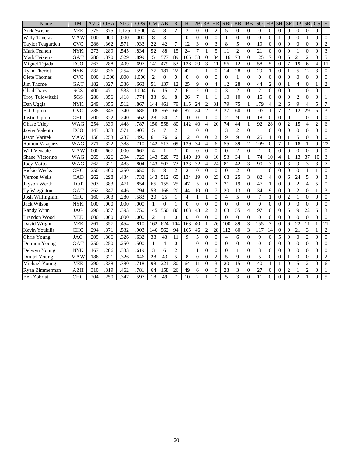| Name                 | TM         | <b>AVG</b> | <b>OBA</b> | <b>SLG</b> | <b>OPS</b> | <b>GM</b>        | AB              | R              | H              | 2B              | 3B             | <b>HR</b>       | R <sub>B</sub> | <b>BB</b>       | <b>IBB</b>     | SO <sub>1</sub> | HB             | <b>SH</b>      | $\rm{SF}$      | DP              | <b>SB</b>      | $\overline{\text{CS}}$ | E              |
|----------------------|------------|------------|------------|------------|------------|------------------|-----------------|----------------|----------------|-----------------|----------------|-----------------|----------------|-----------------|----------------|-----------------|----------------|----------------|----------------|-----------------|----------------|------------------------|----------------|
| Nick Swisher         | <b>VEE</b> | .375       | .375       | 1.125      | 1.500      | $\overline{4}$   | 8               | $\overline{2}$ | 3              | $\Omega$        | $\Omega$       | $\overline{2}$  | 5              | $\Omega$        | $\Omega$       | $\Omega$        | $\mathbf{0}$   | $\overline{0}$ | $\Omega$       | $\theta$        | $\theta$       | $\mathbf{0}$           | 1              |
| <b>Willy Taveras</b> | <b>MAW</b> | .000       | .000       | .000       | .000       | $\,$ 8 $\,$      | 3               | $\mathbf{1}$   | $\Omega$       | $\Omega$        | $\Omega$       | $\Omega$        | 1              | $\Omega$        | $\Omega$       | $\Omega$        | $\Omega$       | 1              | $\Omega$       | $\theta$        | $\mathbf{1}$   | $\Omega$               | $\mathbf{0}$   |
| Taylor Teagarden     | <b>CVC</b> | .286       | .362       | .571       | .933       | 22               | 42              | 7              | 12             | 3               | $\Omega$       | 3               | 8              | 5               | $\overline{0}$ | 19              | $\overline{0}$ | $\overline{0}$ | $\mathbf{0}$   | $\Omega$        | $\overline{0}$ | $\mathbf{0}$           | $\overline{2}$ |
| Mark Teahen          | <b>NYK</b> | .273       | .289       | .545       | .834       | 52               | 88              | 15             | 24             | $\overline{7}$  | 1              | 5               | 11             | $\overline{2}$  | $\Omega$       | 21              | $\mathbf{0}$   | $\Omega$       | $\Omega$       |                 | $\overline{0}$ | $\Omega$               | 3              |
| Mark Teixeira        | GAT        | .286       | .370       | .529       | .899       | $\overline{151}$ | 577             | 89             | 165            | $\overline{38}$ | $\Omega$       | $\overline{34}$ | 116            | 73              | $\Omega$       | 125             | $\overline{7}$ | $\Omega$       | 5              | 21              | $\overline{2}$ | $\theta$               | 5              |
| Miguel Tejada        | ECO        | .267       | .288       | .409       | .697       | 141              | 479             | 53             | 128            | 29              | 3              | 11              | 56             | 12              | $\overline{0}$ | 58              | 5              | $\overline{0}$ | 7              | 19              | 6              | $\overline{4}$         | 11             |
| <b>Ryan Theriot</b>  | <b>NYK</b> | .232       | .336       | .254       | .591       | 77               | 181             | 22             | 42             | $\overline{2}$  | $\mathbf{1}$   | $\theta$        | 14             | 28              | $\overline{0}$ | 29              | $\mathbf{1}$   | $\theta$       | 1              | 5               | 12             | 3                      | $\overline{0}$ |
| Clete Thomas         | <b>CVC</b> | .000       | 1.000      | .000       | 1.000      | $\overline{c}$   | $\Omega$        | $\Omega$       | $\Omega$       | $\theta$        | $\Omega$       | $\theta$        | $\theta$       | $\mathbf{1}$    | $\Omega$       | $\theta$        | $\theta$       | $\theta$       | $\Omega$       | $\theta$        | $\theta$       | $\theta$               | $\overline{0}$ |
| Jim Thome            | GAT        | .182       | .327       | .336       | .663       | 51               | 137             | 12             | 25             | 9               | $\Omega$       | 4               | 12             | 28              | $\Omega$       | 44              | $\overline{c}$ | $\mathbf{0}$   | 1              | $\overline{4}$  | $\overline{0}$ | $\mathbf{1}$           | $\overline{c}$ |
| Chad Tracy           | SGS        | .400       | .471       | .533       | 1.004      | 6                | 15              | $\overline{2}$ | 6              | $\overline{2}$  | $\Omega$       | $\Omega$        | 3              | $\overline{2}$  | $\Omega$       | $\overline{c}$  | $\mathbf{0}$   | $\theta$       | $\mathbf{0}$   | 1               | $\overline{0}$ | $\mathbf{0}$           | $\mathbf{1}$   |
| Troy Tulowitzki      | SGS        | .286       | .356       | .418       | .774       | $\overline{33}$  | 91              | 8              | 26             | $\overline{7}$  | 1              | 1               | 10             | 10              | $\overline{0}$ | 15              | $\Omega$       | $\Omega$       | $\Omega$       | $\overline{2}$  | $\theta$       | $\theta$               | 1              |
| Dan Uggla            | <b>NYK</b> | .249       | .355       | .512       | .867       | 144              | 461             | 79             | 115            | 24              | $\overline{2}$ | 31              | 79             | 75              |                | 179             | $\overline{4}$ | $\overline{2}$ | 6              | $\mathbf Q$     | $\overline{4}$ | 5                      | $\tau$         |
| B.J. Upton           | <b>CVC</b> | .238       | .346       | .340       | .686       | 118              | 365             | 66             | 87             | 24              | $\overline{2}$ | 3               | 37             | 60              | $\Omega$       | 107             | $\mathbf{1}$   | $\overline{7}$ | $\overline{2}$ | $\overline{12}$ | 29             | 5                      | 3              |
| Justin Upton         | <b>CHC</b> | .200       | .322       | .240       | .562       | 28               | $\overline{50}$ | $\overline{7}$ | 10             | $\theta$        | $\mathbf{1}$   | $\Omega$        | $\overline{c}$ | 9               | $\theta$       | 18              | $\Omega$       | $\theta$       | $\Omega$       | 1               | $\theta$       | $\theta$               | $\theta$       |
| Chase Utley          | <b>WAG</b> | .254       | .339       | .448       | .787       | 150              | 558             | 80             | 142            | 40              | 4              | 20              | 74             | 44              | 1              | 92              | 28             | $\overline{0}$ | $\overline{2}$ | $\overline{15}$ | $\overline{4}$ | $\overline{c}$         | 6              |
| Javier Valentin      | ECO        | .143       | .333       | .571       | .905       | 5                | $\overline{7}$  | $\overline{2}$ | 1              | $\Omega$        | $\Omega$       | 1               | 3              | $\overline{2}$  | $\overline{0}$ | $\mathbf{1}$    | $\Omega$       | $\theta$       | $\Omega$       | $\theta$        | $\theta$       | $\overline{0}$         | $\overline{0}$ |
| <b>Jason Varitek</b> | <b>MAW</b> | .158       | .253       | .237       | .490       | 61               | 76              | 6              | 12             | $\theta$        | $\Omega$       | $\overline{2}$  | $\mathbf Q$    | $\overline{Q}$  | $\overline{0}$ | 25              | 1              | $\theta$       |                | 5               | $\theta$       | $\theta$               | $\Omega$       |
| Ramon Vazquez        | <b>WAG</b> | .271       | .322       | .388       | .710       | 142              | 513             | 69             | 139            | 34              | $\overline{4}$ | 6               | 55             | 39              | $\overline{c}$ | 109             | $\mathbf{0}$   | $\overline{7}$ | 1              | 18              | 1              | $\mathbf{0}$           | 23             |
| Will Venable         | <b>MAW</b> | .000       | .667       | .000       | .667       | $\overline{4}$   | 1               | $\mathbf{1}$   | $\theta$       | $\theta$        | $\theta$       | $\theta$        | $\theta$       | $\overline{2}$  | $\Omega$       | $\mathbf{1}$    | $\Omega$       | $\Omega$       | $\mathbf{0}$   | $\theta$        | $\overline{0}$ | $\theta$               | $\mathbf{0}$   |
| Shane Victorino      | <b>WAG</b> | .269       | .326       | .394       | .720       | 143              | 520             | 73             | 140            | 19              | 8              | 10              | 53             | 34              | $\mathbf{1}$   | 74              | 10             | $\overline{4}$ | $\mathbf{1}$   | $\overline{13}$ | 37             | 10                     | 3              |
| <b>Joey Votto</b>    | <b>WAG</b> | .262       | .321       | .483       | .804       | 143              | 507             | 73             | 133            | 32              | 4              | 24              | 81             | 42              | 3              | 90              | 3              | $\mathbf{0}$   | 3              | 9               | 3              | 3                      | 7              |
| <b>Rickie Weeks</b>  | <b>CHC</b> | .250       | .400       | .250       | .650       | 5                | 8               | $\overline{2}$ | $\overline{c}$ | $\Omega$        | $\Omega$       | $\theta$        | $\Omega$       | $\overline{2}$  | $\Omega$       | $\mathbf{1}$    | $\Omega$       | $\Omega$       | $\Omega$       | $\theta$        | $\mathbf{1}$   | 1                      | $\theta$       |
| Vernon Wells         | CAD        | .262       | .298       | .434       | .732       | 143              | 512             | 65             | 134            | 19              | $\Omega$       | 23              | 68             | 25              | 3              | 82              | $\overline{4}$ | $\Omega$       | 6              | 24              | 5              | $\overline{0}$         | 3              |
| Jayson Werth         | <b>TOT</b> | .303       | .383       | .471       | .854       | 65               | 155             | 25             | 47             | 5               | $\overline{0}$ | 7               | 21             | 19              | $\theta$       | 47              | 1              | $\mathbf{0}$   | $\theta$       | $\overline{c}$  | $\overline{4}$ | 5                      | $\theta$       |
| Ty Wigginton         | GAT        | .262       | .347       | .446       | .794       | $\overline{53}$  | 168             | 20             | 44             | 10              | $\Omega$       | $\tau$          | 20             | 13              | $\theta$       | 34              | 9              | $\theta$       | $\theta$       | $\overline{c}$  | $\overline{0}$ | $\mathbf{1}$           | 3              |
| Josh Willingham      | <b>CHC</b> | .160       | .303       | .280       | .583       | 20               | 25              | $\mathbf{1}$   | $\overline{4}$ | $\mathbf{1}$    | $\mathbf{1}$   | $\theta$        | $\overline{4}$ | 5               | $\Omega$       | $\overline{7}$  | $\mathbf{1}$   | $\theta$       | $\overline{2}$ | $\mathbf{1}$    | $\theta$       | $\theta$               | $\theta$       |
| Jack Wilson          | <b>NYK</b> | .000       | .000       | .000       | .000       | 1                | $\Omega$        | 1              | $\Omega$       | $\Omega$        | $\Omega$       | $\Omega$        | $\theta$       | $\Omega$        | $\Omega$       | $\Omega$        | $\Omega$       | $\overline{0}$ | $\mathbf{0}$   | $\theta$        | $\overline{0}$ | $\mathbf{0}$           | $\mathbf{0}$   |
| Randy Winn           | <b>JAG</b> | .296       | .357       | .393       | .750       | 145              | 550             | 86             | 163            | 43              | $\overline{2}$ | $\overline{c}$  | 63             | 55              | $\overline{4}$ | 97              | $\mathbf{0}$   | $\mathbf{0}$   | 5              | 9               | 22             | 6                      | 3              |
| <b>Brandon Wood</b>  | <b>VEE</b> | .000       | .000       | .000       | .000       | $\overline{2}$   | $\mathbf{1}$    | $\Omega$       | $\Omega$       | $\theta$        | $\theta$       | $\theta$        | $\theta$       | $\Omega$        | $\overline{0}$ | $\overline{0}$  | $\theta$       | $\Omega$       | $\overline{0}$ | $\theta$        | $\overline{0}$ | $\theta$               | $\overline{0}$ |
| David Wright         | <b>VEE</b> | .261       | .357       | .454       | .810       | 162              | 624             | 104            | 163            | 40              | $\mathbf{1}$   | 26              | 100            | 89              | 3              | 155             | 7              | $\overline{0}$ | 6              | 22              | 11             | $\mathbf{1}$           | 21             |
| Kevin Youkilis       | <b>CHC</b> | .294       | .371       | .532       | .903       | 146              | 562             | 94             | 165            | 46              | $\overline{2}$ | 28              | 112            | 60              | 3              | 117             | 14             | $\overline{0}$ | 9              | 21              | 3              | 1                      | $\overline{2}$ |
| Chris Young          | <b>JAG</b> | .209       | .306       | .326       | .632       | 38               | 43              | 11             | 9              | 5               | $\Omega$       | $\theta$        | $\overline{4}$ | 6               | $\Omega$       | 9               | $\Omega$       | 5              | $\Omega$       | $\theta$        | $\overline{c}$ | $\theta$               | $\theta$       |
| Delmon Young         | GAT        | .250       | .250       | .250       | .500       | 1                | $\overline{4}$  | $\Omega$       | 1              | $\theta$        | $\Omega$       | $\Omega$        | $\Omega$       | $\Omega$        | $\overline{0}$ | $\Omega$        | $\mathbf{0}$   | $\mathbf{0}$   | $\mathbf{0}$   | $\Omega$        | $\overline{0}$ | $\mathbf{0}$           | $\theta$       |
| Delwyn Young         | <b>NYK</b> | .167       | .286       | .333       | .619       | 3                | 6               | $\overline{2}$ | 1              | 1               | $\Omega$       | $\mathbf{0}$    | $\theta$       | 1               | $\overline{0}$ | 3               | $\mathbf{0}$   | $\mathbf{0}$   | $\mathbf{0}$   | $\overline{0}$  | $\overline{0}$ | $\mathbf{0}$           | $\theta$       |
| Dmitri Young         | MAW        | .186       | .321       | .326       | .646       | 28               | 43              | 5              | 8              | $\theta$        | $\Omega$       | $\overline{2}$  | 5              | 9               | $\overline{0}$ | 5               | $\theta$       | $\theta$       |                | $\theta$        | $\theta$       | $\theta$               | $\overline{c}$ |
| Michael Young        | <b>VEE</b> | .290       | .338       | .380       | .718       | 98               | 221             | 30             | 64             | 11              | $\overline{0}$ | 3               | 20             | $\overline{15}$ | $\overline{0}$ | 40              | 1              | 1              | $\mathbf{0}$   | 5               | $\overline{2}$ | $\mathbf{0}$           | 6              |
| Ryan Zimmerman       | <b>AZH</b> | .310       | .319       | .462       | .781       | 64               | 158             | 26             | 49             | 6               | $\theta$       | 6               | 23             | 3               | $\overline{0}$ | 27              | $\mathbf{0}$   | $\overline{0}$ | $\overline{2}$ |                 | $\overline{c}$ | $\overline{0}$         | 1              |
| <b>Ben Zobrist</b>   | CHC        | .204       | .250       | .347       | .597       | $\overline{18}$  | 49              | $\overline{7}$ | 10             | $\overline{c}$  |                |                 | 5              | 3               | $\theta$       | 11              | $\theta$       | $\theta$       | $\theta$       | $\overline{c}$  |                | $\theta$               | 5              |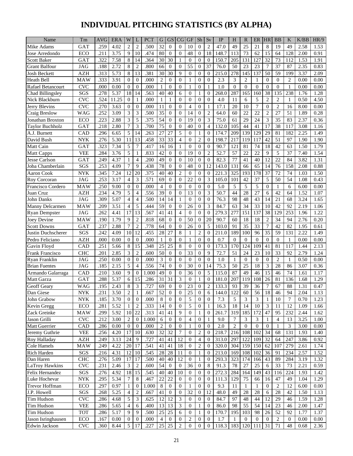# **INDIVIDUAL PITCHING STATISTICS (BY ALPHA)**

| 25<br>.259<br>4.02<br>$\overline{2}$<br>$\overline{2}$<br>.500<br>32<br>10<br>$\overline{0}$<br>$\overline{2}$<br>47.0<br>49<br>21<br>8<br>19<br>49<br>2.58<br>Mike Adams<br>GAT<br>$\overline{0}$<br>$\overline{0}$<br>1.53<br>48<br>15<br>.211<br>3.75<br>9<br>10<br>.474<br>80<br>$\overline{0}$<br>$\overline{0}$<br>18<br>148.7<br>113<br>73<br>62<br>64<br>128<br>0.91<br>Jose Arredondo<br>ECO<br>$\mathbf{0}$<br>2.00<br>7.58<br>.364<br>30<br>30<br>205<br>32<br><b>Scott Baker</b><br>GAT<br>.322<br>8<br>14<br>$\mathbf{0}$<br>$\mathbf{0}$<br>$\mathbf{0}$<br>150.7<br>131<br>127<br>73<br>112<br>1.53<br>1.91<br>1<br>55<br>37<br>.188<br>8<br>$\overline{2}$<br>.800<br>66<br>$\overline{0}$<br>76.0<br>50<br>23<br>23<br>7<br>37<br>87<br>0.83<br><b>Grant Balfour</b><br><b>JAG</b><br>2.72<br>$\mathbf{0}$<br>$\mathbf{0}$<br>2.35<br>13<br>.313<br>5.73<br>8<br>.381<br>30<br>30<br>9<br>$\Omega$<br>$\theta$<br>215.0<br>278<br>145<br>137<br>50<br>59<br>199<br>AZH<br>$\mathbf{0}$<br>3.37<br>2.09<br>Josh Beckett<br>$\overline{c}$<br>.333<br>.000<br>$\overline{2}$<br>$\Omega$<br>$\mathbf{0}$<br>3<br>$\overline{2}$<br>Heath Bell<br>MAW<br>3.91<br>$\Omega$<br>$\Omega$<br>$\Omega$<br>$\mathbf{0}$<br>2.3<br>$\mathbf{0}$<br>$\Omega$<br>0.00<br>0.00<br>1<br>1<br>$\Omega$<br>.000<br>.000<br>$\overline{0}$<br>$\mathbf{0}$<br>1.0<br>$\overline{0}$<br>$\Omega$<br>$\overline{0}$<br><b>CVC</b><br>0.00<br>$\theta$<br>$\theta$<br>$\mathbf{1}$<br>$\Omega$<br>1<br>$\mathbf{1}$<br>$\mathbf{0}$<br>$\mathbf{1}$<br>0.00<br>0.00<br>Rafael Betancourt<br>.563<br>287<br>38<br>135<br>238<br>SGS<br>5.37<br>18<br>14<br>40<br>40<br>6<br>$\overline{0}$<br>268.0<br>165<br>160<br>Chad Billingsley<br>.278<br>$\Omega$<br>1.76<br>1.28<br>1<br>$\overline{0}$<br>5<br>$\overline{2}$<br>$\overline{2}$<br>Nick Blackburn<br><b>CVC</b><br>.524<br>11.25<br>$\theta$<br>.000<br>$\mathbf{0}$<br>$\Omega$<br>$\mathbf{0}$<br>4.0<br>11<br>6<br>0.50<br>4.50<br>1<br>1<br>1<br>1<br>$\overline{7}$<br>.270<br>3.63<br>11<br>$\mathbf{0}$<br>17.1<br>20<br>$\mathbf{0}$<br>$\overline{2}$<br><b>CVC</b><br>$\overline{0}$<br>$\overline{0}$<br>.000<br>$\Omega$<br>$\Omega$<br>$\overline{4}$<br>$\mathbf{1}$<br>10<br>16<br>8.00<br>0.00<br>Jerry Blevins<br>3<br>3<br>35<br>$\overline{c}$<br>64.0<br>60<br>$\mathbf{2}$<br>.252<br>3.09<br>.500<br>$\overline{0}$<br>14<br>$\mathbf{0}$<br>22<br>22<br>27<br>51<br>1.89<br>0.28<br><b>WAG</b><br>$\mathbf{0}$<br>Craig Breslow<br>3<br>5<br>54<br>19<br>3<br>61<br>29<br>3<br>.223<br>2.88<br>.375<br>$\Omega$<br>$\mathbf{0}$<br>75.0<br>24<br>35<br>83<br>2.37<br>0.36<br>$\Omega$<br>Jonathan Broxton<br>ECO<br>7<br>3<br>75<br>$\overline{0}$<br>$\overline{4}$<br>17<br>.218<br>2.80<br>.700<br>$\overline{0}$<br>40<br>132.0<br>105<br>44<br>41<br>38<br><b>Taylor Buchholz</b><br>GAT<br>$\Omega$<br>117<br>3.08<br>1.16<br>5<br>29<br>182<br>A.J. Burnett<br>.296<br>5<br>14<br>.263<br>27<br>27<br>$\overline{0}$<br>$\mathbf{0}$<br>174.7<br>209<br>139<br>129<br>81<br>2.25<br>CAD<br>6.65<br>1<br>1.49<br>33<br>$\overline{c}$<br>217<br>42<br>David Bush<br>.276<br>5.30<br>13<br>.458<br>33<br>$\overline{4}$<br>$\overline{0}$<br>198.7<br>119<br>117<br>51<br>97<br>1.90<br><b>NYK</b><br>11<br>$\Omega$<br>1.90<br>.323<br>7.34<br>121<br>18<br>Matt Cain<br>5<br>7<br>.417<br>16<br>16<br>$\mathbf{0}$<br>$\mathbf{0}$<br>90.7<br>81<br>74<br>42<br>63<br>1.50<br>1.79<br>GAT<br>1<br>$\Omega$<br>$\overline{2}$<br>57<br>22<br>5<br>.833<br>42<br>19<br>52.7<br>22<br>9<br>5<br>37<br>VEE<br>.284<br>3.76<br>$\mathbf{0}$<br>$\mathbf{0}$<br>7.40<br>1.54<br><b>Matt Capps</b><br>0<br>49<br>77<br>12<br>.249<br>4.37<br>.200<br>$\overline{0}$<br>10<br>$\mathbf{0}$<br>$\overline{0}$<br>82.3<br>41<br>40<br>22<br>84<br>3.82<br>1.31<br><b>Jesse Carlson</b><br>GAT<br>$\overline{4}$<br>$\theta$<br>1<br>7<br>78<br>48<br>12<br>131<br>65<br>14<br>SGS<br>.253<br>9<br>.438<br>$\Omega$<br>$\theta$<br>143.0<br>66<br>76<br>158<br>Joba Chamberlain<br>4.09<br>$\Omega$<br>2.08<br>0.88<br>40<br>325<br>12<br>20<br>.375<br>40<br>$\overline{c}$<br>193<br>178<br>37<br>72<br>74<br><b>Aaron Cook</b><br><b>NYK</b><br>.345<br>7.24<br>$\overline{0}$<br>$\mathbf{0}$<br>$\mathbf{0}$<br>221.3<br>1.03<br>1.50<br>3<br>.571<br>69<br>22<br>3<br>37<br>5<br>.253<br>3.17<br>$\overline{4}$<br>$\overline{0}$<br>$\overline{0}$<br>105.0<br>101<br>42<br>50<br>54<br>1.08<br>Roy Corcoran<br><b>JAG</b><br>$\Omega$<br>0.43<br>5.0<br>5<br>5<br>5<br>.250<br>$\overline{0}$<br>$\overline{0}$<br>.000<br>$\overline{4}$<br>$\Omega$<br>$\Omega$<br>$\mathbf{0}$<br>$\overline{0}$<br>Francisco Cordero<br>MAW<br>9.00<br>$\Omega$<br>$\Omega$<br>6<br>6.00<br>0.00<br>1<br>39<br>13<br>3<br>27<br>5<br>50.7<br>44<br>28<br><b>AZH</b><br>.234<br>4.79<br>.556<br>$\Omega$<br>$\mathbf{0}$<br>$\mathbf{0}$<br>6<br>42<br>64<br>1.52<br>1.07<br>Juan Cruz<br>4<br>$\overline{4}$<br>.500<br>76.3<br>98<br>48<br>14<br>.309<br>5.07<br>$\overline{4}$<br>14<br>14<br>$\mathbf{1}$<br>$\Omega$<br>$\mathbf{0}$<br>$\theta$<br>43<br>21<br>68<br>3.24<br>John Danks<br><b>JAG</b><br>1.65<br>5<br>59<br>3<br>63<br>10<br>.209<br>3.51<br>$\overline{4}$<br>.444<br>$\Omega$<br>$\overline{0}$<br>26<br>$\mathbf{0}$<br>84.7<br>34<br>33<br>42<br>92<br>2.19<br>MAW<br>1.06<br>Manny Delcarmen<br>41<br>$\overline{4}$<br>$\overline{0}$<br>$\overline{0}$<br>277<br>38<br>253<br>.262<br>4.41<br>17<br>13<br>.567<br>41<br>$\Omega$<br>279.3<br>151<br>137<br>129<br><b>Ryan Dempster</b><br><b>JAG</b><br>1.96<br>1.22<br>9<br>$\overline{2}$<br>.818<br>68<br>$\Omega$<br>50<br>$\mathbf{0}$<br>20<br>90.7<br>60<br>18<br>18<br>$\overline{2}$<br>34<br>94<br>Joey Devine<br><b>MAW</b><br>.190<br>1.79<br>$\mathbf{0}$<br>2.76<br>0.20<br>5<br>33<br>$\overline{7}$<br><b>Scott Downs</b><br>.237<br>2.88<br>7<br>$\overline{2}$<br>.778<br>$\overline{0}$<br>26<br>$\boldsymbol{0}$<br>103.0<br>91<br>35<br>42<br>82<br>GAT<br>64<br>$\theta$<br>1.95<br>0.61<br>27<br>8<br>$\overline{2}$<br>35<br>.242<br>12<br>.455<br>28<br>$\overline{0}$<br>211.0<br>189<br>100<br>59<br>2.22<br>SGS<br>4.09<br>10<br>96<br>131<br>Justin Duchscherer<br>1<br>1.49<br>Pedro Feliciano<br><b>AZH</b><br>.000<br>$\Omega$<br>.000<br>$\boldsymbol{0}$<br>$\mathbf{0}$<br>0.7<br>$\Omega$<br>$\mathbf{0}$<br>0.00<br>$\theta$<br>0<br>$\mathbf{0}$<br>$\overline{0}$<br>$\Omega$<br>$\mathbf{0}$<br>1<br>$0.00\,$<br>0.00<br>1<br>.348<br>.251<br>5.66<br>8<br>15<br>25<br>25<br>8<br>173.3<br>170<br>124<br>109<br>41<br>81<br>117<br>2.13<br>CAD<br>$\mathbf{0}$<br>$\mathbf{0}$<br>$\mathbf{0}$<br>1.44<br>Gavin Floyd<br>3<br>50<br>33<br>2.85<br>$\overline{2}$<br>.600<br>$\mathbf{0}$<br>9<br>72.7<br>51<br>24<br>10<br>33<br>92<br><b>CHC</b><br>.201<br>$\Omega$<br>$\mathbf{0}$<br>23<br>2.79<br>1.24<br><b>Frank Francisco</b><br>3<br>$\Omega$<br>$\overline{2}$<br>.250<br>$\theta$<br>$\Omega$<br>$\theta$<br>$\mathbf{0}$<br>Ryan Franklin<br>JAG<br>0.00<br>$\theta$<br>.000<br>$\Omega$<br>$\mathbf{0}$<br>1.0<br>$\Omega$<br>$\mathbf{0}$<br>1<br>0.50<br>0.00<br>1<br>3<br>5<br>.556<br>74<br>30<br>$\overline{0}$<br>75.3<br>50<br>25<br>18<br>28<br>.185<br>2.15<br>$\overline{4}$<br>$\theta$<br>$\overline{0}$<br>14<br>86<br>3.07<br>0.36<br><b>Brian Fuentes</b><br><b>JAG</b><br>49<br>36<br>87<br>49<br>15<br>3.60<br>9<br>1.000<br>$\overline{0}$<br>$\mathbf{0}$<br>5<br>115.0<br>46<br>46<br>74<br>1.17<br>Armando Galarraga<br>CAD<br>.210<br>$\theta$<br>$\overline{0}$<br>1.61<br>15<br>31<br>3<br>.288<br>5.37<br>.286<br>31<br>$\overline{0}$<br>207<br>119<br>108<br>26<br>81<br>136<br>1.29<br>Matt Garza<br>GAT<br>6<br>$\Omega$<br>1<br>181.0<br>1.68<br>Geoff Geary<br>8<br>3<br>.727<br>69<br>$\boldsymbol{0}$<br>23<br>$\boldsymbol{0}$<br>$\overline{c}$<br>133.3<br>93<br>39<br>36<br>7<br>88<br>.195<br>2.43<br>$\boldsymbol{0}$<br>67<br>1.31<br>0.47<br>WAG<br>$\overline{2}$<br>25<br>$\overline{6}$<br>18<br>Dan Giese<br>.231<br>3.50<br>$\mathbf{1}$<br>.667<br>$\overline{52}$<br>$\boldsymbol{0}$<br>$\boldsymbol{0}$<br>144.0<br>122<br>60<br>56<br>$\overline{46}$<br>94<br>2.04<br>$\ensuremath{\text{NYK}}$<br>$\boldsymbol{0}$<br>1.13<br>$\mathbf{I}$<br>5<br>$\,8\,$<br>5<br>3<br>$\overline{7}$<br>$\overline{0}$<br>$\overline{0}$<br>3<br><b>NYK</b><br>.185<br>3.70<br>.000<br>$\mathbf{0}$<br>$\overline{0}$<br>$\mathbf{0}$<br>$\mathbf{0}$<br>7.3<br>1<br>10<br>0.70<br>1.23<br>John Grabow<br>5<br>Kevin Gregg<br>.281<br>5.52<br>$\overline{2}$<br>.333<br>14<br>$\overline{0}$<br>$\theta$<br>16.3<br>18<br>14<br>10<br>3<br>ECO<br>11<br>12<br>1.09<br>1<br>$\mathbf{0}$<br>1<br>1.66<br>47<br>Zack Greinke<br>.299<br>5.92<br>10<br>22<br>.313<br>41<br>9<br>$\mathbf{0}$<br>$\mathbf{0}$<br>261.7<br>319<br>185<br>172<br>95<br>232<br>2.44<br><b>MAW</b><br>41<br>$\mathbf{1}$<br>1.62<br>Jason Grilli<br>$\ensuremath{\text{CVC}}$<br>3.00<br>1.000<br>9.0<br>.212<br>2<br>$\mathbf{0}$<br>6<br>$\mathbf{0}$<br>$\overline{0}$<br>4<br>0<br>$\mathbf{1}$<br>7<br>3<br>3<br>$\mathbf{1}$<br>$\overline{4}$<br>3.25<br>1.00<br>13<br>Matt Guerrier<br>.000<br>$2.0\,$<br>2<br>CAD<br>.286<br>0.00<br>2<br>$\overline{0}$<br>$\overline{0}$<br>$\overline{0}$<br>3<br>3.00<br>0.00<br>$\theta$<br>$\mathbf{0}$<br>$\mathbf{0}$<br>0<br>0<br>0<br>1<br>1<br>32<br>32<br>$\overline{c}$<br>218.7<br>216<br>108<br>34<br>68<br>131<br>Jeremy Guthrie<br><b>VEE</b><br>.256<br>4.20<br>17<br>10<br>.630<br>7<br>$\mathbf{0}$<br>102<br>1.93<br>$\mathbf{0}$<br>1.40<br><b>AZH</b><br>24<br>.727<br>41<br>12<br>313.0<br>297<br>122<br>32<br>64<br>Roy Halladay<br>.249<br>3.13<br>9<br>41<br>$\overline{4}$<br>$\boldsymbol{0}$<br>109<br>247<br>3.86<br>0.92<br>$\theta$<br>.541<br>$\mathbf{2}$<br>304<br>62<br>107<br><b>Cole Hamels</b><br>.249<br>4.22<br>20<br>41<br>18<br>320.0<br>159<br>150<br>279<br>MAW<br>17<br>41<br>2.61<br>1.74<br>$\overline{0}$<br>$\mathbf{0}$<br>.545<br>28<br>108<br>Rich Harden<br>SGS<br>4.31<br>12<br>28<br>213.0<br>169<br>102<br>91<br>.216<br>10<br>11<br>36<br>234<br>2.57<br>1.52<br>$\mathbf{0}$<br>1<br>$\boldsymbol{0}$<br>40<br>12<br>323<br>43<br>Dan Haren<br><b>CHC</b><br>.276<br>5.09<br>17<br>.500<br>40<br>293.3<br>174<br>166<br>89<br>284<br>3.19<br>1.32<br>17<br>$\overline{0}$<br>$\mathbf{1}$<br>$\mathbf{0}$<br>36<br>LaTroy Hawkins<br>54<br>91.3<br>78<br>25<br><b>CVC</b><br>.231<br>2.46<br>3<br>2<br>.600<br>$\mathbf{0}$<br>8<br>27<br>6<br>33<br>73<br>2.21<br>0.59<br>$\mathbf{0}$<br>$\overline{0}$<br>15<br>Felix Hernandez<br>4.92<br>18<br>.545<br>40<br>10<br>272.3<br>284<br>164<br>149<br>43<br>224<br>SGS<br>.276<br>40<br>$\mathbf{0}$<br>$\theta$<br>116<br>1.93<br>1.42<br>$\mathbf{0}$<br>5.34<br><b>NYK</b><br>.295<br>$\tau$<br>8<br>.467<br>22<br>22<br>$\overline{0}$<br>111.3<br>129<br>75<br>16<br>47<br>1.29<br>Luke Hochevar<br>$\overline{0}$<br>$\mathbf{0}$<br>66<br>49<br>1.04<br>$\boldsymbol{0}$<br>9.3<br>ECO<br>.297<br>0.97<br>1.000<br>8<br>$\overline{0}$<br>$\mathbf{0}$<br>$\overline{0}$<br>11<br>$\mathbf{0}$<br>2<br>Trevor Hoffman<br>$\mathbf{1}$<br>$\mathbf{0}$<br>$\overline{0}$<br>1<br>12<br>6.00<br>0.00<br>-1<br>$\overline{2}$<br>32<br>12<br>J.P. Howell<br>SGS<br>5.25<br>$\overline{4}$<br>41<br>$\overline{0}$<br>48.0<br>49<br>$28\,$<br>28<br>6<br>28<br>42<br>.268<br>.667<br>$\boldsymbol{0}$<br>$\overline{0}$<br>1.50<br>1.13<br>12<br>12<br>Tim Hudson<br><b>CVC</b><br>5<br>3<br>12<br>3<br>$\mathbf{0}$<br>84.7<br>97<br>44<br>.286<br>4.68<br>.625<br>$\mathbf{0}$<br>$\overline{0}$<br>48<br>29<br>1.59<br>1.28<br>46<br>Tim Hudson<br><b>VEE</b><br>.286<br>5.65<br>.400<br>13<br>13<br>3<br>86.0<br>98<br>55<br>54<br>14<br>23<br>$\overline{4}$<br>6<br>$\mathbf{0}$<br>$\theta$<br>2.00<br>1.47<br>1<br>46<br>Tim Hudson<br>.500<br>25<br>25<br>195<br><b>TOT</b><br>.286<br>5.17<br>9<br>9<br>170.7<br>103<br>98<br>26<br>52<br>92<br>1.77<br>1.37<br>6<br>$\overline{0}$<br>1<br>$\theta$<br>Jason Isringhausen<br>ECO<br>.167<br>0.00<br>.000<br>2<br>1.7<br>2<br>0.00<br>0.00<br>$\boldsymbol{0}$<br>0<br>0<br>0<br>0<br>$\theta$<br>$\theta$<br>$\theta$<br>$\overline{0}$<br>$\theta$<br>4<br>1<br>25<br>$\ensuremath{\text{CVC}}$<br>5<br>.227<br>25<br>$\overline{2}$<br>$\overline{0}$<br>$\mathbf{0}$<br>118.3<br>183<br>120<br>31<br>71<br>Edwin Jackson<br>.360<br>8.44<br>17<br>$\boldsymbol{0}$<br>111<br>48<br>0.68<br>2.36 | Name | $\rm{Tm}$ | $\operatorname{AVG}$ | <b>ERA</b> | W | <b>PCT</b> | G | <b>GS</b> | CG | GF | Sh | Sv | IP | H | $\mathbb{R}$ | ER | <b>HR</b> | <b>BB</b> | K | K/BB | HR/9 |
|--------------------------------------------------------------------------------------------------------------------------------------------------------------------------------------------------------------------------------------------------------------------------------------------------------------------------------------------------------------------------------------------------------------------------------------------------------------------------------------------------------------------------------------------------------------------------------------------------------------------------------------------------------------------------------------------------------------------------------------------------------------------------------------------------------------------------------------------------------------------------------------------------------------------------------------------------------------------------------------------------------------------------------------------------------------------------------------------------------------------------------------------------------------------------------------------------------------------------------------------------------------------------------------------------------------------------------------------------------------------------------------------------------------------------------------------------------------------------------------------------------------------------------------------------------------------------------------------------------------------------------------------------------------------------------------------------------------------------------------------------------------------------------------------------------------------------------------------------------------------------------------------------------------------------------------------------------------------------------------------------------------------------------------------------------------------------------------------------------------------------------------------------------------------------------------------------------------------------------------------------------------------------------------------------------------------------------------------------------------------------------------------------------------------------------------------------------------------------------------------------------------------------------------------------------------------------------------------------------------------------------------------------------------------------------------------------------------------------------------------------------------------------------------------------------------------------------------------------------------------------------------------------------------------------------------------------------------------------------------------------------------------------------------------------------------------------------------------------------------------------------------------------------------------------------------------------------------------------------------------------------------------------------------------------------------------------------------------------------------------------------------------------------------------------------------------------------------------------------------------------------------------------------------------------------------------------------------------------------------------------------------------------------------------------------------------------------------------------------------------------------------------------------------------------------------------------------------------------------------------------------------------------------------------------------------------------------------------------------------------------------------------------------------------------------------------------------------------------------------------------------------------------------------------------------------------------------------------------------------------------------------------------------------------------------------------------------------------------------------------------------------------------------------------------------------------------------------------------------------------------------------------------------------------------------------------------------------------------------------------------------------------------------------------------------------------------------------------------------------------------------------------------------------------------------------------------------------------------------------------------------------------------------------------------------------------------------------------------------------------------------------------------------------------------------------------------------------------------------------------------------------------------------------------------------------------------------------------------------------------------------------------------------------------------------------------------------------------------------------------------------------------------------------------------------------------------------------------------------------------------------------------------------------------------------------------------------------------------------------------------------------------------------------------------------------------------------------------------------------------------------------------------------------------------------------------------------------------------------------------------------------------------------------------------------------------------------------------------------------------------------------------------------------------------------------------------------------------------------------------------------------------------------------------------------------------------------------------------------------------------------------------------------------------------------------------------------------------------------------------------------------------------------------------------------------------------------------------------------------------------------------------------------------------------------------------------------------------------------------------------------------------------------------------------------------------------------------------------------------------------------------------------------------------------------------------------------------------------------------------------------------------------------------------------------------------------------------------------------------------------------------------------------------------------------------------------------------------------------------------------------------------------------------------------------------------------------------------------------------------------------------------------------------------------------------------------------------------------------------------------------------------------------------------------------------------------------------------------------------------------------------------------------------------------------------------------------------------------------------------------------------------------------------------------------------------------------------------------------------------------------------------------------------------------------------------------------------------------------------------------------------------------------------------------------------------------------------------------------------------------------------------------------------------------------------------------------------------------------------------------------------------------------------------------------------------------------------------------------------------------------------------------------------------------------------------------------------------------------------------------------------------------------------------------------------------------------------------------------------------------------------------------------------------------------------------------------------------------------------------------------------------------------------------------------------------------------------------------------------------------------------------------------------------------------------------------------------------------------------------------------------------------------------------------------------------------------------------------------------------------------------------------------------------------------------------------------------------------------------------------------------------------------------------------------------------------------------------------------------------------------------------------------------------------------------------------------------------------------------------------------------------------------------------------------------------------------------------------------------------------------------------------------------------------------------------------------------------------------------------------------------------------------------------------------------------------------------------------------------------------------------------------------------------------------------------------------------------------------------------------------------------------------------------------------------------------------------------------------------------------------------------------------------------------------------------------------------------------------------------------------------------------------------------------------------------------------------------------------------------------------------------------------------------------------------------------------------------------------------------------------------------------------------------------------------------------------------------------------------------------------------------------------------------------------------------------------------------------------------------------------------------------------------------------------------------------------------------------------------------------------------------------------------------------------------------------------------------------------------------------------------------------------------------------------------------------------------------------------------------------------------------------------------------------------------------------------------------------------------------------------------------------------------------------------------------------------------------------------------------------------------------------------------------------------------------------------------------------------------------------------------------------------------------------------------------------------------------------------------------------------------------------------------------------------------------------------------------------------------------------------------------------------------------------------------------------------------------------------------------------------------------------------------------------------------------------------------------------------------------------------------------------------------------------------------------------------------------------------------------------------------------------------------------------------------------------------------------------------------------------------------------------------------------------------------------------------------------------------------------------------------------------------------------------------------------------------------------------------------------------------------------------------------------------------------------------------------------------------------------------------------------------------------------|------|-----------|----------------------|------------|---|------------|---|-----------|----|----|----|----|----|---|--------------|----|-----------|-----------|---|------|------|
|                                                                                                                                                                                                                                                                                                                                                                                                                                                                                                                                                                                                                                                                                                                                                                                                                                                                                                                                                                                                                                                                                                                                                                                                                                                                                                                                                                                                                                                                                                                                                                                                                                                                                                                                                                                                                                                                                                                                                                                                                                                                                                                                                                                                                                                                                                                                                                                                                                                                                                                                                                                                                                                                                                                                                                                                                                                                                                                                                                                                                                                                                                                                                                                                                                                                                                                                                                                                                                                                                                                                                                                                                                                                                                                                                                                                                                                                                                                                                                                                                                                                                                                                                                                                                                                                                                                                                                                                                                                                                                                                                                                                                                                                                                                                                                                                                                                                                                                                                                                                                                                                                                                                                                                                                                                                                                                                                                                                                                                                                                                                                                                                                                                                                                                                                                                                                                                                                                                                                                                                                                                                                                                                                                                                                                                                                                                                                                                                                                                                                                                                                                                                                                                                                                                                                                                                                                                                                                                                                                                                                                                                                                                                                                                                                                                                                                                                                                                                                                                                                                                                                                                                                                                                                                                                                                                                                                                                                                                                                                                                                                                                                                                                                                                                                                                                                                                                                                                                                                                                                                                                                                                                                                                                                                                                                                                                                                                                                                                                                                                                                                                                                                                                                                                                                                                                                                                                                                                                                                                                                                                                                                                                                                                                                                                                                                                                                                                                                                                                                                                                                                                                                                                                                                                                                                                                                                                                                                                                                                                                                                                                                                                                                                                                                                                                                                                                                                                                                                                                                                                                                                                                                                                                                                                                                                                                                                                                                                                                                                                                                                                                                                                                                                                                                                                                                                                                                                                                                                                                                                                                                                                                                                                                                                                                                                                                                                                                                                                                                                                                                                                                            |      |           |                      |            |   |            |   |           |    |    |    |    |    |   |              |    |           |           |   |      |      |
|                                                                                                                                                                                                                                                                                                                                                                                                                                                                                                                                                                                                                                                                                                                                                                                                                                                                                                                                                                                                                                                                                                                                                                                                                                                                                                                                                                                                                                                                                                                                                                                                                                                                                                                                                                                                                                                                                                                                                                                                                                                                                                                                                                                                                                                                                                                                                                                                                                                                                                                                                                                                                                                                                                                                                                                                                                                                                                                                                                                                                                                                                                                                                                                                                                                                                                                                                                                                                                                                                                                                                                                                                                                                                                                                                                                                                                                                                                                                                                                                                                                                                                                                                                                                                                                                                                                                                                                                                                                                                                                                                                                                                                                                                                                                                                                                                                                                                                                                                                                                                                                                                                                                                                                                                                                                                                                                                                                                                                                                                                                                                                                                                                                                                                                                                                                                                                                                                                                                                                                                                                                                                                                                                                                                                                                                                                                                                                                                                                                                                                                                                                                                                                                                                                                                                                                                                                                                                                                                                                                                                                                                                                                                                                                                                                                                                                                                                                                                                                                                                                                                                                                                                                                                                                                                                                                                                                                                                                                                                                                                                                                                                                                                                                                                                                                                                                                                                                                                                                                                                                                                                                                                                                                                                                                                                                                                                                                                                                                                                                                                                                                                                                                                                                                                                                                                                                                                                                                                                                                                                                                                                                                                                                                                                                                                                                                                                                                                                                                                                                                                                                                                                                                                                                                                                                                                                                                                                                                                                                                                                                                                                                                                                                                                                                                                                                                                                                                                                                                                                                                                                                                                                                                                                                                                                                                                                                                                                                                                                                                                                                                                                                                                                                                                                                                                                                                                                                                                                                                                                                                                                                                                                                                                                                                                                                                                                                                                                                                                                                                                                                                                            |      |           |                      |            |   |            |   |           |    |    |    |    |    |   |              |    |           |           |   |      |      |
|                                                                                                                                                                                                                                                                                                                                                                                                                                                                                                                                                                                                                                                                                                                                                                                                                                                                                                                                                                                                                                                                                                                                                                                                                                                                                                                                                                                                                                                                                                                                                                                                                                                                                                                                                                                                                                                                                                                                                                                                                                                                                                                                                                                                                                                                                                                                                                                                                                                                                                                                                                                                                                                                                                                                                                                                                                                                                                                                                                                                                                                                                                                                                                                                                                                                                                                                                                                                                                                                                                                                                                                                                                                                                                                                                                                                                                                                                                                                                                                                                                                                                                                                                                                                                                                                                                                                                                                                                                                                                                                                                                                                                                                                                                                                                                                                                                                                                                                                                                                                                                                                                                                                                                                                                                                                                                                                                                                                                                                                                                                                                                                                                                                                                                                                                                                                                                                                                                                                                                                                                                                                                                                                                                                                                                                                                                                                                                                                                                                                                                                                                                                                                                                                                                                                                                                                                                                                                                                                                                                                                                                                                                                                                                                                                                                                                                                                                                                                                                                                                                                                                                                                                                                                                                                                                                                                                                                                                                                                                                                                                                                                                                                                                                                                                                                                                                                                                                                                                                                                                                                                                                                                                                                                                                                                                                                                                                                                                                                                                                                                                                                                                                                                                                                                                                                                                                                                                                                                                                                                                                                                                                                                                                                                                                                                                                                                                                                                                                                                                                                                                                                                                                                                                                                                                                                                                                                                                                                                                                                                                                                                                                                                                                                                                                                                                                                                                                                                                                                                                                                                                                                                                                                                                                                                                                                                                                                                                                                                                                                                                                                                                                                                                                                                                                                                                                                                                                                                                                                                                                                                                                                                                                                                                                                                                                                                                                                                                                                                                                                                                                                                            |      |           |                      |            |   |            |   |           |    |    |    |    |    |   |              |    |           |           |   |      |      |
|                                                                                                                                                                                                                                                                                                                                                                                                                                                                                                                                                                                                                                                                                                                                                                                                                                                                                                                                                                                                                                                                                                                                                                                                                                                                                                                                                                                                                                                                                                                                                                                                                                                                                                                                                                                                                                                                                                                                                                                                                                                                                                                                                                                                                                                                                                                                                                                                                                                                                                                                                                                                                                                                                                                                                                                                                                                                                                                                                                                                                                                                                                                                                                                                                                                                                                                                                                                                                                                                                                                                                                                                                                                                                                                                                                                                                                                                                                                                                                                                                                                                                                                                                                                                                                                                                                                                                                                                                                                                                                                                                                                                                                                                                                                                                                                                                                                                                                                                                                                                                                                                                                                                                                                                                                                                                                                                                                                                                                                                                                                                                                                                                                                                                                                                                                                                                                                                                                                                                                                                                                                                                                                                                                                                                                                                                                                                                                                                                                                                                                                                                                                                                                                                                                                                                                                                                                                                                                                                                                                                                                                                                                                                                                                                                                                                                                                                                                                                                                                                                                                                                                                                                                                                                                                                                                                                                                                                                                                                                                                                                                                                                                                                                                                                                                                                                                                                                                                                                                                                                                                                                                                                                                                                                                                                                                                                                                                                                                                                                                                                                                                                                                                                                                                                                                                                                                                                                                                                                                                                                                                                                                                                                                                                                                                                                                                                                                                                                                                                                                                                                                                                                                                                                                                                                                                                                                                                                                                                                                                                                                                                                                                                                                                                                                                                                                                                                                                                                                                                                                                                                                                                                                                                                                                                                                                                                                                                                                                                                                                                                                                                                                                                                                                                                                                                                                                                                                                                                                                                                                                                                                                                                                                                                                                                                                                                                                                                                                                                                                                                                                                                            |      |           |                      |            |   |            |   |           |    |    |    |    |    |   |              |    |           |           |   |      |      |
|                                                                                                                                                                                                                                                                                                                                                                                                                                                                                                                                                                                                                                                                                                                                                                                                                                                                                                                                                                                                                                                                                                                                                                                                                                                                                                                                                                                                                                                                                                                                                                                                                                                                                                                                                                                                                                                                                                                                                                                                                                                                                                                                                                                                                                                                                                                                                                                                                                                                                                                                                                                                                                                                                                                                                                                                                                                                                                                                                                                                                                                                                                                                                                                                                                                                                                                                                                                                                                                                                                                                                                                                                                                                                                                                                                                                                                                                                                                                                                                                                                                                                                                                                                                                                                                                                                                                                                                                                                                                                                                                                                                                                                                                                                                                                                                                                                                                                                                                                                                                                                                                                                                                                                                                                                                                                                                                                                                                                                                                                                                                                                                                                                                                                                                                                                                                                                                                                                                                                                                                                                                                                                                                                                                                                                                                                                                                                                                                                                                                                                                                                                                                                                                                                                                                                                                                                                                                                                                                                                                                                                                                                                                                                                                                                                                                                                                                                                                                                                                                                                                                                                                                                                                                                                                                                                                                                                                                                                                                                                                                                                                                                                                                                                                                                                                                                                                                                                                                                                                                                                                                                                                                                                                                                                                                                                                                                                                                                                                                                                                                                                                                                                                                                                                                                                                                                                                                                                                                                                                                                                                                                                                                                                                                                                                                                                                                                                                                                                                                                                                                                                                                                                                                                                                                                                                                                                                                                                                                                                                                                                                                                                                                                                                                                                                                                                                                                                                                                                                                                                                                                                                                                                                                                                                                                                                                                                                                                                                                                                                                                                                                                                                                                                                                                                                                                                                                                                                                                                                                                                                                                                                                                                                                                                                                                                                                                                                                                                                                                                                                                                                                            |      |           |                      |            |   |            |   |           |    |    |    |    |    |   |              |    |           |           |   |      |      |
|                                                                                                                                                                                                                                                                                                                                                                                                                                                                                                                                                                                                                                                                                                                                                                                                                                                                                                                                                                                                                                                                                                                                                                                                                                                                                                                                                                                                                                                                                                                                                                                                                                                                                                                                                                                                                                                                                                                                                                                                                                                                                                                                                                                                                                                                                                                                                                                                                                                                                                                                                                                                                                                                                                                                                                                                                                                                                                                                                                                                                                                                                                                                                                                                                                                                                                                                                                                                                                                                                                                                                                                                                                                                                                                                                                                                                                                                                                                                                                                                                                                                                                                                                                                                                                                                                                                                                                                                                                                                                                                                                                                                                                                                                                                                                                                                                                                                                                                                                                                                                                                                                                                                                                                                                                                                                                                                                                                                                                                                                                                                                                                                                                                                                                                                                                                                                                                                                                                                                                                                                                                                                                                                                                                                                                                                                                                                                                                                                                                                                                                                                                                                                                                                                                                                                                                                                                                                                                                                                                                                                                                                                                                                                                                                                                                                                                                                                                                                                                                                                                                                                                                                                                                                                                                                                                                                                                                                                                                                                                                                                                                                                                                                                                                                                                                                                                                                                                                                                                                                                                                                                                                                                                                                                                                                                                                                                                                                                                                                                                                                                                                                                                                                                                                                                                                                                                                                                                                                                                                                                                                                                                                                                                                                                                                                                                                                                                                                                                                                                                                                                                                                                                                                                                                                                                                                                                                                                                                                                                                                                                                                                                                                                                                                                                                                                                                                                                                                                                                                                                                                                                                                                                                                                                                                                                                                                                                                                                                                                                                                                                                                                                                                                                                                                                                                                                                                                                                                                                                                                                                                                                                                                                                                                                                                                                                                                                                                                                                                                                                                                                                                            |      |           |                      |            |   |            |   |           |    |    |    |    |    |   |              |    |           |           |   |      |      |
|                                                                                                                                                                                                                                                                                                                                                                                                                                                                                                                                                                                                                                                                                                                                                                                                                                                                                                                                                                                                                                                                                                                                                                                                                                                                                                                                                                                                                                                                                                                                                                                                                                                                                                                                                                                                                                                                                                                                                                                                                                                                                                                                                                                                                                                                                                                                                                                                                                                                                                                                                                                                                                                                                                                                                                                                                                                                                                                                                                                                                                                                                                                                                                                                                                                                                                                                                                                                                                                                                                                                                                                                                                                                                                                                                                                                                                                                                                                                                                                                                                                                                                                                                                                                                                                                                                                                                                                                                                                                                                                                                                                                                                                                                                                                                                                                                                                                                                                                                                                                                                                                                                                                                                                                                                                                                                                                                                                                                                                                                                                                                                                                                                                                                                                                                                                                                                                                                                                                                                                                                                                                                                                                                                                                                                                                                                                                                                                                                                                                                                                                                                                                                                                                                                                                                                                                                                                                                                                                                                                                                                                                                                                                                                                                                                                                                                                                                                                                                                                                                                                                                                                                                                                                                                                                                                                                                                                                                                                                                                                                                                                                                                                                                                                                                                                                                                                                                                                                                                                                                                                                                                                                                                                                                                                                                                                                                                                                                                                                                                                                                                                                                                                                                                                                                                                                                                                                                                                                                                                                                                                                                                                                                                                                                                                                                                                                                                                                                                                                                                                                                                                                                                                                                                                                                                                                                                                                                                                                                                                                                                                                                                                                                                                                                                                                                                                                                                                                                                                                                                                                                                                                                                                                                                                                                                                                                                                                                                                                                                                                                                                                                                                                                                                                                                                                                                                                                                                                                                                                                                                                                                                                                                                                                                                                                                                                                                                                                                                                                                                                                                                                            |      |           |                      |            |   |            |   |           |    |    |    |    |    |   |              |    |           |           |   |      |      |
|                                                                                                                                                                                                                                                                                                                                                                                                                                                                                                                                                                                                                                                                                                                                                                                                                                                                                                                                                                                                                                                                                                                                                                                                                                                                                                                                                                                                                                                                                                                                                                                                                                                                                                                                                                                                                                                                                                                                                                                                                                                                                                                                                                                                                                                                                                                                                                                                                                                                                                                                                                                                                                                                                                                                                                                                                                                                                                                                                                                                                                                                                                                                                                                                                                                                                                                                                                                                                                                                                                                                                                                                                                                                                                                                                                                                                                                                                                                                                                                                                                                                                                                                                                                                                                                                                                                                                                                                                                                                                                                                                                                                                                                                                                                                                                                                                                                                                                                                                                                                                                                                                                                                                                                                                                                                                                                                                                                                                                                                                                                                                                                                                                                                                                                                                                                                                                                                                                                                                                                                                                                                                                                                                                                                                                                                                                                                                                                                                                                                                                                                                                                                                                                                                                                                                                                                                                                                                                                                                                                                                                                                                                                                                                                                                                                                                                                                                                                                                                                                                                                                                                                                                                                                                                                                                                                                                                                                                                                                                                                                                                                                                                                                                                                                                                                                                                                                                                                                                                                                                                                                                                                                                                                                                                                                                                                                                                                                                                                                                                                                                                                                                                                                                                                                                                                                                                                                                                                                                                                                                                                                                                                                                                                                                                                                                                                                                                                                                                                                                                                                                                                                                                                                                                                                                                                                                                                                                                                                                                                                                                                                                                                                                                                                                                                                                                                                                                                                                                                                                                                                                                                                                                                                                                                                                                                                                                                                                                                                                                                                                                                                                                                                                                                                                                                                                                                                                                                                                                                                                                                                                                                                                                                                                                                                                                                                                                                                                                                                                                                                                                                                            |      |           |                      |            |   |            |   |           |    |    |    |    |    |   |              |    |           |           |   |      |      |
|                                                                                                                                                                                                                                                                                                                                                                                                                                                                                                                                                                                                                                                                                                                                                                                                                                                                                                                                                                                                                                                                                                                                                                                                                                                                                                                                                                                                                                                                                                                                                                                                                                                                                                                                                                                                                                                                                                                                                                                                                                                                                                                                                                                                                                                                                                                                                                                                                                                                                                                                                                                                                                                                                                                                                                                                                                                                                                                                                                                                                                                                                                                                                                                                                                                                                                                                                                                                                                                                                                                                                                                                                                                                                                                                                                                                                                                                                                                                                                                                                                                                                                                                                                                                                                                                                                                                                                                                                                                                                                                                                                                                                                                                                                                                                                                                                                                                                                                                                                                                                                                                                                                                                                                                                                                                                                                                                                                                                                                                                                                                                                                                                                                                                                                                                                                                                                                                                                                                                                                                                                                                                                                                                                                                                                                                                                                                                                                                                                                                                                                                                                                                                                                                                                                                                                                                                                                                                                                                                                                                                                                                                                                                                                                                                                                                                                                                                                                                                                                                                                                                                                                                                                                                                                                                                                                                                                                                                                                                                                                                                                                                                                                                                                                                                                                                                                                                                                                                                                                                                                                                                                                                                                                                                                                                                                                                                                                                                                                                                                                                                                                                                                                                                                                                                                                                                                                                                                                                                                                                                                                                                                                                                                                                                                                                                                                                                                                                                                                                                                                                                                                                                                                                                                                                                                                                                                                                                                                                                                                                                                                                                                                                                                                                                                                                                                                                                                                                                                                                                                                                                                                                                                                                                                                                                                                                                                                                                                                                                                                                                                                                                                                                                                                                                                                                                                                                                                                                                                                                                                                                                                                                                                                                                                                                                                                                                                                                                                                                                                                                                                                                            |      |           |                      |            |   |            |   |           |    |    |    |    |    |   |              |    |           |           |   |      |      |
|                                                                                                                                                                                                                                                                                                                                                                                                                                                                                                                                                                                                                                                                                                                                                                                                                                                                                                                                                                                                                                                                                                                                                                                                                                                                                                                                                                                                                                                                                                                                                                                                                                                                                                                                                                                                                                                                                                                                                                                                                                                                                                                                                                                                                                                                                                                                                                                                                                                                                                                                                                                                                                                                                                                                                                                                                                                                                                                                                                                                                                                                                                                                                                                                                                                                                                                                                                                                                                                                                                                                                                                                                                                                                                                                                                                                                                                                                                                                                                                                                                                                                                                                                                                                                                                                                                                                                                                                                                                                                                                                                                                                                                                                                                                                                                                                                                                                                                                                                                                                                                                                                                                                                                                                                                                                                                                                                                                                                                                                                                                                                                                                                                                                                                                                                                                                                                                                                                                                                                                                                                                                                                                                                                                                                                                                                                                                                                                                                                                                                                                                                                                                                                                                                                                                                                                                                                                                                                                                                                                                                                                                                                                                                                                                                                                                                                                                                                                                                                                                                                                                                                                                                                                                                                                                                                                                                                                                                                                                                                                                                                                                                                                                                                                                                                                                                                                                                                                                                                                                                                                                                                                                                                                                                                                                                                                                                                                                                                                                                                                                                                                                                                                                                                                                                                                                                                                                                                                                                                                                                                                                                                                                                                                                                                                                                                                                                                                                                                                                                                                                                                                                                                                                                                                                                                                                                                                                                                                                                                                                                                                                                                                                                                                                                                                                                                                                                                                                                                                                                                                                                                                                                                                                                                                                                                                                                                                                                                                                                                                                                                                                                                                                                                                                                                                                                                                                                                                                                                                                                                                                                                                                                                                                                                                                                                                                                                                                                                                                                                                                                                                                            |      |           |                      |            |   |            |   |           |    |    |    |    |    |   |              |    |           |           |   |      |      |
|                                                                                                                                                                                                                                                                                                                                                                                                                                                                                                                                                                                                                                                                                                                                                                                                                                                                                                                                                                                                                                                                                                                                                                                                                                                                                                                                                                                                                                                                                                                                                                                                                                                                                                                                                                                                                                                                                                                                                                                                                                                                                                                                                                                                                                                                                                                                                                                                                                                                                                                                                                                                                                                                                                                                                                                                                                                                                                                                                                                                                                                                                                                                                                                                                                                                                                                                                                                                                                                                                                                                                                                                                                                                                                                                                                                                                                                                                                                                                                                                                                                                                                                                                                                                                                                                                                                                                                                                                                                                                                                                                                                                                                                                                                                                                                                                                                                                                                                                                                                                                                                                                                                                                                                                                                                                                                                                                                                                                                                                                                                                                                                                                                                                                                                                                                                                                                                                                                                                                                                                                                                                                                                                                                                                                                                                                                                                                                                                                                                                                                                                                                                                                                                                                                                                                                                                                                                                                                                                                                                                                                                                                                                                                                                                                                                                                                                                                                                                                                                                                                                                                                                                                                                                                                                                                                                                                                                                                                                                                                                                                                                                                                                                                                                                                                                                                                                                                                                                                                                                                                                                                                                                                                                                                                                                                                                                                                                                                                                                                                                                                                                                                                                                                                                                                                                                                                                                                                                                                                                                                                                                                                                                                                                                                                                                                                                                                                                                                                                                                                                                                                                                                                                                                                                                                                                                                                                                                                                                                                                                                                                                                                                                                                                                                                                                                                                                                                                                                                                                                                                                                                                                                                                                                                                                                                                                                                                                                                                                                                                                                                                                                                                                                                                                                                                                                                                                                                                                                                                                                                                                                                                                                                                                                                                                                                                                                                                                                                                                                                                                                                                                            |      |           |                      |            |   |            |   |           |    |    |    |    |    |   |              |    |           |           |   |      |      |
|                                                                                                                                                                                                                                                                                                                                                                                                                                                                                                                                                                                                                                                                                                                                                                                                                                                                                                                                                                                                                                                                                                                                                                                                                                                                                                                                                                                                                                                                                                                                                                                                                                                                                                                                                                                                                                                                                                                                                                                                                                                                                                                                                                                                                                                                                                                                                                                                                                                                                                                                                                                                                                                                                                                                                                                                                                                                                                                                                                                                                                                                                                                                                                                                                                                                                                                                                                                                                                                                                                                                                                                                                                                                                                                                                                                                                                                                                                                                                                                                                                                                                                                                                                                                                                                                                                                                                                                                                                                                                                                                                                                                                                                                                                                                                                                                                                                                                                                                                                                                                                                                                                                                                                                                                                                                                                                                                                                                                                                                                                                                                                                                                                                                                                                                                                                                                                                                                                                                                                                                                                                                                                                                                                                                                                                                                                                                                                                                                                                                                                                                                                                                                                                                                                                                                                                                                                                                                                                                                                                                                                                                                                                                                                                                                                                                                                                                                                                                                                                                                                                                                                                                                                                                                                                                                                                                                                                                                                                                                                                                                                                                                                                                                                                                                                                                                                                                                                                                                                                                                                                                                                                                                                                                                                                                                                                                                                                                                                                                                                                                                                                                                                                                                                                                                                                                                                                                                                                                                                                                                                                                                                                                                                                                                                                                                                                                                                                                                                                                                                                                                                                                                                                                                                                                                                                                                                                                                                                                                                                                                                                                                                                                                                                                                                                                                                                                                                                                                                                                                                                                                                                                                                                                                                                                                                                                                                                                                                                                                                                                                                                                                                                                                                                                                                                                                                                                                                                                                                                                                                                                                                                                                                                                                                                                                                                                                                                                                                                                                                                                                                                                            |      |           |                      |            |   |            |   |           |    |    |    |    |    |   |              |    |           |           |   |      |      |
|                                                                                                                                                                                                                                                                                                                                                                                                                                                                                                                                                                                                                                                                                                                                                                                                                                                                                                                                                                                                                                                                                                                                                                                                                                                                                                                                                                                                                                                                                                                                                                                                                                                                                                                                                                                                                                                                                                                                                                                                                                                                                                                                                                                                                                                                                                                                                                                                                                                                                                                                                                                                                                                                                                                                                                                                                                                                                                                                                                                                                                                                                                                                                                                                                                                                                                                                                                                                                                                                                                                                                                                                                                                                                                                                                                                                                                                                                                                                                                                                                                                                                                                                                                                                                                                                                                                                                                                                                                                                                                                                                                                                                                                                                                                                                                                                                                                                                                                                                                                                                                                                                                                                                                                                                                                                                                                                                                                                                                                                                                                                                                                                                                                                                                                                                                                                                                                                                                                                                                                                                                                                                                                                                                                                                                                                                                                                                                                                                                                                                                                                                                                                                                                                                                                                                                                                                                                                                                                                                                                                                                                                                                                                                                                                                                                                                                                                                                                                                                                                                                                                                                                                                                                                                                                                                                                                                                                                                                                                                                                                                                                                                                                                                                                                                                                                                                                                                                                                                                                                                                                                                                                                                                                                                                                                                                                                                                                                                                                                                                                                                                                                                                                                                                                                                                                                                                                                                                                                                                                                                                                                                                                                                                                                                                                                                                                                                                                                                                                                                                                                                                                                                                                                                                                                                                                                                                                                                                                                                                                                                                                                                                                                                                                                                                                                                                                                                                                                                                                                                                                                                                                                                                                                                                                                                                                                                                                                                                                                                                                                                                                                                                                                                                                                                                                                                                                                                                                                                                                                                                                                                                                                                                                                                                                                                                                                                                                                                                                                                                                                                                                                            |      |           |                      |            |   |            |   |           |    |    |    |    |    |   |              |    |           |           |   |      |      |
|                                                                                                                                                                                                                                                                                                                                                                                                                                                                                                                                                                                                                                                                                                                                                                                                                                                                                                                                                                                                                                                                                                                                                                                                                                                                                                                                                                                                                                                                                                                                                                                                                                                                                                                                                                                                                                                                                                                                                                                                                                                                                                                                                                                                                                                                                                                                                                                                                                                                                                                                                                                                                                                                                                                                                                                                                                                                                                                                                                                                                                                                                                                                                                                                                                                                                                                                                                                                                                                                                                                                                                                                                                                                                                                                                                                                                                                                                                                                                                                                                                                                                                                                                                                                                                                                                                                                                                                                                                                                                                                                                                                                                                                                                                                                                                                                                                                                                                                                                                                                                                                                                                                                                                                                                                                                                                                                                                                                                                                                                                                                                                                                                                                                                                                                                                                                                                                                                                                                                                                                                                                                                                                                                                                                                                                                                                                                                                                                                                                                                                                                                                                                                                                                                                                                                                                                                                                                                                                                                                                                                                                                                                                                                                                                                                                                                                                                                                                                                                                                                                                                                                                                                                                                                                                                                                                                                                                                                                                                                                                                                                                                                                                                                                                                                                                                                                                                                                                                                                                                                                                                                                                                                                                                                                                                                                                                                                                                                                                                                                                                                                                                                                                                                                                                                                                                                                                                                                                                                                                                                                                                                                                                                                                                                                                                                                                                                                                                                                                                                                                                                                                                                                                                                                                                                                                                                                                                                                                                                                                                                                                                                                                                                                                                                                                                                                                                                                                                                                                                                                                                                                                                                                                                                                                                                                                                                                                                                                                                                                                                                                                                                                                                                                                                                                                                                                                                                                                                                                                                                                                                                                                                                                                                                                                                                                                                                                                                                                                                                                                                                                                                            |      |           |                      |            |   |            |   |           |    |    |    |    |    |   |              |    |           |           |   |      |      |
|                                                                                                                                                                                                                                                                                                                                                                                                                                                                                                                                                                                                                                                                                                                                                                                                                                                                                                                                                                                                                                                                                                                                                                                                                                                                                                                                                                                                                                                                                                                                                                                                                                                                                                                                                                                                                                                                                                                                                                                                                                                                                                                                                                                                                                                                                                                                                                                                                                                                                                                                                                                                                                                                                                                                                                                                                                                                                                                                                                                                                                                                                                                                                                                                                                                                                                                                                                                                                                                                                                                                                                                                                                                                                                                                                                                                                                                                                                                                                                                                                                                                                                                                                                                                                                                                                                                                                                                                                                                                                                                                                                                                                                                                                                                                                                                                                                                                                                                                                                                                                                                                                                                                                                                                                                                                                                                                                                                                                                                                                                                                                                                                                                                                                                                                                                                                                                                                                                                                                                                                                                                                                                                                                                                                                                                                                                                                                                                                                                                                                                                                                                                                                                                                                                                                                                                                                                                                                                                                                                                                                                                                                                                                                                                                                                                                                                                                                                                                                                                                                                                                                                                                                                                                                                                                                                                                                                                                                                                                                                                                                                                                                                                                                                                                                                                                                                                                                                                                                                                                                                                                                                                                                                                                                                                                                                                                                                                                                                                                                                                                                                                                                                                                                                                                                                                                                                                                                                                                                                                                                                                                                                                                                                                                                                                                                                                                                                                                                                                                                                                                                                                                                                                                                                                                                                                                                                                                                                                                                                                                                                                                                                                                                                                                                                                                                                                                                                                                                                                                                                                                                                                                                                                                                                                                                                                                                                                                                                                                                                                                                                                                                                                                                                                                                                                                                                                                                                                                                                                                                                                                                                                                                                                                                                                                                                                                                                                                                                                                                                                                                                                                            |      |           |                      |            |   |            |   |           |    |    |    |    |    |   |              |    |           |           |   |      |      |
|                                                                                                                                                                                                                                                                                                                                                                                                                                                                                                                                                                                                                                                                                                                                                                                                                                                                                                                                                                                                                                                                                                                                                                                                                                                                                                                                                                                                                                                                                                                                                                                                                                                                                                                                                                                                                                                                                                                                                                                                                                                                                                                                                                                                                                                                                                                                                                                                                                                                                                                                                                                                                                                                                                                                                                                                                                                                                                                                                                                                                                                                                                                                                                                                                                                                                                                                                                                                                                                                                                                                                                                                                                                                                                                                                                                                                                                                                                                                                                                                                                                                                                                                                                                                                                                                                                                                                                                                                                                                                                                                                                                                                                                                                                                                                                                                                                                                                                                                                                                                                                                                                                                                                                                                                                                                                                                                                                                                                                                                                                                                                                                                                                                                                                                                                                                                                                                                                                                                                                                                                                                                                                                                                                                                                                                                                                                                                                                                                                                                                                                                                                                                                                                                                                                                                                                                                                                                                                                                                                                                                                                                                                                                                                                                                                                                                                                                                                                                                                                                                                                                                                                                                                                                                                                                                                                                                                                                                                                                                                                                                                                                                                                                                                                                                                                                                                                                                                                                                                                                                                                                                                                                                                                                                                                                                                                                                                                                                                                                                                                                                                                                                                                                                                                                                                                                                                                                                                                                                                                                                                                                                                                                                                                                                                                                                                                                                                                                                                                                                                                                                                                                                                                                                                                                                                                                                                                                                                                                                                                                                                                                                                                                                                                                                                                                                                                                                                                                                                                                                                                                                                                                                                                                                                                                                                                                                                                                                                                                                                                                                                                                                                                                                                                                                                                                                                                                                                                                                                                                                                                                                                                                                                                                                                                                                                                                                                                                                                                                                                                                                                                                            |      |           |                      |            |   |            |   |           |    |    |    |    |    |   |              |    |           |           |   |      |      |
|                                                                                                                                                                                                                                                                                                                                                                                                                                                                                                                                                                                                                                                                                                                                                                                                                                                                                                                                                                                                                                                                                                                                                                                                                                                                                                                                                                                                                                                                                                                                                                                                                                                                                                                                                                                                                                                                                                                                                                                                                                                                                                                                                                                                                                                                                                                                                                                                                                                                                                                                                                                                                                                                                                                                                                                                                                                                                                                                                                                                                                                                                                                                                                                                                                                                                                                                                                                                                                                                                                                                                                                                                                                                                                                                                                                                                                                                                                                                                                                                                                                                                                                                                                                                                                                                                                                                                                                                                                                                                                                                                                                                                                                                                                                                                                                                                                                                                                                                                                                                                                                                                                                                                                                                                                                                                                                                                                                                                                                                                                                                                                                                                                                                                                                                                                                                                                                                                                                                                                                                                                                                                                                                                                                                                                                                                                                                                                                                                                                                                                                                                                                                                                                                                                                                                                                                                                                                                                                                                                                                                                                                                                                                                                                                                                                                                                                                                                                                                                                                                                                                                                                                                                                                                                                                                                                                                                                                                                                                                                                                                                                                                                                                                                                                                                                                                                                                                                                                                                                                                                                                                                                                                                                                                                                                                                                                                                                                                                                                                                                                                                                                                                                                                                                                                                                                                                                                                                                                                                                                                                                                                                                                                                                                                                                                                                                                                                                                                                                                                                                                                                                                                                                                                                                                                                                                                                                                                                                                                                                                                                                                                                                                                                                                                                                                                                                                                                                                                                                                                                                                                                                                                                                                                                                                                                                                                                                                                                                                                                                                                                                                                                                                                                                                                                                                                                                                                                                                                                                                                                                                                                                                                                                                                                                                                                                                                                                                                                                                                                                                                                                                            |      |           |                      |            |   |            |   |           |    |    |    |    |    |   |              |    |           |           |   |      |      |
|                                                                                                                                                                                                                                                                                                                                                                                                                                                                                                                                                                                                                                                                                                                                                                                                                                                                                                                                                                                                                                                                                                                                                                                                                                                                                                                                                                                                                                                                                                                                                                                                                                                                                                                                                                                                                                                                                                                                                                                                                                                                                                                                                                                                                                                                                                                                                                                                                                                                                                                                                                                                                                                                                                                                                                                                                                                                                                                                                                                                                                                                                                                                                                                                                                                                                                                                                                                                                                                                                                                                                                                                                                                                                                                                                                                                                                                                                                                                                                                                                                                                                                                                                                                                                                                                                                                                                                                                                                                                                                                                                                                                                                                                                                                                                                                                                                                                                                                                                                                                                                                                                                                                                                                                                                                                                                                                                                                                                                                                                                                                                                                                                                                                                                                                                                                                                                                                                                                                                                                                                                                                                                                                                                                                                                                                                                                                                                                                                                                                                                                                                                                                                                                                                                                                                                                                                                                                                                                                                                                                                                                                                                                                                                                                                                                                                                                                                                                                                                                                                                                                                                                                                                                                                                                                                                                                                                                                                                                                                                                                                                                                                                                                                                                                                                                                                                                                                                                                                                                                                                                                                                                                                                                                                                                                                                                                                                                                                                                                                                                                                                                                                                                                                                                                                                                                                                                                                                                                                                                                                                                                                                                                                                                                                                                                                                                                                                                                                                                                                                                                                                                                                                                                                                                                                                                                                                                                                                                                                                                                                                                                                                                                                                                                                                                                                                                                                                                                                                                                                                                                                                                                                                                                                                                                                                                                                                                                                                                                                                                                                                                                                                                                                                                                                                                                                                                                                                                                                                                                                                                                                                                                                                                                                                                                                                                                                                                                                                                                                                                                                                                                            |      |           |                      |            |   |            |   |           |    |    |    |    |    |   |              |    |           |           |   |      |      |
|                                                                                                                                                                                                                                                                                                                                                                                                                                                                                                                                                                                                                                                                                                                                                                                                                                                                                                                                                                                                                                                                                                                                                                                                                                                                                                                                                                                                                                                                                                                                                                                                                                                                                                                                                                                                                                                                                                                                                                                                                                                                                                                                                                                                                                                                                                                                                                                                                                                                                                                                                                                                                                                                                                                                                                                                                                                                                                                                                                                                                                                                                                                                                                                                                                                                                                                                                                                                                                                                                                                                                                                                                                                                                                                                                                                                                                                                                                                                                                                                                                                                                                                                                                                                                                                                                                                                                                                                                                                                                                                                                                                                                                                                                                                                                                                                                                                                                                                                                                                                                                                                                                                                                                                                                                                                                                                                                                                                                                                                                                                                                                                                                                                                                                                                                                                                                                                                                                                                                                                                                                                                                                                                                                                                                                                                                                                                                                                                                                                                                                                                                                                                                                                                                                                                                                                                                                                                                                                                                                                                                                                                                                                                                                                                                                                                                                                                                                                                                                                                                                                                                                                                                                                                                                                                                                                                                                                                                                                                                                                                                                                                                                                                                                                                                                                                                                                                                                                                                                                                                                                                                                                                                                                                                                                                                                                                                                                                                                                                                                                                                                                                                                                                                                                                                                                                                                                                                                                                                                                                                                                                                                                                                                                                                                                                                                                                                                                                                                                                                                                                                                                                                                                                                                                                                                                                                                                                                                                                                                                                                                                                                                                                                                                                                                                                                                                                                                                                                                                                                                                                                                                                                                                                                                                                                                                                                                                                                                                                                                                                                                                                                                                                                                                                                                                                                                                                                                                                                                                                                                                                                                                                                                                                                                                                                                                                                                                                                                                                                                                                                                                                            |      |           |                      |            |   |            |   |           |    |    |    |    |    |   |              |    |           |           |   |      |      |
|                                                                                                                                                                                                                                                                                                                                                                                                                                                                                                                                                                                                                                                                                                                                                                                                                                                                                                                                                                                                                                                                                                                                                                                                                                                                                                                                                                                                                                                                                                                                                                                                                                                                                                                                                                                                                                                                                                                                                                                                                                                                                                                                                                                                                                                                                                                                                                                                                                                                                                                                                                                                                                                                                                                                                                                                                                                                                                                                                                                                                                                                                                                                                                                                                                                                                                                                                                                                                                                                                                                                                                                                                                                                                                                                                                                                                                                                                                                                                                                                                                                                                                                                                                                                                                                                                                                                                                                                                                                                                                                                                                                                                                                                                                                                                                                                                                                                                                                                                                                                                                                                                                                                                                                                                                                                                                                                                                                                                                                                                                                                                                                                                                                                                                                                                                                                                                                                                                                                                                                                                                                                                                                                                                                                                                                                                                                                                                                                                                                                                                                                                                                                                                                                                                                                                                                                                                                                                                                                                                                                                                                                                                                                                                                                                                                                                                                                                                                                                                                                                                                                                                                                                                                                                                                                                                                                                                                                                                                                                                                                                                                                                                                                                                                                                                                                                                                                                                                                                                                                                                                                                                                                                                                                                                                                                                                                                                                                                                                                                                                                                                                                                                                                                                                                                                                                                                                                                                                                                                                                                                                                                                                                                                                                                                                                                                                                                                                                                                                                                                                                                                                                                                                                                                                                                                                                                                                                                                                                                                                                                                                                                                                                                                                                                                                                                                                                                                                                                                                                                                                                                                                                                                                                                                                                                                                                                                                                                                                                                                                                                                                                                                                                                                                                                                                                                                                                                                                                                                                                                                                                                                                                                                                                                                                                                                                                                                                                                                                                                                                                                                                                            |      |           |                      |            |   |            |   |           |    |    |    |    |    |   |              |    |           |           |   |      |      |
|                                                                                                                                                                                                                                                                                                                                                                                                                                                                                                                                                                                                                                                                                                                                                                                                                                                                                                                                                                                                                                                                                                                                                                                                                                                                                                                                                                                                                                                                                                                                                                                                                                                                                                                                                                                                                                                                                                                                                                                                                                                                                                                                                                                                                                                                                                                                                                                                                                                                                                                                                                                                                                                                                                                                                                                                                                                                                                                                                                                                                                                                                                                                                                                                                                                                                                                                                                                                                                                                                                                                                                                                                                                                                                                                                                                                                                                                                                                                                                                                                                                                                                                                                                                                                                                                                                                                                                                                                                                                                                                                                                                                                                                                                                                                                                                                                                                                                                                                                                                                                                                                                                                                                                                                                                                                                                                                                                                                                                                                                                                                                                                                                                                                                                                                                                                                                                                                                                                                                                                                                                                                                                                                                                                                                                                                                                                                                                                                                                                                                                                                                                                                                                                                                                                                                                                                                                                                                                                                                                                                                                                                                                                                                                                                                                                                                                                                                                                                                                                                                                                                                                                                                                                                                                                                                                                                                                                                                                                                                                                                                                                                                                                                                                                                                                                                                                                                                                                                                                                                                                                                                                                                                                                                                                                                                                                                                                                                                                                                                                                                                                                                                                                                                                                                                                                                                                                                                                                                                                                                                                                                                                                                                                                                                                                                                                                                                                                                                                                                                                                                                                                                                                                                                                                                                                                                                                                                                                                                                                                                                                                                                                                                                                                                                                                                                                                                                                                                                                                                                                                                                                                                                                                                                                                                                                                                                                                                                                                                                                                                                                                                                                                                                                                                                                                                                                                                                                                                                                                                                                                                                                                                                                                                                                                                                                                                                                                                                                                                                                                                                                                                            |      |           |                      |            |   |            |   |           |    |    |    |    |    |   |              |    |           |           |   |      |      |
|                                                                                                                                                                                                                                                                                                                                                                                                                                                                                                                                                                                                                                                                                                                                                                                                                                                                                                                                                                                                                                                                                                                                                                                                                                                                                                                                                                                                                                                                                                                                                                                                                                                                                                                                                                                                                                                                                                                                                                                                                                                                                                                                                                                                                                                                                                                                                                                                                                                                                                                                                                                                                                                                                                                                                                                                                                                                                                                                                                                                                                                                                                                                                                                                                                                                                                                                                                                                                                                                                                                                                                                                                                                                                                                                                                                                                                                                                                                                                                                                                                                                                                                                                                                                                                                                                                                                                                                                                                                                                                                                                                                                                                                                                                                                                                                                                                                                                                                                                                                                                                                                                                                                                                                                                                                                                                                                                                                                                                                                                                                                                                                                                                                                                                                                                                                                                                                                                                                                                                                                                                                                                                                                                                                                                                                                                                                                                                                                                                                                                                                                                                                                                                                                                                                                                                                                                                                                                                                                                                                                                                                                                                                                                                                                                                                                                                                                                                                                                                                                                                                                                                                                                                                                                                                                                                                                                                                                                                                                                                                                                                                                                                                                                                                                                                                                                                                                                                                                                                                                                                                                                                                                                                                                                                                                                                                                                                                                                                                                                                                                                                                                                                                                                                                                                                                                                                                                                                                                                                                                                                                                                                                                                                                                                                                                                                                                                                                                                                                                                                                                                                                                                                                                                                                                                                                                                                                                                                                                                                                                                                                                                                                                                                                                                                                                                                                                                                                                                                                                                                                                                                                                                                                                                                                                                                                                                                                                                                                                                                                                                                                                                                                                                                                                                                                                                                                                                                                                                                                                                                                                                                                                                                                                                                                                                                                                                                                                                                                                                                                                                                                                            |      |           |                      |            |   |            |   |           |    |    |    |    |    |   |              |    |           |           |   |      |      |
|                                                                                                                                                                                                                                                                                                                                                                                                                                                                                                                                                                                                                                                                                                                                                                                                                                                                                                                                                                                                                                                                                                                                                                                                                                                                                                                                                                                                                                                                                                                                                                                                                                                                                                                                                                                                                                                                                                                                                                                                                                                                                                                                                                                                                                                                                                                                                                                                                                                                                                                                                                                                                                                                                                                                                                                                                                                                                                                                                                                                                                                                                                                                                                                                                                                                                                                                                                                                                                                                                                                                                                                                                                                                                                                                                                                                                                                                                                                                                                                                                                                                                                                                                                                                                                                                                                                                                                                                                                                                                                                                                                                                                                                                                                                                                                                                                                                                                                                                                                                                                                                                                                                                                                                                                                                                                                                                                                                                                                                                                                                                                                                                                                                                                                                                                                                                                                                                                                                                                                                                                                                                                                                                                                                                                                                                                                                                                                                                                                                                                                                                                                                                                                                                                                                                                                                                                                                                                                                                                                                                                                                                                                                                                                                                                                                                                                                                                                                                                                                                                                                                                                                                                                                                                                                                                                                                                                                                                                                                                                                                                                                                                                                                                                                                                                                                                                                                                                                                                                                                                                                                                                                                                                                                                                                                                                                                                                                                                                                                                                                                                                                                                                                                                                                                                                                                                                                                                                                                                                                                                                                                                                                                                                                                                                                                                                                                                                                                                                                                                                                                                                                                                                                                                                                                                                                                                                                                                                                                                                                                                                                                                                                                                                                                                                                                                                                                                                                                                                                                                                                                                                                                                                                                                                                                                                                                                                                                                                                                                                                                                                                                                                                                                                                                                                                                                                                                                                                                                                                                                                                                                                                                                                                                                                                                                                                                                                                                                                                                                                                                                                                                            |      |           |                      |            |   |            |   |           |    |    |    |    |    |   |              |    |           |           |   |      |      |
|                                                                                                                                                                                                                                                                                                                                                                                                                                                                                                                                                                                                                                                                                                                                                                                                                                                                                                                                                                                                                                                                                                                                                                                                                                                                                                                                                                                                                                                                                                                                                                                                                                                                                                                                                                                                                                                                                                                                                                                                                                                                                                                                                                                                                                                                                                                                                                                                                                                                                                                                                                                                                                                                                                                                                                                                                                                                                                                                                                                                                                                                                                                                                                                                                                                                                                                                                                                                                                                                                                                                                                                                                                                                                                                                                                                                                                                                                                                                                                                                                                                                                                                                                                                                                                                                                                                                                                                                                                                                                                                                                                                                                                                                                                                                                                                                                                                                                                                                                                                                                                                                                                                                                                                                                                                                                                                                                                                                                                                                                                                                                                                                                                                                                                                                                                                                                                                                                                                                                                                                                                                                                                                                                                                                                                                                                                                                                                                                                                                                                                                                                                                                                                                                                                                                                                                                                                                                                                                                                                                                                                                                                                                                                                                                                                                                                                                                                                                                                                                                                                                                                                                                                                                                                                                                                                                                                                                                                                                                                                                                                                                                                                                                                                                                                                                                                                                                                                                                                                                                                                                                                                                                                                                                                                                                                                                                                                                                                                                                                                                                                                                                                                                                                                                                                                                                                                                                                                                                                                                                                                                                                                                                                                                                                                                                                                                                                                                                                                                                                                                                                                                                                                                                                                                                                                                                                                                                                                                                                                                                                                                                                                                                                                                                                                                                                                                                                                                                                                                                                                                                                                                                                                                                                                                                                                                                                                                                                                                                                                                                                                                                                                                                                                                                                                                                                                                                                                                                                                                                                                                                                                                                                                                                                                                                                                                                                                                                                                                                                                                                                                                                            |      |           |                      |            |   |            |   |           |    |    |    |    |    |   |              |    |           |           |   |      |      |
|                                                                                                                                                                                                                                                                                                                                                                                                                                                                                                                                                                                                                                                                                                                                                                                                                                                                                                                                                                                                                                                                                                                                                                                                                                                                                                                                                                                                                                                                                                                                                                                                                                                                                                                                                                                                                                                                                                                                                                                                                                                                                                                                                                                                                                                                                                                                                                                                                                                                                                                                                                                                                                                                                                                                                                                                                                                                                                                                                                                                                                                                                                                                                                                                                                                                                                                                                                                                                                                                                                                                                                                                                                                                                                                                                                                                                                                                                                                                                                                                                                                                                                                                                                                                                                                                                                                                                                                                                                                                                                                                                                                                                                                                                                                                                                                                                                                                                                                                                                                                                                                                                                                                                                                                                                                                                                                                                                                                                                                                                                                                                                                                                                                                                                                                                                                                                                                                                                                                                                                                                                                                                                                                                                                                                                                                                                                                                                                                                                                                                                                                                                                                                                                                                                                                                                                                                                                                                                                                                                                                                                                                                                                                                                                                                                                                                                                                                                                                                                                                                                                                                                                                                                                                                                                                                                                                                                                                                                                                                                                                                                                                                                                                                                                                                                                                                                                                                                                                                                                                                                                                                                                                                                                                                                                                                                                                                                                                                                                                                                                                                                                                                                                                                                                                                                                                                                                                                                                                                                                                                                                                                                                                                                                                                                                                                                                                                                                                                                                                                                                                                                                                                                                                                                                                                                                                                                                                                                                                                                                                                                                                                                                                                                                                                                                                                                                                                                                                                                                                                                                                                                                                                                                                                                                                                                                                                                                                                                                                                                                                                                                                                                                                                                                                                                                                                                                                                                                                                                                                                                                                                                                                                                                                                                                                                                                                                                                                                                                                                                                                                                                                            |      |           |                      |            |   |            |   |           |    |    |    |    |    |   |              |    |           |           |   |      |      |
|                                                                                                                                                                                                                                                                                                                                                                                                                                                                                                                                                                                                                                                                                                                                                                                                                                                                                                                                                                                                                                                                                                                                                                                                                                                                                                                                                                                                                                                                                                                                                                                                                                                                                                                                                                                                                                                                                                                                                                                                                                                                                                                                                                                                                                                                                                                                                                                                                                                                                                                                                                                                                                                                                                                                                                                                                                                                                                                                                                                                                                                                                                                                                                                                                                                                                                                                                                                                                                                                                                                                                                                                                                                                                                                                                                                                                                                                                                                                                                                                                                                                                                                                                                                                                                                                                                                                                                                                                                                                                                                                                                                                                                                                                                                                                                                                                                                                                                                                                                                                                                                                                                                                                                                                                                                                                                                                                                                                                                                                                                                                                                                                                                                                                                                                                                                                                                                                                                                                                                                                                                                                                                                                                                                                                                                                                                                                                                                                                                                                                                                                                                                                                                                                                                                                                                                                                                                                                                                                                                                                                                                                                                                                                                                                                                                                                                                                                                                                                                                                                                                                                                                                                                                                                                                                                                                                                                                                                                                                                                                                                                                                                                                                                                                                                                                                                                                                                                                                                                                                                                                                                                                                                                                                                                                                                                                                                                                                                                                                                                                                                                                                                                                                                                                                                                                                                                                                                                                                                                                                                                                                                                                                                                                                                                                                                                                                                                                                                                                                                                                                                                                                                                                                                                                                                                                                                                                                                                                                                                                                                                                                                                                                                                                                                                                                                                                                                                                                                                                                                                                                                                                                                                                                                                                                                                                                                                                                                                                                                                                                                                                                                                                                                                                                                                                                                                                                                                                                                                                                                                                                                                                                                                                                                                                                                                                                                                                                                                                                                                                                                                                                            |      |           |                      |            |   |            |   |           |    |    |    |    |    |   |              |    |           |           |   |      |      |
|                                                                                                                                                                                                                                                                                                                                                                                                                                                                                                                                                                                                                                                                                                                                                                                                                                                                                                                                                                                                                                                                                                                                                                                                                                                                                                                                                                                                                                                                                                                                                                                                                                                                                                                                                                                                                                                                                                                                                                                                                                                                                                                                                                                                                                                                                                                                                                                                                                                                                                                                                                                                                                                                                                                                                                                                                                                                                                                                                                                                                                                                                                                                                                                                                                                                                                                                                                                                                                                                                                                                                                                                                                                                                                                                                                                                                                                                                                                                                                                                                                                                                                                                                                                                                                                                                                                                                                                                                                                                                                                                                                                                                                                                                                                                                                                                                                                                                                                                                                                                                                                                                                                                                                                                                                                                                                                                                                                                                                                                                                                                                                                                                                                                                                                                                                                                                                                                                                                                                                                                                                                                                                                                                                                                                                                                                                                                                                                                                                                                                                                                                                                                                                                                                                                                                                                                                                                                                                                                                                                                                                                                                                                                                                                                                                                                                                                                                                                                                                                                                                                                                                                                                                                                                                                                                                                                                                                                                                                                                                                                                                                                                                                                                                                                                                                                                                                                                                                                                                                                                                                                                                                                                                                                                                                                                                                                                                                                                                                                                                                                                                                                                                                                                                                                                                                                                                                                                                                                                                                                                                                                                                                                                                                                                                                                                                                                                                                                                                                                                                                                                                                                                                                                                                                                                                                                                                                                                                                                                                                                                                                                                                                                                                                                                                                                                                                                                                                                                                                                                                                                                                                                                                                                                                                                                                                                                                                                                                                                                                                                                                                                                                                                                                                                                                                                                                                                                                                                                                                                                                                                                                                                                                                                                                                                                                                                                                                                                                                                                                                                                                                                            |      |           |                      |            |   |            |   |           |    |    |    |    |    |   |              |    |           |           |   |      |      |
|                                                                                                                                                                                                                                                                                                                                                                                                                                                                                                                                                                                                                                                                                                                                                                                                                                                                                                                                                                                                                                                                                                                                                                                                                                                                                                                                                                                                                                                                                                                                                                                                                                                                                                                                                                                                                                                                                                                                                                                                                                                                                                                                                                                                                                                                                                                                                                                                                                                                                                                                                                                                                                                                                                                                                                                                                                                                                                                                                                                                                                                                                                                                                                                                                                                                                                                                                                                                                                                                                                                                                                                                                                                                                                                                                                                                                                                                                                                                                                                                                                                                                                                                                                                                                                                                                                                                                                                                                                                                                                                                                                                                                                                                                                                                                                                                                                                                                                                                                                                                                                                                                                                                                                                                                                                                                                                                                                                                                                                                                                                                                                                                                                                                                                                                                                                                                                                                                                                                                                                                                                                                                                                                                                                                                                                                                                                                                                                                                                                                                                                                                                                                                                                                                                                                                                                                                                                                                                                                                                                                                                                                                                                                                                                                                                                                                                                                                                                                                                                                                                                                                                                                                                                                                                                                                                                                                                                                                                                                                                                                                                                                                                                                                                                                                                                                                                                                                                                                                                                                                                                                                                                                                                                                                                                                                                                                                                                                                                                                                                                                                                                                                                                                                                                                                                                                                                                                                                                                                                                                                                                                                                                                                                                                                                                                                                                                                                                                                                                                                                                                                                                                                                                                                                                                                                                                                                                                                                                                                                                                                                                                                                                                                                                                                                                                                                                                                                                                                                                                                                                                                                                                                                                                                                                                                                                                                                                                                                                                                                                                                                                                                                                                                                                                                                                                                                                                                                                                                                                                                                                                                                                                                                                                                                                                                                                                                                                                                                                                                                                                                                                                            |      |           |                      |            |   |            |   |           |    |    |    |    |    |   |              |    |           |           |   |      |      |
|                                                                                                                                                                                                                                                                                                                                                                                                                                                                                                                                                                                                                                                                                                                                                                                                                                                                                                                                                                                                                                                                                                                                                                                                                                                                                                                                                                                                                                                                                                                                                                                                                                                                                                                                                                                                                                                                                                                                                                                                                                                                                                                                                                                                                                                                                                                                                                                                                                                                                                                                                                                                                                                                                                                                                                                                                                                                                                                                                                                                                                                                                                                                                                                                                                                                                                                                                                                                                                                                                                                                                                                                                                                                                                                                                                                                                                                                                                                                                                                                                                                                                                                                                                                                                                                                                                                                                                                                                                                                                                                                                                                                                                                                                                                                                                                                                                                                                                                                                                                                                                                                                                                                                                                                                                                                                                                                                                                                                                                                                                                                                                                                                                                                                                                                                                                                                                                                                                                                                                                                                                                                                                                                                                                                                                                                                                                                                                                                                                                                                                                                                                                                                                                                                                                                                                                                                                                                                                                                                                                                                                                                                                                                                                                                                                                                                                                                                                                                                                                                                                                                                                                                                                                                                                                                                                                                                                                                                                                                                                                                                                                                                                                                                                                                                                                                                                                                                                                                                                                                                                                                                                                                                                                                                                                                                                                                                                                                                                                                                                                                                                                                                                                                                                                                                                                                                                                                                                                                                                                                                                                                                                                                                                                                                                                                                                                                                                                                                                                                                                                                                                                                                                                                                                                                                                                                                                                                                                                                                                                                                                                                                                                                                                                                                                                                                                                                                                                                                                                                                                                                                                                                                                                                                                                                                                                                                                                                                                                                                                                                                                                                                                                                                                                                                                                                                                                                                                                                                                                                                                                                                                                                                                                                                                                                                                                                                                                                                                                                                                                                                                                                            |      |           |                      |            |   |            |   |           |    |    |    |    |    |   |              |    |           |           |   |      |      |
|                                                                                                                                                                                                                                                                                                                                                                                                                                                                                                                                                                                                                                                                                                                                                                                                                                                                                                                                                                                                                                                                                                                                                                                                                                                                                                                                                                                                                                                                                                                                                                                                                                                                                                                                                                                                                                                                                                                                                                                                                                                                                                                                                                                                                                                                                                                                                                                                                                                                                                                                                                                                                                                                                                                                                                                                                                                                                                                                                                                                                                                                                                                                                                                                                                                                                                                                                                                                                                                                                                                                                                                                                                                                                                                                                                                                                                                                                                                                                                                                                                                                                                                                                                                                                                                                                                                                                                                                                                                                                                                                                                                                                                                                                                                                                                                                                                                                                                                                                                                                                                                                                                                                                                                                                                                                                                                                                                                                                                                                                                                                                                                                                                                                                                                                                                                                                                                                                                                                                                                                                                                                                                                                                                                                                                                                                                                                                                                                                                                                                                                                                                                                                                                                                                                                                                                                                                                                                                                                                                                                                                                                                                                                                                                                                                                                                                                                                                                                                                                                                                                                                                                                                                                                                                                                                                                                                                                                                                                                                                                                                                                                                                                                                                                                                                                                                                                                                                                                                                                                                                                                                                                                                                                                                                                                                                                                                                                                                                                                                                                                                                                                                                                                                                                                                                                                                                                                                                                                                                                                                                                                                                                                                                                                                                                                                                                                                                                                                                                                                                                                                                                                                                                                                                                                                                                                                                                                                                                                                                                                                                                                                                                                                                                                                                                                                                                                                                                                                                                                                                                                                                                                                                                                                                                                                                                                                                                                                                                                                                                                                                                                                                                                                                                                                                                                                                                                                                                                                                                                                                                                                                                                                                                                                                                                                                                                                                                                                                                                                                                                                                                                            |      |           |                      |            |   |            |   |           |    |    |    |    |    |   |              |    |           |           |   |      |      |
|                                                                                                                                                                                                                                                                                                                                                                                                                                                                                                                                                                                                                                                                                                                                                                                                                                                                                                                                                                                                                                                                                                                                                                                                                                                                                                                                                                                                                                                                                                                                                                                                                                                                                                                                                                                                                                                                                                                                                                                                                                                                                                                                                                                                                                                                                                                                                                                                                                                                                                                                                                                                                                                                                                                                                                                                                                                                                                                                                                                                                                                                                                                                                                                                                                                                                                                                                                                                                                                                                                                                                                                                                                                                                                                                                                                                                                                                                                                                                                                                                                                                                                                                                                                                                                                                                                                                                                                                                                                                                                                                                                                                                                                                                                                                                                                                                                                                                                                                                                                                                                                                                                                                                                                                                                                                                                                                                                                                                                                                                                                                                                                                                                                                                                                                                                                                                                                                                                                                                                                                                                                                                                                                                                                                                                                                                                                                                                                                                                                                                                                                                                                                                                                                                                                                                                                                                                                                                                                                                                                                                                                                                                                                                                                                                                                                                                                                                                                                                                                                                                                                                                                                                                                                                                                                                                                                                                                                                                                                                                                                                                                                                                                                                                                                                                                                                                                                                                                                                                                                                                                                                                                                                                                                                                                                                                                                                                                                                                                                                                                                                                                                                                                                                                                                                                                                                                                                                                                                                                                                                                                                                                                                                                                                                                                                                                                                                                                                                                                                                                                                                                                                                                                                                                                                                                                                                                                                                                                                                                                                                                                                                                                                                                                                                                                                                                                                                                                                                                                                                                                                                                                                                                                                                                                                                                                                                                                                                                                                                                                                                                                                                                                                                                                                                                                                                                                                                                                                                                                                                                                                                                                                                                                                                                                                                                                                                                                                                                                                                                                                                                                                            |      |           |                      |            |   |            |   |           |    |    |    |    |    |   |              |    |           |           |   |      |      |
|                                                                                                                                                                                                                                                                                                                                                                                                                                                                                                                                                                                                                                                                                                                                                                                                                                                                                                                                                                                                                                                                                                                                                                                                                                                                                                                                                                                                                                                                                                                                                                                                                                                                                                                                                                                                                                                                                                                                                                                                                                                                                                                                                                                                                                                                                                                                                                                                                                                                                                                                                                                                                                                                                                                                                                                                                                                                                                                                                                                                                                                                                                                                                                                                                                                                                                                                                                                                                                                                                                                                                                                                                                                                                                                                                                                                                                                                                                                                                                                                                                                                                                                                                                                                                                                                                                                                                                                                                                                                                                                                                                                                                                                                                                                                                                                                                                                                                                                                                                                                                                                                                                                                                                                                                                                                                                                                                                                                                                                                                                                                                                                                                                                                                                                                                                                                                                                                                                                                                                                                                                                                                                                                                                                                                                                                                                                                                                                                                                                                                                                                                                                                                                                                                                                                                                                                                                                                                                                                                                                                                                                                                                                                                                                                                                                                                                                                                                                                                                                                                                                                                                                                                                                                                                                                                                                                                                                                                                                                                                                                                                                                                                                                                                                                                                                                                                                                                                                                                                                                                                                                                                                                                                                                                                                                                                                                                                                                                                                                                                                                                                                                                                                                                                                                                                                                                                                                                                                                                                                                                                                                                                                                                                                                                                                                                                                                                                                                                                                                                                                                                                                                                                                                                                                                                                                                                                                                                                                                                                                                                                                                                                                                                                                                                                                                                                                                                                                                                                                                                                                                                                                                                                                                                                                                                                                                                                                                                                                                                                                                                                                                                                                                                                                                                                                                                                                                                                                                                                                                                                                                                                                                                                                                                                                                                                                                                                                                                                                                                                                                                                                                            |      |           |                      |            |   |            |   |           |    |    |    |    |    |   |              |    |           |           |   |      |      |
|                                                                                                                                                                                                                                                                                                                                                                                                                                                                                                                                                                                                                                                                                                                                                                                                                                                                                                                                                                                                                                                                                                                                                                                                                                                                                                                                                                                                                                                                                                                                                                                                                                                                                                                                                                                                                                                                                                                                                                                                                                                                                                                                                                                                                                                                                                                                                                                                                                                                                                                                                                                                                                                                                                                                                                                                                                                                                                                                                                                                                                                                                                                                                                                                                                                                                                                                                                                                                                                                                                                                                                                                                                                                                                                                                                                                                                                                                                                                                                                                                                                                                                                                                                                                                                                                                                                                                                                                                                                                                                                                                                                                                                                                                                                                                                                                                                                                                                                                                                                                                                                                                                                                                                                                                                                                                                                                                                                                                                                                                                                                                                                                                                                                                                                                                                                                                                                                                                                                                                                                                                                                                                                                                                                                                                                                                                                                                                                                                                                                                                                                                                                                                                                                                                                                                                                                                                                                                                                                                                                                                                                                                                                                                                                                                                                                                                                                                                                                                                                                                                                                                                                                                                                                                                                                                                                                                                                                                                                                                                                                                                                                                                                                                                                                                                                                                                                                                                                                                                                                                                                                                                                                                                                                                                                                                                                                                                                                                                                                                                                                                                                                                                                                                                                                                                                                                                                                                                                                                                                                                                                                                                                                                                                                                                                                                                                                                                                                                                                                                                                                                                                                                                                                                                                                                                                                                                                                                                                                                                                                                                                                                                                                                                                                                                                                                                                                                                                                                                                                                                                                                                                                                                                                                                                                                                                                                                                                                                                                                                                                                                                                                                                                                                                                                                                                                                                                                                                                                                                                                                                                                                                                                                                                                                                                                                                                                                                                                                                                                                                                                                                                            |      |           |                      |            |   |            |   |           |    |    |    |    |    |   |              |    |           |           |   |      |      |
|                                                                                                                                                                                                                                                                                                                                                                                                                                                                                                                                                                                                                                                                                                                                                                                                                                                                                                                                                                                                                                                                                                                                                                                                                                                                                                                                                                                                                                                                                                                                                                                                                                                                                                                                                                                                                                                                                                                                                                                                                                                                                                                                                                                                                                                                                                                                                                                                                                                                                                                                                                                                                                                                                                                                                                                                                                                                                                                                                                                                                                                                                                                                                                                                                                                                                                                                                                                                                                                                                                                                                                                                                                                                                                                                                                                                                                                                                                                                                                                                                                                                                                                                                                                                                                                                                                                                                                                                                                                                                                                                                                                                                                                                                                                                                                                                                                                                                                                                                                                                                                                                                                                                                                                                                                                                                                                                                                                                                                                                                                                                                                                                                                                                                                                                                                                                                                                                                                                                                                                                                                                                                                                                                                                                                                                                                                                                                                                                                                                                                                                                                                                                                                                                                                                                                                                                                                                                                                                                                                                                                                                                                                                                                                                                                                                                                                                                                                                                                                                                                                                                                                                                                                                                                                                                                                                                                                                                                                                                                                                                                                                                                                                                                                                                                                                                                                                                                                                                                                                                                                                                                                                                                                                                                                                                                                                                                                                                                                                                                                                                                                                                                                                                                                                                                                                                                                                                                                                                                                                                                                                                                                                                                                                                                                                                                                                                                                                                                                                                                                                                                                                                                                                                                                                                                                                                                                                                                                                                                                                                                                                                                                                                                                                                                                                                                                                                                                                                                                                                                                                                                                                                                                                                                                                                                                                                                                                                                                                                                                                                                                                                                                                                                                                                                                                                                                                                                                                                                                                                                                                                                                                                                                                                                                                                                                                                                                                                                                                                                                                                                                                                            |      |           |                      |            |   |            |   |           |    |    |    |    |    |   |              |    |           |           |   |      |      |
|                                                                                                                                                                                                                                                                                                                                                                                                                                                                                                                                                                                                                                                                                                                                                                                                                                                                                                                                                                                                                                                                                                                                                                                                                                                                                                                                                                                                                                                                                                                                                                                                                                                                                                                                                                                                                                                                                                                                                                                                                                                                                                                                                                                                                                                                                                                                                                                                                                                                                                                                                                                                                                                                                                                                                                                                                                                                                                                                                                                                                                                                                                                                                                                                                                                                                                                                                                                                                                                                                                                                                                                                                                                                                                                                                                                                                                                                                                                                                                                                                                                                                                                                                                                                                                                                                                                                                                                                                                                                                                                                                                                                                                                                                                                                                                                                                                                                                                                                                                                                                                                                                                                                                                                                                                                                                                                                                                                                                                                                                                                                                                                                                                                                                                                                                                                                                                                                                                                                                                                                                                                                                                                                                                                                                                                                                                                                                                                                                                                                                                                                                                                                                                                                                                                                                                                                                                                                                                                                                                                                                                                                                                                                                                                                                                                                                                                                                                                                                                                                                                                                                                                                                                                                                                                                                                                                                                                                                                                                                                                                                                                                                                                                                                                                                                                                                                                                                                                                                                                                                                                                                                                                                                                                                                                                                                                                                                                                                                                                                                                                                                                                                                                                                                                                                                                                                                                                                                                                                                                                                                                                                                                                                                                                                                                                                                                                                                                                                                                                                                                                                                                                                                                                                                                                                                                                                                                                                                                                                                                                                                                                                                                                                                                                                                                                                                                                                                                                                                                                                                                                                                                                                                                                                                                                                                                                                                                                                                                                                                                                                                                                                                                                                                                                                                                                                                                                                                                                                                                                                                                                                                                                                                                                                                                                                                                                                                                                                                                                                                                                                                                                            |      |           |                      |            |   |            |   |           |    |    |    |    |    |   |              |    |           |           |   |      |      |
|                                                                                                                                                                                                                                                                                                                                                                                                                                                                                                                                                                                                                                                                                                                                                                                                                                                                                                                                                                                                                                                                                                                                                                                                                                                                                                                                                                                                                                                                                                                                                                                                                                                                                                                                                                                                                                                                                                                                                                                                                                                                                                                                                                                                                                                                                                                                                                                                                                                                                                                                                                                                                                                                                                                                                                                                                                                                                                                                                                                                                                                                                                                                                                                                                                                                                                                                                                                                                                                                                                                                                                                                                                                                                                                                                                                                                                                                                                                                                                                                                                                                                                                                                                                                                                                                                                                                                                                                                                                                                                                                                                                                                                                                                                                                                                                                                                                                                                                                                                                                                                                                                                                                                                                                                                                                                                                                                                                                                                                                                                                                                                                                                                                                                                                                                                                                                                                                                                                                                                                                                                                                                                                                                                                                                                                                                                                                                                                                                                                                                                                                                                                                                                                                                                                                                                                                                                                                                                                                                                                                                                                                                                                                                                                                                                                                                                                                                                                                                                                                                                                                                                                                                                                                                                                                                                                                                                                                                                                                                                                                                                                                                                                                                                                                                                                                                                                                                                                                                                                                                                                                                                                                                                                                                                                                                                                                                                                                                                                                                                                                                                                                                                                                                                                                                                                                                                                                                                                                                                                                                                                                                                                                                                                                                                                                                                                                                                                                                                                                                                                                                                                                                                                                                                                                                                                                                                                                                                                                                                                                                                                                                                                                                                                                                                                                                                                                                                                                                                                                                                                                                                                                                                                                                                                                                                                                                                                                                                                                                                                                                                                                                                                                                                                                                                                                                                                                                                                                                                                                                                                                                                                                                                                                                                                                                                                                                                                                                                                                                                                                                                                                            |      |           |                      |            |   |            |   |           |    |    |    |    |    |   |              |    |           |           |   |      |      |
|                                                                                                                                                                                                                                                                                                                                                                                                                                                                                                                                                                                                                                                                                                                                                                                                                                                                                                                                                                                                                                                                                                                                                                                                                                                                                                                                                                                                                                                                                                                                                                                                                                                                                                                                                                                                                                                                                                                                                                                                                                                                                                                                                                                                                                                                                                                                                                                                                                                                                                                                                                                                                                                                                                                                                                                                                                                                                                                                                                                                                                                                                                                                                                                                                                                                                                                                                                                                                                                                                                                                                                                                                                                                                                                                                                                                                                                                                                                                                                                                                                                                                                                                                                                                                                                                                                                                                                                                                                                                                                                                                                                                                                                                                                                                                                                                                                                                                                                                                                                                                                                                                                                                                                                                                                                                                                                                                                                                                                                                                                                                                                                                                                                                                                                                                                                                                                                                                                                                                                                                                                                                                                                                                                                                                                                                                                                                                                                                                                                                                                                                                                                                                                                                                                                                                                                                                                                                                                                                                                                                                                                                                                                                                                                                                                                                                                                                                                                                                                                                                                                                                                                                                                                                                                                                                                                                                                                                                                                                                                                                                                                                                                                                                                                                                                                                                                                                                                                                                                                                                                                                                                                                                                                                                                                                                                                                                                                                                                                                                                                                                                                                                                                                                                                                                                                                                                                                                                                                                                                                                                                                                                                                                                                                                                                                                                                                                                                                                                                                                                                                                                                                                                                                                                                                                                                                                                                                                                                                                                                                                                                                                                                                                                                                                                                                                                                                                                                                                                                                                                                                                                                                                                                                                                                                                                                                                                                                                                                                                                                                                                                                                                                                                                                                                                                                                                                                                                                                                                                                                                                                                                                                                                                                                                                                                                                                                                                                                                                                                                                                                                                                            |      |           |                      |            |   |            |   |           |    |    |    |    |    |   |              |    |           |           |   |      |      |
|                                                                                                                                                                                                                                                                                                                                                                                                                                                                                                                                                                                                                                                                                                                                                                                                                                                                                                                                                                                                                                                                                                                                                                                                                                                                                                                                                                                                                                                                                                                                                                                                                                                                                                                                                                                                                                                                                                                                                                                                                                                                                                                                                                                                                                                                                                                                                                                                                                                                                                                                                                                                                                                                                                                                                                                                                                                                                                                                                                                                                                                                                                                                                                                                                                                                                                                                                                                                                                                                                                                                                                                                                                                                                                                                                                                                                                                                                                                                                                                                                                                                                                                                                                                                                                                                                                                                                                                                                                                                                                                                                                                                                                                                                                                                                                                                                                                                                                                                                                                                                                                                                                                                                                                                                                                                                                                                                                                                                                                                                                                                                                                                                                                                                                                                                                                                                                                                                                                                                                                                                                                                                                                                                                                                                                                                                                                                                                                                                                                                                                                                                                                                                                                                                                                                                                                                                                                                                                                                                                                                                                                                                                                                                                                                                                                                                                                                                                                                                                                                                                                                                                                                                                                                                                                                                                                                                                                                                                                                                                                                                                                                                                                                                                                                                                                                                                                                                                                                                                                                                                                                                                                                                                                                                                                                                                                                                                                                                                                                                                                                                                                                                                                                                                                                                                                                                                                                                                                                                                                                                                                                                                                                                                                                                                                                                                                                                                                                                                                                                                                                                                                                                                                                                                                                                                                                                                                                                                                                                                                                                                                                                                                                                                                                                                                                                                                                                                                                                                                                                                                                                                                                                                                                                                                                                                                                                                                                                                                                                                                                                                                                                                                                                                                                                                                                                                                                                                                                                                                                                                                                                                                                                                                                                                                                                                                                                                                                                                                                                                                                                                                                            |      |           |                      |            |   |            |   |           |    |    |    |    |    |   |              |    |           |           |   |      |      |
|                                                                                                                                                                                                                                                                                                                                                                                                                                                                                                                                                                                                                                                                                                                                                                                                                                                                                                                                                                                                                                                                                                                                                                                                                                                                                                                                                                                                                                                                                                                                                                                                                                                                                                                                                                                                                                                                                                                                                                                                                                                                                                                                                                                                                                                                                                                                                                                                                                                                                                                                                                                                                                                                                                                                                                                                                                                                                                                                                                                                                                                                                                                                                                                                                                                                                                                                                                                                                                                                                                                                                                                                                                                                                                                                                                                                                                                                                                                                                                                                                                                                                                                                                                                                                                                                                                                                                                                                                                                                                                                                                                                                                                                                                                                                                                                                                                                                                                                                                                                                                                                                                                                                                                                                                                                                                                                                                                                                                                                                                                                                                                                                                                                                                                                                                                                                                                                                                                                                                                                                                                                                                                                                                                                                                                                                                                                                                                                                                                                                                                                                                                                                                                                                                                                                                                                                                                                                                                                                                                                                                                                                                                                                                                                                                                                                                                                                                                                                                                                                                                                                                                                                                                                                                                                                                                                                                                                                                                                                                                                                                                                                                                                                                                                                                                                                                                                                                                                                                                                                                                                                                                                                                                                                                                                                                                                                                                                                                                                                                                                                                                                                                                                                                                                                                                                                                                                                                                                                                                                                                                                                                                                                                                                                                                                                                                                                                                                                                                                                                                                                                                                                                                                                                                                                                                                                                                                                                                                                                                                                                                                                                                                                                                                                                                                                                                                                                                                                                                                                                                                                                                                                                                                                                                                                                                                                                                                                                                                                                                                                                                                                                                                                                                                                                                                                                                                                                                                                                                                                                                                                                                                                                                                                                                                                                                                                                                                                                                                                                                                                                                                                            |      |           |                      |            |   |            |   |           |    |    |    |    |    |   |              |    |           |           |   |      |      |
|                                                                                                                                                                                                                                                                                                                                                                                                                                                                                                                                                                                                                                                                                                                                                                                                                                                                                                                                                                                                                                                                                                                                                                                                                                                                                                                                                                                                                                                                                                                                                                                                                                                                                                                                                                                                                                                                                                                                                                                                                                                                                                                                                                                                                                                                                                                                                                                                                                                                                                                                                                                                                                                                                                                                                                                                                                                                                                                                                                                                                                                                                                                                                                                                                                                                                                                                                                                                                                                                                                                                                                                                                                                                                                                                                                                                                                                                                                                                                                                                                                                                                                                                                                                                                                                                                                                                                                                                                                                                                                                                                                                                                                                                                                                                                                                                                                                                                                                                                                                                                                                                                                                                                                                                                                                                                                                                                                                                                                                                                                                                                                                                                                                                                                                                                                                                                                                                                                                                                                                                                                                                                                                                                                                                                                                                                                                                                                                                                                                                                                                                                                                                                                                                                                                                                                                                                                                                                                                                                                                                                                                                                                                                                                                                                                                                                                                                                                                                                                                                                                                                                                                                                                                                                                                                                                                                                                                                                                                                                                                                                                                                                                                                                                                                                                                                                                                                                                                                                                                                                                                                                                                                                                                                                                                                                                                                                                                                                                                                                                                                                                                                                                                                                                                                                                                                                                                                                                                                                                                                                                                                                                                                                                                                                                                                                                                                                                                                                                                                                                                                                                                                                                                                                                                                                                                                                                                                                                                                                                                                                                                                                                                                                                                                                                                                                                                                                                                                                                                                                                                                                                                                                                                                                                                                                                                                                                                                                                                                                                                                                                                                                                                                                                                                                                                                                                                                                                                                                                                                                                                                                                                                                                                                                                                                                                                                                                                                                                                                                                                                                                                                            |      |           |                      |            |   |            |   |           |    |    |    |    |    |   |              |    |           |           |   |      |      |
|                                                                                                                                                                                                                                                                                                                                                                                                                                                                                                                                                                                                                                                                                                                                                                                                                                                                                                                                                                                                                                                                                                                                                                                                                                                                                                                                                                                                                                                                                                                                                                                                                                                                                                                                                                                                                                                                                                                                                                                                                                                                                                                                                                                                                                                                                                                                                                                                                                                                                                                                                                                                                                                                                                                                                                                                                                                                                                                                                                                                                                                                                                                                                                                                                                                                                                                                                                                                                                                                                                                                                                                                                                                                                                                                                                                                                                                                                                                                                                                                                                                                                                                                                                                                                                                                                                                                                                                                                                                                                                                                                                                                                                                                                                                                                                                                                                                                                                                                                                                                                                                                                                                                                                                                                                                                                                                                                                                                                                                                                                                                                                                                                                                                                                                                                                                                                                                                                                                                                                                                                                                                                                                                                                                                                                                                                                                                                                                                                                                                                                                                                                                                                                                                                                                                                                                                                                                                                                                                                                                                                                                                                                                                                                                                                                                                                                                                                                                                                                                                                                                                                                                                                                                                                                                                                                                                                                                                                                                                                                                                                                                                                                                                                                                                                                                                                                                                                                                                                                                                                                                                                                                                                                                                                                                                                                                                                                                                                                                                                                                                                                                                                                                                                                                                                                                                                                                                                                                                                                                                                                                                                                                                                                                                                                                                                                                                                                                                                                                                                                                                                                                                                                                                                                                                                                                                                                                                                                                                                                                                                                                                                                                                                                                                                                                                                                                                                                                                                                                                                                                                                                                                                                                                                                                                                                                                                                                                                                                                                                                                                                                                                                                                                                                                                                                                                                                                                                                                                                                                                                                                                                                                                                                                                                                                                                                                                                                                                                                                                                                                                                                                            |      |           |                      |            |   |            |   |           |    |    |    |    |    |   |              |    |           |           |   |      |      |
|                                                                                                                                                                                                                                                                                                                                                                                                                                                                                                                                                                                                                                                                                                                                                                                                                                                                                                                                                                                                                                                                                                                                                                                                                                                                                                                                                                                                                                                                                                                                                                                                                                                                                                                                                                                                                                                                                                                                                                                                                                                                                                                                                                                                                                                                                                                                                                                                                                                                                                                                                                                                                                                                                                                                                                                                                                                                                                                                                                                                                                                                                                                                                                                                                                                                                                                                                                                                                                                                                                                                                                                                                                                                                                                                                                                                                                                                                                                                                                                                                                                                                                                                                                                                                                                                                                                                                                                                                                                                                                                                                                                                                                                                                                                                                                                                                                                                                                                                                                                                                                                                                                                                                                                                                                                                                                                                                                                                                                                                                                                                                                                                                                                                                                                                                                                                                                                                                                                                                                                                                                                                                                                                                                                                                                                                                                                                                                                                                                                                                                                                                                                                                                                                                                                                                                                                                                                                                                                                                                                                                                                                                                                                                                                                                                                                                                                                                                                                                                                                                                                                                                                                                                                                                                                                                                                                                                                                                                                                                                                                                                                                                                                                                                                                                                                                                                                                                                                                                                                                                                                                                                                                                                                                                                                                                                                                                                                                                                                                                                                                                                                                                                                                                                                                                                                                                                                                                                                                                                                                                                                                                                                                                                                                                                                                                                                                                                                                                                                                                                                                                                                                                                                                                                                                                                                                                                                                                                                                                                                                                                                                                                                                                                                                                                                                                                                                                                                                                                                                                                                                                                                                                                                                                                                                                                                                                                                                                                                                                                                                                                                                                                                                                                                                                                                                                                                                                                                                                                                                                                                                                                                                                                                                                                                                                                                                                                                                                                                                                                                                                                                                            |      |           |                      |            |   |            |   |           |    |    |    |    |    |   |              |    |           |           |   |      |      |
|                                                                                                                                                                                                                                                                                                                                                                                                                                                                                                                                                                                                                                                                                                                                                                                                                                                                                                                                                                                                                                                                                                                                                                                                                                                                                                                                                                                                                                                                                                                                                                                                                                                                                                                                                                                                                                                                                                                                                                                                                                                                                                                                                                                                                                                                                                                                                                                                                                                                                                                                                                                                                                                                                                                                                                                                                                                                                                                                                                                                                                                                                                                                                                                                                                                                                                                                                                                                                                                                                                                                                                                                                                                                                                                                                                                                                                                                                                                                                                                                                                                                                                                                                                                                                                                                                                                                                                                                                                                                                                                                                                                                                                                                                                                                                                                                                                                                                                                                                                                                                                                                                                                                                                                                                                                                                                                                                                                                                                                                                                                                                                                                                                                                                                                                                                                                                                                                                                                                                                                                                                                                                                                                                                                                                                                                                                                                                                                                                                                                                                                                                                                                                                                                                                                                                                                                                                                                                                                                                                                                                                                                                                                                                                                                                                                                                                                                                                                                                                                                                                                                                                                                                                                                                                                                                                                                                                                                                                                                                                                                                                                                                                                                                                                                                                                                                                                                                                                                                                                                                                                                                                                                                                                                                                                                                                                                                                                                                                                                                                                                                                                                                                                                                                                                                                                                                                                                                                                                                                                                                                                                                                                                                                                                                                                                                                                                                                                                                                                                                                                                                                                                                                                                                                                                                                                                                                                                                                                                                                                                                                                                                                                                                                                                                                                                                                                                                                                                                                                                                                                                                                                                                                                                                                                                                                                                                                                                                                                                                                                                                                                                                                                                                                                                                                                                                                                                                                                                                                                                                                                                                                                                                                                                                                                                                                                                                                                                                                                                                                                                                                                                            |      |           |                      |            |   |            |   |           |    |    |    |    |    |   |              |    |           |           |   |      |      |
|                                                                                                                                                                                                                                                                                                                                                                                                                                                                                                                                                                                                                                                                                                                                                                                                                                                                                                                                                                                                                                                                                                                                                                                                                                                                                                                                                                                                                                                                                                                                                                                                                                                                                                                                                                                                                                                                                                                                                                                                                                                                                                                                                                                                                                                                                                                                                                                                                                                                                                                                                                                                                                                                                                                                                                                                                                                                                                                                                                                                                                                                                                                                                                                                                                                                                                                                                                                                                                                                                                                                                                                                                                                                                                                                                                                                                                                                                                                                                                                                                                                                                                                                                                                                                                                                                                                                                                                                                                                                                                                                                                                                                                                                                                                                                                                                                                                                                                                                                                                                                                                                                                                                                                                                                                                                                                                                                                                                                                                                                                                                                                                                                                                                                                                                                                                                                                                                                                                                                                                                                                                                                                                                                                                                                                                                                                                                                                                                                                                                                                                                                                                                                                                                                                                                                                                                                                                                                                                                                                                                                                                                                                                                                                                                                                                                                                                                                                                                                                                                                                                                                                                                                                                                                                                                                                                                                                                                                                                                                                                                                                                                                                                                                                                                                                                                                                                                                                                                                                                                                                                                                                                                                                                                                                                                                                                                                                                                                                                                                                                                                                                                                                                                                                                                                                                                                                                                                                                                                                                                                                                                                                                                                                                                                                                                                                                                                                                                                                                                                                                                                                                                                                                                                                                                                                                                                                                                                                                                                                                                                                                                                                                                                                                                                                                                                                                                                                                                                                                                                                                                                                                                                                                                                                                                                                                                                                                                                                                                                                                                                                                                                                                                                                                                                                                                                                                                                                                                                                                                                                                                                                                                                                                                                                                                                                                                                                                                                                                                                                                                                                                                            |      |           |                      |            |   |            |   |           |    |    |    |    |    |   |              |    |           |           |   |      |      |
|                                                                                                                                                                                                                                                                                                                                                                                                                                                                                                                                                                                                                                                                                                                                                                                                                                                                                                                                                                                                                                                                                                                                                                                                                                                                                                                                                                                                                                                                                                                                                                                                                                                                                                                                                                                                                                                                                                                                                                                                                                                                                                                                                                                                                                                                                                                                                                                                                                                                                                                                                                                                                                                                                                                                                                                                                                                                                                                                                                                                                                                                                                                                                                                                                                                                                                                                                                                                                                                                                                                                                                                                                                                                                                                                                                                                                                                                                                                                                                                                                                                                                                                                                                                                                                                                                                                                                                                                                                                                                                                                                                                                                                                                                                                                                                                                                                                                                                                                                                                                                                                                                                                                                                                                                                                                                                                                                                                                                                                                                                                                                                                                                                                                                                                                                                                                                                                                                                                                                                                                                                                                                                                                                                                                                                                                                                                                                                                                                                                                                                                                                                                                                                                                                                                                                                                                                                                                                                                                                                                                                                                                                                                                                                                                                                                                                                                                                                                                                                                                                                                                                                                                                                                                                                                                                                                                                                                                                                                                                                                                                                                                                                                                                                                                                                                                                                                                                                                                                                                                                                                                                                                                                                                                                                                                                                                                                                                                                                                                                                                                                                                                                                                                                                                                                                                                                                                                                                                                                                                                                                                                                                                                                                                                                                                                                                                                                                                                                                                                                                                                                                                                                                                                                                                                                                                                                                                                                                                                                                                                                                                                                                                                                                                                                                                                                                                                                                                                                                                                                                                                                                                                                                                                                                                                                                                                                                                                                                                                                                                                                                                                                                                                                                                                                                                                                                                                                                                                                                                                                                                                                                                                                                                                                                                                                                                                                                                                                                                                                                                                                                                                            |      |           |                      |            |   |            |   |           |    |    |    |    |    |   |              |    |           |           |   |      |      |
|                                                                                                                                                                                                                                                                                                                                                                                                                                                                                                                                                                                                                                                                                                                                                                                                                                                                                                                                                                                                                                                                                                                                                                                                                                                                                                                                                                                                                                                                                                                                                                                                                                                                                                                                                                                                                                                                                                                                                                                                                                                                                                                                                                                                                                                                                                                                                                                                                                                                                                                                                                                                                                                                                                                                                                                                                                                                                                                                                                                                                                                                                                                                                                                                                                                                                                                                                                                                                                                                                                                                                                                                                                                                                                                                                                                                                                                                                                                                                                                                                                                                                                                                                                                                                                                                                                                                                                                                                                                                                                                                                                                                                                                                                                                                                                                                                                                                                                                                                                                                                                                                                                                                                                                                                                                                                                                                                                                                                                                                                                                                                                                                                                                                                                                                                                                                                                                                                                                                                                                                                                                                                                                                                                                                                                                                                                                                                                                                                                                                                                                                                                                                                                                                                                                                                                                                                                                                                                                                                                                                                                                                                                                                                                                                                                                                                                                                                                                                                                                                                                                                                                                                                                                                                                                                                                                                                                                                                                                                                                                                                                                                                                                                                                                                                                                                                                                                                                                                                                                                                                                                                                                                                                                                                                                                                                                                                                                                                                                                                                                                                                                                                                                                                                                                                                                                                                                                                                                                                                                                                                                                                                                                                                                                                                                                                                                                                                                                                                                                                                                                                                                                                                                                                                                                                                                                                                                                                                                                                                                                                                                                                                                                                                                                                                                                                                                                                                                                                                                                                                                                                                                                                                                                                                                                                                                                                                                                                                                                                                                                                                                                                                                                                                                                                                                                                                                                                                                                                                                                                                                                                                                                                                                                                                                                                                                                                                                                                                                                                                                                                                                                            |      |           |                      |            |   |            |   |           |    |    |    |    |    |   |              |    |           |           |   |      |      |
|                                                                                                                                                                                                                                                                                                                                                                                                                                                                                                                                                                                                                                                                                                                                                                                                                                                                                                                                                                                                                                                                                                                                                                                                                                                                                                                                                                                                                                                                                                                                                                                                                                                                                                                                                                                                                                                                                                                                                                                                                                                                                                                                                                                                                                                                                                                                                                                                                                                                                                                                                                                                                                                                                                                                                                                                                                                                                                                                                                                                                                                                                                                                                                                                                                                                                                                                                                                                                                                                                                                                                                                                                                                                                                                                                                                                                                                                                                                                                                                                                                                                                                                                                                                                                                                                                                                                                                                                                                                                                                                                                                                                                                                                                                                                                                                                                                                                                                                                                                                                                                                                                                                                                                                                                                                                                                                                                                                                                                                                                                                                                                                                                                                                                                                                                                                                                                                                                                                                                                                                                                                                                                                                                                                                                                                                                                                                                                                                                                                                                                                                                                                                                                                                                                                                                                                                                                                                                                                                                                                                                                                                                                                                                                                                                                                                                                                                                                                                                                                                                                                                                                                                                                                                                                                                                                                                                                                                                                                                                                                                                                                                                                                                                                                                                                                                                                                                                                                                                                                                                                                                                                                                                                                                                                                                                                                                                                                                                                                                                                                                                                                                                                                                                                                                                                                                                                                                                                                                                                                                                                                                                                                                                                                                                                                                                                                                                                                                                                                                                                                                                                                                                                                                                                                                                                                                                                                                                                                                                                                                                                                                                                                                                                                                                                                                                                                                                                                                                                                                                                                                                                                                                                                                                                                                                                                                                                                                                                                                                                                                                                                                                                                                                                                                                                                                                                                                                                                                                                                                                                                                                                                                                                                                                                                                                                                                                                                                                                                                                                                                                                                                            |      |           |                      |            |   |            |   |           |    |    |    |    |    |   |              |    |           |           |   |      |      |
|                                                                                                                                                                                                                                                                                                                                                                                                                                                                                                                                                                                                                                                                                                                                                                                                                                                                                                                                                                                                                                                                                                                                                                                                                                                                                                                                                                                                                                                                                                                                                                                                                                                                                                                                                                                                                                                                                                                                                                                                                                                                                                                                                                                                                                                                                                                                                                                                                                                                                                                                                                                                                                                                                                                                                                                                                                                                                                                                                                                                                                                                                                                                                                                                                                                                                                                                                                                                                                                                                                                                                                                                                                                                                                                                                                                                                                                                                                                                                                                                                                                                                                                                                                                                                                                                                                                                                                                                                                                                                                                                                                                                                                                                                                                                                                                                                                                                                                                                                                                                                                                                                                                                                                                                                                                                                                                                                                                                                                                                                                                                                                                                                                                                                                                                                                                                                                                                                                                                                                                                                                                                                                                                                                                                                                                                                                                                                                                                                                                                                                                                                                                                                                                                                                                                                                                                                                                                                                                                                                                                                                                                                                                                                                                                                                                                                                                                                                                                                                                                                                                                                                                                                                                                                                                                                                                                                                                                                                                                                                                                                                                                                                                                                                                                                                                                                                                                                                                                                                                                                                                                                                                                                                                                                                                                                                                                                                                                                                                                                                                                                                                                                                                                                                                                                                                                                                                                                                                                                                                                                                                                                                                                                                                                                                                                                                                                                                                                                                                                                                                                                                                                                                                                                                                                                                                                                                                                                                                                                                                                                                                                                                                                                                                                                                                                                                                                                                                                                                                                                                                                                                                                                                                                                                                                                                                                                                                                                                                                                                                                                                                                                                                                                                                                                                                                                                                                                                                                                                                                                                                                                                                                                                                                                                                                                                                                                                                                                                                                                                                                                                                                            |      |           |                      |            |   |            |   |           |    |    |    |    |    |   |              |    |           |           |   |      |      |
|                                                                                                                                                                                                                                                                                                                                                                                                                                                                                                                                                                                                                                                                                                                                                                                                                                                                                                                                                                                                                                                                                                                                                                                                                                                                                                                                                                                                                                                                                                                                                                                                                                                                                                                                                                                                                                                                                                                                                                                                                                                                                                                                                                                                                                                                                                                                                                                                                                                                                                                                                                                                                                                                                                                                                                                                                                                                                                                                                                                                                                                                                                                                                                                                                                                                                                                                                                                                                                                                                                                                                                                                                                                                                                                                                                                                                                                                                                                                                                                                                                                                                                                                                                                                                                                                                                                                                                                                                                                                                                                                                                                                                                                                                                                                                                                                                                                                                                                                                                                                                                                                                                                                                                                                                                                                                                                                                                                                                                                                                                                                                                                                                                                                                                                                                                                                                                                                                                                                                                                                                                                                                                                                                                                                                                                                                                                                                                                                                                                                                                                                                                                                                                                                                                                                                                                                                                                                                                                                                                                                                                                                                                                                                                                                                                                                                                                                                                                                                                                                                                                                                                                                                                                                                                                                                                                                                                                                                                                                                                                                                                                                                                                                                                                                                                                                                                                                                                                                                                                                                                                                                                                                                                                                                                                                                                                                                                                                                                                                                                                                                                                                                                                                                                                                                                                                                                                                                                                                                                                                                                                                                                                                                                                                                                                                                                                                                                                                                                                                                                                                                                                                                                                                                                                                                                                                                                                                                                                                                                                                                                                                                                                                                                                                                                                                                                                                                                                                                                                                                                                                                                                                                                                                                                                                                                                                                                                                                                                                                                                                                                                                                                                                                                                                                                                                                                                                                                                                                                                                                                                                                                                                                                                                                                                                                                                                                                                                                                                                                                                                                                                                            |      |           |                      |            |   |            |   |           |    |    |    |    |    |   |              |    |           |           |   |      |      |
|                                                                                                                                                                                                                                                                                                                                                                                                                                                                                                                                                                                                                                                                                                                                                                                                                                                                                                                                                                                                                                                                                                                                                                                                                                                                                                                                                                                                                                                                                                                                                                                                                                                                                                                                                                                                                                                                                                                                                                                                                                                                                                                                                                                                                                                                                                                                                                                                                                                                                                                                                                                                                                                                                                                                                                                                                                                                                                                                                                                                                                                                                                                                                                                                                                                                                                                                                                                                                                                                                                                                                                                                                                                                                                                                                                                                                                                                                                                                                                                                                                                                                                                                                                                                                                                                                                                                                                                                                                                                                                                                                                                                                                                                                                                                                                                                                                                                                                                                                                                                                                                                                                                                                                                                                                                                                                                                                                                                                                                                                                                                                                                                                                                                                                                                                                                                                                                                                                                                                                                                                                                                                                                                                                                                                                                                                                                                                                                                                                                                                                                                                                                                                                                                                                                                                                                                                                                                                                                                                                                                                                                                                                                                                                                                                                                                                                                                                                                                                                                                                                                                                                                                                                                                                                                                                                                                                                                                                                                                                                                                                                                                                                                                                                                                                                                                                                                                                                                                                                                                                                                                                                                                                                                                                                                                                                                                                                                                                                                                                                                                                                                                                                                                                                                                                                                                                                                                                                                                                                                                                                                                                                                                                                                                                                                                                                                                                                                                                                                                                                                                                                                                                                                                                                                                                                                                                                                                                                                                                                                                                                                                                                                                                                                                                                                                                                                                                                                                                                                                                                                                                                                                                                                                                                                                                                                                                                                                                                                                                                                                                                                                                                                                                                                                                                                                                                                                                                                                                                                                                                                                                                                                                                                                                                                                                                                                                                                                                                                                                                                                                                                                            |      |           |                      |            |   |            |   |           |    |    |    |    |    |   |              |    |           |           |   |      |      |
|                                                                                                                                                                                                                                                                                                                                                                                                                                                                                                                                                                                                                                                                                                                                                                                                                                                                                                                                                                                                                                                                                                                                                                                                                                                                                                                                                                                                                                                                                                                                                                                                                                                                                                                                                                                                                                                                                                                                                                                                                                                                                                                                                                                                                                                                                                                                                                                                                                                                                                                                                                                                                                                                                                                                                                                                                                                                                                                                                                                                                                                                                                                                                                                                                                                                                                                                                                                                                                                                                                                                                                                                                                                                                                                                                                                                                                                                                                                                                                                                                                                                                                                                                                                                                                                                                                                                                                                                                                                                                                                                                                                                                                                                                                                                                                                                                                                                                                                                                                                                                                                                                                                                                                                                                                                                                                                                                                                                                                                                                                                                                                                                                                                                                                                                                                                                                                                                                                                                                                                                                                                                                                                                                                                                                                                                                                                                                                                                                                                                                                                                                                                                                                                                                                                                                                                                                                                                                                                                                                                                                                                                                                                                                                                                                                                                                                                                                                                                                                                                                                                                                                                                                                                                                                                                                                                                                                                                                                                                                                                                                                                                                                                                                                                                                                                                                                                                                                                                                                                                                                                                                                                                                                                                                                                                                                                                                                                                                                                                                                                                                                                                                                                                                                                                                                                                                                                                                                                                                                                                                                                                                                                                                                                                                                                                                                                                                                                                                                                                                                                                                                                                                                                                                                                                                                                                                                                                                                                                                                                                                                                                                                                                                                                                                                                                                                                                                                                                                                                                                                                                                                                                                                                                                                                                                                                                                                                                                                                                                                                                                                                                                                                                                                                                                                                                                                                                                                                                                                                                                                                                                                                                                                                                                                                                                                                                                                                                                                                                                                                                                                                                            |      |           |                      |            |   |            |   |           |    |    |    |    |    |   |              |    |           |           |   |      |      |
|                                                                                                                                                                                                                                                                                                                                                                                                                                                                                                                                                                                                                                                                                                                                                                                                                                                                                                                                                                                                                                                                                                                                                                                                                                                                                                                                                                                                                                                                                                                                                                                                                                                                                                                                                                                                                                                                                                                                                                                                                                                                                                                                                                                                                                                                                                                                                                                                                                                                                                                                                                                                                                                                                                                                                                                                                                                                                                                                                                                                                                                                                                                                                                                                                                                                                                                                                                                                                                                                                                                                                                                                                                                                                                                                                                                                                                                                                                                                                                                                                                                                                                                                                                                                                                                                                                                                                                                                                                                                                                                                                                                                                                                                                                                                                                                                                                                                                                                                                                                                                                                                                                                                                                                                                                                                                                                                                                                                                                                                                                                                                                                                                                                                                                                                                                                                                                                                                                                                                                                                                                                                                                                                                                                                                                                                                                                                                                                                                                                                                                                                                                                                                                                                                                                                                                                                                                                                                                                                                                                                                                                                                                                                                                                                                                                                                                                                                                                                                                                                                                                                                                                                                                                                                                                                                                                                                                                                                                                                                                                                                                                                                                                                                                                                                                                                                                                                                                                                                                                                                                                                                                                                                                                                                                                                                                                                                                                                                                                                                                                                                                                                                                                                                                                                                                                                                                                                                                                                                                                                                                                                                                                                                                                                                                                                                                                                                                                                                                                                                                                                                                                                                                                                                                                                                                                                                                                                                                                                                                                                                                                                                                                                                                                                                                                                                                                                                                                                                                                                                                                                                                                                                                                                                                                                                                                                                                                                                                                                                                                                                                                                                                                                                                                                                                                                                                                                                                                                                                                                                                                                                                                                                                                                                                                                                                                                                                                                                                                                                                                                                                                                            |      |           |                      |            |   |            |   |           |    |    |    |    |    |   |              |    |           |           |   |      |      |
|                                                                                                                                                                                                                                                                                                                                                                                                                                                                                                                                                                                                                                                                                                                                                                                                                                                                                                                                                                                                                                                                                                                                                                                                                                                                                                                                                                                                                                                                                                                                                                                                                                                                                                                                                                                                                                                                                                                                                                                                                                                                                                                                                                                                                                                                                                                                                                                                                                                                                                                                                                                                                                                                                                                                                                                                                                                                                                                                                                                                                                                                                                                                                                                                                                                                                                                                                                                                                                                                                                                                                                                                                                                                                                                                                                                                                                                                                                                                                                                                                                                                                                                                                                                                                                                                                                                                                                                                                                                                                                                                                                                                                                                                                                                                                                                                                                                                                                                                                                                                                                                                                                                                                                                                                                                                                                                                                                                                                                                                                                                                                                                                                                                                                                                                                                                                                                                                                                                                                                                                                                                                                                                                                                                                                                                                                                                                                                                                                                                                                                                                                                                                                                                                                                                                                                                                                                                                                                                                                                                                                                                                                                                                                                                                                                                                                                                                                                                                                                                                                                                                                                                                                                                                                                                                                                                                                                                                                                                                                                                                                                                                                                                                                                                                                                                                                                                                                                                                                                                                                                                                                                                                                                                                                                                                                                                                                                                                                                                                                                                                                                                                                                                                                                                                                                                                                                                                                                                                                                                                                                                                                                                                                                                                                                                                                                                                                                                                                                                                                                                                                                                                                                                                                                                                                                                                                                                                                                                                                                                                                                                                                                                                                                                                                                                                                                                                                                                                                                                                                                                                                                                                                                                                                                                                                                                                                                                                                                                                                                                                                                                                                                                                                                                                                                                                                                                                                                                                                                                                                                                                                                                                                                                                                                                                                                                                                                                                                                                                                                                                                                                                            |      |           |                      |            |   |            |   |           |    |    |    |    |    |   |              |    |           |           |   |      |      |
|                                                                                                                                                                                                                                                                                                                                                                                                                                                                                                                                                                                                                                                                                                                                                                                                                                                                                                                                                                                                                                                                                                                                                                                                                                                                                                                                                                                                                                                                                                                                                                                                                                                                                                                                                                                                                                                                                                                                                                                                                                                                                                                                                                                                                                                                                                                                                                                                                                                                                                                                                                                                                                                                                                                                                                                                                                                                                                                                                                                                                                                                                                                                                                                                                                                                                                                                                                                                                                                                                                                                                                                                                                                                                                                                                                                                                                                                                                                                                                                                                                                                                                                                                                                                                                                                                                                                                                                                                                                                                                                                                                                                                                                                                                                                                                                                                                                                                                                                                                                                                                                                                                                                                                                                                                                                                                                                                                                                                                                                                                                                                                                                                                                                                                                                                                                                                                                                                                                                                                                                                                                                                                                                                                                                                                                                                                                                                                                                                                                                                                                                                                                                                                                                                                                                                                                                                                                                                                                                                                                                                                                                                                                                                                                                                                                                                                                                                                                                                                                                                                                                                                                                                                                                                                                                                                                                                                                                                                                                                                                                                                                                                                                                                                                                                                                                                                                                                                                                                                                                                                                                                                                                                                                                                                                                                                                                                                                                                                                                                                                                                                                                                                                                                                                                                                                                                                                                                                                                                                                                                                                                                                                                                                                                                                                                                                                                                                                                                                                                                                                                                                                                                                                                                                                                                                                                                                                                                                                                                                                                                                                                                                                                                                                                                                                                                                                                                                                                                                                                                                                                                                                                                                                                                                                                                                                                                                                                                                                                                                                                                                                                                                                                                                                                                                                                                                                                                                                                                                                                                                                                                                                                                                                                                                                                                                                                                                                                                                                                                                                                                                                                            |      |           |                      |            |   |            |   |           |    |    |    |    |    |   |              |    |           |           |   |      |      |
|                                                                                                                                                                                                                                                                                                                                                                                                                                                                                                                                                                                                                                                                                                                                                                                                                                                                                                                                                                                                                                                                                                                                                                                                                                                                                                                                                                                                                                                                                                                                                                                                                                                                                                                                                                                                                                                                                                                                                                                                                                                                                                                                                                                                                                                                                                                                                                                                                                                                                                                                                                                                                                                                                                                                                                                                                                                                                                                                                                                                                                                                                                                                                                                                                                                                                                                                                                                                                                                                                                                                                                                                                                                                                                                                                                                                                                                                                                                                                                                                                                                                                                                                                                                                                                                                                                                                                                                                                                                                                                                                                                                                                                                                                                                                                                                                                                                                                                                                                                                                                                                                                                                                                                                                                                                                                                                                                                                                                                                                                                                                                                                                                                                                                                                                                                                                                                                                                                                                                                                                                                                                                                                                                                                                                                                                                                                                                                                                                                                                                                                                                                                                                                                                                                                                                                                                                                                                                                                                                                                                                                                                                                                                                                                                                                                                                                                                                                                                                                                                                                                                                                                                                                                                                                                                                                                                                                                                                                                                                                                                                                                                                                                                                                                                                                                                                                                                                                                                                                                                                                                                                                                                                                                                                                                                                                                                                                                                                                                                                                                                                                                                                                                                                                                                                                                                                                                                                                                                                                                                                                                                                                                                                                                                                                                                                                                                                                                                                                                                                                                                                                                                                                                                                                                                                                                                                                                                                                                                                                                                                                                                                                                                                                                                                                                                                                                                                                                                                                                                                                                                                                                                                                                                                                                                                                                                                                                                                                                                                                                                                                                                                                                                                                                                                                                                                                                                                                                                                                                                                                                                                                                                                                                                                                                                                                                                                                                                                                                                                                                                                                                                            |      |           |                      |            |   |            |   |           |    |    |    |    |    |   |              |    |           |           |   |      |      |
|                                                                                                                                                                                                                                                                                                                                                                                                                                                                                                                                                                                                                                                                                                                                                                                                                                                                                                                                                                                                                                                                                                                                                                                                                                                                                                                                                                                                                                                                                                                                                                                                                                                                                                                                                                                                                                                                                                                                                                                                                                                                                                                                                                                                                                                                                                                                                                                                                                                                                                                                                                                                                                                                                                                                                                                                                                                                                                                                                                                                                                                                                                                                                                                                                                                                                                                                                                                                                                                                                                                                                                                                                                                                                                                                                                                                                                                                                                                                                                                                                                                                                                                                                                                                                                                                                                                                                                                                                                                                                                                                                                                                                                                                                                                                                                                                                                                                                                                                                                                                                                                                                                                                                                                                                                                                                                                                                                                                                                                                                                                                                                                                                                                                                                                                                                                                                                                                                                                                                                                                                                                                                                                                                                                                                                                                                                                                                                                                                                                                                                                                                                                                                                                                                                                                                                                                                                                                                                                                                                                                                                                                                                                                                                                                                                                                                                                                                                                                                                                                                                                                                                                                                                                                                                                                                                                                                                                                                                                                                                                                                                                                                                                                                                                                                                                                                                                                                                                                                                                                                                                                                                                                                                                                                                                                                                                                                                                                                                                                                                                                                                                                                                                                                                                                                                                                                                                                                                                                                                                                                                                                                                                                                                                                                                                                                                                                                                                                                                                                                                                                                                                                                                                                                                                                                                                                                                                                                                                                                                                                                                                                                                                                                                                                                                                                                                                                                                                                                                                                                                                                                                                                                                                                                                                                                                                                                                                                                                                                                                                                                                                                                                                                                                                                                                                                                                                                                                                                                                                                                                                                                                                                                                                                                                                                                                                                                                                                                                                                                                                                                                                                            |      |           |                      |            |   |            |   |           |    |    |    |    |    |   |              |    |           |           |   |      |      |
|                                                                                                                                                                                                                                                                                                                                                                                                                                                                                                                                                                                                                                                                                                                                                                                                                                                                                                                                                                                                                                                                                                                                                                                                                                                                                                                                                                                                                                                                                                                                                                                                                                                                                                                                                                                                                                                                                                                                                                                                                                                                                                                                                                                                                                                                                                                                                                                                                                                                                                                                                                                                                                                                                                                                                                                                                                                                                                                                                                                                                                                                                                                                                                                                                                                                                                                                                                                                                                                                                                                                                                                                                                                                                                                                                                                                                                                                                                                                                                                                                                                                                                                                                                                                                                                                                                                                                                                                                                                                                                                                                                                                                                                                                                                                                                                                                                                                                                                                                                                                                                                                                                                                                                                                                                                                                                                                                                                                                                                                                                                                                                                                                                                                                                                                                                                                                                                                                                                                                                                                                                                                                                                                                                                                                                                                                                                                                                                                                                                                                                                                                                                                                                                                                                                                                                                                                                                                                                                                                                                                                                                                                                                                                                                                                                                                                                                                                                                                                                                                                                                                                                                                                                                                                                                                                                                                                                                                                                                                                                                                                                                                                                                                                                                                                                                                                                                                                                                                                                                                                                                                                                                                                                                                                                                                                                                                                                                                                                                                                                                                                                                                                                                                                                                                                                                                                                                                                                                                                                                                                                                                                                                                                                                                                                                                                                                                                                                                                                                                                                                                                                                                                                                                                                                                                                                                                                                                                                                                                                                                                                                                                                                                                                                                                                                                                                                                                                                                                                                                                                                                                                                                                                                                                                                                                                                                                                                                                                                                                                                                                                                                                                                                                                                                                                                                                                                                                                                                                                                                                                                                                                                                                                                                                                                                                                                                                                                                                                                                                                                                                                                                            |      |           |                      |            |   |            |   |           |    |    |    |    |    |   |              |    |           |           |   |      |      |
|                                                                                                                                                                                                                                                                                                                                                                                                                                                                                                                                                                                                                                                                                                                                                                                                                                                                                                                                                                                                                                                                                                                                                                                                                                                                                                                                                                                                                                                                                                                                                                                                                                                                                                                                                                                                                                                                                                                                                                                                                                                                                                                                                                                                                                                                                                                                                                                                                                                                                                                                                                                                                                                                                                                                                                                                                                                                                                                                                                                                                                                                                                                                                                                                                                                                                                                                                                                                                                                                                                                                                                                                                                                                                                                                                                                                                                                                                                                                                                                                                                                                                                                                                                                                                                                                                                                                                                                                                                                                                                                                                                                                                                                                                                                                                                                                                                                                                                                                                                                                                                                                                                                                                                                                                                                                                                                                                                                                                                                                                                                                                                                                                                                                                                                                                                                                                                                                                                                                                                                                                                                                                                                                                                                                                                                                                                                                                                                                                                                                                                                                                                                                                                                                                                                                                                                                                                                                                                                                                                                                                                                                                                                                                                                                                                                                                                                                                                                                                                                                                                                                                                                                                                                                                                                                                                                                                                                                                                                                                                                                                                                                                                                                                                                                                                                                                                                                                                                                                                                                                                                                                                                                                                                                                                                                                                                                                                                                                                                                                                                                                                                                                                                                                                                                                                                                                                                                                                                                                                                                                                                                                                                                                                                                                                                                                                                                                                                                                                                                                                                                                                                                                                                                                                                                                                                                                                                                                                                                                                                                                                                                                                                                                                                                                                                                                                                                                                                                                                                                                                                                                                                                                                                                                                                                                                                                                                                                                                                                                                                                                                                                                                                                                                                                                                                                                                                                                                                                                                                                                                                                                                                                                                                                                                                                                                                                                                                                                                                                                                                                                                                                            |      |           |                      |            |   |            |   |           |    |    |    |    |    |   |              |    |           |           |   |      |      |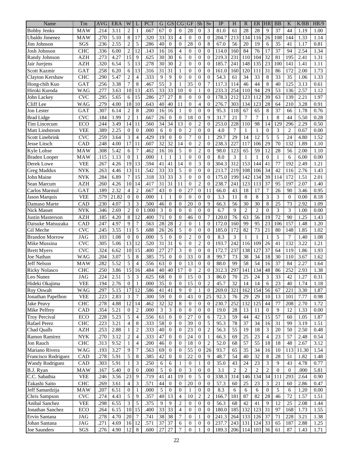| Name                               | Tm                        | <b>AVG</b>        | <b>ERA</b>   | W                    | L              | PCT          | G               | <b>GS</b>        | CG                               | <b>GF</b>                        | Sh                           | Sv               | IP            | H              | $\mathbb{R}$    | ER             | <b>HR</b>                   | <b>BB</b>       | K              | K/BB         | HR/9         |
|------------------------------------|---------------------------|-------------------|--------------|----------------------|----------------|--------------|-----------------|------------------|----------------------------------|----------------------------------|------------------------------|------------------|---------------|----------------|-----------------|----------------|-----------------------------|-----------------|----------------|--------------|--------------|
| <b>Bobby Jenks</b>                 | MAW                       | .214              | 3.11         | $\overline{c}$       | 1              | .667         | 67              | $\mathbf{0}$     | $\overline{0}$                   | 28                               | $\overline{0}$               | 3                | 81.0          | 61             | 28              | 28             | 9                           | 37              | 44             | 1.19         | 1.00         |
| Ubaldo Jimenez                     | MAW                       | .270              | 5.10         | 8                    | 17             | .320         | 33              | 33               | 4                                | $\mathbf{0}$                     | $\overline{0}$               | $\boldsymbol{0}$ | 204.7         | 213            | 134             | 116            | 26                          | 108             | 144            | 1.33         | 1.14         |
| Jim Johnson                        | SGS                       | .236              | 2.55         | $\overline{2}$       | 5              | .286         | 40              | $\overline{0}$   | $\mathbf{0}$                     | 28                               | $\mathbf{0}$                 | 8                | 67.0          | 56             | 20              | 19             | 6                           | 35              | 41             | 1.17         | 0.81         |
| Josh Johnson                       | <b>CHC</b>                | .336              | 6.00         | $\overline{2}$       | 12             | .143         | 16              | 16               | $\overline{4}$                   | $\Omega$                         | $\mathbf{0}$                 | $\overline{0}$   | 114.0         | 160            | 84              | 76             | 17                          | $\overline{37}$ | 94             | 2.54         | 1.34         |
| Randy Johnson                      | <b>AZH</b>                | .273              | 4.27         | 15                   | 9              | .625         | 30              | 30               | 6                                | $\overline{0}$                   | $\mathbf{0}$                 | $\overline{0}$   | 219.3         | 231            | 110             | 104            | $\overline{32}$             | 81              | 195            | 2.41         | 1.31         |
| Jair Jurrjens                      | <b>AZH</b>                | .320              | 6.54         | 5                    | 13             | .278         | 30              | 30               | $\overline{c}$                   | $\overline{0}$                   | $\overline{0}$               | $\overline{0}$   | 185.7         | 241            | 148             | 135            | 23                          | 100             | 141            | 1.41         | 1.11         |
| Scott Kazmir                       | GAT                       | .258              | 6.20         | 6                    | 13             | .316         | 31              | 31               | $\mathbf{1}$                     | $\Omega$                         | $\mathbf{0}$                 | $\overline{0}$   | 161.0         | 160            | 120             | 111            | 31                          | 86              | 172            | 2.00         | 1.73         |
| Clayton Kershaw                    | <b>CHC</b>                | .290              | 5.47         | $\overline{2}$       | $\overline{4}$ | .333         | 9               | 9                | $\Omega$                         | $\Omega$                         | $\mathbf{0}$                 | $\overline{0}$   | 54.3          | 61             | 34              | 33             | 8                           | $\overline{33}$ | 35             | 1.06         | 1.33         |
| Hong-chih Kuo                      | GAT                       | .256              | 3.38         | $\overline{7}$       | 8              | .467         | 55              | 3                | $\mathbf{1}$                     | 35                               | $\mathbf{0}$                 | $\overline{7}$   | 117.3         | 114            | 46              | 44             | 8                           | 40              | 125            | 3.13         | 0.61         |
| Hiroki Kuroda                      | <b>WAG</b>                | .277              | 3.63         | 10                   | 13             | .435         | 33              | 33               | 10                               | $\overline{0}$                   | 1                            | $\mathbf{0}$     | 233.3         | 254            | 110             | 94             | 29                          | 53              | 136            | 2.57         | 1.12         |
| John Lackey                        | <b>CVC</b>                | .295              | 5.65         | 6                    | 15             | .286         | 27              | 27               | 8                                | $\Omega$                         | $\boldsymbol{0}$             | $\overline{0}$   | 178.3         | 212            | 123             | 112            | 39                          | 63              | 139            | 2.21         | 1.97         |
|                                    |                           |                   |              |                      | 10             |              | 40              | 40               |                                  |                                  | $\overline{4}$               | $\overline{0}$   |               |                |                 |                |                             |                 |                |              |              |
| Cliff Lee<br><b>Jon Lester</b>     | WAG<br>GAT                | .279<br>.307      | 4.00<br>6.14 | 18<br>$\overline{2}$ | 8              | .643<br>.200 | 16              | 16               | 11<br>1                          | $\mathbf{0}$<br>$\Omega$         |                              | $\overline{0}$   | 276.7<br>95.3 | 303<br>118     | 134<br>67       | 123<br>65      | 28<br>$\,8\,$               | 64<br>37        | 210<br>66      | 3.28<br>1.78 | 0.91<br>0.76 |
|                                    |                           |                   |              |                      |                |              |                 |                  |                                  |                                  | $\boldsymbol{0}$             |                  |               |                |                 |                |                             |                 |                |              |              |
| <b>Brad Lidge</b>                  | <b>CVC</b>                | .184              | 1.99         | $\overline{2}$       |                | .667         | 26              | $\Omega$         | $\mathbf{0}$                     | 18                               | $\mathbf{0}$                 | 9                | 31.7          | 21             | 7               | $\overline{7}$ | 1                           | 8               | 44             | 5.50         | 0.28         |
| Tim Lincecum                       | ECO                       | .244              | 3.49         | 14                   | 11             | .560         | 34              | 34               | 13                               | $\overline{0}$                   | $\sqrt{2}$                   | $\mathbf{0}$     | 253.0         | 228            | 110             | 98             | 14                          | 129             | 296            | 2.29         | 0.50         |
| Matt Lindstrom                     | <b>VEE</b>                | .389              | 2.25         | $\mathbf{0}$         | $\overline{0}$ | .000         | 6               | $\Omega$         | $\overline{0}$                   | $\overline{2}$                   | $\overline{0}$               | $\overline{0}$   | 4.0           | 7              | $\mathbf{1}$    | $\mathbf{1}$   | $\overline{0}$              | 3               | $\overline{2}$ | 0.67         | 0.00         |
| <b>Scott Linebrink</b>             | <b>CVC</b>                | .259              | 3.64         | 3                    | $\overline{4}$ | .429         | 19              | $\mathbf{0}$     | $\overline{0}$                   | $\overline{7}$                   | $\mathbf{0}$                 | $\mathbf{1}$     | 29.7          | 29             | 14              | 12             | 5                           | 5               | 24             | 4.80         | 1.52         |
| Jesse Litsch                       | CAD                       | .248              | 4.00         | 17                   | 11             | .607         | $\overline{32}$ | 32               | 14                               | $\Omega$                         | $\overline{2}$               | $\overline{0}$   | 238.3         | 227            | 117             | 106            | 29                          | 70              | 132            | 1.89         | 1.10         |
| Kyle Lohse                         | MAW                       | .308              | 5.42         | 6                    | 7              | .462         | 16              | 16               | 5                                | $\Omega$                         | $\overline{c}$               | $\overline{0}$   | 98.0          | 123            | 65              | 59             | 12                          | 28              | 56             | 2.00         | 1.10         |
| <b>Braden Looper</b>               | MAW                       | .115              | 1.13         | $\theta$             | 1              | .000         | $\mathbf{1}$    | 1                | $\mathbf{1}$                     | $\Omega$                         | $\overline{0}$               | $\overline{0}$   | 8.0           | 3              | $\mathbf{1}$    | 1              | $\overline{0}$              | 1               | 6              | 6.00         | 0.00         |
| Derek Lowe                         | <b>VEE</b>                | .267              | 4.26         | 19                   | 13             | .594         | 41              | 41               | $\overline{14}$                  | $\Omega$                         | 3                            | $\overline{0}$   | 304.3         | 312            | 153             | 144            | 41                          | $\overline{77}$ | 192            | 2.49         | 1.21         |
| <b>Greg Maddux</b>                 | <b>NYK</b>                | $.26\overline{3}$ | 4.46         | 13                   | 11             | .542         | 33              | 33               | 5                                | $\overline{0}$                   | $\mathbf{0}$                 | $\mathbf{0}$     | 213.7         | 219            | 108             | 106            | 34                          | 42              | 116            | 2.76         | 1.43         |
| John Maine                         | <b>NYK</b>                | .284              | 6.89         | $\overline{7}$       | 15             | .318         | 33              | 33               | 3                                | $\overline{0}$                   | $\overline{0}$               | $\mathbf{0}$     | 175.0         | 199            | 142             | 134            | 39                          | 114             | 172            | 1.51         | 2.01         |
| Sean Marcum                        | <b>AZH</b>                | .260              | 4.26         | 10                   | 14             | .417         | 31              | 31               | 11                               | $\overline{0}$                   | 2                            | $\mathbf{0}$     | 238.7         | 241            | 123             | 113            | 37                          | 95              | 197            | 2.07         | 1.40         |
| Carlos Marmol                      | GAT                       | .189              | 2.32         | $\overline{4}$       | $\overline{2}$ | .667         | 43              | $\theta$         | $\boldsymbol{0}$                 | 27                               | $\boldsymbol{0}$             | 11               | 66.0          | 43             | 18              | 17             | 7                           | 26              | 90             | 3.46         | 0.95         |
| Jason Marquis                      | <b>VEE</b>                | .579              | 21.82        | $\overline{0}$       | $\overline{0}$ | .000         | 1               | 1                | $\overline{0}$                   | $\overline{0}$                   | $\mathbf{0}$                 | $\overline{0}$   | 3.3           | 11             | 8               | 8              | 3                           | 3               | $\Omega$       | 0.00         | 8.18         |
| Damaso Marte                       | CAD                       | .230              | 4.07         | 3                    | 3              | .500         | 46              | $\theta$         | $\boldsymbol{0}$                 | 20                               | $\boldsymbol{0}$             | 9                | 66.3          | 56             | 30              | 30             | $\,8\,$                     | 25              | 73             | 2.92         | 1.09         |
| <b>Nick Masset</b>                 | <b>NYK</b>                | .346              | 2.69         | $\overline{2}$       | $\theta$       | 1.000        | 3               | $\Omega$         | $\overline{0}$                   | $\Omega$                         | $\mathbf{0}$                 | $\mathbf{0}$     | 6.7           | 9              | $\overline{2}$  | $\overline{c}$ | $\mathbf{0}$                | 3               | 3              | 1.00         | 0.00         |
| Justin Masterson                   | <b>AZH</b>                | .185              | 4.20         | 8                    | 12             | .400         | 71              | $\Omega$         | $\overline{0}$                   | 46                               | $\boldsymbol{0}$             | 7                | 120.0         | 76             | 63              | 56             | 19                          | 72              | 90             | 1.25         | 1.43         |
| Daisuke Matsuzaka                  | CAD                       | .247              | 4.97         | 9                    | 7              | .563         | 28              | 28               | $\overline{c}$                   | $\mathbf{0}$                     | $\mathbf{1}$                 | $\overline{0}$   | 172.0         | 160            | 99              | 95             | 23                          | 106             | 157            | 1.48         | 1.20         |
| Gil Meche                          | <b>CVC</b>                | .245              | 3.55         | 11                   | 5              | .688         | 26              | 26               | 5                                | $\Omega$                         | $\overline{0}$               | $\overline{0}$   | 185.0         | 172            | $\overline{82}$ | 73             | 21                          | 80              | 148            | 1.85         | 1.02         |
| <b>Brandon Morrow</b>              | <b>JAG</b>                | .103              | 1.08         | $\mathbf{0}$         | $\overline{0}$ | .000         | 5               | $\theta$         | $\overline{0}$                   | $\overline{2}$                   | $\boldsymbol{0}$             | $\mathbf{0}$     | 8.3           | 3              | $\mathbf{1}$    | $\mathbf{1}$   | $\mathbf{1}$                | 5               | 7              | 1.40         | 1.08         |
| Mike Mussina                       | $\overline{\text{C}}$ VC  | .305              | 5.06         | 13                   | 12             | .520         | 31              | 31               | 6                                | $\theta$                         | $\overline{2}$               | $\mathbf{0}$     | 193.7         | 242            | 116             | 109            | 26                          | 41              | 132            | 3.22         | 1.21         |
| <b>Brett Myers</b>                 | <b>CVC</b>                | .324              | 6.62         | 10                   | 15             | .400         | 27              | 27               | 3                                | $\overline{0}$                   | $\mathbf{0}$                 | $\mathbf{0}$     | 172.7         | 237            | 138             | 127            | 37                          | 64              | 119            | 1.86         | 1.93         |
| Joe Nathan                         | <b>WAG</b>                | .204              | 3.07         | 5                    | 8              | .385         | 75              | $\mathbf{0}$     | $\overline{0}$                   | 33                               | $\mathbf{0}$                 | $\,$ 8 $\,$      | 99.7          | 73             | 38              | 34             | 18                          | 30              | 110            | 3.67         | 1.62         |
| Jeff Nelson                        | MAW                       | .282              | 5.52         | 5                    | $\overline{4}$ | .556         | 63              | $\Omega$         | $\boldsymbol{0}$                 | 13                               | $\mathbf{0}$                 | $\mathbf{0}$     | 88.0          | 99             | 58              | 54             | 16                          | 37              | 84             | 2.27         | 1.64         |
| <b>Ricky Nolasco</b>               | <b>CHC</b>                | .250              | 3.86         | 15                   | 16             | .484         | 40              | 40               | 17                               | $\mathbf{0}$                     | $\overline{c}$               | $\boldsymbol{0}$ | 312.3         | 297            | 141             | 134            | 48                          | 86              | 252            | 2.93         | 1.38         |
| Leo Nunez                          | <b>JAG</b>                | .224              | 2.51         | 5                    | 3              | 625          | $\overline{68}$ | $\Omega$         | $\Omega$                         | $\overline{15}$                  | $\Omega$                     | 3                | 86.0          | 70             | $\overline{25}$ | 24             | 3                           | 33              | 42             | 1.27         | 0.31         |
| Hideki Okajima                     | <b>VEE</b>                | .194              | 2.76         | $\mathbf{0}$         |                | .000         | 35              | $\boldsymbol{0}$ | $\mathbf{0}$                     | 15                               | $\boldsymbol{0}$             | $\sqrt{2}$       | 45.7          | 32             | 14              | 14             | 6                           | 23              | 40             | 1.74         | 1.18         |
| Roy Oswalt                         | <b>WAG</b>                | .297              | 5.15         | 17                   | 12             | .586         | 41              | 41               | 9                                | $\mathbf{0}$                     | 1                            | $\mathbf{0}$     | 269.0         | 321            | 162             | 154            | 56                          | 67              | 221            | 3.30         | 1.87         |
| Jonathan Papelbon                  | <b>VEE</b>                | .223              | 2.83         | $\mathfrak{Z}$       | 7              | .300         | 59              | $\mathbf{0}$     | $\mathbf{0}$                     | 43                               | $\mathbf{0}$                 | 25               | 92.3          | 76             | 29              | 29             | 10                          | 13              | 101            | 7.77         | 0.98         |
| <b>Jake Peavy</b>                  | <b>CHC</b>                | .278              | 4.88         | 12                   | 14             | .462         | 32              | 32               | 8                                | $\mathbf{0}$                     | $\mathbf{0}$                 | $\mathbf{0}$     | 230.7         | 252            | 132             | 125            | 44                          | 77              | 208            | 2.70         | 1.72         |
| Mike Pelfrey                       | CAD                       | .354              | 5.21         | $\mathbf{0}$         | $\overline{2}$ | .000         | 3               | 3                | $\boldsymbol{0}$                 | $\overline{0}$                   | $\mathbf{0}$                 | $\theta$         | 19.0          | $28\,$         | 13              | 11             | $\mathbf{0}$                | 9               | 12             | 1.33         | 0.00         |
| <b>Troy Percival</b>               | ECO                       | .228              | 5.23         | 5                    | $\overline{4}$ | .556         | 61              | $\mathbf{0}$     | $\mathbf{0}$                     | 27                               | $\mathbf{0}$                 | 6                | 72.3          | 59             | 44              | 42             | 15                          | 57              | 60             | 1.05         | 1.87         |
| Rafael Perez                       | <b>CHC</b>                | .223              | 3.21         | $\overline{4}$       | 8              | .333         | 58              | $\boldsymbol{0}$ | $\theta$                         | 39                               | $\boldsymbol{0}$             | 5                | 95.3          | 78             | $\overline{37}$ | 34             | 16                          | 31              | 99             | 3.19         | 1.51         |
| Chad Qualls                        | AZH                       | .253              | 2.88         | 1                    | $\overline{c}$ | .333         | 40              | $\mathbf{0}$     | $\mathbf{0}$                     | 23                               | $\mathbf{0}$                 | $\overline{2}$   | 56.3          | 55             | 19              | 18             | $\mathfrak{Z}$              | 20              | 50             | 2.50         | 0.48         |
| Ramon Ramirez                      | <b>NYK</b>                | .270              | 3.12         | $\overline{2}$       | $\overline{4}$ | .333         | 47              | $\boldsymbol{0}$ | $\theta$                         | $24\,$                           | $\mathbf{0}$                 | $\mathbf{1}$     | 66.3          | 69             | 25              | 23             | $\overline{\mathcal{A}}$    | 23              | 57             | 2.48         | 0.54         |
| Jon Rauch                          | CHC                       | .313              | 9.52         | $\mathbf{1}$         | $\overline{4}$ | .200         | 46              | $\overline{0}$   | $\theta$                         | 18                               | $\mathbf{0}$                 | $\overline{2}$   | 52.0          | 68             | 57              | 55             | 18                          | 18              | 48             | 2.67         | 3.12         |
| Mariano Rivera                     | <b>WAG</b>                | .193              | 3.27         | 9                    | $\overline{7}$ | .563         | 69              | $\mathbf{0}$     | $\theta$                         | 55                               | $\mathbf{0}$                 | 26               | 93.7          | 65             | 35              | 34             | 16                          | 10              | 113            | 11.30        | 1.54         |
| Francisco Rodriguez                | CAD                       | .278              | 5.91         | 5                    | 8              | .385         | 42              | $\boldsymbol{0}$ | $\overline{0}$                   | 22                               | $\overline{0}$               | 9                | 48.7          | 54             | 40              | 32             | $\,8\,$                     | 28              | 51             | 1.82         | 1.48         |
| <b>Wandy Rodriguez</b>             | CAD                       | .303              | 5.91         | $\mathbf{1}$         | 3              | .250         | 6               | 6                | 1                                | $\mathbf{0}$                     | $\mathbf{1}$                 | $\mathbf{0}$     | 35.0          | 43             | 24              | 23             | $\ensuremath{\mathfrak{Z}}$ | 9               | 43             | 4.78         | 0.77         |
| B.J. Ryan                          | <b>MAW</b>                | .167              | 5.40         | $\theta$             | $\mathbf{0}$   | .000         | 5               | $\boldsymbol{0}$ | $\mathbf{0}$                     | 3                                | $\boldsymbol{0}$             | $\mathbf{0}$     | 3.1           | $\overline{c}$ | $\mathbf{2}$    | $\mathbf{2}$   | $\sqrt{2}$                  | $\mathbf{0}$    | $\theta$       | .000         | 5.81         |
| C.C. Sabathia                      | <b>VEE</b>                | .246              | 3.56         | 23                   | 9              | .719         | 41              | 41               | 19                               | $\mathbf{0}$                     | 5                            | $\boldsymbol{0}$ | 338.3         | 314            | 146             | 134            | 34                          | 111             | 293            | 2.64         | 0.90         |
| Takashi Saito                      | <b>CHC</b>                | .269              | 3.61         | 4                    | 3              | .571         | 44              | 0                | $\mathbf{0}$                     | $20\,$                           | $\mathbf{0}$                 | $\boldsymbol{0}$ | 57.3          | 60             | 25              | 23             | 3                           | 21              | 60             | 2.86         | 0.47         |
| Jeff Samardzija                    | <b>MAW</b>                | .207              | 6.51         | $\mathbf{0}$         |                | .000         | 5               | $\boldsymbol{0}$ | $\mathbf{0}$                     | 1                                | $\mathbf{0}$                 | $\boldsymbol{0}$ | 8.3           | 6              | 6               | 6              | $\mathbf{0}$                | 5               | 6              | 1.20         | 0.00         |
| Chris Sampson                      | $\ensuremath{\text{CVC}}$ | .274              | 4.43         | 5                    | 9              | .357         | 40              | 13               | $\overline{4}$                   | $10\,$                           | $\overline{c}$               | $\overline{c}$   | 166.7         | 181            | 87              | 82             | 28                          | 46              | 72             | 1.57         | 1.51         |
|                                    |                           |                   |              |                      |                | .375         |                 | 9                |                                  |                                  |                              |                  |               |                | 42              | 41             |                             | 12              |                |              |              |
| Anibal Sanchez<br>Jonathan Sanchez | <b>VEE</b>                | .298<br>.264      | 6.55<br>6.15 | 3<br>10              | 5<br>15        | .400         | 9<br>33         | 33               | $\overline{c}$<br>$\overline{4}$ | $\overline{0}$<br>$\overline{0}$ | $\mathbf{0}$<br>$\mathbf{0}$ | $\theta$         | 56.3<br>180.0 | 68<br>185      | 132             | 123            | 9<br>31                     | 97              | 25<br>168      | 2.08<br>1.73 | 1.44<br>1.55 |
|                                    | ECO                       |                   |              |                      |                |              |                 |                  |                                  |                                  |                              | $\mathbf{0}$     |               |                |                 |                |                             |                 |                |              |              |
| Ervin Santana                      | JAG                       | .278              | 4.70         | 20                   | 7              | .741         | 38              | 38               | $\tau$                           | $\mathbf{0}$                     | $\mathbf{1}$                 | $\boldsymbol{0}$ | 241.3         | 264            | 133             | 126            | 37                          | 71              | 228            | 3.21         | 1.38         |
| Johan Santana                      | JAG                       | .271              | 4.69         | 16                   | 12             | .571         | 37              | 37               | 6                                | $\mathbf{0}$                     | $\mathbf{0}$                 | $\boldsymbol{0}$ | 237.7         | 243            | 131             | 124            | 33                          | 65              | 187            | 2.88         | 1.25         |
| Joe Saunders                       | SGS                       | .276              | 4.90         | 12                   | $\,8\,$        | .600         | 27              | $27\,$           | $\tau$                           | $\mathbf{0}$                     | $\mathbf{1}$                 | $\boldsymbol{0}$ | 189.3         | 206            | 114             | 103            | 36                          | 61              | 87             | 1.43         | 1.71         |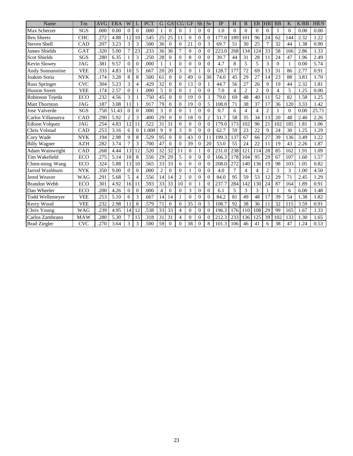| Name                  | Tm         | <b>AVG</b> | <b>ERA</b> | W              |                             | <b>PCT</b> | G              | <b>GS</b>      | CG             | $\overline{\text{GF}}$ | Sh             | Sv             | IP    | H               | $\mathbb{R}$   | <b>ER</b>      | HR             | <b>BB</b>      | K            | K/BB | HR/9  |
|-----------------------|------------|------------|------------|----------------|-----------------------------|------------|----------------|----------------|----------------|------------------------|----------------|----------------|-------|-----------------|----------------|----------------|----------------|----------------|--------------|------|-------|
| Max Scherzer          | SGS        | .000       | 0.00       | $\theta$       | $\Omega$                    | .000       |                | $\theta$       | $\overline{0}$ |                        | $\mathbf{0}$   | $\mathbf{0}$   | 1.0   | $\Omega$        | $\Omega$       | $\overline{0}$ | $\overline{0}$ | $\mathbf{1}$   | $\mathbf{0}$ | 0.00 | 0.00  |
| <b>Ben Sheets</b>     | <b>CHC</b> | .272       | 4.88       | 12             | 10                          | .545       | 25             | 25             | 11             | $\Omega$               | $\mathbf{0}$   | $\mathbf{0}$   | 177.0 | 189             | 101            | 96             | 24             | 62             | 144          | 2.32 | 1.22  |
| <b>Steven Shell</b>   | <b>CAD</b> | .207       | 3.23       | 3              | 3                           | .500       | 36             | $\Omega$       | $\Omega$       | 21                     | $\Omega$       | 3              | 69.7  | 51              | 30             | 25             | 7              | 32             | 44           | 1.38 | 0.90  |
| <b>James Shields</b>  | GAT        | .320       | 5.00       | 7              | 23                          | .233       | 36             | 36             | 7              | $\Omega$               | $\mathbf{0}$   | $\Omega$       | 223.0 | 268             | 134            | 124            | 33             | 58             | 166          | 2.86 | 1.33  |
| <b>Scot Shields</b>   | <b>SGS</b> | .280       | 6.35       | $\mathbf{1}$   | 3                           | .250       | 28             | $\Omega$       | $\Omega$       | 8                      | $\theta$       | $\Omega$       | 39.7  | 44              | 31             | 28             | 11             | 24             | 47           | 1.96 | 2.49  |
| Kevin Slowey          | <b>JAG</b> | .381       | 9.57       | $\theta$       | $\Omega$                    | .000       |                |                | $\theta$       | $\Omega$               | $\mathbf{0}$   | $\mathbf{0}$   | 4.7   | 8               | 5              | 5              | 3              | $\theta$       | 1            | 0.00 | 5.74  |
| Andy Sonnanstine      | <b>VEE</b> | .333       | 4.83       | 10             | 5                           | .667       | 20             | 20             | 3              | $\Omega$               | 1              | $\mathbf{0}$   | 128.7 | 177             | 72             | 69             | 13             | 31             | 86           | 2.77 | 0.91  |
| Joakim Soria          | <b>NYK</b> | .174       | 3.28       | 8              | 8                           | .500       | 61             | $\Omega$       | $\Omega$       | 49                     | $\overline{0}$ | 30             | 74.0  | 45              | 29             | 27             | 14             | 23             | 88           | 3.83 | 1.70  |
| <b>Russ Springer</b>  | <b>CVC</b> | .304       | 5.23       | 3              | $\boldsymbol{\vartriangle}$ | .429       | 32             | 0              | $\Omega$       | 13                     | $\mathbf{0}$   | 1              | 44.7  | 56              | 27             | 26             | 9              | 19             | 44           | 2.32 | 1.81  |
| <b>Huston Street</b>  | <b>VEE</b> | .174       | 2.57       | $\theta$       |                             | .000       | 5              | $\theta$       | $\theta$       |                        | $\overline{0}$ | $\mathbf{0}$   | 7.0   | $\overline{4}$  | $\overline{2}$ | $\overline{2}$ | $\Omega$       | $\overline{4}$ | 5            | 1.25 | 0.00  |
| Robinson Tejeda       | ECO        | .232       | 4.56       | 3              |                             | .750       | 45             | $\Omega$       | $\Omega$       | 19                     | $\overline{0}$ | 3              | 79.0  | 69              | 48             | 40             | 11             | 52             | 82           | 1.58 | 1.25  |
| <b>Matt Thornton</b>  | <b>JAG</b> | .187       | 3.08       | 11             |                             | .917       | 79             | $\theta$       | $\Omega$       | 19                     | $\mathbf{0}$   | 5              | 108.0 | 71              | 38             | 37             | 17             | 36             | 120          | 3.33 | 1.42  |
| <b>Jose Valverde</b>  | SGS        | .750       | 51.43      | $\Omega$       | $\Omega$                    | .000       | 3              | $\Omega$       | $\Omega$       |                        | $\theta$       | $\Omega$       | 0.7   | 6               | $\overline{4}$ | $\overline{4}$ | $\overline{2}$ | 1              | $\Omega$     | 0.00 | 25.71 |
| Carlos Villanueva     | CAD        | .290       | 5.92       | $\overline{2}$ | 3                           | .400       | 29             | $\Omega$       | $\Omega$       | 18                     | $\Omega$       | $\overline{c}$ | 51.7  | 58              | 35             | 34             | 13             | 20             | 48           | 2.40 | 2.26  |
| <b>Edison Volquez</b> | <b>JAG</b> | .254       | 4.83       | 12             | 11                          | .522       | 31             | 31             | $\theta$       | $\Omega$               | $\overline{0}$ | $\overline{0}$ | 179.0 | 173             | 102            | 96             | 21             | 102            | 185          | 1.81 | 1.06  |
| Chris Volstad         | CAD        | .253       | 3.16       | 6              | $\theta$                    | 1.000      | 9              | 9              | 3              | $\Omega$               | $\theta$       | $\Omega$       | 62.7  | 59              | 23             | 22             | 9              | 24             | 30           | 1.25 | 1.29  |
| Cory Wade             | <b>NYK</b> | .194       | 2.98       | 9              | 8                           | .529       | 95             | $\overline{0}$ | $\mathbf{0}$   | 43                     | $\overline{0}$ | 11             | 199.3 | 137             | 67             | 66             | 27             | 39             | 136          | 3.49 | 1.22  |
| <b>Billy Wagner</b>   | <b>AZH</b> | .282       | 3.74       | $\overline{7}$ | 3                           | .700       | 47             | $\Omega$       | $\Omega$       | 39                     | $\Omega$       | 20             | 53.0  | 55              | 24             | 22             | 11             | 19             | 43           | 2.26 | 1.87  |
| Adam Wainwright       | <b>CAD</b> | .268       | 4.44       | 13             | 12                          | .520       | 32             | 32             | 11             | $\Omega$               | 1              | $\Omega$       | 231.0 | 238             | 121            | 114            | 28             | 85             | 162          | 1.91 | 1.09  |
| Tim Wakefield         | <b>ECO</b> | .275       | 5.14       | 10             | 8                           | .556       | 29             | 29             | 5              | $\Omega$               | $\mathbf{0}$   | $\mathbf{0}$   | 166.3 | 178             | 104            | 95             | 29             | 67             | 107          | 1.60 | 1.57  |
| Chien-ming Wang       | ECO        | .324       | 5.88       | 13             | 10                          | .565       | 33             | 33             | 6              | $\Omega$               | $\overline{0}$ | $\mathbf{0}$   | 208.0 | 272             | 140            | 136            | 19             | 98             | 103          | 1.05 | 0.82  |
| Jarrod Washburn       | <b>NYK</b> | .350       | 9.00       | $\Omega$       | $\Omega$                    | .000       | $\overline{2}$ | $\theta$       | $\Omega$       |                        | $\mathbf{0}$   | $\Omega$       | 4.0   | 7               | 4              | $\overline{4}$ | $\overline{c}$ | 3              | 3            | 1.00 | 4.50  |
| Jered Weaver          | <b>WAG</b> | .291       | 5.68       | 5              | $\overline{4}$              | .556       | 14             | 14             | $\overline{2}$ | $\Omega$               | $\theta$       | $\theta$       | 84.0  | $\overline{95}$ | 59             | 53             | 12             | 29             | 71           | 2.45 | 1.29  |
| <b>Brandon Webb</b>   | ECO        | .301       | 4.92       | 16             | 11                          | .593       | 33             | 33             | 10             | $\Omega$               | 1              | $\Omega$       | 237.7 | 284             | 142            | 130            | 24             | 87             | 164          | 1.89 | 0.91  |
| Dan Wheeler           | ECO        | .200       | 4.26       | $\Omega$       | $\Omega$                    | .000       | $\overline{4}$ | $\Omega$       | $\Omega$       | 3                      | $\mathbf{0}$   | $\Omega$       | 6.1   | 5               | 3              | 3              |                |                | 6            | 6.00 | 1.48  |
| Todd Wellemeyer       | <b>VEE</b> | .253       | 5.10       | 6              | 3                           | .667       | 14             | 14             | 1              | $\theta$               | $\overline{0}$ | $\overline{0}$ | 84.2  | 81              | 49             | 48             | 17             | 39             | 54           | 1.38 | 1.82  |
| Kerry Wood            | <b>VEE</b> | .232       | 2.98       | 11             | 8                           | .579       | 71             | $\Omega$       | $\Omega$       | 35                     | $\mathbf{0}$   | 5              | 108.7 | 92              | 38             | 36             | 11             | 32             | 115          | 3.59 | 0.91  |
| Chris Young           | <b>WAG</b> | .239       | 4.95       | 14             | 12                          | .538       | 33             | 33             | $\overline{4}$ | $\Omega$               | $\theta$       | $\Omega$       | 196.3 | 176             | 110            | 108            | 29             | 99             | 165          | 1.67 | 1.33  |
| Carlos Zambrano       | <b>MAW</b> | .280       | 5.30       | $\overline{7}$ | 15                          | .318       | 31             | 31             | 4              | $\Omega$               | $\overline{0}$ | $\Omega$       | 212.3 | 233             | 136            | 125            | 39             | 102            | 133          | 1.30 | 1.65  |
| <b>Brad Ziegler</b>   | <b>CVC</b> | .270       | 3.64       | 3              | 3                           | .500       | 59             | $\Omega$       | 0              | 38                     | $\Omega$       | 8              | 101.3 | 106             | 46             | 41             | 6              | 38             | 47           | 1.24 | 0.53  |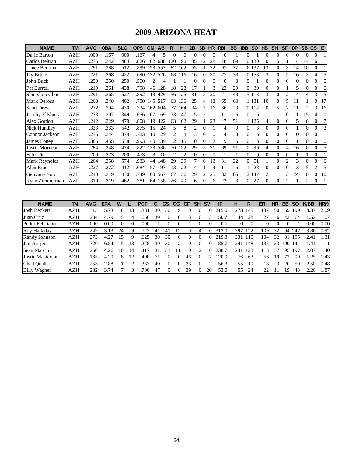### **2009 ARIZONA HEAT**

| <b>NAME</b>       | TM         | <b>AVG</b> | <b>OBA</b> | <b>SLG</b> | <b>OPS</b> | <b>GM</b> | AB  | R   | н              | 2B | 3B | <b>HR</b> | <b>RBI</b> | <b>BB</b> | <b>IBB</b> | <b>SO</b> | HB       | <b>SH</b> | <b>SF</b>      | <b>DP</b> | SB CS          |                | E        |
|-------------------|------------|------------|------------|------------|------------|-----------|-----|-----|----------------|----|----|-----------|------------|-----------|------------|-----------|----------|-----------|----------------|-----------|----------------|----------------|----------|
| Daric Barton      | AZH        | .000       | .167       | .000       | .167       | 4         | 5   |     | $\Omega$       | 0  |    | $\theta$  | $\Omega$   |           | 0          |           |          | $\theta$  |                |           |                | $\Omega$       |          |
| Carlos Beltran    | AZH        | .276       | .342       | .484       | .826       | 162       | 688 | 120 | 190            | 35 | 12 | 28        | 78         | 69        |            | 0 1 3 0   | 0        | 5         |                | 14        | 14             | 6              |          |
| Lance Berkman     | AZH        | .291       | .388       | .512       | .899       | 153       | 557 | 82  | 162            | 55 |    | 22        | 97         | 77        |            | 6 1 3 7   | 13       | $\theta$  | 3              | 14        | 10             | 0              |          |
| Jay Bruce         | AZH        | .221       | .268       | .422       | .690       | 132       | 526 | 68  | 116            | 16 |    | 30        | 77         | 33        |            | 0 1 5 8   | 3        | $\Omega$  | 5              | 16        | 2              | 4              |          |
| John Buck         | AZH        | .250       | .250       | .250       | .500       | 2         | 4   |     |                | 0  |    | $\Omega$  | $\Omega$   | $\Omega$  | $\Omega$   |           | 0        | $\Omega$  | $\theta$       | $\Omega$  | $\Omega$       | 0              | $\Omega$ |
| Pat Burrell       | AZH        | .219       | .361       | .438       | .798       | 46        | 128 | 18  | 28             | 17 |    |           | 22.        | 29        | 0          | 39        | 0        | $\Omega$  |                | 5         |                | 0              |          |
| Shin-shoo Choo    | AZH        | .291       | .365       | .527       | .892       | 13        | 429 | 56  | 125            | 31 |    | 20        | 71         | 48        |            | 5 1 1 3   | 3        | $\theta$  | $\overline{c}$ | 14        | 4              | 3              |          |
| Mark Derosa       | AZH        | .263       | .348       | .402       | .750       | 145       | 517 | 63  | 136            | 25 | 4  | 13        | 65         | 60        |            | 1 131     | 10       | $\Omega$  | 5              | 11        |                | 0              | 17       |
| <b>Scott Drew</b> | AZH        | .272       | .294       | .430       | .724       | 162       | 604 | 77  | 164            | 34 |    | 16        | 66         | 20        |            | 0 1 1 2   | $\Omega$ | 5         | 2              | 11        |                | 3              | 16       |
| Jacoby Ellsbury   | AZH        | .278       | .307       | .349       | .656       | 67        | 169 | 33  | 47             | 5  |    |           | 11         | 6         | $\Omega$   | 16        |          |           |                |           | 15             | 4              | $\Omega$ |
| Alex Gordon       | <b>AZH</b> | .242       | .329       | .479       | .808       | -19       | 422 | 63  | 102            | 29 |    | 23        | 47         | 51        |            | 1 1 2 5   | 4        | $\theta$  | 0              | 5         | 6              | 0              |          |
| Nick Hundley      | AZH        | .333       | .333       | .542       | .875       | 15        | 24  | 5   | 8              | 2  |    |           | 4          | $\Omega$  | $\Omega$   | 3         | 0        | $\Omega$  | 0              |           | $\Omega$       | 0              |          |
| Connor Jackson    | AZH        | .276       | .344       | .379       | .723       | 10        | 29  | 2   | 8              | 3  |    | $\Omega$  | 4          | 3         | $\theta$   | 6         | $\Omega$ | $\theta$  | $\Omega$       | $\Omega$  |                | $\Omega$       |          |
| James Loney       | <b>AZH</b> | .385       | .455       | .538       | .993       | 40        | 39  | 2.  | 15             | 0  |    | 2         | 9          | 5         | 0          | 8         | 0        | $\Omega$  |                |           |                | $\Omega$       |          |
| Justin Morneau    | AZH        | .284       | .348       | .474       | .822       | 133       | 536 | 76  | 152            | 29 | 5  | 21        | 69         | 51        | $\Omega$   | 96        | 4        | $\Omega$  | 4              | 16        |                | 0              |          |
| Felix Pie         | AZH        | .200       | .273       | .200       | .473       | 8         | 10  | 2   | $\mathfrak{D}$ | 0  |    | $\theta$  |            |           | $\Omega$   | 6         | 0        | $\theta$  |                |           |                | 0              |          |
| Mark Revnolds     | <b>AZH</b> | .264       | .358       | .574       | .933       | 44        | 148 | 29  | 39             | 7  | 0  | 13        | 31         | 22        | $\Omega$   | 51        |          | $\theta$  | 2              | 3         | $\Omega$       | $\Omega$       | 6        |
| Alex Rios         | AZH        | .227       | .272       | .412       | .684       | 57        | 97  | 13  | 22             | 4  |    | 4         | 11         | 6         |            | 23        | 0        | $\Omega$  |                |           | 5              | $\overline{c}$ |          |
| Geovany Soto      | AZH        | .240       | .319       | .430       | .749       | 160       | 567 | 67  | 136            | 29 | 2  | 25        | 82         | 65        |            | 2 1 4 7   | 2        |           | 3              | 24        | $\Omega$       | 0              | 10       |
| Ryan Zimmerman    | AZH        | .310       | .319       | .462       | .781       | 64        | 158 | 26  | 49             | 6  |    | 6         | 23         | 3         | $\Omega$   | 27        |          | $\Omega$  | $\mathfrak{D}$ |           | $\mathfrak{D}$ | $\Omega$       |          |

| <b>NAME</b>         | TM  | <b>AVG</b> | ERA  | w        |    | <b>PCT</b> | G  | <b>GS</b> | CG.      | GF | <b>SH</b> | .SV | IP    | н   | R        | ER   | HR | BB  | <b>SO</b> | <b>K/BB</b> | HR/9  |
|---------------------|-----|------------|------|----------|----|------------|----|-----------|----------|----|-----------|-----|-------|-----|----------|------|----|-----|-----------|-------------|-------|
| Josh Beckett        | AZH | .313       |      | 8        | 3  | .38.       | 30 | 30        | 9        |    |           |     | 215.0 | 278 | 145      | l 37 | 50 | 59  | 199       | 3.37        | 2.09  |
| Juan Cruz           | AZH | 234        | 4.79 |          |    | .556       | 39 | O         |          | 13 |           |     | 50.7  | 44  | 28       |      | h. | 42  | 64        | .52         | 1.07  |
| Pedro Feliciano     | AZH | .000       | 0.00 | $\theta$ |    | .000       |    |           |          |    |           |     | 0.7   | 0   | $\theta$ | 0    |    |     |           | $0.00\,$    | 0.00  |
| Roy Halladay        | AZH | .249       | 3.1  | 24       |    | $72^\circ$ | 41 | 4         |          |    |           |     | 313.0 | 297 | 122      | 109  | 32 | 64  | 247       | 3.86        | 0.92  |
| Randy Johnson       | AZH |            | 4.27 | 5        |    | .625       | 30 | 30        | 6        |    | 0         |     | 219.3 | 231 | 110      | 104  | 32 | 81  | 195       | 2.41        | 1.31  |
| Jair Jurriens       | AZH | .320       | 6.54 |          | 3  | 278        | 30 | 30        |          |    |           |     | 185.7 | 241 | 148      | 135  | 23 | 100 | 141       | .41         | l.11I |
| Sean Marcum         | AZH | .260       | 4.26 | 10       | 14 | 41         | 31 | 31        |          |    |           |     | 238.7 | 241 | 123      | 13   | 37 | 95  | 197       | 2.07        | 1.40  |
| Justin Masterson    | AZH | 185        | 4.20 | 8        | 12 | .400       |    |           |          | 46 |           |     | 120.0 | 76  | 63       | 56   | 19 | 72  | -90       | .25         | 1.43  |
| Chad Oualls         | AZH | .253       | 2.88 |          |    | 333        | 40 |           |          | 23 |           |     | 56.3  | 55  | 19       | 18   |    | 20  | 50        | 2.50        | 0.48  |
| <b>Billy Wagner</b> | AZH | 282        | 3.74 |          |    | 700        | 47 |           | $\theta$ | 39 | 0         | 20  | 53.0  | 55  | 24       | 22   |    | 19  | 43        | 2.26        | 1.87  |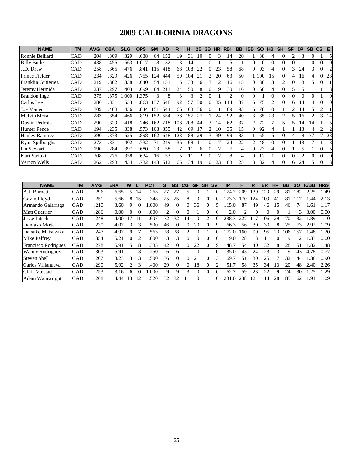### **2009 CALIFORNIA DRAGONS**

| <b>NAME</b>               | <b>TM</b>  | <b>AVG</b> | <b>OBA</b> | <b>SLG</b> | <b>OPS</b> | <b>GM</b> | AB  | R   | н   | 2B           | 3B | <b>HR</b> | <b>RBI</b> | <b>BB</b> | <b>IBB</b> | <b>SO</b>      | HB       | <b>SH</b> | <b>SF</b>      | DP | <b>SB</b> | CS.      | E.                          |
|---------------------------|------------|------------|------------|------------|------------|-----------|-----|-----|-----|--------------|----|-----------|------------|-----------|------------|----------------|----------|-----------|----------------|----|-----------|----------|-----------------------------|
| Ronnie Belliard           | CAD        | .204       | .309       | .329       | .638       | 64        | 152 | 19  | 31  | 10           |    |           | 14         | 20        |            | 38             |          |           |                |    | $\Omega$  |          |                             |
| <b>Billy Butler</b>       | CAD        | .438       | .455       | .563       | .017       | 8         | 32  | 3   | 14  |              |    |           | 5          |           |            | 0              |          | 0         |                |    | 0         |          |                             |
| J.D. Drew                 | CAD        | .258       | .365       | .476       | .841       | 15        | 418 | 68  | 08  | 22           |    | 23        | 58         | 68        |            | 93             |          |           | 3              | 24 | 3         | $\Omega$ |                             |
| Prince Fielder            | CAD        | .234       | .329       | .426       | 755        | 124       | 444 | 59  | 104 | 21           | 2  | 20        | 63         | 50        |            | 1 100          | 15       | 0         | 4              | 16 | 4         | 0        | 23                          |
| <b>Franklin Gutierrez</b> | CAD        | .219       | .302       | .338       | .640       | 54        | 151 | 15  | 33  | <sub>6</sub> | 3  |           | 16         | 15        | 0          | 30             | 3        | 2         | 0              | 8  | 5.        | $\Omega$ |                             |
| Jeremy Hermida            | CAD        | .237       | .297       | .403       | .699       | 64        | 211 | 24  | 50  | 8            |    | 9         | 30         | 16        | 0          | 60             | 4        |           | 5              |    |           |          | 3                           |
| Brandon Inge              | CAD        | .375       | .375       | .000       | .375       | 3         | 8   | 3   | 3   |              | 0  |           | 2          | $\Omega$  | $\theta$   |                | $\Omega$ | 0         | 0              |    |           |          |                             |
| Carlos Lee                | CAD        | .286       | .331       | .533       | .863       | 137       | 548 | 92  | 157 | 30           | 0  | 35        | 114        | 37        | 5.         | 75             |          | $\theta$  | 6              | 14 |           | 0        |                             |
| Joe Mauer                 | CAD        | .309       | .408       | .436       | .844       | 151       | 544 | 66  | 168 | 36           |    |           | 69         | 93        | 6          | 78             | $\Omega$ |           | $\mathfrak{D}$ | 14 | 5         | 2        |                             |
| Melvin Mora               | CAD        | .283       | .354       | .466       | .819       | 152       | 554 | 76  | 157 | 27           |    | 24        | 92         | 40        | 3          | 85             | 23       |           | 5              | 16 |           | 3        | 14                          |
| Dustin Pedroia            | CAD        | .290       | .329       | .418       | .746       | 162       | 718 | 106 | 208 | 44           | 3  | 14        | 62         | 37        | 2          | 72             |          | 5         | 5              | 14 | 14        |          | 5                           |
| <b>Hunter Pence</b>       | CAD        | .194       | .235       | .338       | .573       | 108       | 355 | 42  | 69  | 17           | 2  | 10        | 35         | 15        | 0          | 92             | 4        |           |                | 13 | 4         | 2        | $\mathcal{D}_{\mathcal{L}}$ |
| <b>Hanley Ramirez</b>     | CAD        | .290       | .373       | .525       | .898       | 162       | 648 | 123 | 188 | 29           | 3  | 39        | 99         | 83        |            | 1 155          | 5        | 0         | 4              | 8  | 37        |          | 23                          |
| <b>Ryan Spilborghs</b>    | CAD        | .273       | .331       | .402       | .732       | 71        | 249 | 36  | 68  | 11           |    |           | 24         | 22        | 2          | 48             | $\Omega$ |           |                | 3  |           |          | 3                           |
| Ian Stewart               | CAD        | .190       | .284       | .397       | .680       | 23        | 58  |     |     | h            |    |           |            |           |            | 23             | 4        |           |                |    |           | $\Omega$ | 51                          |
| Kurt Suzuki               | CAD        | .208       | .276       | .358       | .634       | 16        | 53  | 5   |     | 2            |    | 2         | 8          | 4         |            | $\overline{c}$ |          |           |                | ി  | 0         | 0        |                             |
| Vernon Wells              | <b>CAD</b> | .262       | .298       | .434       | 732        | 143       | 512 | 65  | 134 | 19           |    | 23        | 68         | 25        | 3          | 82             |          |           | 6              | 24 | 5         | $\Omega$ | $\overline{3}$              |

| <b>NAME</b>            | TM         | <b>AVG</b> | ERA  | w             |                | <b>PCT</b> | G                             | GS       | CG | <b>GF</b> | <b>SH</b> | <b>SV</b> | IP    | н   | R  | ER  | HR | BB | <b>SO</b> | <b>K/BB</b> | HR/9 |
|------------------------|------------|------------|------|---------------|----------------|------------|-------------------------------|----------|----|-----------|-----------|-----------|-------|-----|----|-----|----|----|-----------|-------------|------|
| A.J. Burnett           | CAD        | .296       | 6.65 |               | 14             | .263       |                               | 27       |    |           |           |           | 74.7  | 209 | 39 | 29  | 29 | 81 | 182       | 2.25        | 1.49 |
| Gavin Floyd            | CAD        | .251       | 5.66 |               | 15             | .348       | 25                            | 25       | 8  |           |           |           | 73.3  | 70  | 24 | 109 | 41 | 81 |           | .44         | 2.13 |
| Armando Galarraga      | <b>CAD</b> | .210       | 3.60 |               | 0              | .000       | 49                            | 0        | 0  | 36        |           |           | 15.0  | 87  | 49 | 46  | 15 | 46 | 74        | .61         | l.17 |
| <b>Matt Guerrier</b>   | CAD        | .286       | 0.00 |               |                | .000       | $\mathfrak{D}_{\mathfrak{p}}$ | 0        | 0  |           |           |           | 2.0   | 2   |    |     |    |    |           | 3.00        | 0.00 |
| Jesse Litsch           | <b>CAD</b> | .248       | 4.00 |               | 11             | .607       | 32                            | 32       | 14 |           |           |           | 238.3 | 227 |    | 106 | 29 | 70 | 132       | .89         | 1.10 |
| Damaso Marte           | CAD        | .230       | 4.07 | 3             | 3              | .500       | 46                            |          | 0  | 20        |           |           | 66.3  | 56  | 30 | 30  | 8  | 25 | 73        | 2.92        | 1.09 |
| Daisuke Matsuzaka      | <b>CAD</b> | .247       | 4.97 | 9             |                | .563       | 28                            | 28       | 2. |           |           |           | .72.0 | 160 | 99 | 95  | 23 | 06 | 157       | .48         | 1.20 |
| Mike Pelfrey           | CAD        | .354       | 5.21 |               | $\overline{c}$ | .000       | 3                             | 3        | 0  | $\Omega$  | 0         | 0         | 19.0  | 28  | 13 |     |    | 9  | 12        | .33         | 0.00 |
| Francisco Rodriguez    | CAD        | 278        | 5.91 |               | 8              | 385        | 42                            | 0        | 0  | 22        |           | 9         | 48.7  | 54  | 40 | 32  | 8  | 28 | 51        | .82         | 1.48 |
| <b>Wandy Rodriguez</b> | CAD        | .303       | 5.91 |               | 3              | .250       | 6                             | 6        |    |           |           |           | 35.0  | 43  | 24 | 23  | 3  | Q  | 43        | 4.78        | 0.77 |
| <b>Steven Shell</b>    | CAD        | .207       | 3.23 | $\rightarrow$ | 3              | .500       | 36                            | 0        | 0  | 21        |           | 3         | 69.7  | 51  | 30 | 25  |    | 32 | 44        | 1.38        | 0.90 |
| Carlos Villanueva      | <b>CAD</b> | .290       | 5.92 |               | 3              | .400       | 29                            | $\Omega$ | 0  | 18        |           |           | 51.7  | 58  | 35 | 34  | 13 | 20 | 48        | 2.40        | 2.26 |
| Chris Volstad          | CAD        | 253        | 3.16 | <sub>n</sub>  |                | .000       | 9                             | 9        | 3  | 0         |           |           | 62.7  | 59  | 23 | 22  | 9  | 24 | 30        | 1.25        | 1.29 |
| Adam Wainwright        | <b>CAD</b> | .268       | 4.44 | 13            | 12             | .520       | 32                            | 32       |    | 0         |           |           | 231   | 238 | 21 | 14  | 28 | 85 | 162       | 1.91        | 1.09 |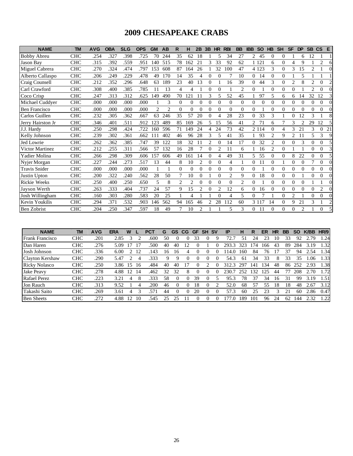### **2009 CHESAPEAKE CRABS**

| <b>NAME</b>            | <b>TM</b>  | <b>AVG</b> | <b>OBA</b> | <b>SLG</b> | <b>OPS</b> | <b>GM</b>     | AB                          | $\mathsf{R}$   | н        | 2B             | 3B             | HR                          | <b>RBI</b>     | <b>BB</b>      | <b>IBB</b> | <b>SO</b> | <b>HB</b>      | <b>SH</b> | <b>SF</b>      | <b>DP</b>      | <b>SB</b>                   | <b>CS</b>        | E                        |
|------------------------|------------|------------|------------|------------|------------|---------------|-----------------------------|----------------|----------|----------------|----------------|-----------------------------|----------------|----------------|------------|-----------|----------------|-----------|----------------|----------------|-----------------------------|------------------|--------------------------|
| <b>Bobby Abreu</b>     | <b>CHC</b> | .254       | .327       | .398       | .725       | 70            | 244                         | 35             | 62       | 18             |                | 5                           | 34             | 27             | 2          | 45        | $\overline{0}$ | $\Omega$  |                | 6              | 12                          |                  |                          |
| Jason Bay              | <b>CHC</b> | .315       | .392       | .559       | .951       | 140           | 515                         | 78             | 162      | 21             | 3              | 33                          | 92             | 62             |            | 1 1 2 1   | 6              | $\Omega$  | 4              | 9              |                             | $\overline{c}$   | 6                        |
| Miguel Cabrera         | <b>CHC</b> | .270       | .324       | .474       | .797       | 153           | 608                         | 87             | 164      | 26             |                | 32                          | 100            | 47             |            | 4 1 2 3   | 3              | $\Omega$  | 3              | 15             | 2                           |                  | $\Omega$                 |
| Alberto Callaspo       | <b>CHC</b> | .206       | .249       | .229       | .478       | 49            | 170                         | 14             | 35       | 4              | $\theta$       | $\Omega$                    |                | 10             | $\Omega$   | 14        | $\Omega$       | $\Omega$  |                | 5              |                             |                  |                          |
| Craig Counsell         | <b>CHC</b> | .212       | .352       | .296       | .648       | 63            | 189                         | 23             | 40       | 13             | $\overline{0}$ |                             | 16             | 39             | 0          | 44        | 3              | $\Omega$  | $\overline{2}$ | 8              | 2                           | $\boldsymbol{0}$ | $\mathcal{D}$            |
| Carl Crawford          | <b>CHC</b> | .308       | .400       | .385       | .785       | 11            | 13                          | 4              | 4        |                | $\theta$       | $\Omega$                    |                | $\overline{c}$ | $\Omega$   |           | $\Omega$       | $\Omega$  | $\Omega$       |                | $\mathcal{D}_{\mathcal{L}}$ | $\Omega$         | $\Omega$                 |
| Coco Crisp             | <b>CHC</b> | .247       | .313       | .312       | .625       | 149           | 490                         | 70             | 121      | 11             | 3              | 5                           | 52             | 45             |            | 97        | 5              | 6         | 6              | 14             | 32                          | 12               | $\mathcal{E}$            |
| Michael Cuddyer        | <b>CHC</b> | .000       | .000       | .000       | .000       |               | 3                           | $\Omega$       | $\Omega$ | $\Omega$       | $\Omega$       | $\Omega$                    | $\Omega$       | $\Omega$       | 0          | $\Omega$  | $\Omega$       | 0         | 0              | $\Omega$       | 0                           | 0                | $\Omega$                 |
| <b>Ben Francisco</b>   | <b>CHC</b> | .000       | .000       | .000       | .000       | $\mathcal{L}$ | $\mathcal{D}_{\mathcal{L}}$ | $\Omega$       | $\Omega$ | $\Omega$       | $\theta$       | $\Omega$                    | $\Omega$       | $\Omega$       | $\Omega$   |           | $\Omega$       | $\Omega$  | $\Omega$       | $\Omega$       | $\Omega$                    | $\Omega$         | $\Omega$                 |
| Carlos Guillen         | <b>CHC</b> | .232       | .305       | .362       | .667       | 63            | 246                         | 35             | 57       | 20             | 0              | $\boldsymbol{\vartriangle}$ | 28             | 23             | $\Omega$   | 33        | 3              |           | $\Omega$       | 12             | 3                           |                  |                          |
| Jerry Hairston Jr      | <b>CHC</b> | .346       | .401       | .511       | .912       | 123           | 489                         | 85             | 169      | 26             | 5              | 15                          | 56             | 41             | 2          | 71        | 6              | 7         | 3              | $\mathfrak{D}$ | 29                          | 12               | $\overline{\phantom{0}}$ |
| J.J. Hardy             | <b>CHC</b> | .250       | .298       | .424       | .722       | 160           | 596                         | 71             | 149      | 24             | 4              | 24                          | 73             | 42             |            | 2 1 1 4   | $\Omega$       | 4         | 3              | 21             | 3                           | 0                | 21                       |
| Kelly Johnson          | <b>CHC</b> | .239       | .302       | .361       | .662       | 111           | 402                         | 46             | 96       | 28             | 3              | 5                           | 41             | 35             |            | 93        | $\overline{2}$ | 9         | $\overline{c}$ | 11             | 5                           | 3                | $\mathbf Q$              |
| Jed Lowrie             | <b>CHC</b> | .262       | .362       | .385       | .747       | 39            | 122                         | 18             | 32       | 11             | $\overline{2}$ |                             | 14             | 17             | 0          | 32        | 2              | $\Omega$  | 0              | 3              | 0                           | 0                |                          |
| <b>Victor Martinez</b> | <b>CHC</b> | .212       | .255       | .311       | .566       | 57            | 132                         | 16             | 28       | 7              | $\Omega$       | $\overline{2}$              | 11             | 6              |            | 16        | $\overline{2}$ | $\Omega$  |                |                | 0                           | $\Omega$         | $\overline{\mathcal{E}}$ |
| Yadier Molina          | <b>CHC</b> | .266       | .298       | .309       | .606       | 157           | 606                         | 49             | 161      | 14             | $\Omega$       | 4                           | 49             | 31             | 5          | 55        | $\overline{0}$ | $\Omega$  | 8              | 22             | 0                           | 0                |                          |
| Nyjer Morgan           | <b>CHC</b> | .227       | .244       | .273       | .517       | 13            | 44                          | 8              | 10       | $\overline{2}$ | $\theta$       | $\Omega$                    | $\overline{4}$ |                | 0          | 11        | $\Omega$       |           | $\Omega$       | $\Omega$       | 7                           | $\Omega$         | $\Omega$                 |
| Travis Snider          | <b>CHC</b> | .000       | .000       | .000       | .000       |               |                             | $\overline{0}$ | $\Omega$ | $\Omega$       | $\Omega$       | $\Omega$                    | $\Omega$       | $\Omega$       | 0          |           | $\Omega$       | $\Omega$  | $\Omega$       | $\Omega$       | 0                           | 0                |                          |
| Justin Upton           | <b>CHC</b> | .200       | .322       | .240       | .562       | 28            | 50                          | 7              | 10       | $\Omega$       |                | $\Omega$                    | $\overline{2}$ | 9              | 0          | 18        | $\Omega$       | $\Omega$  | $\Omega$       |                | $\Omega$                    | 0                | $\Omega$                 |
| Rickie Weeks           | <b>CHC</b> | .250       | .400       | .250       | .650       | 5             | 8                           | $\overline{c}$ | 2        | $\Omega$       | $\Omega$       | $\Omega$                    | $\Omega$       | 2              | 0          |           | $\Omega$       | $\Omega$  | $\Omega$       | $\Omega$       |                             |                  |                          |
| Jayson Werth           | <b>CHC</b> | .263       | .333       | .404       | .737       | 24            | 57                          | 9              | 15       | $\overline{c}$ | $\theta$       | $\overline{2}$              | 12             | 6              | 0          | 16        | $\Omega$       | $\Omega$  | $\Omega$       | $\Omega$       | 0                           | $\overline{2}$   | $\Omega$                 |
| Josh Willingham        | <b>CHC</b> | .160       | .303       | .280       | .583       | 20            | 25                          |                | 4        |                |                | $\Omega$                    | $\overline{4}$ | 5              |            |           |                | $\Omega$  | $\overline{c}$ |                | 0                           | 0                | $\Omega$                 |
| Kevin Youkilis         | <b>CHC</b> | 294        | .371       | .532       | .903       | 146           | 562                         | 94             | 165      | 46             | $\overline{c}$ | 28                          | 112            | 60             |            | 3 1 1 7   | 14             | $\Omega$  | 9              | 21             | 3                           |                  | $\overline{c}$           |
| <b>Ben Zobrist</b>     | <b>CHC</b> | .204       | .250       | .347       | .597       | 18            | 49                          |                | 10       | $\overline{c}$ |                |                             | 5              | 3              | 0          | -11       | $\Omega$       | 0         | $\Omega$       | $\mathfrak{D}$ |                             | $\Omega$         |                          |

| <b>NAME</b>            | <b>TM</b>  | <b>AVG</b> | <b>ERA</b> | w  |    | <b>PCT</b> | G  | <b>GS</b> | CG.          | <b>GF</b> | SH SV      | <b>IP</b> | н   | R   | ER  | <b>HR</b> | <b>BB</b> | <b>SO</b> | <b>K/BB</b> | HR/9 |
|------------------------|------------|------------|------------|----|----|------------|----|-----------|--------------|-----------|------------|-----------|-----|-----|-----|-----------|-----------|-----------|-------------|------|
| <b>Frank Francisco</b> | <b>CHC</b> | .201       | 2.85       |    |    | .600       | 50 |           |              | 33        |            | 72.7      | 51  | 24  | 23  |           | 33        | 92        | 2.79        | .24  |
| Dan Haren              | <b>CHC</b> | .276       | 5.09       |    |    | .500       | 40 | 40        | $^{\prime}2$ |           |            | 293.3     | 323 | 74  | 166 | 43        | 89        | 284       | 3.19        | .32  |
| Josh Johnson           | <b>CHC</b> | .336       | 6.00       |    | 12 | 143        | 16 | 16        |              |           |            | 14.0      | 160 | 84  | 76  |           | 37        | 94        | 2.54        | .34  |
| Clayton Kershaw        | <b>CHC</b> | .290       | 5.47       |    | 4  | .333       |    | 9         |              |           |            | 54.3      | 61  | 34  | 33  | 8         | 33        | 35        | .06         | .33  |
| <b>Ricky Nolasco</b>   | <b>CHC</b> | .250       | 3.86       | 15 | 16 | .484       | 40 | 40        |              |           |            | 312.3     | 297 | 141 | 34  | 48        | 86        | 252       | 2.93        | .38  |
| <b>Jake Peavy</b>      | <b>CHC</b> | .278       | 4.88       | 12 | 14 | .462       | 32 | 32        | 8            |           | 0          | 230.      | 252 | 32  | 125 | 44        |           | 208       | 2.70        | 1.72 |
| <b>Rafael Perez</b>    | <b>CHC</b> | .223       | 3.21       | 4  | 8  | .333       | 58 | $\theta$  |              | 39        | 0          | 95.3      | 78  | 37  | 34  | 16        | 31        | 99        | 3.19        | 1.51 |
| Jon Rauch              | <b>CHC</b> | .313       | 9.52       |    | 4  | .200       | 46 |           |              | 18        | $^{\circ}$ | 52.0      | 68  | 57  | 55  | 18        | 18        | 48        | 2.67        | 3.12 |
| Takashi Saito          | <b>CHC</b> | .269       | 3.61       | 4  |    | 571        | 44 |           |              | 20        | 0          | 57.3      | 60  | 25  | 23  |           | 21        | 60        | 2.86        | 0.47 |
| <b>Ben Sheets</b>      | <b>CHC</b> | 272        | 4.88       | 12 | 10 | 545        | 25 | つう        |              |           | $^{\circ}$ |           | 189 | 101 | 96  | 24        | 62        | 144       | 2.32        | 1.22 |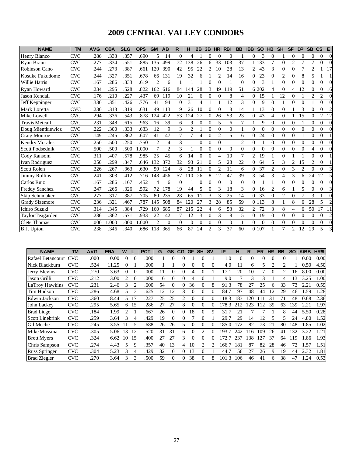### **2009 CENTRAL VALLEY CONDORS**

| <b>NAME</b>            | <b>TM</b>  | <b>AVG</b> | <b>OBA</b> | <b>SLG</b> | <b>OPS</b> | <b>GM</b>      | <b>AB</b>      | R        | н        | 2B             | 3B                                                                                                                                                                                                                                                                                                                                                                                                          | HR             | <b>RBI</b>     | <b>BB</b>      | <b>IBB</b> | <b>SO</b> | <b>HB</b>      | <b>SH</b>      | <b>SF</b>      | <b>DP</b>      | SB <sub>CS</sub> |                | E              |
|------------------------|------------|------------|------------|------------|------------|----------------|----------------|----------|----------|----------------|-------------------------------------------------------------------------------------------------------------------------------------------------------------------------------------------------------------------------------------------------------------------------------------------------------------------------------------------------------------------------------------------------------------|----------------|----------------|----------------|------------|-----------|----------------|----------------|----------------|----------------|------------------|----------------|----------------|
| Henry Blanco           | <b>CVC</b> | .286       | .333       | .357       | .690       | 5              | 14             | $\Omega$ | 4        |                | 0                                                                                                                                                                                                                                                                                                                                                                                                           | $\Omega$       | $\Omega$       |                | $\theta$   | 3         | $\Omega$       |                | $\Omega$       | $\Omega$       | 0                | 0              | $\Omega$       |
| Ryan Braun             | <b>CVC</b> | .277       | .334       | .551       | .885       | 135            | 499            | 72       | 138      | 26             | 6                                                                                                                                                                                                                                                                                                                                                                                                           | 33             | 103            | 37             |            | 1 1 3 3   | 7              | $\Omega$       | $\overline{c}$ | 7              | 7                | $\theta$       | $\Omega$       |
| Robinson Cano          | <b>CVC</b> | .244       | .273       | .387       | .661       | 120            | 390            | 42       | 95       | 22             | 2                                                                                                                                                                                                                                                                                                                                                                                                           | 10             | 28             | 13             | 2          | 43        | 3              | $\overline{0}$ | $\Omega$       | 7              | $\overline{2}$   |                | 17             |
| Kosuke Fukudome        | <b>CVC</b> | .244       | .327       | .351       | .678       | 66             | 131            | 19       | 32       | 6              |                                                                                                                                                                                                                                                                                                                                                                                                             | $\overline{c}$ | 14             | 16             | $\Omega$   | 23        | $\Omega$       | 2              | $\Omega$       | 8              | 5                |                |                |
| Willie Harris          | <b>CVC</b> | .167       | .286       | .333       | .619       | $\overline{2}$ | 6              | 1        |          |                | $\theta$                                                                                                                                                                                                                                                                                                                                                                                                    | $\Omega$       | 1              | $\Omega$       | $\Omega$   | 3         | 1              | $\theta$       | $\theta$       | $\theta$       | $\Omega$         | $\Omega$       | $\Omega$       |
| Ryan Howard            | <b>CVC</b> | .234       | .295       | .528       | .822       | 162            | 616            | 84       | 144      | 28             | 3                                                                                                                                                                                                                                                                                                                                                                                                           | 49             | 119            | 51             |            | 6 202     | 4              | $\Omega$       | 4              | 12             | $\Omega$         | $\Omega$       | -16            |
| <b>Jason Kendall</b>   | <b>CVC</b> | .176       | .210       | .227       | .437       | 69             | 119            | 10       | 21       | 6              | $\overline{0}$                                                                                                                                                                                                                                                                                                                                                                                              | $\Omega$       | 8              | 4              | 0          | 15        |                | 12             | $\mathbf{0}$   |                | $\overline{2}$   | $\overline{c}$ | $\Omega$       |
| Jeff Keppinger         | <b>CVC</b> | .330       | .351       | .426       | .776       | 41             | 94             | 10       | 31       | $\overline{4}$ |                                                                                                                                                                                                                                                                                                                                                                                                             |                | 12             | 3              | $\Omega$   | 9         | $\Omega$       | $\mathbf{1}$   | $\theta$       | $\Omega$       |                  | $\Omega$       | $\Omega$       |
| Mark Loretta           | <b>CVC</b> | .230       | .313       | .319       | .631       | 49             | 113            | 9        | 26       | 10             | $\theta$                                                                                                                                                                                                                                                                                                                                                                                                    | $\theta$       | 8              | 14             |            | 13        | $\Omega$       | $\Omega$       |                | 3              | $\Omega$         | $\Omega$       | $\overline{c}$ |
| Mike Lowell            | <b>CVC</b> | .294       | .336       | .543       | .878       | 124            | 422            | 53       | 124      | 27             | $\Omega$                                                                                                                                                                                                                                                                                                                                                                                                    | 26             | 53             | 23             | 0          | 43        | 4              | $\Omega$       | 1              | 15             | $\Omega$         | $\overline{2}$ | 12             |
| <b>Travis Metcalf</b>  | <b>CVC</b> | .231       | .348       | .615       | .963       | 16             | 39             | 6        | 9        | $\Omega$       | $\theta$                                                                                                                                                                                                                                                                                                                                                                                                    | $\overline{5}$ | 6              | 7              |            | 9         | $\Omega$       | $\theta$       | $\Omega$       |                | $\Omega$         | $\Omega$       | $\Omega$       |
| Doug Mientkiewicz      | <b>CVC</b> | .222       | .300       | .333       | .633       | 12             | 9              | 3        | 2        |                | 0                                                                                                                                                                                                                                                                                                                                                                                                           | $\overline{0}$ | $\overline{0}$ |                | $\Omega$   | $\theta$  | $\Omega$       | $\Omega$       | $\mathbf{0}$   | $\overline{0}$ | $\Omega$         | $\Omega$       | 0              |
| Craig Monroe           | <b>CVC</b> | .149       | .245       | .362       | .607       | 41             | 47             | 7        | 7        | $\overline{4}$ | $\theta$                                                                                                                                                                                                                                                                                                                                                                                                    | $\overline{2}$ | 5              | 6              | $\Omega$   | 24        | $\Omega$       | $\Omega$       | $\Omega$       |                | 0                | $\Omega$       |                |
| <b>Kendry Morales</b>  | <b>CVC</b> | .250       | .500       | .250       | .750       | $\overline{2}$ | $\overline{4}$ | 3        | 1        | $\Omega$       | $\Omega$                                                                                                                                                                                                                                                                                                                                                                                                    | $\Omega$       |                | $\overline{2}$ | $\Omega$   |           | $\Omega$       | $\Omega$       | $\Omega$       | $\Omega$       | $\Omega$         | $\Omega$       | $\Omega$       |
| <b>Scott Podsednik</b> | <b>CVC</b> | .500       | .500       | .500       | 1.000      | 7              | $\overline{2}$ | 3        |          | $\overline{0}$ | $\Omega$                                                                                                                                                                                                                                                                                                                                                                                                    | $\Omega$       | $\Omega$       | $\theta$       | $\Omega$   | $\theta$  | $\Omega$       | $\Omega$       | $\Omega$       | $\theta$       | 4                | $\Omega$       |                |
| Cody Ransom            | <b>CVC</b> | .311       | .407       | .578       | .985       | 25             | 45             | 6        | 14       | $\Omega$       | $\Omega$                                                                                                                                                                                                                                                                                                                                                                                                    | $\Delta$       | 10             | 7              | 2          | 19        |                | $\Omega$       | 1              |                | 0                | $\Omega$       |                |
| Ivan Rodriguez         | <b>CVC</b> | .250       | .299       | .347       | .646       | 132            | 372            | 32       | 93       | 21             | $\theta$                                                                                                                                                                                                                                                                                                                                                                                                    | 5              | 28             | 22             | $\Omega$   | 64        | 5              | 3              | $\overline{c}$ | 15             | $\overline{2}$   | $\Omega$       |                |
| <b>Scott Rolen</b>     | <b>CVC</b> | .226       | .267       | .363       | .630       | 50             | 124            | 8        | 28       | 11             | $\theta$                                                                                                                                                                                                                                                                                                                                                                                                    | $\mathfrak{D}$ | 11             | 6              | 0          | 37        | $\overline{2}$ | $\Omega$       | 3              | $\overline{2}$ | 0                | $\Omega$       |                |
| <b>Jimmy Rollins</b>   | <b>CVC</b> | .241       | .303       | .412       | .716       | 148            | 456            | 57       | 110      | 26             | 8                                                                                                                                                                                                                                                                                                                                                                                                           | 12             | 47             | 39             | 3          | 54        | 3              | 4              | 3              | 6              | 24               | 12             |                |
| Carlos Ruiz            | <b>CVC</b> | .167       | .286       | .167       | .452       | 4              | 6              | $\theta$ |          | $\Omega$       | $\Omega$                                                                                                                                                                                                                                                                                                                                                                                                    | $\Omega$       | $\Omega$       | $\Omega$       | $\Omega$   |           | 1              | $\Omega$       | $\Omega$       | $\theta$       | $\Omega$         | $\Omega$       | $\Omega$       |
| <b>Freddy Sanchez</b>  | <b>CVC</b> | .247       | .266       | .326       | .592       | 72             | 178            | 19       | 44       | 5              | $\Omega$                                                                                                                                                                                                                                                                                                                                                                                                    | 3              | 18             | 3              | 0          | 16        | 2              | 6              |                | 5              | $\Omega$         | $\Omega$       |                |
| Skip Schumaker         | <b>CVC</b> | .277       | .317       | .387       | .705       | 80             | 235            | 28       | 65       | 11             | 3                                                                                                                                                                                                                                                                                                                                                                                                           | 3              | 25             | 14             | $\Omega$   | 33        | $\Omega$       | $\overline{2}$ | $\overline{0}$ | 7              | 3                |                | 0              |
| <b>Grady Sizemore</b>  | <b>CVC</b> | .236       | .321       | .467       | .787       | 145            | 508            | 84       | 120      | 27             | 3                                                                                                                                                                                                                                                                                                                                                                                                           | 28             | 85             | 59             |            | 0 1 1 3   | 8              |                | 8              | 6              | 28               | 5              | $\mathfrak{D}$ |
| Ichiro Suzuki          | <b>CVC</b> | 314        | .345       | .384       | .729       | 160            | 685            | 87       | 215      | 22             | 4                                                                                                                                                                                                                                                                                                                                                                                                           | 6              | 53             | 32             | 2          | 72        | 3              | 8              | 4              | 6              | 50               | 17             | 11             |
| Taylor Teagarden       | <b>CVC</b> | .286       | .362       | .571       | .933       | 22             | 42             | 7        | 12       | 3              | $\theta$                                                                                                                                                                                                                                                                                                                                                                                                    | 3              | 8              | 5              | 0          | 19        | $\theta$       | $\theta$       | $\theta$       | $\theta$       | 0                | $\theta$       | $\overline{2}$ |
| <b>Clete Thomas</b>    | <b>CVC</b> | .000       | .000       | .000       | .000       | $\overline{c}$ | $\Omega$       | $\Omega$ | $\Omega$ | $\Omega$       | $\Omega$                                                                                                                                                                                                                                                                                                                                                                                                    | $\Omega$       | $\Omega$       | 1              | $\Omega$   | $\theta$  | $\Omega$       | $\Omega$       | $\Omega$       | $\theta$       | $\Omega$         | $\Omega$       | $\Omega$       |
| B.J. Upton             | <b>CVC</b> | .238       | .346       | .340       | .686       | 118            | 365            | 66       | 87       | 24             | $\mathfrak{D}_{1}^{(1)} = \mathfrak{D}_{2}^{(1)} = \mathfrak{D}_{2}^{(1)} = \mathfrak{D}_{2}^{(1)} = \mathfrak{D}_{2}^{(1)} = \mathfrak{D}_{2}^{(1)} = \mathfrak{D}_{2}^{(1)} = \mathfrak{D}_{2}^{(1)} = \mathfrak{D}_{2}^{(1)} = \mathfrak{D}_{2}^{(1)} = \mathfrak{D}_{2}^{(1)} = \mathfrak{D}_{2}^{(1)} = \mathfrak{D}_{2}^{(1)} = \mathfrak{D}_{2}^{(1)} = \mathfrak{D}_{2}^{(1)} = \mathfrak{D}_{2}^{$ | 3              | 37             | 60             |            | 0 107     |                |                | 2              | 12             | 29               | 5              |                |

| <b>NAME</b>            | TM         | <b>AVG</b> | <b>ERA</b> | W     |                | <b>PCT</b> | G  | <b>GS</b> | CG                            | <b>GF</b> | <b>SH</b>      | <b>SV</b> | IP    | н        | R   | <b>ER</b> | <b>HR</b> | <b>BB</b>                     | <b>SO</b> | <b>K/BB</b> | HR/9 |
|------------------------|------------|------------|------------|-------|----------------|------------|----|-----------|-------------------------------|-----------|----------------|-----------|-------|----------|-----|-----------|-----------|-------------------------------|-----------|-------------|------|
| Rafael Betancourt      | <b>CVC</b> | .000       | 0.00       | 0     | $\Omega$       | .000       |    |           |                               |           |                |           | 1.0   | $\Omega$ | 0   | 0         |           | $\Omega$                      |           | 0.00        | 0.00 |
| Nick Blackburn         | <b>CVC</b> | .524       | 11.25      | 0     |                | .000       |    |           |                               | $\theta$  | 0              | $\Omega$  | 4.0   | 11       | 6   | 5         |           | $\mathfrak{D}_{\mathfrak{p}}$ |           | 0.50        | 4.50 |
| Jerry Blevins          | <b>CVC</b> | .270       | 3.63       | 0     | $\Omega$       | .000       | 11 |           |                               |           | 0              |           | 17.1  | 20       | 10  |           | $\Omega$  | $\overline{c}$                | 16        | 8.00        | 0.00 |
| Jason Grilli           | <b>CVC</b> | .212       | 3.00       | 2     | $\Omega$       | .000       | 6  | $\Omega$  | $\Omega$                      | 4         | $\Omega$       |           | 9.0   |          | 3   | 3         |           | 4                             | 13        | 3.25        | 1.00 |
| LaTroy Hawkins         | CVC        | .231       | 2.46       | 3     | $\mathfrak{D}$ | .600       | 54 | 0         | 0                             | 36        | 0              | 8         | 91.3  | 78       | 27  | 25        | 6         | 33                            | 73        | 2.21        | 0.59 |
| Tim Hudson             | <b>CVC</b> | .286       | 4.68       | 5     | 3              | .625       | 12 | 12        | 3                             | $\Omega$  | 0              | 0         | 84.7  | 97       | 48  | 44        | 12        | 29                            | 46        | .59         | 1.28 |
| Edwin Jackson          | <b>CVC</b> | .360       | 8.44       | 5     | 17             | .227       | 25 | 25        | $\mathfrak{D}_{\mathfrak{p}}$ | $\Omega$  | $\Omega$       | 0         | 18.3  | 183      | 120 |           | 31        | 71                            | 48        | 0.68        | 2.36 |
| John Lackey            | <b>CVC</b> | .295       | 5.65       | 6     | 15             | .286       | 27 | 27        | 8                             | $\Omega$  | 0              | 0         | 78.3  | 212      | 123 | 112       | 39        | 63                            | 139       | 2.21        | 1.97 |
| <b>Brad Lidge</b>      | <b>CVC</b> | .184       | 1.99       | 2     |                | .667       | 26 | $\Omega$  | $\Omega$                      | 18        | 0              | 9         | 31.7  | 21       |     |           |           | 8                             | 44        | 5.50        | 0.28 |
| <b>Scott Linebrink</b> | <b>CVC</b> | .259       | 3.64       | 3     | 4              | .429       | 19 | $\Omega$  | $\Omega$                      |           | 0              |           | 29.7  | 29       | 14  | 12        | 5         | 5                             | 24        | 4.80        | 1.52 |
| Gil Meche              | <b>CVC</b> | .245       | 3.55       |       | 5              | .688       | 26 | 26        | 5                             | $\Omega$  | 0              | 0         | 185.0 | 172      | 82  | 73        | 21        | 80                            | 148       | 1.85        | 1.02 |
| Mike Mussina           | <b>CVC</b> | .305       | 5.06       | 13    | 12             | .520       | 31 | 31        | 6                             | $\Omega$  | $\mathfrak{D}$ | $\Omega$  | 193.7 | 242      | 16  | 109       | 26        | 41                            | 132       | 3.22        | 1.21 |
| <b>Brett Myers</b>     | <b>CVC</b> | .324       | 6.62       | 10 15 |                | .400       | 27 | 27        | 3                             | $\Omega$  | 0              | 0         | 72.7  | 237      | 138 | 127       | 37        | 64                            | 119       | 1.86        | 1.93 |
| Chris Sampson          | <b>CVC</b> | .274       | 4.43       | 5     | 9              | .357       | 40 | 13        | 4                             | 10        | 2.             | っ         | .66.7 | 181      | 87  | 82        | 28        | 46                            | 72        | .57         | 1.51 |
| <b>Russ Springer</b>   | <b>CVC</b> | .304       | 5.23       | 3     | 4              | .429       | 32 | $\Omega$  | $\Omega$                      | 13        | 0              |           | 44.7  | 56       | 27  | 26        | 9         | 19                            | 44        | 2.32        | 1.81 |
| <b>Brad Ziegler</b>    | <b>CVC</b> | .270       | 3.64       | 3     | 3              | .500       | 59 | 0         | $\Omega$                      | 38        | 0              | 8         | 101.3 | 106      | 46  | 41        | 6         | 38                            | 47        | l.24        | 0.53 |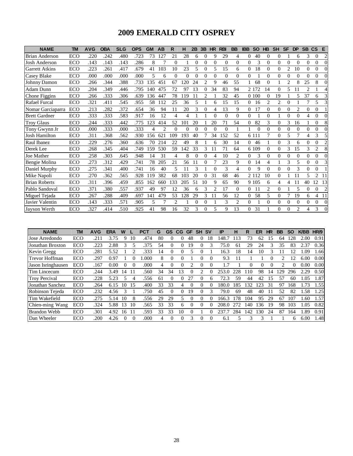### **2009 EMERALD CITY OSPREY**

| <b>NAME</b>           | <b>TM</b>  | <b>AVG</b> | <b>OBA</b> | <b>SLG</b> | <b>OPS</b> | <b>GM</b> | AB             | R        | н        | 2B       | 3B                          | <b>HR</b>      | <b>RBI</b> | <b>BB</b>      | <b>IBB</b> | <b>SO</b> | <b>HB</b>      | <b>SH</b> | <b>SF</b>      | <b>DP</b>      | <b>SB</b> | <b>CS</b>      | E                           |
|-----------------------|------------|------------|------------|------------|------------|-----------|----------------|----------|----------|----------|-----------------------------|----------------|------------|----------------|------------|-----------|----------------|-----------|----------------|----------------|-----------|----------------|-----------------------------|
| <b>Brian Anderson</b> | ECO        | .220       | 242        | .480       | .723       | 73        | 127            | 21       | 28       | 6        | $\Omega$                    | 9              | 29         | 4              | $\Omega$   | 40        | $\mathbf{0}$   | $\Omega$  |                | 6              | 3         | $\Omega$       | 2                           |
| <b>Josh Anderson</b>  | ECO        | .143       | .143       | .143       | .286       | 8         | 7              | $\Omega$ |          | $\Omega$ | $\Omega$                    | $\Omega$       | $\Omega$   | $\Omega$       | $\Omega$   | 3         | $\mathbf{0}$   | $\Omega$  | $\theta$       | $\Omega$       | 0         | 0              | $\Omega$                    |
| <b>Garrett Atkins</b> | ECO        | .223       | .261       | .417       | .679       | 41        | 103            | 10       | 23       | 5        | $\Omega$                    | 5              | 15         | 6              | $\Omega$   | 18        | $\mathbf{0}$   | $\Omega$  | $\overline{2}$ | 10             | 0         | 0              | $\Omega$                    |
| Casey Blake           | ECO        | .000       | .000       | .000       | .000       | 5         | 6              | $\Omega$ | $\theta$ | $\Omega$ | $\Omega$                    | $\Omega$       | $\Omega$   | $\Omega$       | $\Omega$   |           | $\Omega$       | $\Omega$  | $\Omega$       | $\Omega$       |           | 0              | $\Omega$                    |
| Johnny Damon          | ECO        | .266       | .344       | .388       | .733       | 135       | 451            | 67       | 120      | 24       | $\mathcal{D}_{\mathcal{L}}$ | 9              | 46         | 55             |            | 68        | $\mathbf{0}$   |           | $\overline{2}$ | 8              | 25        | 8              | $\Omega$                    |
| Adam Dunn             | <b>ECO</b> | .204       | .349       | .446       | .795       | 140       | 475            | 72       | 97       | 13       | $\Omega$                    | 34             | 83         | 94             |            | 2 1 7 2   | 14             | $\Omega$  | 5              | 11             | 2         |                |                             |
| Chone Figgins         | ECO        | .266       | .333       | .306       | .639       | 136       | 447            | 78       | 119      | 11       | $\mathfrak{D}$              |                | 32         | 45             |            | 0.100     | $\Omega$       | 19        |                | 5              | 37        | 6              | $\mathcal{E}$               |
| <b>Rafael Furcal</b>  | <b>ECO</b> | .321       | .411       | .545       | .955       | 58        | 112            | 25       | 36       | 5        |                             | 6              | 15         | 15             | $\Omega$   | 16        | 2              | 2         | $\Omega$       |                |           | 5              | $\mathcal{R}$               |
| Nomar Garciaparra     | ECO        | .213       | .282       | .372       | .654       | 36        | 94             | 11       | 20       | 3        | $\Omega$                    | 4              | 13         | 9              | $\Omega$   | 17        | $\overline{0}$ | $\Omega$  | $\Omega$       | $\overline{c}$ | 0         | $\Omega$       |                             |
| <b>Brett Gardner</b>  | <b>ECO</b> | .333       | .333       | .583       | .917       | 16        | 12             | 4        | 4        |          |                             | 0              | $\Omega$   | $\Omega$       | $\Omega$   |           | $\Omega$       |           | $\Omega$       | 0              |           | 0              | $\Omega$                    |
| <b>Troy Glaus</b>     | ECO        | .244       | 333        | .442       | .775       | 123       | 414            | 52       | 101      | 20       |                             | 20             | 71         | 54             | $\Omega$   | 82        | 3              | $\Omega$  | 3              | 16             |           | $\Omega$       | 8                           |
| Tony Gwynn Jr         | ECO        | .000       | .333       | .000       | .333       | 4         | $\overline{c}$ | $\Omega$ | 0        | $\Omega$ | 0                           | 0              | $\Omega$   |                |            | $\Omega$  | $\Omega$       | $\Omega$  | $\Omega$       | $\Omega$       |           | 0              | $\Omega$                    |
| <b>Josh Hamilton</b>  | ECO        | .311       | .368       | .562       | .930       | 156       | 621            | 109      | 193      | 40       |                             | 34             | 152        | 52             |            | 6 1 1 1   | 7              | $\Omega$  | 5              | 7              | 4         | 3              | $\overline{\phantom{0}}$    |
| Raul Ibanez           | ECO        | .229       | .276       | .360       | .636       | 70        | 214            | 22       | 49       | 8        |                             | 6              | 30         | 14             | 0          | 46        |                | $\Omega$  | 3              | 6              |           | 0              | $\mathcal{D}_{\mathcal{L}}$ |
| Derek Lee             | ECO        | .268       | .345       | .404       | .749       | 159       | 530            | 59       | 142      | 33       | 3                           | 11             | 71         | 64             |            | 6 109     | $\Omega$       | $\Omega$  | 3              | 15             | 3         | $\overline{c}$ | 8                           |
| Joe Mather            | <b>ECO</b> | .258       | .303       | .645       | .948       | 14        | 31             | 4        | 8        | $\Omega$ | 0                           | 4              | 10         | 2              | 0          | 3         | $\Omega$       | $\Omega$  | 0              | $\Omega$       | 0         | 0              | $\Omega$                    |
| Bengie Molina         | ECO        | .273       | .312       | .429       | .741       | 78        | 205            | 21       | 56       | 11       | $\Omega$                    |                | 23         | 9              | $\Omega$   | 14        | 4              |           | 3              | 5              | 0         | 0              | $\mathcal{F}$               |
| Daniel Murphy         | <b>ECO</b> | .275       | .341       | .400       | .741       | 16        | 40             | 5        |          | 3        |                             | 0              | 3          | 4              | $\Omega$   | 9         | $\Omega$       | $\Omega$  | $\Omega$       | 3              | 0         | 0              |                             |
| Mike Napoli           | ECO        | .270       | .362       | .565       | .928       | 119       | 382            | 68       | 103      | 20       | 0                           | 31             | 68         | 46             |            | 2 1 1 2   | 10             | $\Omega$  |                | 11             | 5         | $\overline{c}$ | 11                          |
| <b>Brian Roberts</b>  | <b>ECO</b> | .311       | .396       | .459       | .855       | 162       | 660            | 133      | 205      | 51       | 10                          | 9              | 65         | 90             |            | 9 1 0 5   | 6              | 4         | 4              | 11             | 40        | 12             | 13                          |
| Pablo Sandoval        | ECO        | .371       | 380        | .557       | .937       | 49        | 97             | 12       | 36       | 6        | 3                           | $\overline{c}$ | 17         | $\Omega$       | $\Omega$   | 11        | 2              | $\Omega$  |                | 5              | 0         | 0              | $\overline{c}$              |
| Miguel Tejada         | ECO        | .267       | .288       | .409       | .697       | 141       | 479            | 53       | 128      | 29       | 3                           | 11             | 56         | 12             | $\Omega$   | 58        | 5              | $\Omega$  | 7              | 19             | 6         | 4              | 11                          |
| Javier Valentin       | ECO        | .143       | .333       | .571       | .905       | 5         | 7              | 2        |          | $\Omega$ | $\Omega$                    |                | 3          | $\overline{c}$ | $\Omega$   |           | 0              | $\Omega$  | $\Omega$       | $\Omega$       | 0         | 0              | $\Omega$                    |
| Jayson Werth          | ECO        | .327       | .414       | .510       | .925       | 41        | 98             | 16       | 32       | 3        | 0                           | 5              | 9          | 13             | $\Omega$   | 31        |                | 0         | 0              | $\overline{c}$ |           | 3              | $\Omega$                    |

| <b>NAME</b>           | TM  | <b>AVG</b> | <b>ERA</b> | W        |          | PCT  | G  | GS       | <b>CG</b>    | <b>GF</b> | <b>SH</b> | <b>SV</b> | IP    | н   | R            | ER  | HR | BB                          | <b>SO</b> | <b>K/BB</b> | HR/9 |
|-----------------------|-----|------------|------------|----------|----------|------|----|----------|--------------|-----------|-----------|-----------|-------|-----|--------------|-----|----|-----------------------------|-----------|-------------|------|
| Jose Arredondo        | ECO | .211       | 3.75       | Q        | 10       | .474 | 80 | $\Omega$ | 0            | 48        |           | 18        | 148.7 | 113 | 73           | 62  | 15 | 64                          | 128       | 2.00        | 0.91 |
| Jonathan Broxton      | ECO | .223       | 2.88       |          |          | 375  | 54 | $\Omega$ | 0            | 19        |           | 3         | 75.0  | 61  | 29           | 24  |    | 35                          | 83        | 2.37        | 0.36 |
| Kevin Gregg           | ECO | .281       | 5.52       |          |          | 333  | 14 |          |              |           |           |           | 16.3  | 18  | 14           |     |    |                             |           | .09         | 1.66 |
| <b>Trevor Hoffman</b> | ECO | .297       | 0.97       |          |          | .000 | 8  | $\Omega$ | $\mathbf{0}$ |           |           | $\Omega$  | 9.3   |     |              |     | 0  | $\mathcal{D}_{\mathcal{A}}$ | 12        | 6.00        | 0.00 |
| Jason Isringhausen    | ECO | .167       | 0.00       |          | $\theta$ | .000 | 4  | $\Omega$ |              |           |           | 0         |       |     | 0            |     |    | っ                           |           | 0.00        | 0.00 |
| Tim Lincecum          | ECO | .244       | 3.49       | 14       |          | .560 | 34 | 34       |              |           |           |           | 253.  | 228 | 110          | 98  | 14 | 29                          | 296       | 2.29        | 0.50 |
| <b>Troy Percival</b>  | ECO | .228       | 5.23       |          | 4        | .556 | 61 | $\Omega$ |              | 27        |           | 6         | 72.3  | 59  | 44           | 42  | 15 | 57                          | 60        | .05         | 1.87 |
| Jonathan Sanchez      | ECO | .264       | 6.15       | 10       | 15       | .400 | 33 | 33       |              |           |           | 0         | 180.0 | 185 | 32           | 123 | 31 | 97                          | 168       | .73         | 1.55 |
| Robinson Tejeda       | ECO | .232       | 4.56       |          |          | .750 | 45 |          |              | 19        |           | 3         | 79.0  | 69  | 48           | 40  |    | 52                          | 82        | l.58        | 1.25 |
| Tim Wakefield         | ECO | .275       | 5.14       | 10       | 8        | .556 | 29 | 29       | $\sim$       | $\Omega$  |           | $\Omega$  | 166.3 | 78  | 104          | 95  | 29 | 67                          | 107       | .60         | 1.57 |
| Chien-ming Wang       | ECO | .324       | 5.88       | 13       | 10       | .565 | 33 | 33       | 6            |           |           | 0         | 208.0 | 272 | 140          | 136 | 19 | 98                          | 103       | .05         | 0.82 |
| <b>Brandon Webb</b>   | ECO | .301       | 4.92       | 16       | 11       | .593 | 33 | 33       | 10           |           |           | 0         | 237   | 284 | 142          | 130 | 24 | 87                          | 164       | .89         | 0.91 |
| Dan Wheeler           | ECO | .200       | 4.26       | $\Omega$ | $\Omega$ | .000 | 4  | $\Omega$ | 0            | 3         | $\Omega$  | $\Omega$  | 6.1   |     | $\mathbf{R}$ |     |    |                             | 6         | 6.00        | 1.48 |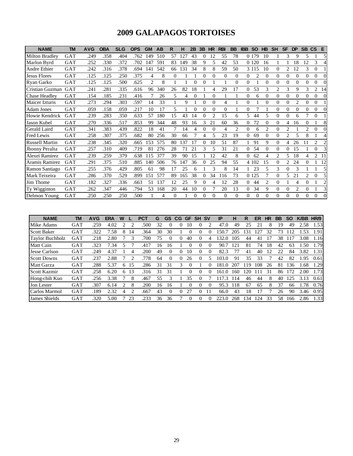### **2009 GALAPAGOS TORTOISES**

| <b>NAME</b>           | <b>TM</b> | <b>AVG</b> | <b>OBA</b> | <b>SLG</b> | <b>OPS</b> | <b>GM</b>      | AB  | R        | н   | 2B       | 3B       | <b>HR</b>      | <b>RBI</b> | <b>BB</b> | <b>IBB</b>     | <b>SO</b> | <b>HB</b> | <b>SH</b>      | <b>SF</b> | <b>DP</b>      | <b>SB</b> | <b>CS</b>      | E              |
|-----------------------|-----------|------------|------------|------------|------------|----------------|-----|----------|-----|----------|----------|----------------|------------|-----------|----------------|-----------|-----------|----------------|-----------|----------------|-----------|----------------|----------------|
| <b>Milton Bradley</b> | GAT       | .249       | .358       | .404       | .762       | 149            | 510 | 57       | 127 | 43       | $\Omega$ | 12             | 55         | 78        |                | 0 1 7 9   | 10        |                | 3         | 9              | 5         |                | 5              |
| Marlon Byrd           | GAT       | 252        | .330       | .372       | .702       | 147            | 591 | 83       | 149 | 38       | 9        | 5              | 42         | 53        |                | 0 1 2 0   | 16        |                |           | 18             | 12        | 3              | 4              |
| Andre Ethier          | GAT       | .242       | .316       | .378       | .694       | 141            | 542 | 66       | 131 | 34       | 8        | 8              | 59         | 50        |                | 3 1 1 5   | 10        | 0              | 2         | 12             | 3         | 0              |                |
| <b>Jesus Flores</b>   | GAT       | .125       | 125        | .250       | .375       | 4              | 8   | $\Omega$ |     |          | $\Omega$ | $\Omega$       | $\Omega$   | $\theta$  | $\overline{0}$ | 2         | $\theta$  | $\Omega$       | 0         | $\Omega$       | $\Omega$  | $\theta$       | $\Omega$       |
| Ryan Garko            | GAT       | .125       | .125       | .500       | .625       | $\overline{c}$ | 8   |          |     | $\theta$ |          |                |            | $\theta$  | $\Omega$       |           | $\theta$  | $\theta$       | 0         | $\theta$       | $\Omega$  | 0              |                |
| Cristian Guzman       | GAT       | .241       | .281       | .335       | .616       | 96             | 340 | 26       | 82  | 18       |          | 4              | 29         | 17        | $\overline{0}$ | 53        | 3         | $\mathfrak{D}$ | 3         | 9              | 3         | 2              | 14             |
| <b>Chase Headley</b>  | GAT       | .154       | .185       | .231       | .416       |                | 26  | 5        | 4   | $\Omega$ |          | $\Omega$       |            |           | $\theta$       | 6         | $\Omega$  | $\Omega$       | 0         | $\Omega$       | $\Omega$  | $\Omega$       | $\Omega$       |
| Maicer Izturis        | GAT       | .273       | .294       | .303       | .597       | 14             | 33  |          | 9   |          | 0        | 0              | 4          |           | $\Omega$       |           | 0         | 0              | 0         | $\overline{c}$ | 0         | 0              |                |
| <b>Adam Jones</b>     | GAT       | .059       | .158       | .059       | .217       | 10             | 17  | 5        |     | 0        | $\Omega$ | $\Omega$       | $\Omega$   |           | $\Omega$       | 7         |           | $\Omega$       | 0         | $\Omega$       | 0         | 0              | $\Omega$       |
| Howie Kendrick        | GAT       | .239       | .283       | .350       | .633       | 57             | 180 | 15       | 43  | 14       | $\Omega$ | $\mathfrak{D}$ | 15         | 6         | 5              | 44        | 5         | $\Omega$       | 0         | 6              |           | $\mathbf{0}$   |                |
| Jason Kubel           | GAT       | .270       | .336       | .517       | .853       | 99             | 344 | 48       | 93  | 16       | 3        | 21             | 60         | 36        | $\theta$       | 72        | $\Omega$  | 0              | 4         | 16             | 0         |                | 8              |
| Gerald Laird          | GAT       | .341       | .383       | .439       | .822       | 18             | 41  |          | 14  | 4        | 0        | $\Omega$       | 4          | 2         | $\overline{0}$ | 6         | 2         | 0              | 2         |                | 2         | $\Omega$       | $\Omega$       |
| Fred Lewis            | GAT       | .258       | .307       | .375       | .682       | 80             | 256 | 30       | 66  |          | 4        | 5              | 23         | 19        | $\Omega$       | 69        | $\Omega$  | $\Omega$       | 2         | 5              |           |                | 4              |
| <b>Russell Martin</b> | GAT       | .238       | .345       | 320        | .665       | 153            | 575 | 80       | 137 | 17       | 0        | 10             | 51         | 87        |                | 91        | 9         | $\Omega$       | 4         | 26             |           | $\overline{2}$ | $\mathfrak{D}$ |
| <b>Jhonny Peralta</b> | GAT       | .257       | .310       | .409       | .719       | 81             | 276 | 28       | 71  | 21       |          | 5              | 31         | 21        | $\Omega$       | 54        | $\theta$  | $\Omega$       | 0         | 15             |           | $\Omega$       |                |
| Alexei Ramirez        | GAT       | .239       | .259       | .379       | .638       | 115            | 377 | 39       | 90  | 15       |          | 12             | 42         | 8         | $\Omega$       | 62        | 4         | 2              | 5.        | 18             | 4         | 2              | 11             |
| Aramis Ramirez        | GAT       | .291       | .375       | .510       | .885       | 140            | 506 | 76       | 147 | 36       | 0        | 25             | 94         | 55        |                | 4 1 0 2   | 15        | $\Omega$       | 2         | 24             | 0         |                | 12             |
| Ramon Santiago        | GAT       | 255        | .376       | .429       | .805       | 61             | 98  | 17       | 25  | 6        |          | 3              | 8          | 14        |                | 23        | 5         | 3              | 0         | 3              |           |                |                |
| Mark Teixeira         | GAT       | .286       | .370       | .529       | .899       | 151            | 577 | 89       | 165 | 38       | 0        | 34             | 116        | 73        |                | 0 1 2 5   | 7         | $\Omega$       | 5         | 21             | 2         | $\Omega$       |                |
| Jim Thome             | GAT       | .182       | .327       | .336       | .663       | 51             | 137 | 12       | 25  | 9        | $\Omega$ | 4              | 12         | 28        | $\Omega$       | 44        | 2         | $\Omega$       |           | 4              | $\Omega$  |                | $\mathcal{L}$  |
| Ty Wigginton          | GAT       | .262       | .347       | .446       | .794       | 53             | 168 | 20       | 44  | 10       | 0        |                | 20         | 13        | $\Omega$       | 34        | 9         | $\Omega$       | $\Omega$  | $\overline{c}$ | 0         |                | 3              |
| Delmon Young          | GAT       | .250       | .250       | .250       | .500       |                | 4   | $\Omega$ |     | $\Omega$ | $\Omega$ | $\Omega$       | $\Omega$   | $\Omega$  | $\Omega$       | $\Omega$  | $\Omega$  | 0              | 0         | $\Omega$       | 0         | 0              | $\Omega$       |

| <b>NAME</b>            | TM         | <b>AVG</b> | <b>ERA</b> | W |    | <b>PCT</b> | G  | <b>GS</b> | <b>CG</b> | GF       | <b>SH</b> | <b>SV</b> | IP            | н   | R                | ER  | HR | BB | <b>SO</b> | <b>K/BB</b> | HR/9 |
|------------------------|------------|------------|------------|---|----|------------|----|-----------|-----------|----------|-----------|-----------|---------------|-----|------------------|-----|----|----|-----------|-------------|------|
| Mike Adams             | GAT        | .259       | 4.02       |   |    | .500       | 32 |           |           | 10       |           |           | 47.0          | 49  | 25               | 21  |    | 19 | 49        | 2.58        | 1.53 |
| <b>Scott Baker</b>     | GAT        | .322       | 7.58       | 8 | 14 | .364       | 30 | 30        |           |          |           |           | -50           | 205 | $\left 3\right $ | 27  | 32 | 73 |           | .53         | .91  |
| <b>Taylor Buchholz</b> | <b>GAT</b> | .218       | 2.80       |   | 3  | .700       | 75 | $\theta$  | $\Omega$  | 40       | $\Omega$  | 4         | 132.0         | 105 | 44               | 41  | 17 | 38 | 17        | 3.08        | l.16 |
| Matt Cain              | GAT        | 323        | 7.34       |   |    | .417       | 16 | 16        |           | $\theta$ | $\theta$  | $\theta$  | 90.7          | 121 | 81               | 74  | 18 | 42 | 63        | .50         | .79  |
| Jesse Carlson          | <b>GAT</b> | .249       | 4.37       |   | 4  | .200       | 49 | 0         | 0         | 10       | 0         | 0         | 82.3          |     | 41               | 40  | 12 | 22 | 84        | 3.82        | 1.31 |
| <b>Scott Downs</b>     | <b>GAT</b> | .237       | 2.88       |   | 2  | 778        | 64 | 0         | 0         | 26       |           |           | 103.0         | 91  | 35               | 33  |    | 42 | 82        | l.95        | 0.61 |
| Matt Garza             | <b>GAT</b> | .288       | 5.37       | 6 | 15 | .286       | 31 | 31        | 3         |          |           |           | 181<br>$\cup$ | 207 | 19               | 108 | 26 | 81 | 136       | .68         | l.29 |
| Scott Kazmir           | <b>GAT</b> | .258       | 6.20       | 6 | 13 | 316        | 31 | 31        |           |          |           |           | 161<br>. 0.   | 160 | 20               | 11  | 31 | 86 |           | 2.00        | 1.73 |
| Hong-chih Kuo          | <b>GAT</b> | .256       | 3.38       |   | 8  | .467       | 55 |           |           | 35       | 0         |           | .3            | 114 | 46               | 44  | 8  | 40 | 125       | 3.13        | 0.61 |
| Jon Lester             | GAT        | .307       | 6.14       | 2 | 8  | .200       | 16 | 16        |           | 0        | $\Omega$  | 0         | 95.3          | 118 | 67               | 65  | 8  | 37 | 66        | .78         | 0.76 |
| Carlos Marmol          | <b>GAT</b> | .189       | 2.32       | 4 |    | .667       | 43 | $\Omega$  | 0         | 27       | 0         |           | 66.0          | 43  | 18               |     |    | 26 | 90        | 3.46        | 0.95 |
| <b>James Shields</b>   | <b>GAT</b> | .320       | 5.00       |   | 23 | 233        | 36 | 36        |           | $\theta$ | 0         |           | 223.0         | 268 | 134              | 124 | 33 | 58 | 166       | 2.86        | 1.33 |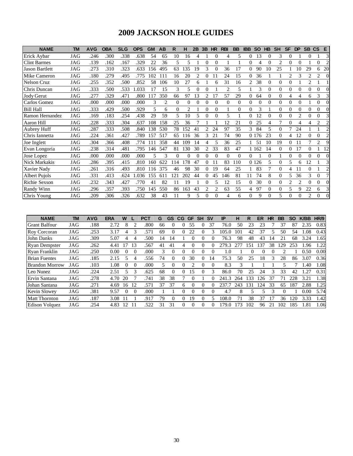### **2009 JACKSON HOLE GUIDES**

| <b>NAME</b>           | <b>TM</b> | <b>AVG</b> | <b>OBA</b> | <b>SLG</b> | <b>OPS</b> | <b>GM</b> | AB         | R        | н              | 2B             | 3B | <b>HR</b>      | <b>RBI</b>     | <b>BB</b> | <b>IBB</b>     | <b>SO</b> | <b>HB</b> | <b>SH</b> | <b>SF</b>      | <b>DP</b>      | <b>SB</b>      | <b>CS</b>      | E                           |
|-----------------------|-----------|------------|------------|------------|------------|-----------|------------|----------|----------------|----------------|----|----------------|----------------|-----------|----------------|-----------|-----------|-----------|----------------|----------------|----------------|----------------|-----------------------------|
| Erick Aybar           | JAG       | .246       | .300       | .338       | .638       | 54        | 65         | 10       | 16             | 4              |    | $\Omega$       | 4              | 5         | 0              | 13        | $\theta$  | 3         | $\Omega$       |                | $\Omega$       |                | 3                           |
| <b>Clint Barmes</b>   | JAG       | .139       | .162       | .167       | .329       | 22        | 36         | 5        | 5              |                | 0  | $\Omega$       |                |           | $\Omega$       | 4         | $\Omega$  | 2         | $\Omega$       | 0              |                | $\Omega$       | $\mathcal{D}_{\mathcal{A}}$ |
| <b>Jason Bartlett</b> | JAG       | .273       | .310       | .323       | .633       | 156       | 495        | 63       | 135            | 19             | 3  | $\Omega$       | 36             | 17        | $\Omega$       | 90        | 10        | 25        |                | 10             | 29             | 6              | 20                          |
| Mike Cameron          | JAG       | .180       | .279       | .495       | .775       | 102       | 111        | 16       | 20             | $\mathfrak{D}$ | 0  | 11             | 24             | 15        | $\theta$       | 36        |           |           | $\mathfrak{D}$ | 3              | $\overline{c}$ | $\overline{2}$ | $\Omega$                    |
| <b>Nelson Cruz</b>    | JAG       | .255       | .352       | .500       | .852       | 58        | 106        | 10       | 27             | 6              |    | 6              | 31             | 16        | $\overline{2}$ | 38        | $\theta$  |           |                |                | $\overline{c}$ |                |                             |
| Chris Duncan          | JAG       | .333       | .500       | .533       | .033       | 17        | 15         | 3        | 5              | $\Omega$       | 0  |                | $\overline{c}$ | 5         |                | 3         | $\Omega$  | 0         | $\Omega$       | $\Omega$       | 0              | $\Omega$       |                             |
| Jody Gerut            | JAG       | .277       | .329       | .471       | .800       | 117       | 350        | 66       | 97             | 13             | 2  | 17             | 57             | 29        | $\Omega$       | 64        | $\Omega$  | $\Omega$  | 4              | 4              | 6              | 3              | 3                           |
| Carlos Gomez          | JAG       | .000       | .000       | .000       | .000       | 3         | 2          | $\Omega$ | $\Omega$       |                | 0  | $\Omega$       | 0              | $\Omega$  | $\Omega$       |           | $\Omega$  |           | $\Omega$       | $\Omega$       |                | 0              |                             |
| <b>Bill Hall</b>      | JAG       | .333       | .429       | .500       | .929       | 5         | 6          | $\Omega$ | $\overline{2}$ |                | 0  | $\Omega$       |                | $\Omega$  | $\theta$       | 3         |           | 0         | $\theta$       | $\theta$       | 0              | $\Omega$       |                             |
| Ramon Hernandez       | JAG       | .169       | .183       | .254       | .438       | 29        | 59         | 5        | 10             | 5              | 0  | $\Omega$       | 5              |           | $\theta$       | 12        | $\Omega$  |           | $\Omega$       | $\overline{c}$ | $\Omega$       | $\Omega$       |                             |
| Aaron Hill            | JAG       | .228       | .333       | .304       | .637       | 108       | 158        | 25       | 36             |                |    |                | 12             | 21        | $\Omega$       | 25        | 4         |           | $\Omega$       | 4              | 4              | $\overline{c}$ | っ                           |
| Aubrey Huff           | JAG       | .287       | .333       | .508       | .840       | 138       | 530        | 78       | 152            | 41             | 2  | 24             | 97             | 35        | 3              | 84        | 5         | 0         | 7              | 24             |                |                | $\mathfrak{D}$              |
| Chris Iannetta        | JAG       | .224       | .361       | .427       | .789       | 157       | 517        | 65       | 116            | 36             | 3  | 21             | 74             | 90        |                | 0 1 7 6   | 23        |           | 4              | 12             |                | $\Omega$       | っ                           |
| Joe Inglett           | JAG       | .304       | .366       | .408       | .774       |           | 358        | 44       | 109            | 14             | 4  | 5              | 36             | 25        |                | 51        | 10        | 19        | $\Omega$       | 11             | 7              | $\mathfrak{D}$ | $\mathbf Q$                 |
| Evan Longoria         | JAG       | .238       | .314       | .481       | .795       | 146       | 547        | 81       | 130            | 30             | 2  | 33             | 83             | 47        |                | 1 1 6 2   | 14        |           | 0              | 17             | 0              |                | 12                          |
| Jose Lopez            | JAG       | .000       | .000       | .000       | .000       | 5         | 3          | $\Omega$ | $\Omega$       | $\Omega$       | 0  | $\Omega$       | 0              | $\Omega$  | 0              |           | $\Omega$  |           | $\Omega$       | $\Omega$       | 0              | 0              | $\Omega$                    |
| Nick Markakis         | JAG       | .286       | .395       | .415       | .810       | 160       | 622        | 114      | 178            | 47             | 0  | 11             | 83             | 110       |                | 0 1 2 6   | 5         |           | 5              | 6              | 12             |                | 3                           |
| Xavier Nady           | JAG       | .261       | .316       | .493       | .810       | 116       | 375        | 46       | 98             | 30             | 0  | 19             | 64             | 25        |                | 83        |           |           | 4              |                |                |                | っ                           |
| <b>Albert Pujols</b>  | JAG       | .331       | .413       | .624       | .036       | 155       | $61^\circ$ | 21       | 202            | 44             | 0  | 45             | 146            | 81        | 11             | 74        | 8         | 0         | 5              | 36             | 3              | $\Omega$       |                             |
| Richie Sexson         | JAG       | .232       | .343       | .427       | .770       | 41        | 82         | 11       | 19             |                | 0  | 5              | 12             | 15        | $\theta$       | 30        | $\Omega$  |           | $\overline{c}$ | $\mathfrak{D}$ | 0              | 0              |                             |
| <b>Randy Winn</b>     | JAG       | .296       | .357       | .393       | .750       | 145       | 550        | 86       | 163            | 43             | 2  | $\overline{c}$ | 63             | 55        | 4              | 97        | $\Omega$  | 0         | 5              | 9              | 22             | 6              | 3                           |
| Chris Young           | JAG       | .209       | .306       | .326       | .632       | 38        | 43         | 11       | 9              | 5              | 0  | $\Omega$       | 4              | 6         | $\Omega$       | 9         | $\Omega$  | 5         | $\Omega$       | 0              | $\overline{c}$ | 0              | $\Omega$                    |

| <b>NAME</b>           | TM         | <b>AVG</b> | <b>ERA</b> | W        |                         | PCT  | G  | GS       | <b>CG</b> | <b>GF</b> | SΗ       | <b>SV</b> | IP    | н   | R   | ER  | HR | BB  | <b>SO</b> | <b>K/BB</b> | HR/9 |
|-----------------------|------------|------------|------------|----------|-------------------------|------|----|----------|-----------|-----------|----------|-----------|-------|-----|-----|-----|----|-----|-----------|-------------|------|
| <b>Grant Balfour</b>  | JAG        | .188       | 2.72       | 8        | $\mathcal{D}_{1}^{(1)}$ | .800 | 66 | 0        | $\Omega$  | 55        | $\theta$ | 37        | 76.0  | 50  | 23  | 23  |    | 37  | 87        | 2.35        | 0.83 |
| Roy Corcoran          | JAG        | .253       | 3.17       | 4        | 3                       | 571  | 69 |          | $\Omega$  | 22        | 0        |           | 105.0 | 101 | 42  | 37  |    | 50  | 54        | .08         | 0.43 |
| <b>John Danks</b>     | JAG        | .309       | 5.07       | 4        | $\overline{4}$          | .500 | 14 | 14       |           | $\theta$  | $\Omega$ | 0         | 76.3  | 98  | 48  | 43  | 14 | 21  | 68        | 3.24        | 1.65 |
| <b>Ryan Dempster</b>  | <b>JAG</b> | .262       | 4.41       | 17       | 13                      | .567 | 41 | 41       | 4         | $\theta$  | $\theta$ | 0         | 279.3 |     | 151 | 137 | 38 | 29  | 253       | 1.96        | 1.22 |
| Ryan Franklin         | JAG        | .250       | 0.00       | $\theta$ | $\Omega$                | .000 | 3  |          |           |           | 0        | $\left($  | 1.0   |     |     |     |    |     |           | 0.50        | 0.00 |
| <b>Brian Fuentes</b>  | JAG        | .185       | 2.15       | 5        | 4                       | 556  | 74 | 0        | $\Omega$  | 30        | 0        | 14        | 75.3  | 50  | 25  | 18  | 3  | 28  | 86        | 3.07        | 0.36 |
| <b>Brandon Morrow</b> | JAG        | .103       | 1.08       | 0        | $\Omega$                | .000 | 5  | $\Omega$ | $\Omega$  |           | $\theta$ | $\Omega$  | 8.3   | 3   |     |     |    |     |           | .40         | 1.08 |
| Leo Nunez             | <b>JAG</b> | .224       | 2.51       |          | 3                       | .625 | 68 | 0        | $\Omega$  | 15        | 0        | 3         | 86.0  | 70  | 25  | 24  |    | 33  | 42        | .27         | 0.31 |
| Ervin Santana         | JAG        | .278       | 4.70       | 20       |                         | 741  | 38 | 38       |           | $\theta$  |          | 0         | 241.3 | 264 | 33  | 126 | 37 | 71  | 228       | 3.21        | 1.38 |
| Johan Santana         | JAG        | .271       | 4.69       | 16       | -12                     | .571 | 37 | 37       | 6         | 0         | 0        | 0         | 237.7 | 243 | '31 | 124 | 33 | 65  | 187       | 2.88        | 1.25 |
| <b>Kevin Slowey</b>   | <b>JAG</b> | .381       | 9.57       | $\Omega$ | $\Omega$                | .000 |    |          |           |           | 0        |           | 4.7   | 8   |     |     |    |     |           | 0.00        | 5.74 |
| <b>Matt Thornton</b>  | <b>JAG</b> | .187       | 3.08       |          |                         | 917  | 79 | 0        | $\Omega$  | 19        | 0        |           | 08.0  |     | 38  | 37  |    | 36  | 20        | 3.33        | 1.42 |
| Edison Volquez        | JAG        | .254       | 4.83       | 12       |                         | 522  | 31 | 31       | $\Omega$  | $\theta$  | 0        | 0         | .79.0 | 73  | 102 | 96  | 21 | 102 | 185       | 1.81        | 1.06 |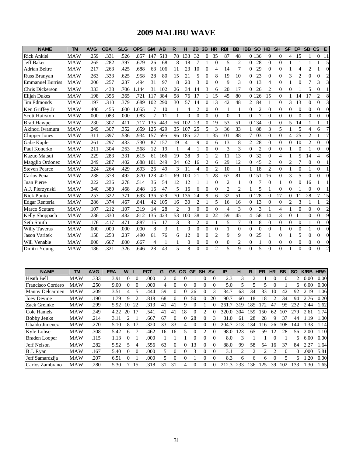### **2009 MALIBU WAVE**

| <b>NAME</b>             | <b>TM</b>  | <b>AVG</b> | <b>OBA</b> | <b>SLG</b> | <b>OPS</b> | <b>GM</b> | AB  | R                        | н              | 2B                       | 3B             | HR             | <b>RBI</b>     | <b>BB</b>      | <b>IBB</b>     | <b>SO</b>      | H <sub>B</sub> | <b>SH</b>        | <b>SF</b>      | <b>DP</b>      |                | SB CS          | E              |
|-------------------------|------------|------------|------------|------------|------------|-----------|-----|--------------------------|----------------|--------------------------|----------------|----------------|----------------|----------------|----------------|----------------|----------------|------------------|----------------|----------------|----------------|----------------|----------------|
| <b>Rick Ankiel</b>      | <b>MAW</b> | .259       | .331       | .526       | .857       | 147       | 513 | 78                       | 133            | 32                       | 0              | 35             | 87             | 48             | $\Omega$       | 136            | 9              | $\Omega$         | 4              | 15             |                | $\Omega$       | 11             |
| Jeff Baker              | <b>MAW</b> | .265       | .282       | .397       | .679       | 26        | 68  | 8                        | 18             | 7                        |                | $\mathbf{0}$   | 5              | 2              | 0              | 28             | $\overline{0}$ | $\Omega$         | 1              |                |                |                |                |
| Adrian Beltre           | <b>MAW</b> | .217       | .263       | .425       | .688       | 63        | 106 | 11                       | 23             | 10                       | $\Omega$       | 4              | 14             | 7              | $\overline{0}$ | 29             | $\Omega$       | $\Omega$         | 1              | $\overline{4}$ | 2              |                | $\theta$       |
| Russ Branyan            | <b>MAW</b> | .263       | .333       | .625       | .958       | 28        | 80  | 15                       | 21             | 5                        | $\Omega$       | 8              | 19             | 10             | $\theta$       | 23             | $\Omega$       | $\theta$         | 3              | $\overline{2}$ | $\Omega$       | $\Omega$       | $\overline{2}$ |
| <b>Emmanuel Burriss</b> | <b>MAW</b> | .206       | .257       | .237       | .494       | 31        | 97  | 8                        | 20             | $\overline{\mathcal{E}}$ | $\Omega$       | $\theta$       | 9              | 3              | $\Omega$       | 13             | 4              | $\Omega$         | 1              | $\Omega$       | 7              | 3              | 3              |
| Chris Dickerson         | <b>MAW</b> | .333       | .438       | .706       | .144       | 31        | 102 | 26                       | 34             | 14                       | 3              | 6              | 20             | 17             | $\Omega$       | 26             | $\mathfrak{D}$ | $\Omega$         | $\Omega$       |                | $\overline{5}$ | $\Omega$       |                |
| Elijah Dukes            | <b>MAW</b> | .198       | .356       | .365       | .721       | 117       | 384 | 58                       | 76             | 17                       |                | 15             | 45             | 80             | 0              | 126            | 15             | $\Omega$         | 1              | 14             | 17             | $\overline{c}$ | 8              |
| Jim Edmonds             | <b>MAW</b> | .197       | .310       | .379       | .689       | 102       | 290 | 30                       | 57             | 14                       | $\Omega$       | 13             | 42             | 48             | 2              | 84             | 1              | $\boldsymbol{0}$ | 3              | 13             | $\Omega$       | $\overline{0}$ | 3              |
| Ken Griffey Jr          | <b>MAW</b> | .400       | .455       | .600       | .055       | 7         | 10  | $\mathbf{1}$             | $\overline{4}$ | $\overline{2}$           | $\Omega$       | $\Omega$       |                |                | $\Omega$       | $\overline{c}$ | $\theta$       | $\Omega$         | $\theta$       | $\Omega$       | $\Omega$       | $\theta$       | $\Omega$       |
| <b>Scott Hairston</b>   | <b>MAW</b> | .000       | .083       | .000       | .083       | 7         | 11  |                          | $\theta$       | $\Omega$                 | $\Omega$       | $\Omega$       | $\Omega$       |                | $\Omega$       | 7              | $\Omega$       | $\Omega$         | $\Omega$       | $\Omega$       | $\Omega$       | 0              | $\Omega$       |
| <b>Brad Hawpe</b>       | <b>MAW</b> | .230       | .307       | .411       | .717       | 135       | 443 | 56                       | 102            | 23                       | $\Omega$       | 19             | 53             | 51             |                | 0 1 3 4        | $\Omega$       | $\Omega$         | 5              | 14             |                |                |                |
| Akinori Iwamura         | MAW        | .249       | .307       | .352       | .659       | 125       | 429 | 35                       | 107            | 25                       | 5              | 3              | 36             | 33             |                | 88             | 3              | 5                | 1              | 5              | 4              | 6              | 7              |
| Chipper Jones           | <b>MAW</b> | .311       | .397       | .536       | .934       | 157       | 595 | 96                       | 185            | 27                       |                | 35             | 101            | 88             |                | 7 1 0 3        | $\overline{0}$ | $\boldsymbol{0}$ | 4              | 25             | $\overline{2}$ |                | 17             |
| Gabe Kapler             | <b>MAW</b> | .261       | .297       | .433       | .730       | 87        | 157 | 19                       | 41             | 9                        | $\Omega$       | 6              | 13             | 8              | 2              | 28             | $\Omega$       | $\Omega$         | $\Omega$       | 10             | $\overline{c}$ | $\Omega$       | $\theta$       |
| Paul Konerko            | <b>MAW</b> | .211       | .304       | .263       | .568       | 12        | 19  |                          | 4              |                          | $\Omega$       | $\theta$       | 3              | 3              | $\theta$       | $\overline{c}$ | $\Omega$       | $\Omega$         |                | $\theta$       |                | $\Omega$       | 0              |
| Kazuo Matsui            | <b>MAW</b> | .229       | .283       | .331       | .615       | 61        | 166 | 19                       | 38             | 9                        |                | $\overline{2}$ | 11             | 13             | $\theta$       | 32             | $\Omega$       | 4                | 1              | 5              | 14             | 4              | 6              |
| Magglio Ordonez         | MAW        | .249       | .287       | .402       | .688       | 101       | 249 | 24                       | 62             | 16                       | $\overline{2}$ | 6              | 29             | 12             | $\theta$       | 45             | $\overline{c}$ | $\overline{0}$   | $\overline{c}$ | $\overline{7}$ | $\Omega$       | $\theta$       |                |
| <b>Steven Pearce</b>    | <b>MAW</b> | .224       | .264       | .429       | .693       | 26        | 49  | 3                        | 11             | $\overline{4}$           | $\overline{0}$ | $\overline{2}$ | 10             | 1              |                | 18             | $\overline{2}$ | $\boldsymbol{0}$ | 1              | $\overline{0}$ |                | $\overline{0}$ |                |
| Carlos Pena             | <b>MAW</b> | .238       | .378       | .492       | .870       | 128       | 421 | 69                       | 100            | 21                       |                | 28             | 67             | 81             | 0              | 151            | 16             | $\Omega$         | 3              | 5              | $\Omega$       | $\Omega$       | $\Omega$       |
| Juan Pierre             | <b>MAW</b> | .222       | .236       | .278       | .514       | 36        | 54  | 12                       | 12             |                          |                | $\Omega$       | $\overline{2}$ |                | $\Omega$       |                | $\Omega$       |                  | $\Omega$       | $\theta$       | 16             |                |                |
| A.J. Pierzynski         | <b>MAW</b> | .340       | .380       | .468       | .848       | 16        | 47  | $\overline{\phantom{0}}$ | 16             | 6                        | $\Omega$       | $\theta$       | $\overline{c}$ | $\overline{2}$ |                | $\overline{5}$ |                | $\Omega$         | $\Omega$       |                | $\Omega$       | $\Omega$       |                |
| Nick Punto              | MAW        | .257       | .322       | .371       | .693       | 136       | 529 | 70                       | 136            | 24                       | 9              | 6              | 32             | 51             | 0              | 128            | $\overline{0}$ | 17               | $\overline{0}$ | 11             | 28             | 7              | 15             |
| Edgar Renteria          | <b>MAW</b> | .286       | .374       | .467       | .841       | 42        | 105 | 16                       | 30             | $\overline{c}$           |                | 5              | 16             | 16             | $\overline{0}$ | 13             | $\overline{0}$ | $\Omega$         | $\overline{2}$ | 3              |                |                | $\overline{2}$ |
| Marco Scutaro           | <b>MAW</b> | .107       | .212       | .107       | .319       | 14        | 28  | $\overline{2}$           | 3              | $\Omega$                 | $\Omega$       | $\Omega$       | 4              | 3              | $\Omega$       | 3              | 1              | 4                | 1              | $\theta$       | $\Omega$       | $\Omega$       | $\overline{2}$ |
| Kelly Shoppach          | <b>MAW</b> | .236       | .330       | .482       | .812       | 135       | 423 | 53                       | 100            | 38                       | $\Omega$       | 22             | 59             | 45             |                | 4 1 5 8        | 14             | 3                | $\Omega$       | 11             | $\Omega$       | $\Omega$       | 9              |
| Seth Smith              | <b>MAW</b> | .176       | .417       | .471       | .887       | 15        | 17  | 3                        | 3              | $\overline{c}$           | $\Omega$       | 1              | 5              | 7              | $\Omega$       | 8              | $\theta$       | $\Omega$         | $\theta$       | $\Omega$       |                | $\Omega$       | 0              |
| <b>Willy Taveras</b>    | <b>MAW</b> | .000       | .000       | .000       | .000       | 8         | 3   | $\mathbf{1}$             | $\theta$       | $\Omega$                 | $\Omega$       | $\Omega$       | $\mathbf{1}$   | $\theta$       | $\theta$       | $\theta$       | $\theta$       |                  | $\theta$       | $\theta$       |                | $\theta$       | $\Omega$       |
| Jason Varitek           | <b>MAW</b> | .158       | .253       | .237       | .490       | 61        | 76  | 6                        | 12             | $\Omega$                 | $\mathbf{0}$   | $\overline{2}$ | 9              | 9              | $\mathbf{0}$   | 25             | 1              | $\Omega$         | 1              | 5              | $\overline{0}$ | $\mathbf{0}$   | $\theta$       |
| Will Venable            | <b>MAW</b> | .000       | .667       | .000       | .667       | 4         |     | 1                        | $\theta$       | $\Omega$                 | $\Omega$       | $\Omega$       | $\overline{0}$ | $\overline{c}$ | $\overline{0}$ |                | $\Omega$       | $\Omega$         | $\theta$       | $\Omega$       | $\Omega$       | $\Omega$       | $\Omega$       |
| Dmitri Young            | <b>MAW</b> | .186       | 321        | 326        | .646       | 28        | 43  | 5                        | 8              | $\Omega$                 | $\Omega$       | $\overline{c}$ | 5              | 9              | $\theta$       | $\overline{5}$ | $\Omega$       | 0                |                | $\Omega$       | $\Omega$       | $\Omega$       | $\overline{c}$ |

| <b>NAME</b>            | TM         | <b>AVG</b> | <b>ERA</b> | W        |          | <b>PCT</b> | G              | GS       | CG       | <b>GF</b> | <b>SH</b> | .SV      | IP    | н                             | R   | <b>ER</b>     | HR           | <b>BB</b> | <b>SO</b> | <b>K/BB</b> | HR/9 |
|------------------------|------------|------------|------------|----------|----------|------------|----------------|----------|----------|-----------|-----------|----------|-------|-------------------------------|-----|---------------|--------------|-----------|-----------|-------------|------|
| Heath Bell             | <b>MAW</b> | .333       | 3.91       | 0        | $\Omega$ | .000       | $\mathfrak{D}$ | 0        | $_{0}$   |           | $\theta$  | $\theta$ | 2.3   | $\mathcal{F}$                 | 2   |               | $\mathbf{0}$ | $\theta$  |           | 0.00        | 0.00 |
| Francisco Cordero      | <b>MAW</b> | .250       | 9.00       |          |          | .000       | 4              | 0        |          | 0         | 0         |          | 5.0   |                               |     |               |              |           | 6         | 6.00        | 0.00 |
| <b>Manny Delcarmen</b> | <b>MAW</b> | .209       | 3.51       | 4        |          | 444.       | 59             | $\theta$ | $\theta$ | 26        |           | 3        | 84.7  | 63                            | 34  | 33            | 10           | 42        | 92        | 2.19        | 1.06 |
| Joey Devine            | <b>MAW</b> | 190        | 1.79       | Q        |          | .818       | 68             | 0        | 0        | 50        |           | 20       | 90.7  | 60                            | 18  | 18            |              | 34        | 94        | 2.76        | 0.20 |
| <b>Zack Greinke</b>    | <b>MAW</b> | .299       | 5.92       | 10       | 22       | .313       | 41             | 41       | 9        |           |           |          | 261.7 | 319                           | 185 | 72            | 47           | 95        | 232       | 2.44        | 0.62 |
| Cole Hamels            | <b>MAW</b> | .249       | 4.22       | 20       | 17       | .541       | 41             | 41       | 18       |           |           |          | 320.0 | 304                           | -59 | -50           | 62           | 107       | 279       | 2.61        | l.74 |
| <b>Bobby Jenks</b>     | <b>MAW</b> | .214       | 3.11       |          |          | .667       | 67             | 0        | $_{0}$   | 28        | 0         | 3        | 81.0  | 61                            | 28  | 28            | 9            | 37        | 44        | 1.19        | 00.1 |
| Ubaldo Jimenez         | <b>MAW</b> | .270       | 5.10       | 8        | 17       | .320       | 33             | 33       | 4        | 0         | $\Omega$  |          | 204.  | 213                           | 34  | 16            | 26           | 108       | 44        | 1.33        | 1.14 |
| Kyle Lohse             | <b>MAW</b> | .308       | 5.42       | 6        |          | .462       | 16             | 16       |          |           |           |          | 98.0  | 123                           | 65  | 59            | 12           | 28        | 56        | 2.00        | 1.10 |
| <b>Braden Looper</b>   | <b>MAW</b> | .115       | 1.13       | $\Omega$ |          | .000       |                |          |          | 0         | 0         |          | 8.0   | 3                             |     |               | $\Omega$     |           | 6         | 6.00        | 0.00 |
| <b>Jeff Nelson</b>     | <b>MAW</b> | .282       | 5.52       |          |          | .556       | 63             | 0        | $\theta$ | 13        |           |          | 88.0  | 99                            | 58  | 54            | 16           | 37        | 84        | 2.27        | 1.64 |
| B.J. Ryan              | <b>MAW</b> | .167       | 5.40       | $\Omega$ | $\Omega$ | .000       | 5              | $\Omega$ | 0        | 3         | $\Omega$  |          | 3.1   | $\mathfrak{D}_{\mathfrak{p}}$ | っ   | $\mathcal{D}$ | っ            | $\Omega$  | $\Omega$  | .000        | 5.81 |
| Jeff Samardzija        | <b>MAW</b> | .207       | 6.51       | 0        |          | .000       |                | 0        | 0        |           | 0         |          | 8.3   | 6                             | 6   | 6             |              |           | 6         | .20         | 0.00 |
| Carlos Zambrano        | <b>MAW</b> | .280       | 5.30       |          | 15       | .318       | 31             | 31       | 4        | 0         | 0         |          | 212.3 | 233                           | 136 | 125           | 39           | 102       | 133       | 1.30        | 1.65 |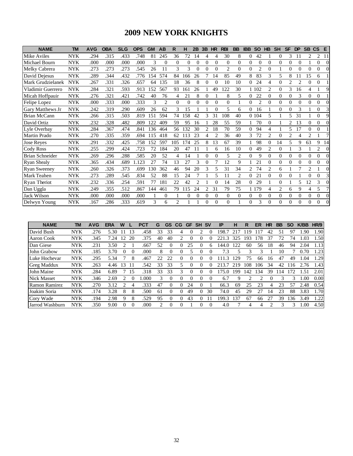### **2009 NEW YORK KNIGHTS**

| <b>NAME</b>         | <b>TM</b>  | <b>AVG</b> | <b>OBA</b> | <b>SLG</b> | <b>OPS</b> | <b>GM</b> | AB             | R                           | н                | 2B             | 3B             | <b>HR</b>      | <b>RBI</b>   | <b>BB</b>      | <b>IBB</b> | <b>SO</b>      | <b>HB</b>      | <b>SH</b> | <b>SF</b>      | <b>DP</b>      | <b>SB</b> | <b>CS</b>      | E        |
|---------------------|------------|------------|------------|------------|------------|-----------|----------------|-----------------------------|------------------|----------------|----------------|----------------|--------------|----------------|------------|----------------|----------------|-----------|----------------|----------------|-----------|----------------|----------|
| Mike Aviles         | <b>NYK</b> | .294       | .315       | .433       | .748       | 81        | 245            | 36                          | 72               | 14             | 4              | 4              | 30           | 8              | 0          | 42             |                |           | 3              | 11             | 2         | 2              | 11       |
| Michael Bourn       | <b>NYK</b> | .000       | .000       | .000       | .000       | 3         | 0              | $\Omega$                    | $\theta$         | $\Omega$       | 0              | $\Omega$       | $\mathbf{0}$ | $\Omega$       | $\theta$   | 0              | $\Omega$       | 0         | $\theta$       | 0              |           | 0              | $\Omega$ |
| Melky Cabrera       | <b>NYK</b> | .273       | .273       | .273       | .545       | 26        | 11             | 3                           | 3                | $\Omega$       | 0              | $\Omega$       | 2            | $\Omega$       | $\theta$   | $\overline{2}$ | $\Omega$       |           | $\theta$       | $\theta$       | 0         | 0              |          |
| David Dejesus       | <b>NYK</b> | .289       | .344       | .432       | .776       | 154       | 574            | 84                          | 166              | 26             |                | 14             | 85           | 49             | 8          | 83             | 3              | 5         | 8              | 11             | 15        | 6              |          |
| Mark Grudzielanek   | <b>NYK</b> | .267       | .331       | .326       | .657       | 64        | 135            | 18                          | 36               | 8              | 0              | $\Omega$       | 10           | 10             | $\theta$   | 24             | 4              | 0         | $\overline{c}$ | $\mathfrak{D}$ | 0         | 0              |          |
| Vladimir Guerrero   | <b>NYK</b> | .284       | .321       | .593       | .913       | 152       | 567            | 93                          | 161              | 26             |                | 49             | 122          | 30             |            | 102            | $\overline{c}$ | 0         | 3              | 16             | 4         |                | Q        |
| Micah Hoffpauir     | <b>NYK</b> | .276       | .321       | .421       | .742       | 40        | 76             | 4                           | 21               | 8              | 0              |                | 8            | 5.             | $\theta$   | 22             | $\Omega$       | 0         | 0              | 3              | 0         | $\Omega$       |          |
| Felipe Lopez        | <b>NYK</b> | .000       | .333       | .000       | .333       | 3         | $\overline{c}$ | $\Omega$                    | $\Omega$         | $\Omega$       | 0              | $\Omega$       | $\Omega$     |                | $\theta$   | $\overline{c}$ | $\Omega$       | 0         | $\theta$       | 0              | 0         | 0              |          |
| Gary Matthews Jr    | <b>NYK</b> | .242       | .319       | .290       | .609       | 26        | 62             | 3                           | 15               |                |                | $\Omega$       | 5            | 6              | $\Omega$   | 16             |                | 0         | $\Omega$       | 3              |           | $\Omega$       |          |
| Brian McCann        | <b>NYK</b> | .266       | .315       | .503       | .819       | 151       | 594            | 74                          | l 58             | 42             | 3              | 31             | 108          | 40             |            | 0 1 0 4        | 5              |           | 5              | 31             |           | $\Omega$       | Q        |
| David Ortiz         | <b>NYK</b> | .232       | .328       | .482       | .809       | 122       | 409            | 59                          | 95               | 16             |                | 28             | 55           | 59             |            | 70             | 0              |           | 2              | 13             | 0         | 0              |          |
| Lyle Overbay        | <b>NYK</b> | .284       | .367       | .474       | .841       | 136       | 464            | 56                          | 132              | 30             | $\overline{c}$ | 18             | 70           | 59             | $\theta$   | 94             | 4              |           | 5              | 17             | $\Omega$  | $\Omega$       |          |
| Martin Prado        | <b>NYK</b> | .270       | .335       | .359       | .694       | 115       | 418            | 62                          | 13               | 23             | 4              | $\overline{c}$ | 36           | 40             | 3          | 72             | 2              |           | $\overline{c}$ | 4              | 2         |                |          |
| <b>Jose Reves</b>   | NYK        | .291       | .332       | .425       | .758       | 152       | 597            | 105                         | 174              | 25             | 8              | 13             | 67           | 39             |            | 98             | $\Omega$       | 14        | 5              | 9              | 63        | 9              | 14       |
| Cody Ross           | <b>NYK</b> | .255       | .299       | .424       | .723       | 72        | 184            | 20                          | 47               | 11             |                | 6              | 16           | 10             | 0          | 49             | 2              | $\Omega$  |                | 3              |           | $\overline{c}$ | $\Omega$ |
| Brian Schneider     | <b>NYK</b> | .269       | .296       | .288       | .585       | 20        | 52             | 4                           | 14               |                | 0              | $\Omega$       | 5            | 2              | $\Omega$   | 9              | $\Omega$       | 0         | $\Omega$       | 0              | 0         | $\Omega$       |          |
| <b>Ryan Shealy</b>  | <b>NYK</b> | .365       | .434       | .689       | .123       | 27        | 74             | 13                          | 27               | 3              | 0              | 7              | 12           | 9              |            | 21             | $\Omega$       | 0         | $\theta$       | $\theta$       | $\Omega$  | 0              | $\Omega$ |
| <b>Ryan Sweeney</b> | <b>NYK</b> | .260       | .326       | .373       | .699       | 130       | 362            | 46                          | 94               | 20             | 3              | 5              | 31           | 34             | 2          | 74             | $\overline{c}$ | 6         |                |                |           |                |          |
| Mark Teahen         | <b>NYK</b> | .273       | .289       | .545       | .834       | 52        | 88             | 15                          | 24               |                |                | 5              | 11           | $\mathfrak{D}$ | $\Omega$   | 21             | $\Omega$       | 0         | $\Omega$       |                | 0         | 0              |          |
| Ryan Theriot        | <b>NYK</b> | .232       | .336       | .254       | .591       | 77        | 181            | 22                          | 42               | $\mathfrak{D}$ |                | $\Omega$       | 14           | 28             | $\theta$   | 29             |                |           |                | 5              | 12        | 3              |          |
| Dan Uggla           | NYK        | .249       | .355       | .512       | .867       | 144       | 461            | 79                          | 15               | 24             | $\overline{c}$ | 31             | 79           | 75             |            | 179            | 4              | 2         | 6              | 9              | 4         | 5              |          |
| <b>Jack Wilson</b>  | <b>NYK</b> | .000       | .000       | .000       | .000       |           | 0              |                             | $\boldsymbol{0}$ | $\Omega$       | 0              | $\Omega$       | $\mathbf{0}$ | $\Omega$       | $\Omega$   | 0              | $\Omega$       | $\Omega$  | $\Omega$       | $\Omega$       | $\Omega$  | $\Omega$       |          |
| Delwyn Young        | NYK        | .167       | 286        | .333       | .619       | 3         | 6              | $\mathcal{D}_{\mathcal{A}}$ |                  |                | 0              | $\Omega$       | 0            |                | $\Omega$   | 3              | $\Omega$       | 0         | $\Omega$       | $\Omega$       | 0         | 0              |          |

| <b>NAME</b>          | TM         | <b>AVG</b> | <b>ERA</b> | W        |          | PCT  | G                           | <b>GS</b> | CG | GF | <b>SH</b> | <b>SV</b> | IP    | н   | R   | ER  | HR | <b>BB</b> | <b>SO</b> | <b>K/BB</b> | HR/9 |
|----------------------|------------|------------|------------|----------|----------|------|-----------------------------|-----------|----|----|-----------|-----------|-------|-----|-----|-----|----|-----------|-----------|-------------|------|
| David Bush           | <b>NYK</b> | .276       | 5.30       |          | 13       | .458 | 33                          | 33        | 4  |    |           |           | 198   |     | 19  |     | 42 | 51        | 97        | .90         | 1.90 |
| Aaron Cook           | <b>NYK</b> | .345       | 7.24       |          | 20       | .375 | 40                          | 40        |    |    |           |           | 3     | 325 | Y   | 78  | 37 |           | 74        | .03         | .50  |
| Dan Giese            | <b>NYK</b> | .231       | 3.50       |          |          | .667 | 52                          | 0         |    | 25 |           | 6         | 44    | 122 | 60  | 56  | 18 | 46        | 94        | 2.04        | 1.13 |
| John Grabow          | <b>NYK</b> | .185       | 3.70       | $\theta$ | $\Omega$ | .000 | 8                           | 0         |    |    |           |           | 7.3   |     |     |     |    | 10        |           | 0.70        | 1.23 |
| Luke Hochevar        | <b>NYK</b> | .295       | 5.34       |          | 8        | .467 | 22                          | 22        |    |    |           |           | 3     | 29  | 75  | 66  | 16 | 47        | 49        | 1.04        | 1.29 |
| <b>Greg Maddux</b>   | <b>NYK</b> | .263       | 4.46       | 13       |          | .542 | 33                          | 33        |    |    |           | 0         |       | 219 | 108 | 106 | 34 | 42        | 16        | 2.76        | 1.43 |
| John Maine           | <b>NYK</b> | .284       | 6.89       |          | 15       | .318 | 33                          | 33        |    |    |           | $\theta$  | 75    | 199 | 142 | 34  | 39 | 14        |           | . 51        | 2.01 |
| <b>Nick Masset</b>   | <b>NYK</b> | .346       | 2.69       |          |          | .000 | 3                           | $\theta$  |    |    |           | $\theta$  | 6.7   |     |     |     |    | 3         |           | .00         | 0.00 |
| <b>Ramon Ramirez</b> | <b>NYK</b> | .270       | 3.12       |          | 4        | .333 | 47                          | 0         |    | 24 |           |           | 66.3  | 69  | 25  | 23  | 4  | 23        | 57        | 2.48        | 0.54 |
| Joakim Soria         | <b>NYK</b> | 174        | 3.28       | 8        | 8        | .500 | 61                          | 0         |    | 49 |           | 30        | 74.0  | 45  | 29  | 27  | 14 | 23        | 88        | 3.83        | 1.70 |
| Cory Wade            | <b>NYK</b> | .194       | 2.98       | 9        | 8        | .529 | 95                          | 0         |    | 43 |           |           | 199.3 | 137 | 67  | 66  | 27 | 39        | 136       | 3.49        | 1.22 |
| Jarrod Washburn      | <b>NYK</b> | 350        | 9.00       | $\theta$ | $\Omega$ | .000 | $\mathcal{D}_{\mathcal{L}}$ | $\Omega$  |    |    |           | $\Omega$  | 4.0   |     | 4   | 4   |    | 3         | 3         | 1.00        | 4.50 |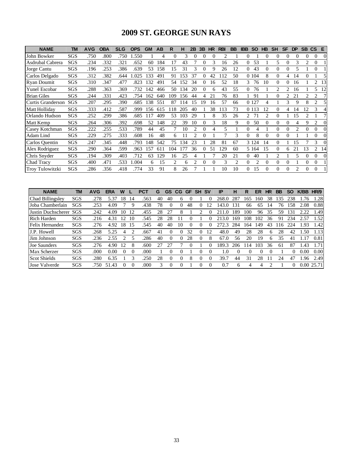### **2009 ST. GEORGE SUN RAYS**

| <b>NAME</b>            | TM  | <b>AVG</b> | <b>OBA</b> | <b>SLG</b> | <b>OPS</b> | <b>GM</b> | <b>AB</b> | R   | н   | 2B                            | 3B       | <b>HR</b> | <b>RBI</b> | <b>BB</b>                                                                                                                                                                                                                                                                                                                                                                                                   | <b>IBB</b> | <b>SO</b>      | <b>HB</b> | <b>SH</b>                   | <b>SF</b> | <b>DP</b>      | <b>SB</b> | <b>CS</b>      | E.                       |
|------------------------|-----|------------|------------|------------|------------|-----------|-----------|-----|-----|-------------------------------|----------|-----------|------------|-------------------------------------------------------------------------------------------------------------------------------------------------------------------------------------------------------------------------------------------------------------------------------------------------------------------------------------------------------------------------------------------------------------|------------|----------------|-----------|-----------------------------|-----------|----------------|-----------|----------------|--------------------------|
| John Bowker            | SGS | .750       | .800       | .750       | 1.550      |           | 4         | 0   | 3   | 0                             | 0        |           |            |                                                                                                                                                                                                                                                                                                                                                                                                             | 0          |                | 0         | 0                           | 0         | 0              | 0         | 0              | 0                        |
| Asdrubal Cabrera       | SGS | 234        | .332       | .321       | .652       | 60        | 184       | 17  | 43  |                               | $\Omega$ | 3         | 16         | 26                                                                                                                                                                                                                                                                                                                                                                                                          | $\Omega$   | 53             |           | 5                           | 0         | 3              | 2         | $\Omega$       |                          |
| Jorge Cantu            | SGS | .196       | .253       | 386        | .639       | 53        | 158       | 15  | 31  | 3                             | $\Omega$ | 9         | 26         | 12                                                                                                                                                                                                                                                                                                                                                                                                          | $\Omega$   | 43             | $\Omega$  | $\Omega$                    | 0         | 5              |           | $\Omega$       |                          |
| Carlos Delgado         | SGS | .312       | .382       | .644       | .025       | 133       | 491       | 91  | 153 | 37                            | 0        | 42        | 112        | 50                                                                                                                                                                                                                                                                                                                                                                                                          |            | 0 1 0 4        | 8         | $\Omega$                    | 4         | 14             | 0         |                |                          |
| <b>Ryan Doumit</b>     | SGS | .310       | .347       | .477       | .823       | 132       | 491       | 54  | 152 | 34                            | 0        | 16        | 52         | 18                                                                                                                                                                                                                                                                                                                                                                                                          | 3          | 76             | 10        | $\Omega$                    | 0         | 16             |           | 2              | 13                       |
| Yunel Escobar          | SGS | .288       | .363       | .369       | .732       | 142       | 466       | 50  | 134 | 20                            | 0        | 6         | 43         | 55                                                                                                                                                                                                                                                                                                                                                                                                          | $\Omega$   | 76             |           | 2                           | 2         | 16             |           | 5.             | 12                       |
| <b>Brian Giles</b>     | SGS | .244       | .331       | .423       | .754       | 162       | 640       | 109 | 156 | 44                            | 4        | 21        | 76         | 83                                                                                                                                                                                                                                                                                                                                                                                                          |            | 91             |           | 0                           |           | 21             |           | 2              |                          |
| Curtis Granderson      | SGS | .207       | .295       | .390       | .685       | 138       | 551       | 87  | 114 | 15                            | 19       | 16        | 57         | 66                                                                                                                                                                                                                                                                                                                                                                                                          |            | 0 1 2 7        |           |                             | 3         | 9              |           | 2              |                          |
| Matt Holliday          | SGS | .333       | .412       | .587       | .999       | 156       | 615       | 118 | 205 | 40                            |          | 38        | 113        | 73                                                                                                                                                                                                                                                                                                                                                                                                          |            | 0 1 1 3        | 12        | 0                           | 4         | 14             | 12        | 3              | $\overline{\mathcal{A}}$ |
| Orlando Hudson         | SGS | .252       | .299       | .386       | .685       | 117       | 409       | 53  | 103 | 29                            |          |           | 35         | 26                                                                                                                                                                                                                                                                                                                                                                                                          | 2          | 71             | 2         | $\Omega$                    |           | 15             |           |                |                          |
| Matt Kemp              | SGS | .264       | .306       | .392       | .698       | 52        | 148       | 22  | 39  | 10                            | $\theta$ | 3         | 18         | 9                                                                                                                                                                                                                                                                                                                                                                                                           | $\Omega$   | 50             | 0         | 0                           | 0         |                | 9         |                | $\Omega$                 |
| Casey Kotchman         | SGS | .222       | .255       | .533       | .789       | 44        | 45        |     | 10  |                               | $\theta$ | 4         | 5          |                                                                                                                                                                                                                                                                                                                                                                                                             | $\Omega$   | 4              |           | 0                           | 0         | $\mathfrak{D}$ |           | 0              | $\Omega$                 |
| Adam Lind              | SGS | .229       | .275       | .333       | .608       | 16        | 48        | 6.  |     | $\mathfrak{D}_{\mathfrak{p}}$ | $\Omega$ |           |            | 3                                                                                                                                                                                                                                                                                                                                                                                                           | $\Omega$   | 8              | 0         | 0                           | 0         |                |           | 0              | 0                        |
| Carlos Quentin         | SGS | 247        | .345       | .448       | .793       | 148       | 542       | 75  | 134 | 23                            |          | 28        | 81         | 67                                                                                                                                                                                                                                                                                                                                                                                                          |            | 3 1 2 4        | 14        | 0                           |           | 15             |           | 3              | $\Omega$                 |
| Alex Rodriguez         | SGS | .290       | .364       | .599       | .963       | 157       | 611       | 104 | 177 | 36                            |          | 51        | 129        | 60                                                                                                                                                                                                                                                                                                                                                                                                          |            | 5 1 6 4        | 15        | $\Omega$                    | 6         | 21             | 13        | $\overline{2}$ | 14                       |
| Chris Snyder           | SGS | .194       | .309       | .403       | .712       | 63        | 129       | 16  | 25  | 4                             |          |           | 20         | 21                                                                                                                                                                                                                                                                                                                                                                                                          | 0          | 40             |           | $\mathcal{D}_{\mathcal{L}}$ |           | 5              | 0         | 0              | $\Omega$                 |
| Chad Tracy             | SGS | .400       | .471       | .533       | .004       | 6         | 15        | 2   | 6   | $\mathfrak{D}_{\mathfrak{p}}$ |          |           | 3          | $\mathfrak{D}_{1}^{(1)} = \mathfrak{D}_{2}^{(1)} = \mathfrak{D}_{2}^{(1)} = \mathfrak{D}_{2}^{(1)} = \mathfrak{D}_{2}^{(1)} = \mathfrak{D}_{2}^{(1)} = \mathfrak{D}_{2}^{(1)} = \mathfrak{D}_{2}^{(1)} = \mathfrak{D}_{2}^{(1)} = \mathfrak{D}_{2}^{(1)} = \mathfrak{D}_{2}^{(1)} = \mathfrak{D}_{2}^{(1)} = \mathfrak{D}_{2}^{(1)} = \mathfrak{D}_{2}^{(1)} = \mathfrak{D}_{2}^{(1)} = \mathfrak{D}_{2}^{$ | $\Omega$   | $\mathfrak{D}$ | 0         | 0                           | 0         |                | 0         | 0              |                          |
| <b>Troy Tulowitzki</b> | SGS | 286        | .356       | .418       | .774       | 33        | 91        | 8   | 26  |                               |          |           | 10         | 10                                                                                                                                                                                                                                                                                                                                                                                                          | $\Omega$   | 15             | 0         | 0                           |           | $\mathfrak{D}$ |           |                |                          |

| <b>NAME</b>         | TM         | AVG  | ERA   | W             |          | <b>PCT</b> | G  | GS       | CG | <b>GF</b> | <b>SH</b>  | .SV | IP         | н   | R   | ER  | HR | BB  | <b>SO</b>       | K/BB | HR/9      |
|---------------------|------------|------|-------|---------------|----------|------------|----|----------|----|-----------|------------|-----|------------|-----|-----|-----|----|-----|-----------------|------|-----------|
| Chad Billingsley    | SGS        | .278 | 5.37  | 8             | 14       | .563       | 40 | 40       | 6  |           |            |     | 268        | 287 | 65  | -60 | 38 | 135 | 238             | .76  | 1.28      |
| Joba Chamberlain    | SGS        | .253 | 4.09  |               | 9        | .438       | 78 | 0        | 0  | 48        | 0          |     | 43         | 131 | 66  | 65  | 14 | 76  | 158             | 2.08 | 0.88      |
| Justin Duchscherer  | <b>SGS</b> | .242 | 4.09  | 10            | 12       | .455       | 28 |          | 8  |           |            |     |            | 189 | 100 | 96  | 35 | 59  | 13 <sup>1</sup> | 2.22 | l.49      |
| <b>Rich Harden</b>  | SGS        | .216 | 4.31  | $^{\prime}2$  | 10       | .545       | 28 | 28       |    | 0         |            |     | 213        | 169 | 108 | 102 | 36 | 91  | 234             | 2.57 | l.52      |
| Felix Hernandez     | SGS        | .276 | 4.92  | 8             | 15       | .545       | 40 | 40       | 10 | 0         | 0          |     | フフフ<br>3   | 284 | 64  | 49  | 43 | 16  | 224             | .93  | 1.42      |
| J.P. Howell         | SGS        | .268 | 5.25  | 4             | 2        | .667       | 41 | 0        |    | 32        | 0          | 12  | 48.0       | 49  | 28  | 28  | h  | 28  | 42              | .50  | 1.13      |
| Jim Johnson         | SGS        | .236 | 2.55  | $\mathcal{D}$ | 5        | 286        | 40 | 0        |    | 28        | $\theta$   | 8   | 67.0       | 56  | 20  | 19  | 6  | 35  | 41              | -1   | 0.81      |
| Joe Saunders        | SGS        | .276 | 4.90  | 12            | 8        | .600       |    |          |    | 0         |            |     | 189.<br>3. | 206 | -14 | 103 | 36 | 61  | 87              | .43  | 1.71      |
| <b>Max Scherzer</b> | SGS        | .000 | 0.00  | $\theta$      | $\Omega$ | .000       |    | 0        |    |           | 0          |     | 1.0        | 0   | 0   |     |    |     | 0               | 0.00 | 0.00      |
| Scot Shields        | SGS        | .280 | 6.35  |               | 3        | .250       | 28 | 0        |    | 8         | 0          |     | 39.7       | 44  | 31  | 28  |    | 24  | 47              | .96  | 2.49      |
| Jose Valverde       | SGS        | .750 | 51.43 |               | $\theta$ | .000       | 3  | $\theta$ |    |           | $^{\circ}$ |     | 0.7        | h.  | 4   |     |    |     | 0               |      | 0.0025.71 |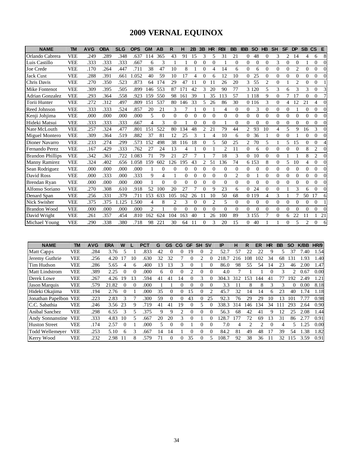# **2009 VERNAL EQUINOX**

| <b>NAME</b>             | TM         | <b>AVG</b> | <b>OBA</b> | <b>SLG</b> | <b>OPS</b> | <b>GM</b>                | AB            | R              | н        | 2B       | 3B             | <b>HR</b>      | <b>RBI</b>     | <b>BB</b>      | <b>IBB</b> | <b>SO</b> | <b>HB</b> | <b>SH</b> | <b>SF</b> | <b>DP</b>      | <b>SB</b> | <b>CS</b>        | Е              |
|-------------------------|------------|------------|------------|------------|------------|--------------------------|---------------|----------------|----------|----------|----------------|----------------|----------------|----------------|------------|-----------|-----------|-----------|-----------|----------------|-----------|------------------|----------------|
| Orlando Cabrera         | <b>VEE</b> | 249        | .289       | .348       | .637       | 114                      | 365           | 43             | 91       | 15       | 3              | 5              | 31             | 21             | 0          | 48        | 0         | 3         | 2         | 14             | 4         | 6                | 8              |
| Luis Castillo           | <b>VEE</b> | .333       | .333       | .333       | .667       | 6                        | 3             |                |          | $\Omega$ | $\theta$       | $\Omega$       |                | $\Omega$       | $\Omega$   | $\Omega$  | $\theta$  | 3         | $\theta$  | $\Omega$       |           | $\theta$         | $\Omega$       |
| Joe Crede               | <b>VEE</b> | .170       | .264       | .447       | .711       | 38                       | 47            | 10             | 8        |          | $\theta$       | 4              | 14             | 6              | $\Omega$   | 6         | $\Omega$  | $\theta$  | $\theta$  | $\overline{2}$ | $\Omega$  | $\theta$         | $\Omega$       |
| <b>Jack Cust</b>        | <b>VEE</b> | .288       | .391       | .661       | .052       | 40                       | 59            | 10             | 17       | 4        | $\theta$       | 6              | 12             | 10             | $\Omega$   | 25        | $\Omega$  | $\Omega$  | $\Omega$  | $\theta$       | 0         | $\theta$         | $\Omega$       |
| Chris Davis             | <b>VEE</b> | 270        | .350       | .523       | .873       | 64                       | 174           | 29             | 47       | 11       | 0              | 11             | 26             | 20             | 3          | 55        | 2         | $\theta$  |           | $\overline{2}$ | $\Omega$  | $\Omega$         |                |
| Mike Fontenot           | <b>VEE</b> | .309       | .395       | .505       | .899       | 146                      | 553           | 87             | 171      | 42       | 3              | 20             | 90             | 77             |            | 3 1 2 0   | 5         | 3         | 6         | 3              | 3         | 0                |                |
| <b>Adrian Gonzalez</b>  | <b>VEE</b> | .293       | .364       | .558       | .923       | 159                      | 550           | 98             | 161      | 39       |                | 35             | 113            | 57             |            | 1 1 1 8   | 9         | $\Omega$  | 7         | 17             | $\Omega$  | $\theta$         | 7              |
| Torii Hunter            | <b>VEE</b> | .272       | .312       | .497       | .809       | 151                      | 537           | 80             | 146      | 33       | 5              | 26             | 86             | 30             |            | 0 1 1 6   | 3         | $\Omega$  | 4         | 12             | 21        | 4                | 0              |
| Reed Johnson            | <b>VEE</b> | 333        | .333       | .524       | .857       | 20                       | 21            | 3              |          |          | 0              |                | 4              | $\mathbf{0}$   | 0          | 3         | $\Omega$  | $\Omega$  | 0         |                | $\Omega$  | 0                |                |
| Kenji Johjima           | <b>VEE</b> | .000       | .000       | .000       | .000       | 5                        | $\Omega$      | $\Omega$       | $\Omega$ | $\theta$ | $\Omega$       | $\Omega$       | $\theta$       | $\Omega$       | $\Omega$   | $\theta$  | $\theta$  | $\Omega$  | $\theta$  | $\theta$       | $\Omega$  | $\theta$         | $\Omega$       |
| Hideki Matsui           | <b>VEE</b> | .333       | .333       | .333       | .667       | $\overline{\mathcal{L}}$ | $\mathcal{E}$ | $\Omega$       |          | $\Omega$ | $\Omega$       | $\Omega$       |                | $\Omega$       | $\Omega$   | $\Omega$  | $\Omega$  | $\Omega$  | $\Omega$  | $\theta$       | $\Omega$  | 0                | $\Omega$       |
| Nate McLouth            | <b>VEE</b> | .257       | .324       | .477       | .801       | 151                      | 522           | 80             | 134      | 48       | $\overline{c}$ | 21             | 79             | 44             | 2          | 93        | 10        | 4         | 5         | 9              | 16        | 3                | $\overline{0}$ |
| Miguel Montero          | <b>VEE</b> | .309       | .364       | .519       | .882       | 37                       | 81            | 12             | 25       | 3        |                | $\overline{4}$ | 10             | 6              | 0          | 36        |           | $\theta$  | $\Omega$  |                | $\Omega$  | $\Omega$         | 0              |
| Dioner Navarro          | <b>VEE</b> | .233       | .274       | .299       | .573       | 152                      | 498           | 38             | 116      | 18       | $\theta$       | 5              | 50             | 25             | 2          | 70        | 5         |           | 5         | 15             | $\Omega$  | 0                |                |
| Fernando Perez          | <b>VEE</b> | .167       | .429       | .333       | .762       | 27                       | 24            | 13             | 4        |          | $\theta$       | $\mathbf{1}$   | $\mathfrak{D}$ | 11             | $\Omega$   | 6         | $\Omega$  | $\Omega$  | $\theta$  | $\theta$       | 8         | $\overline{c}$   | $\Omega$       |
| <b>Brandon Phillips</b> | <b>VEE</b> | 342        | .361       | .722       | .083       | 71                       | 79            | 21             | 27       | 7        |                | 7              | 18             | 3              | $\Omega$   | 10        | $\Omega$  | $\Omega$  |           |                | 8         | 2                | $\Omega$       |
| <b>Manny Ramirez</b>    | <b>VEE</b> | .324       | .402       | .656       | .058       | 159                      | 602           | 126            | 195      | 43       | 2              | 51             | 136            | 74             |            | 6 1 5 3   | 8         | $\theta$  | 5         | 10             | 4         | 0                | 0              |
| Sean Rodriguez          | <b>VEE</b> | .000       | .000       | .000       | .000       |                          | $\Omega$      | $\Omega$       | 0        | $\theta$ | $\Omega$       | $\Omega$       | $\theta$       | $\Omega$       | $\Omega$   | $\Omega$  | $\Omega$  | $\Omega$  | $\theta$  | $\theta$       | $\Omega$  | $\theta$         | $\Omega$       |
| David Ross              | <b>VEE</b> | .000       | .333       | .000       | .333       | 9                        | 4             |                | $\Omega$ | $\theta$ | $\Omega$       | $\Omega$       | $\Omega$       | $\overline{2}$ | $\Omega$   |           | $\Omega$  | $\Omega$  | $\Omega$  | $\Omega$       | $\Omega$  | $\Omega$         | $\Omega$       |
| Brendan Ryan            | <b>VEE</b> | .000       | .000       | .000       | .000       |                          | $\Omega$      | $\Omega$       | $\Omega$ | $\Omega$ | $\Omega$       | $\Omega$       | $\Omega$       | $\Omega$       | 0          | $\Omega$  | $\Omega$  | $\Omega$  | $\Omega$  | $\Omega$       | $\Omega$  | 0                | $\Omega$       |
| Alfonso Soriano         | <b>VEE</b> | 270        | .308       | .610       | .918       | 52                       | 100           | 20             | 27       | 7        | $\Omega$       | 9              | 23             | 6              | $\Omega$   | 24        | $\Omega$  | $\Omega$  |           | 3              | 6         | 0                | 0              |
| Denard Span             | <b>VEE</b> | .256       | .331       | .379       | .711       | 153                      | 633           | 105            | 62       | 26       | 11             | 10             | 50             | 68             |            | 0 1 1 9   | 4         | 3         |           | 7              | 50        | 17               | 6              |
| Nick Swisher            | <b>VEE</b> | .375       | .375       | 1.125      | .500       | 4                        | 8             | $\overline{2}$ | 3        | $\theta$ | $\theta$       | $\overline{2}$ | 5              | $\Omega$       | $\Omega$   | $\Omega$  | $\Omega$  | $\Omega$  | $\Omega$  | $\Omega$       | $\Omega$  | $\Omega$         |                |
| <b>Brandon Wood</b>     | <b>VEE</b> | .000       | .000       | .000       | .000       | $\overline{c}$           |               | $\Omega$       | $\Omega$ | $\Omega$ | $\Omega$       | $\Omega$       | $\Omega$       | $\Omega$       | $\Omega$   | $\Omega$  | $\Omega$  | $\Omega$  | $\Omega$  | $\Omega$       | $\Omega$  | $\Omega$         | $\Omega$       |
| David Wright            | <b>VEE</b> | .261       | .357       | .454       | .810       | 162                      | 624           | 104            | 163      | 40       |                | 26             | 100            | 89             |            | 3 1 5 5   | 7         | $\Omega$  | 6         | 22             | 11        |                  | 21             |
| Michael Young           | <b>VEE</b> | .290       | .338       | 380        | .718       | 98                       | 221           | 30             | 64       | 11       | 0              | 3              | 20             | 15             | 0          | 40        |           |           | 0         | 5              | 2         | $\boldsymbol{0}$ | 6              |

| <b>NAME</b>             | TM         | <b>AVG</b> | <b>ERA</b> | W        |    | <b>PCT</b> | G  | GS       | CG | GF       | <b>SH</b> | <b>SV</b>                                                                                                                                                                                                                                                                                                                                                                                                   | IP    | н   | R                                                                                                                                                                                                                                                                                                                                                                                                           | ER  | HR       | BB | <b>SO</b>        | <b>K/BB</b> | HR/9 |
|-------------------------|------------|------------|------------|----------|----|------------|----|----------|----|----------|-----------|-------------------------------------------------------------------------------------------------------------------------------------------------------------------------------------------------------------------------------------------------------------------------------------------------------------------------------------------------------------------------------------------------------------|-------|-----|-------------------------------------------------------------------------------------------------------------------------------------------------------------------------------------------------------------------------------------------------------------------------------------------------------------------------------------------------------------------------------------------------------------|-----|----------|----|------------------|-------------|------|
| Matt Capps              | VEE        | .284       | 3.76       |          |    | .833       | 42 |          |    | 19       |           |                                                                                                                                                                                                                                                                                                                                                                                                             | 52.7  | 57  | 22                                                                                                                                                                                                                                                                                                                                                                                                          | 22  |          |    | 37               | 7.40        | 1.54 |
| Jeremy Guthrie          | <b>VEE</b> | .256       | 4.20       | 17       | 10 | .630       | 32 | 32       |    |          |           |                                                                                                                                                                                                                                                                                                                                                                                                             | 218.7 | 216 | 108                                                                                                                                                                                                                                                                                                                                                                                                         | 102 | 34       | 68 | $\left 3\right $ | .93         | 1.40 |
| Tim Hudson              | <b>VEE</b> | .286       | 5.65       | 4        | 6  | .400       | 13 | 13       |    |          |           |                                                                                                                                                                                                                                                                                                                                                                                                             | 86.0  | 98  | 55                                                                                                                                                                                                                                                                                                                                                                                                          | 54  | 14       | 23 | 46               | 2.00        | 1.47 |
| <b>Matt Lindstrom</b>   | <b>VEE</b> | .389       | 2.25       | $\Omega$ | 0  | .000       | 6  | $\Omega$ |    | 2        | $\theta$  | $\Omega$                                                                                                                                                                                                                                                                                                                                                                                                    | 4.0   |     |                                                                                                                                                                                                                                                                                                                                                                                                             |     |          | 3  | 2                | 0.67        | 0.00 |
| Derek Lowe              | <b>VEE</b> | .267       | 4.26       | 19       | 13 | .594       | 41 | 41       | 14 |          |           |                                                                                                                                                                                                                                                                                                                                                                                                             | 304.3 | 312 | 153                                                                                                                                                                                                                                                                                                                                                                                                         | 44  | 41       |    | 192              | 2.49        | 1.21 |
| Jason Marquis           | <b>VEE</b> | .579       | 21.82      |          | 0  | .000       |    |          |    | $^{(1)}$ |           | 0                                                                                                                                                                                                                                                                                                                                                                                                           | 3.3   |     | 8                                                                                                                                                                                                                                                                                                                                                                                                           | 8   | 3        | 3  | 0                | 0.00        | 8.18 |
| Hideki Okajima          | <b>VEE</b> | .194       | 2.76       |          |    | .000       | 35 | $\Omega$ |    | 15       |           | $\mathfrak{D}_{1}^{(1)} = \mathfrak{D}_{2}^{(1)} = \mathfrak{D}_{2}^{(1)} = \mathfrak{D}_{2}^{(1)} = \mathfrak{D}_{2}^{(1)} = \mathfrak{D}_{2}^{(1)} = \mathfrak{D}_{2}^{(1)} = \mathfrak{D}_{2}^{(1)} = \mathfrak{D}_{2}^{(1)} = \mathfrak{D}_{2}^{(1)} = \mathfrak{D}_{2}^{(1)} = \mathfrak{D}_{2}^{(1)} = \mathfrak{D}_{2}^{(1)} = \mathfrak{D}_{2}^{(1)} = \mathfrak{D}_{2}^{(1)} = \mathfrak{D}_{2}^{$ | 45.7  | 32  | 14                                                                                                                                                                                                                                                                                                                                                                                                          | 14  | 6        | 23 | 40               | 1.74        | 1.18 |
| Jonathan Papelbon       | <b>VEE</b> | .223       | 2.83       | 3        |    | 300        | 59 | $\Omega$ | 0  | 43       | 0         | 25                                                                                                                                                                                                                                                                                                                                                                                                          | 92.3  | 76  | 29                                                                                                                                                                                                                                                                                                                                                                                                          | 29  | 10       | ۱3 | 101              | 7.77        | 0.98 |
| C.C. Sabathia           | <b>VEE</b> | .246       | 3.56       | 23       | 9  | .719       | 41 | 41       | 19 |          |           |                                                                                                                                                                                                                                                                                                                                                                                                             | 338.3 | 314 | 146.                                                                                                                                                                                                                                                                                                                                                                                                        | 134 | 34       |    | 293              | 2.64        | 0.90 |
| Anibal Sanchez          | <b>VEE</b> | .298       | 6.55       | 3        |    | 375        | 9  | 9        |    | $\theta$ | 0         |                                                                                                                                                                                                                                                                                                                                                                                                             | 56.3  | 68  | 42                                                                                                                                                                                                                                                                                                                                                                                                          | 41  | Q        | 12 | 25               | 2.08        | 1.44 |
| <b>Andy Sonnanstine</b> | <b>VEE</b> | .333       | 4.83       | 10       |    | .667       | 20 | 20       |    |          |           |                                                                                                                                                                                                                                                                                                                                                                                                             | 28.7  |     | 72                                                                                                                                                                                                                                                                                                                                                                                                          | 69  | 13       | 31 | 86               | 2.77        | 0.91 |
| <b>Huston Street</b>    | <b>VEE</b> | .174       | 2.57       | $\Omega$ |    | .000       | 5. | $\Omega$ |    |          |           | $\Omega$                                                                                                                                                                                                                                                                                                                                                                                                    | 7.0   | 4   | $\mathfrak{D}_{1}^{(1)} = \mathfrak{D}_{2}^{(1)} = \mathfrak{D}_{2}^{(1)} = \mathfrak{D}_{2}^{(1)} = \mathfrak{D}_{2}^{(1)} = \mathfrak{D}_{2}^{(1)} = \mathfrak{D}_{2}^{(1)} = \mathfrak{D}_{2}^{(1)} = \mathfrak{D}_{2}^{(1)} = \mathfrak{D}_{2}^{(1)} = \mathfrak{D}_{2}^{(1)} = \mathfrak{D}_{2}^{(1)} = \mathfrak{D}_{2}^{(1)} = \mathfrak{D}_{2}^{(1)} = \mathfrak{D}_{2}^{(1)} = \mathfrak{D}_{2}^{$ | っ   | $\Omega$ | 4  | 5                | .25         | 0.00 |
| Todd Wellemeyer         | <b>VEE</b> | .253       | 5.10       | 6        | 3  | .667       | 14 | 14       |    |          |           | $\Omega$                                                                                                                                                                                                                                                                                                                                                                                                    | 84.2  | 81  | 49                                                                                                                                                                                                                                                                                                                                                                                                          | 48  | 17       | 39 | 54               | l.38        | 1.82 |
| Kerry Wood              | <b>VEE</b> | .232       | 2.98       | 11       | 8  | .579       | 71 | $\Omega$ |    | 35       |           |                                                                                                                                                                                                                                                                                                                                                                                                             | 108.7 | 92  | 38                                                                                                                                                                                                                                                                                                                                                                                                          | 36  |          | 32 | 115              | 3.59        | 0.91 |